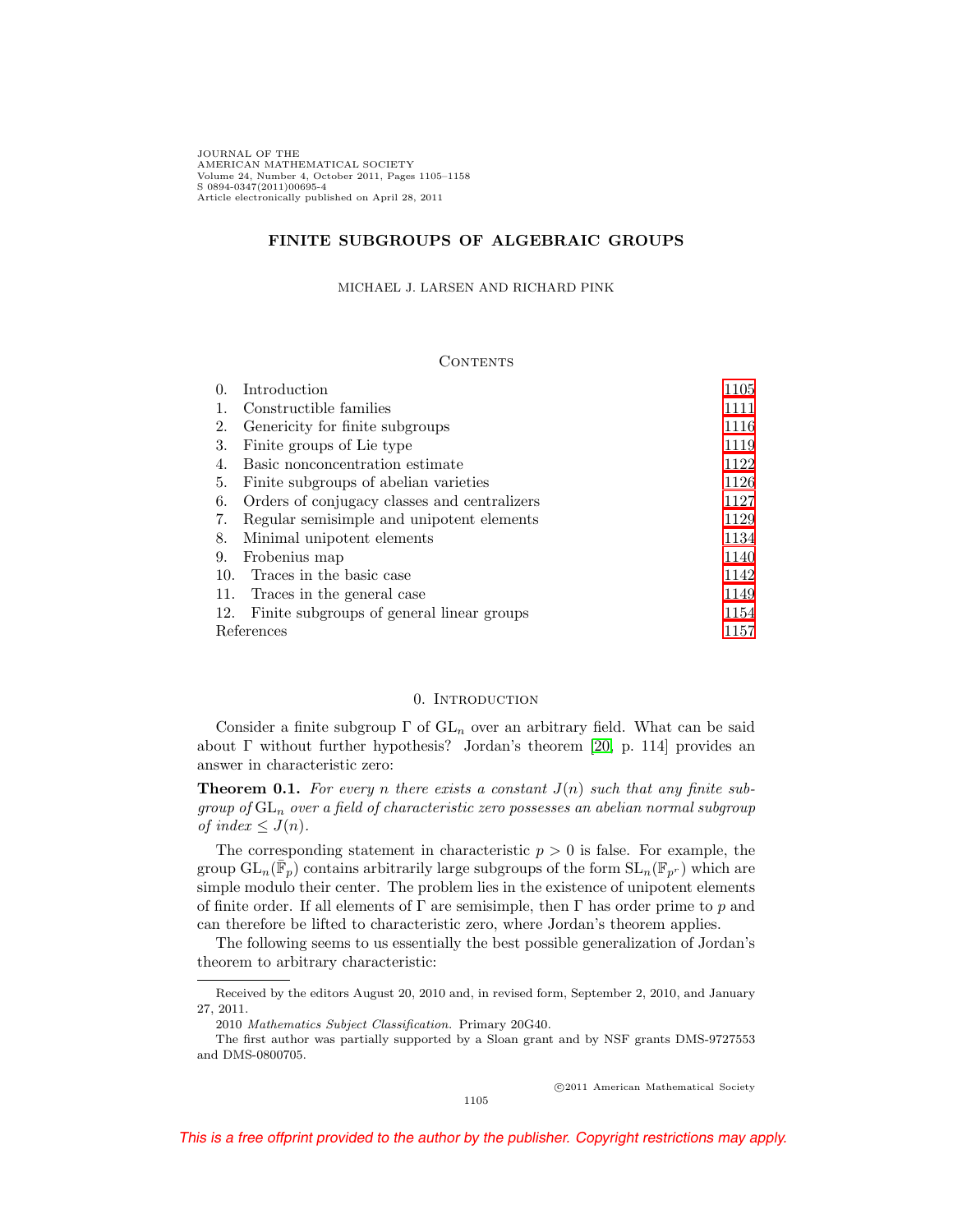JOURNAL OF THE AMERICAN MATHEMATICAL SOCIETY Volume 24, Number 4, October 2011, Pages 1105–1158 S 0894-0347(2011)00695-4 Article electronically published on April 28, 2011

# **FINITE SUBGROUPS OF ALGEBRAIC GROUPS**

#### MICHAEL J. LARSEN AND RICHARD PINK

#### **CONTENTS**

| $\Omega$ . | Introduction                                 | 1105 |  |
|------------|----------------------------------------------|------|--|
|            | Constructible families                       | 1111 |  |
| 2.         | Genericity for finite subgroups              | 1116 |  |
| 3.         | Finite groups of Lie type                    | 1119 |  |
| 4.         | Basic nonconcentration estimate              | 1122 |  |
| 5.         | Finite subgroups of abelian varieties        | 1126 |  |
| 6.         | Orders of conjugacy classes and centralizers | 1127 |  |
| 7.         | Regular semisimple and unipotent elements    | 1129 |  |
| 8.         | Minimal unipotent elements                   | 1134 |  |
| 9.         | Frobenius map                                | 1140 |  |
| 10.        | Traces in the basic case                     | 1142 |  |
| 11.        | Traces in the general case                   | 1149 |  |
| 12.        | Finite subgroups of general linear groups    | 1154 |  |
|            | References<br>1157                           |      |  |

## 0. INTRODUCTION

<span id="page-0-0"></span>Consider a finite subgroup  $\Gamma$  of  $GL_n$  over an arbitrary field. What can be said about  $\Gamma$  without further hypothesis? Jordan's theorem [\[20,](#page-52-1) p. 114] provides an answer in characteristic zero:

<span id="page-0-1"></span>**Theorem 0.1.** For every n there exists a constant  $J(n)$  such that any finite subgroup of  $GL_n$  over a field of characteristic zero possesses an abelian normal subgroup of index  $\leq J(n)$ .

The corresponding statement in characteristic  $p > 0$  is false. For example, the group  $GL_n(\mathbb{F}_p)$  contains arbitrarily large subgroups of the form  $SL_n(\mathbb{F}_{p^r})$  which are simple modulo their center. The problem lies in the existence of unipotent elements of finite order. If all elements of  $\Gamma$  are semisimple, then  $\Gamma$  has order prime to p and can therefore be lifted to characteristic zero, where Jordan's theorem applies.

The following seems to us essentially the best possible generalization of Jordan's theorem to arbitrary characteristic:

-c 2011 American Mathematical Society

Received by the editors August 20, 2010 and, in revised form, September 2, 2010, and January 27, 2011.

<sup>2010</sup> Mathematics Subject Classification. Primary 20G40.

The first author was partially supported by a Sloan grant and by NSF grants DMS-9727553 and DMS-0800705.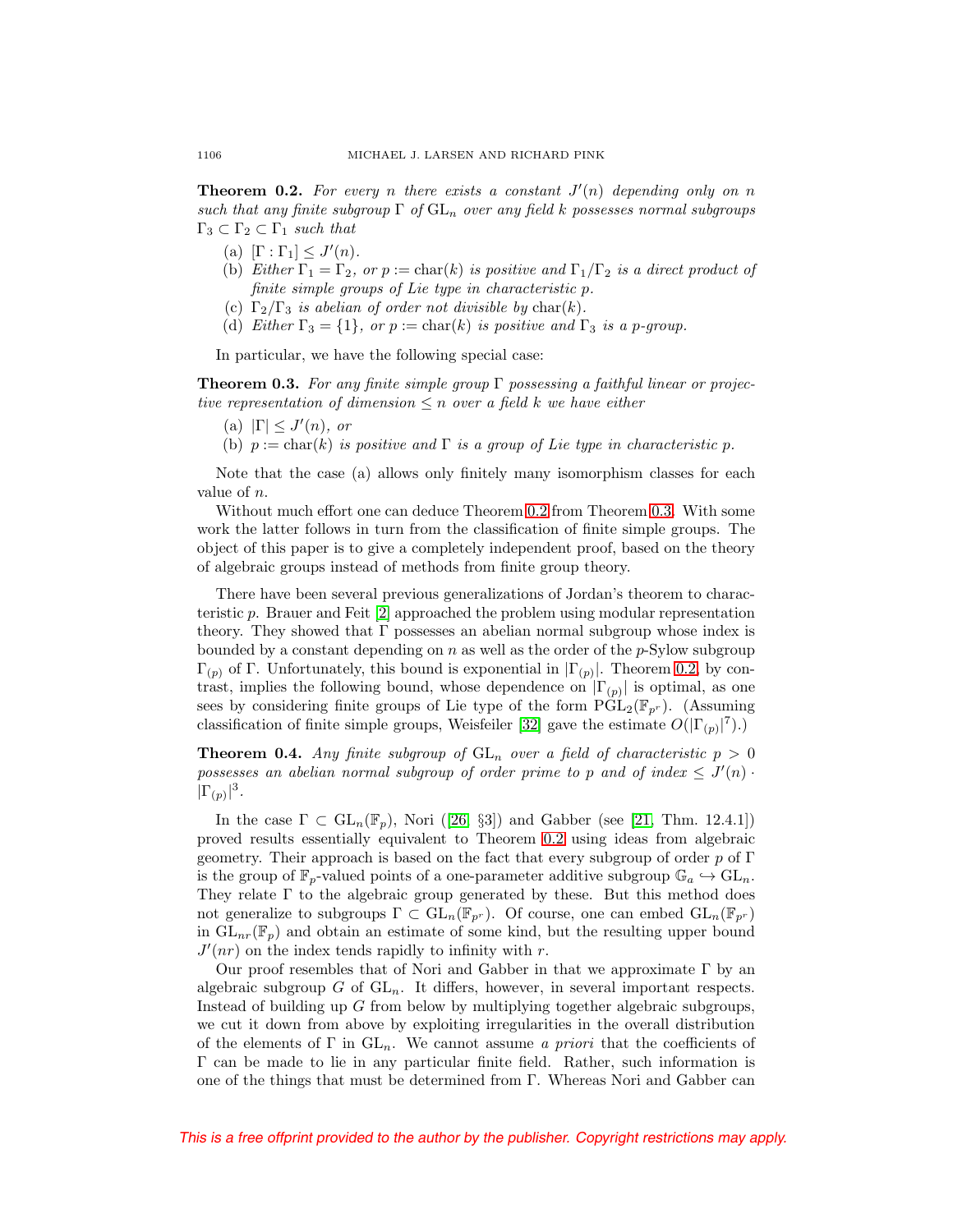<span id="page-1-0"></span>**Theorem 0.2.** For every n there exists a constant  $J'(n)$  depending only on n such that any finite subgroup  $\Gamma$  of  $GL_n$  over any field k possesses normal subgroups  $\Gamma_3 \subset \Gamma_2 \subset \Gamma_1$  such that

- (a)  $[\Gamma : \Gamma_1] \leq J'(n)$ .
- (b) Either  $\Gamma_1 = \Gamma_2$ , or  $p := \text{char}(k)$  is positive and  $\Gamma_1/\Gamma_2$  is a direct product of finite simple groups of Lie type in characteristic p.
- (c)  $\Gamma_2/\Gamma_3$  is abelian of order not divisible by char(k).
- (d) Either  $\Gamma_3 = \{1\}$ , or  $p := \text{char}(k)$  is positive and  $\Gamma_3$  is a p-group.

In particular, we have the following special case:

<span id="page-1-1"></span>**Theorem 0.3.** For any finite simple group Γ possessing a faithful linear or projective representation of dimension  $\leq n$  over a field k we have either

- (a)  $|\Gamma| \leq J'(n)$ , or
- (b)  $p := char(k)$  is positive and  $\Gamma$  is a group of Lie type in characteristic p.

Note that the case (a) allows only finitely many isomorphism classes for each value of n.

Without much effort one can deduce Theorem [0.2](#page-1-0) from Theorem [0.3.](#page-1-1) With some work the latter follows in turn from the classification of finite simple groups. The object of this paper is to give a completely independent proof, based on the theory of algebraic groups instead of methods from finite group theory.

There have been several previous generalizations of Jordan's theorem to characteristic p. Brauer and Feit [\[2\]](#page-52-2) approached the problem using modular representation theory. They showed that  $\Gamma$  possesses an abelian normal subgroup whose index is bounded by a constant depending on  $n$  as well as the order of the  $p$ -Sylow subgroup  $\Gamma_{(p)}$  of Γ. Unfortunately, this bound is exponential in  $|\Gamma_{(p)}|$ . Theorem [0.2,](#page-1-0) by contrast, implies the following bound, whose dependence on  $|\Gamma_{(p)}|$  is optimal, as one sees by considering finite groups of Lie type of the form  $\widehat{PGL}_2(\mathbb{F}_{p^r})$ . (Assuming classification of finite simple groups, Weisfeiler [\[32\]](#page-53-0) gave the estimate  $O(|\Gamma_{(p)}|^7)$ .

<span id="page-1-2"></span>**Theorem 0.4.** Any finite subgroup of  $GL_n$  over a field of characteristic  $p > 0$ possesses an abelian normal subgroup of order prime to p and of index  $\leq J'(n)$ .  $|\Gamma_{(p)}|^3$ .

In the case  $\Gamma \subset GL_n(\mathbb{F}_n)$ , Nori ([\[26,](#page-52-3) §3]) and Gabber (see [\[21,](#page-52-4) Thm. 12.4.1]) proved results essentially equivalent to Theorem [0.2](#page-1-0) using ideas from algebraic geometry. Their approach is based on the fact that every subgroup of order  $p$  of  $\Gamma$ is the group of  $\mathbb{F}_p$ -valued points of a one-parameter additive subgroup  $\mathbb{G}_a \hookrightarrow \mathrm{GL}_n$ . They relate  $\Gamma$  to the algebraic group generated by these. But this method does not generalize to subgroups  $\Gamma \subset GL_n(\mathbb{F}_{p^r})$ . Of course, one can embed  $GL_n(\mathbb{F}_{p^r})$ in  $GL_{nr}(\mathbb{F}_p)$  and obtain an estimate of some kind, but the resulting upper bound  $J'(nr)$  on the index tends rapidly to infinity with r.

Our proof resembles that of Nori and Gabber in that we approximate  $\Gamma$  by an algebraic subgroup  $G$  of  $GL_n$ . It differs, however, in several important respects. Instead of building up G from below by multiplying together algebraic subgroups, we cut it down from above by exploiting irregularities in the overall distribution of the elements of  $\Gamma$  in  $GL_n$ . We cannot assume a priori that the coefficients of Γ can be made to lie in any particular finite field. Rather, such information is one of the things that must be determined from Γ. Whereas Nori and Gabber can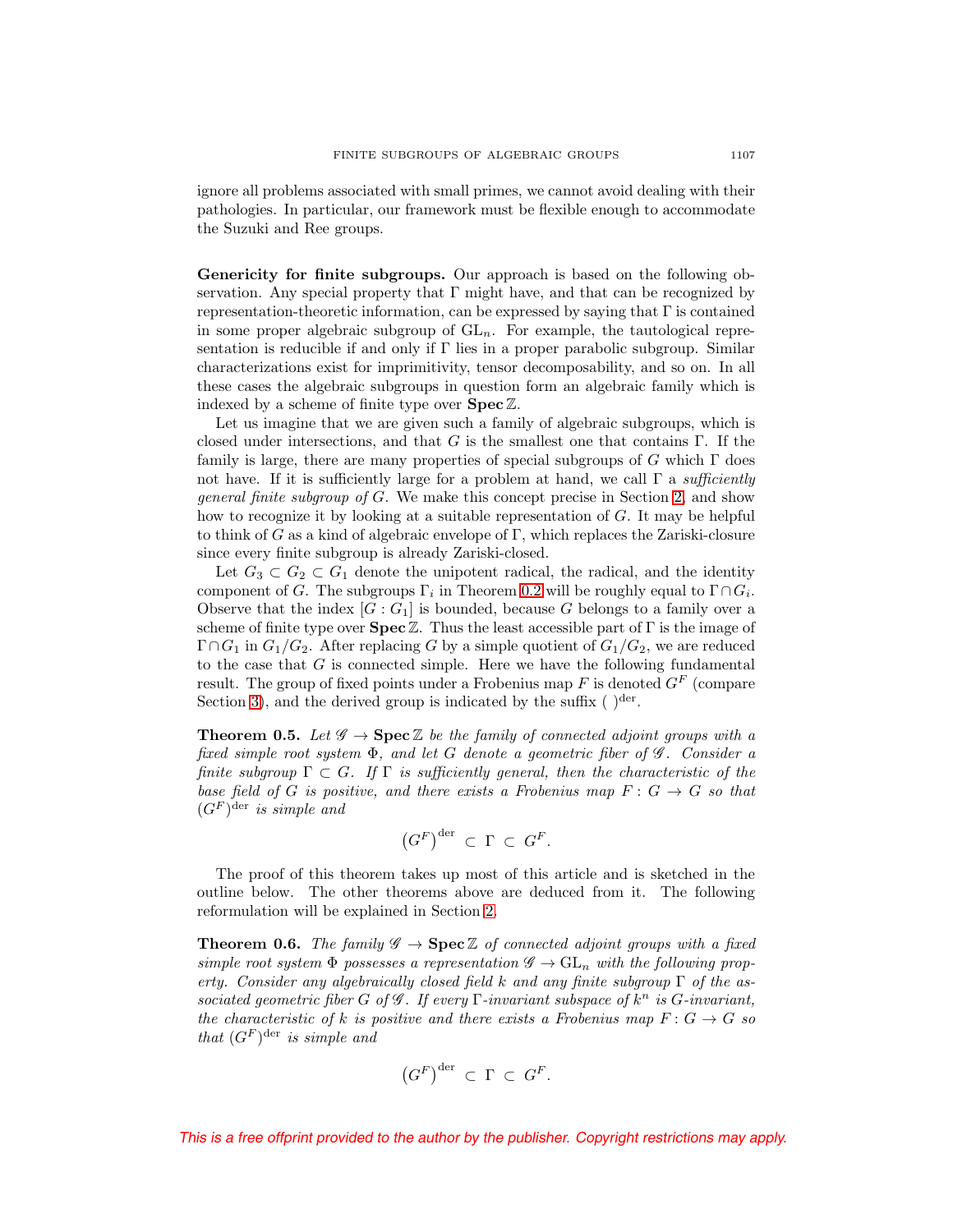ignore all problems associated with small primes, we cannot avoid dealing with their pathologies. In particular, our framework must be flexible enough to accommodate the Suzuki and Ree groups.

**Genericity for finite subgroups.** Our approach is based on the following observation. Any special property that  $\Gamma$  might have, and that can be recognized by representation-theoretic information, can be expressed by saying that  $\Gamma$  is contained in some proper algebraic subgroup of  $GL_n$ . For example, the tautological representation is reducible if and only if  $\Gamma$  lies in a proper parabolic subgroup. Similar characterizations exist for imprimitivity, tensor decomposability, and so on. In all these cases the algebraic subgroups in question form an algebraic family which is indexed by a scheme of finite type over **Spec**Z.

Let us imagine that we are given such a family of algebraic subgroups, which is closed under intersections, and that G is the smallest one that contains  $\Gamma$ . If the family is large, there are many properties of special subgroups of G which  $\Gamma$  does not have. If it is sufficiently large for a problem at hand, we call  $\Gamma$  a *sufficiently* general finite subgroup of G. We make this concept precise in Section [2,](#page-11-0) and show how to recognize it by looking at a suitable representation of G. It may be helpful to think of G as a kind of algebraic envelope of  $\Gamma$ , which replaces the Zariski-closure since every finite subgroup is already Zariski-closed.

Let  $G_3 \subset G_2 \subset G_1$  denote the unipotent radical, the radical, and the identity component of G. The subgroups  $\Gamma_i$  in Theorem [0.2](#page-1-0) will be roughly equal to  $\Gamma \cap G_i$ . Observe that the index  $[G:G_1]$  is bounded, because G belongs to a family over a scheme of finite type over **Spec**Z. Thus the least accessible part of Γ is the image of  $\Gamma \cap G_1$  in  $G_1/G_2$ . After replacing G by a simple quotient of  $G_1/G_2$ , we are reduced to the case that  $G$  is connected simple. Here we have the following fundamental result. The group of fixed points under a Frobenius map  $F$  is denoted  $G<sup>F</sup>$  (compare Section [3\)](#page-14-0), and the derived group is indicated by the suffix  $( )<sup>der</sup>$ .

<span id="page-2-0"></span>**Theorem 0.5.** Let  $\mathscr{G} \to \mathbf{Spec} \mathbb{Z}$  be the family of connected adjoint groups with a fixed simple root system  $\Phi$ , and let G denote a geometric fiber of  $\mathscr G$ . Consider a finite subgroup  $\Gamma \subset G$ . If  $\Gamma$  is sufficiently general, then the characteristic of the base field of G is positive, and there exists a Frobenius map  $F: G \to G$  so that  $(G^F)$ <sup>der</sup> is simple and

$$
(G^F)^{\mathrm{der}} \subset \Gamma \subset G^F.
$$

The proof of this theorem takes up most of this article and is sketched in the outline below. The other theorems above are deduced from it. The following reformulation will be explained in Section [2.](#page-11-0)

<span id="page-2-1"></span>**Theorem 0.6.** The family  $\mathscr{G} \to \mathbf{Spec} \mathbb{Z}$  of connected adjoint groups with a fixed simple root system  $\Phi$  possesses a representation  $\mathscr{G} \to GL_n$  with the following property. Consider any algebraically closed field k and any finite subgroup  $\Gamma$  of the associated geometric fiber G of  $\mathcal G$ . If every  $\Gamma$ -invariant subspace of  $k^n$  is G-invariant, the characteristic of k is positive and there exists a Frobenius map  $F: G \to G$  so that  $(G^F)$ <sup>der</sup> is simple and

$$
(G^F)^{\mathrm{der}} \subset \Gamma \subset G^F.
$$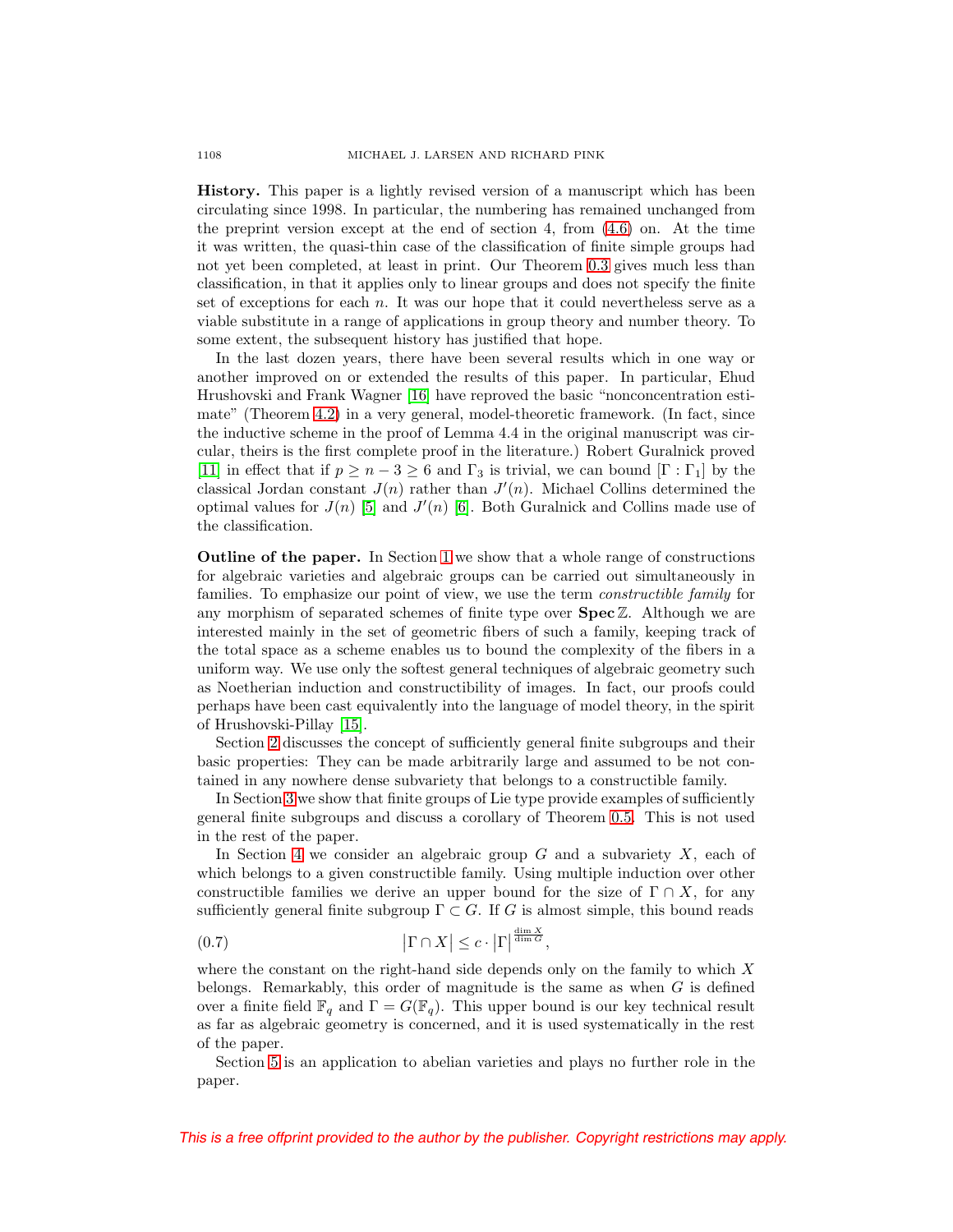**History.** This paper is a lightly revised version of a manuscript which has been circulating since 1998. In particular, the numbering has remained unchanged from the preprint version except at the end of section 4, from [\(4.6\)](#page-19-0) on. At the time it was written, the quasi-thin case of the classification of finite simple groups had not yet been completed, at least in print. Our Theorem [0.3](#page-1-1) gives much less than classification, in that it applies only to linear groups and does not specify the finite set of exceptions for each n. It was our hope that it could nevertheless serve as a viable substitute in a range of applications in group theory and number theory. To some extent, the subsequent history has justified that hope.

In the last dozen years, there have been several results which in one way or another improved on or extended the results of this paper. In particular, Ehud Hrushovski and Frank Wagner [\[16\]](#page-52-5) have reproved the basic "nonconcentration estimate" (Theorem [4.2\)](#page-17-1) in a very general, model-theoretic framework. (In fact, since the inductive scheme in the proof of Lemma 4.4 in the original manuscript was circular, theirs is the first complete proof in the literature.) Robert Guralnick proved [\[11\]](#page-52-6) in effect that if  $p \ge n - 3 \ge 6$  and  $\Gamma_3$  is trivial, we can bound  $[\Gamma : \Gamma_1]$  by the classical Jordan constant  $J(n)$  rather than  $J'(n)$ . Michael Collins determined the optimal values for  $J(n)$  [\[5\]](#page-52-7) and  $J'(n)$  [\[6\]](#page-52-8). Both Guralnick and Collins made use of the classification.

**Outline of the paper.** In Section [1](#page-6-0) we show that a whole range of constructions for algebraic varieties and algebraic groups can be carried out simultaneously in families. To emphasize our point of view, we use the term constructible family for any morphism of separated schemes of finite type over **Spec** Z. Although we are interested mainly in the set of geometric fibers of such a family, keeping track of the total space as a scheme enables us to bound the complexity of the fibers in a uniform way. We use only the softest general techniques of algebraic geometry such as Noetherian induction and constructibility of images. In fact, our proofs could perhaps have been cast equivalently into the language of model theory, in the spirit of Hrushovski-Pillay [\[15\]](#page-52-9).

Section [2](#page-11-0) discusses the concept of sufficiently general finite subgroups and their basic properties: They can be made arbitrarily large and assumed to be not contained in any nowhere dense subvariety that belongs to a constructible family.

In Section [3](#page-14-0) we show that finite groups of Lie type provide examples of sufficiently general finite subgroups and discuss a corollary of Theorem [0.5.](#page-2-0) This is not used in the rest of the paper.

In Section [4](#page-17-0) we consider an algebraic group  $G$  and a subvariety  $X$ , each of which belongs to a given constructible family. Using multiple induction over other constructible families we derive an upper bound for the size of  $\Gamma \cap X$ , for any sufficiently general finite subgroup  $\Gamma \subset G$ . If G is almost simple, this bound reads

<span id="page-3-0"></span>(0.7) 
$$
\left|\Gamma \cap X\right| \leq c \cdot \left|\Gamma\right|^{\frac{\dim X}{\dim G}},
$$

where the constant on the right-hand side depends only on the family to which  $X$ belongs. Remarkably, this order of magnitude is the same as when  $G$  is defined over a finite field  $\mathbb{F}_q$  and  $\Gamma = G(\mathbb{F}_q)$ . This upper bound is our key technical result as far as algebraic geometry is concerned, and it is used systematically in the rest of the paper.

Section [5](#page-21-0) is an application to abelian varieties and plays no further role in the paper.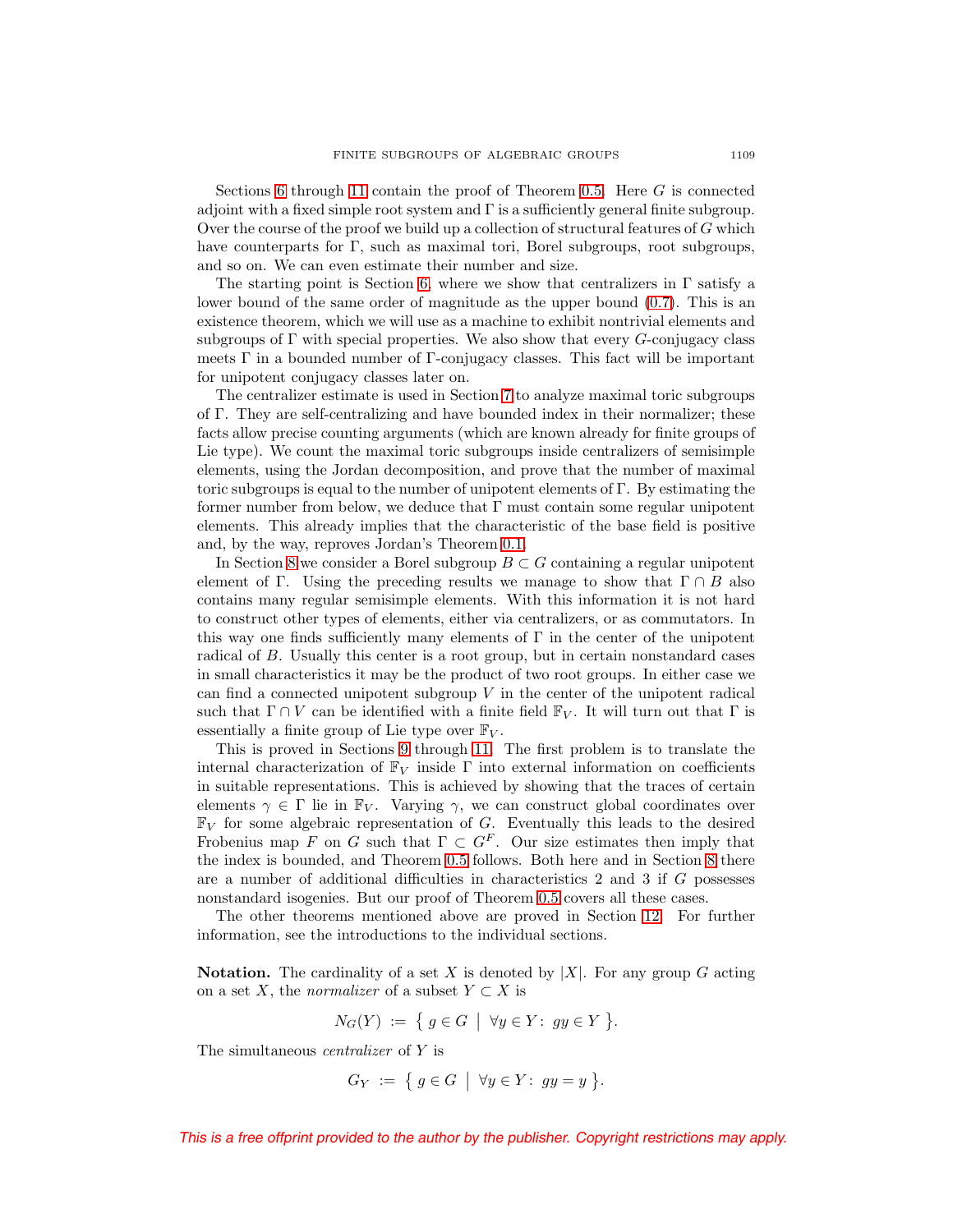Sections [6](#page-22-0) through [11](#page-44-0) contain the proof of Theorem [0.5.](#page-2-0) Here  $G$  is connected adjoint with a fixed simple root system and Γ is a sufficiently general finite subgroup. Over the course of the proof we build up a collection of structural features of  $G$  which have counterparts for  $\Gamma$ , such as maximal tori, Borel subgroups, root subgroups, and so on. We can even estimate their number and size.

The starting point is Section [6,](#page-22-0) where we show that centralizers in  $\Gamma$  satisfy a lower bound of the same order of magnitude as the upper bound [\(0.7\)](#page-3-0). This is an existence theorem, which we will use as a machine to exhibit nontrivial elements and subgroups of  $\Gamma$  with special properties. We also show that every  $G$ -conjugacy class meets  $\Gamma$  in a bounded number of  $\Gamma$ -conjugacy classes. This fact will be important for unipotent conjugacy classes later on.

The centralizer estimate is used in Section [7](#page-24-0) to analyze maximal toric subgroups of Γ. They are self-centralizing and have bounded index in their normalizer; these facts allow precise counting arguments (which are known already for finite groups of Lie type). We count the maximal toric subgroups inside centralizers of semisimple elements, using the Jordan decomposition, and prove that the number of maximal toric subgroups is equal to the number of unipotent elements of Γ. By estimating the former number from below, we deduce that  $\Gamma$  must contain some regular unipotent elements. This already implies that the characteristic of the base field is positive and, by the way, reproves Jordan's Theorem [0.1.](#page-0-1)

In Section [8](#page-29-0) we consider a Borel subgroup  $B \subset G$  containing a regular unipotent element of Γ. Using the preceding results we manage to show that  $\Gamma \cap B$  also contains many regular semisimple elements. With this information it is not hard to construct other types of elements, either via centralizers, or as commutators. In this way one finds sufficiently many elements of  $\Gamma$  in the center of the unipotent radical of B. Usually this center is a root group, but in certain nonstandard cases in small characteristics it may be the product of two root groups. In either case we can find a connected unipotent subgroup  $V$  in the center of the unipotent radical such that  $\Gamma \cap V$  can be identified with a finite field  $\mathbb{F}_V$ . It will turn out that  $\Gamma$  is essentially a finite group of Lie type over  $\mathbb{F}_V$ .

This is proved in Sections [9](#page-35-0) through [11.](#page-44-0) The first problem is to translate the internal characterization of  $\mathbb{F}_V$  inside Γ into external information on coefficients in suitable representations. This is achieved by showing that the traces of certain elements  $\gamma \in \Gamma$  lie in  $\mathbb{F}_V$ . Varying  $\gamma$ , we can construct global coordinates over  $\mathbb{F}_V$  for some algebraic representation of G. Eventually this leads to the desired Frobenius map F on G such that  $\Gamma \subset G^F$ . Our size estimates then imply that the index is bounded, and Theorem [0.5](#page-2-0) follows. Both here and in Section [8](#page-29-0) there are a number of additional difficulties in characteristics 2 and 3 if G possesses nonstandard isogenies. But our proof of Theorem [0.5](#page-2-0) covers all these cases.

The other theorems mentioned above are proved in Section [12.](#page-49-0) For further information, see the introductions to the individual sections.

<span id="page-4-0"></span>**Notation.** The cardinality of a set X is denoted by  $|X|$ . For any group G acting on a set X, the *normalizer* of a subset  $Y \subset X$  is

$$
N_G(Y) := \{ g \in G \mid \forall y \in Y : gy \in Y \}.
$$

The simultaneous centralizer of Y is

$$
G_Y := \{ g \in G \mid \forall y \in Y : gy = y \}.
$$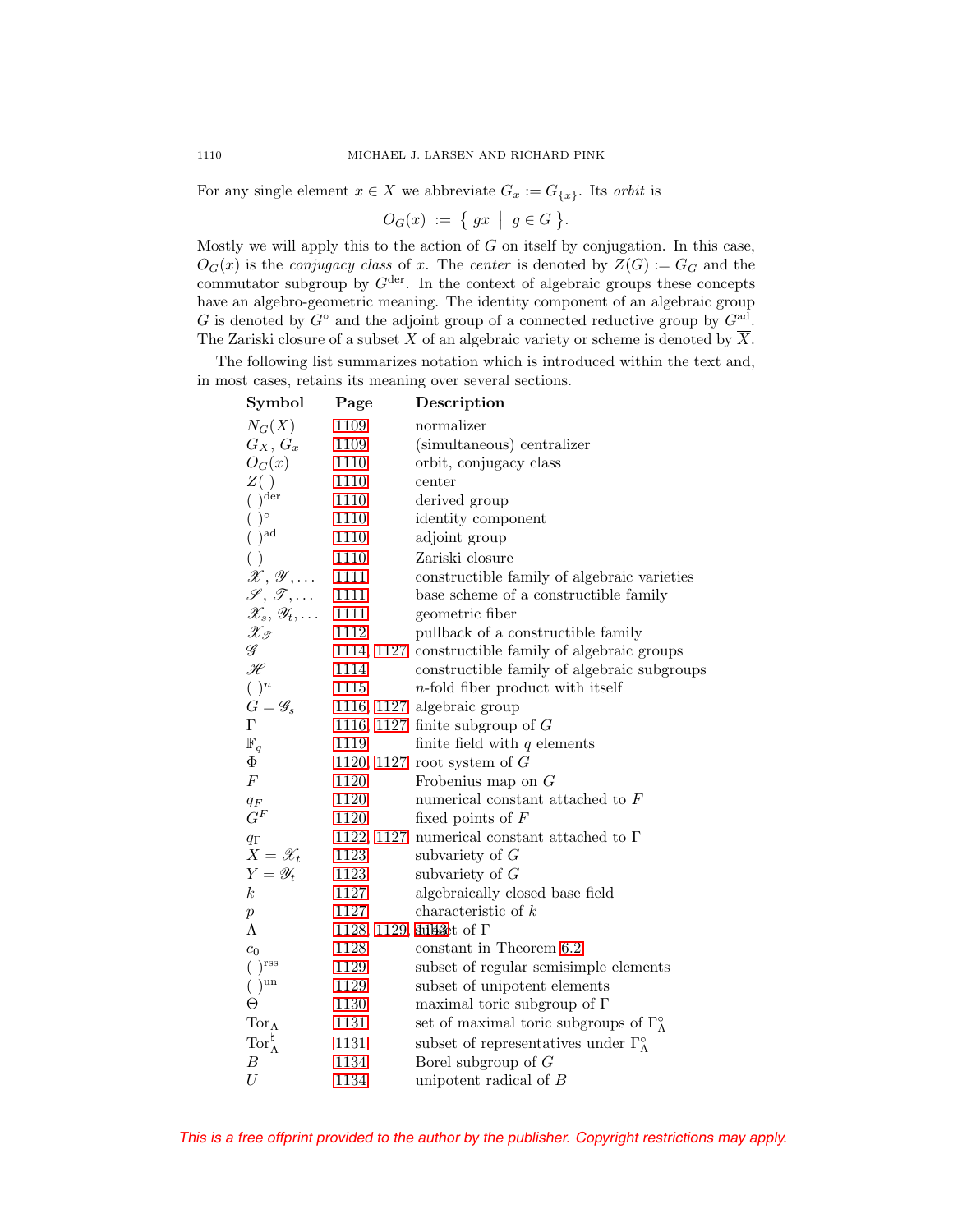For any single element  $x \in X$  we abbreviate  $G_x := G_{\{x\}}$ . Its *orbit* is

$$
O_G(x) := \{ gx \mid g \in G \}.
$$

Mostly we will apply this to the action of  $G$  on itself by conjugation. In this case,  $O_G(x)$  is the *conjugacy class* of x. The *center* is denoted by  $Z(G) := G_G$  and the commutator subgroup by  $G^{\text{der}}$ . In the context of algebraic groups these concepts have an algebro-geometric meaning. The identity component of an algebraic group G is denoted by  $G^{\circ}$  and the adjoint group of a connected reductive group by  $G^{ad}$ . The Zariski closure of a subset X of an algebraic variety or scheme is denoted by  $\overline{X}$ .

The following list summarizes notation which is introduced within the text and, in most cases, retains its meaning over several sections.

| Symbol                                         | Page     | Description                                                  |
|------------------------------------------------|----------|--------------------------------------------------------------|
| $N_G(X)$                                       | 1109     | normalizer                                                   |
| $G_X, G_x$                                     | 1109     | (simultaneous) centralizer                                   |
| $O_G(x)$                                       | 1110     | orbit, conjugacy class                                       |
| $Z($ )                                         | 1110     | center                                                       |
| $(\ )^{\rm der}$                               | 1110     | derived group                                                |
| $( )^{\circ}$                                  | 1110     | identity component                                           |
| $\frac{(\ )}{(\ )}^{\mathrm{ad}}$              | 1110     | adjoint group                                                |
|                                                | 1110     | Zariski closure                                              |
| $\mathscr{X}, \mathscr{Y}, \ldots$             | 1111     | constructible family of algebraic varieties                  |
| $\mathscr{S}, \mathscr{T}, \ldots$             | 1111     | base scheme of a constructible family                        |
| $\mathscr{X}_s, \mathscr{Y}_t, \ldots$         | 1111     | geometric fiber                                              |
| $\mathscr{X}_{\mathscr{T}}$                    | 1112     | pullback of a constructible family                           |
| $\mathscr G$                                   |          | 1114, 1127 constructible family of algebraic groups          |
| $\mathscr{H}$                                  | 1114     | constructible family of algebraic subgroups                  |
| $( )^n$                                        | 1115     | $n$ -fold fiber product with itself                          |
| $G=\mathscr{G}_s$                              |          | 1116, 1127 algebraic group                                   |
| $\Gamma$                                       |          | 1116, 1127 finite subgroup of $G$                            |
| $\mathbb{F}_q$                                 | 1119     | finite field with $q$ elements                               |
| Φ                                              |          | 1120, 1127 root system of $G$                                |
| $\cal F$                                       | 1120     | Frobenius map on $G$                                         |
| $\frac{q_F}{G^F}$                              | 1120     | numerical constant attached to $F$                           |
|                                                | 1120     | fixed points of $F$                                          |
| $q_\Gamma$                                     |          | 1122, 1127 numerical constant attached to $\Gamma$           |
| $X = \mathscr{X}_t$                            | 1123     | subvariety of $G$                                            |
| $Y = \mathscr{Y}_t$                            | 1123     | subvariety of $G$                                            |
| $\boldsymbol{k}$                               | 1127     | algebraically closed base field                              |
| $\boldsymbol{p}$                               | 1127     | characteristic of $k$                                        |
| Λ                                              |          | 1128, 1129, sullaset of $\Gamma$                             |
| $c_0$                                          | 1128     | constant in Theorem 6.2                                      |
| $( )^{\text{rss}}$                             | 1129     | subset of regular semisimple elements                        |
| () <sup>un</sup>                               | 1129     | subset of unipotent elements                                 |
| Θ                                              | 1130     | maximal toric subgroup of $\Gamma$                           |
| $\operatorname{Tor}\nolimits_\Lambda$          | $1131\,$ | set of maximal toric subgroups of $\Gamma_{\Lambda}^{\circ}$ |
| $\operatorname{Tor}\nolimits_\Lambda^\natural$ | 1131     | subset of representatives under $\Gamma_{\Lambda}^{\circ}$   |
| $\boldsymbol{B}$                               | 1134     | Borel subgroup of $G$                                        |
| U                                              | 1134     | unipotent radical of $B$                                     |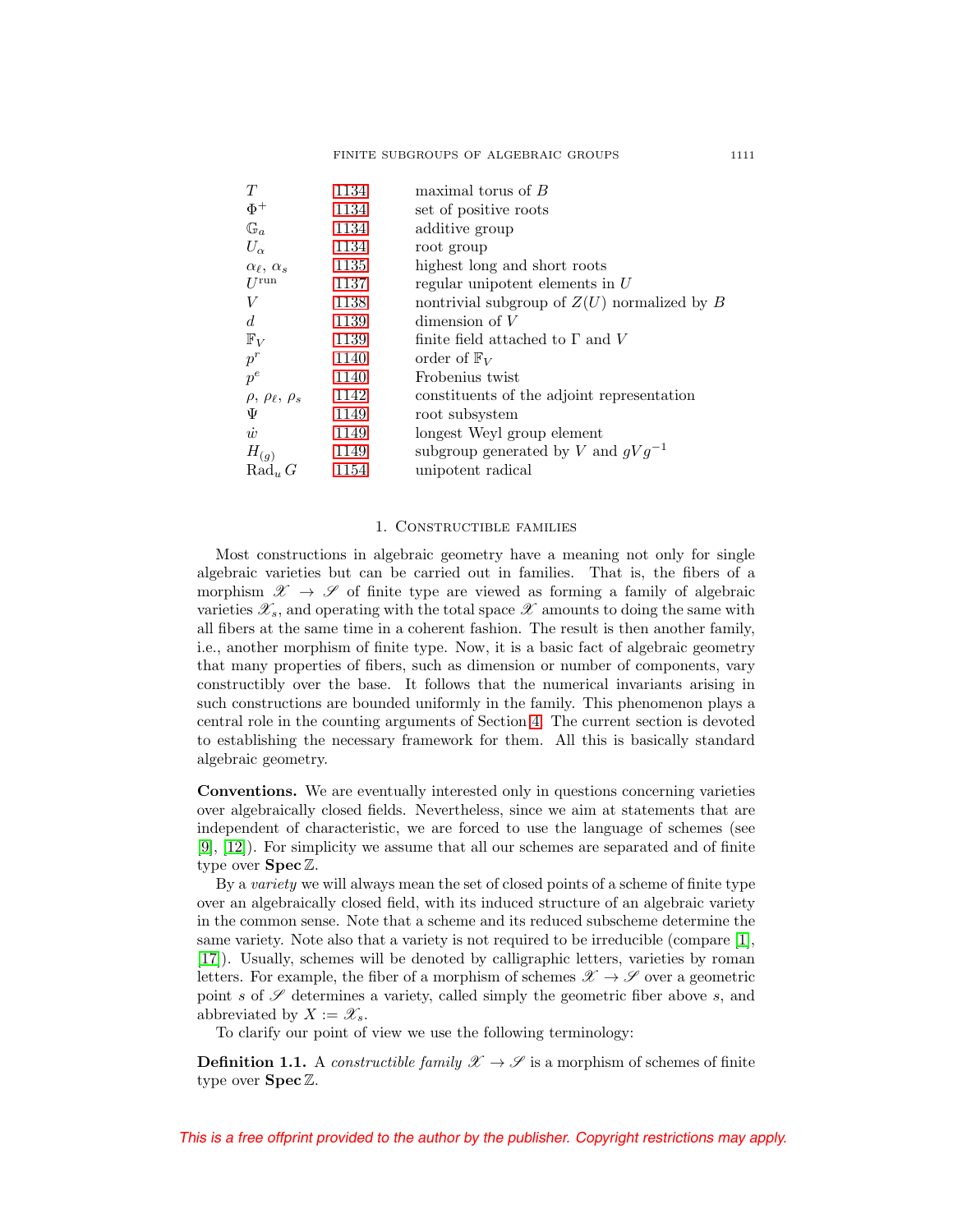| 1134 | maximal torus of $B$                          |
|------|-----------------------------------------------|
| 1134 | set of positive roots                         |
| 1134 | additive group                                |
| 1134 | root group                                    |
| 1135 | highest long and short roots                  |
| 1137 | regular unipotent elements in $U$             |
| 1138 | nontrivial subgroup of $Z(U)$ normalized by B |
| 1139 | dimension of $V$                              |
| 1139 | finite field attached to $\Gamma$ and V       |
| 1140 | order of $\mathbb{F}_V$                       |
| 1140 | Frobenius twist                               |
| 1142 | constituents of the adjoint representation    |
| 1149 | root subsystem                                |
| 1149 | longest Weyl group element                    |
| 1149 | subgroup generated by V and $qVq^{-1}$        |
| 1154 | unipotent radical                             |
|      |                                               |

## 1. Constructible families

<span id="page-6-0"></span>Most constructions in algebraic geometry have a meaning not only for single algebraic varieties but can be carried out in families. That is, the fibers of a morphism  $\mathscr{X} \to \mathscr{S}$  of finite type are viewed as forming a family of algebraic varieties  $\mathscr{X}_s$ , and operating with the total space  $\mathscr{X}$  amounts to doing the same with all fibers at the same time in a coherent fashion. The result is then another family, i.e., another morphism of finite type. Now, it is a basic fact of algebraic geometry that many properties of fibers, such as dimension or number of components, vary constructibly over the base. It follows that the numerical invariants arising in such constructions are bounded uniformly in the family. This phenomenon plays a central role in the counting arguments of Section [4.](#page-17-0) The current section is devoted to establishing the necessary framework for them. All this is basically standard algebraic geometry.

<span id="page-6-2"></span>**Conventions.** We are eventually interested only in questions concerning varieties over algebraically closed fields. Nevertheless, since we aim at statements that are independent of characteristic, we are forced to use the language of schemes (see [\[9\]](#page-52-10), [\[12\]](#page-52-11)). For simplicity we assume that all our schemes are separated and of finite type over **Spec** Z.

By a variety we will always mean the set of closed points of a scheme of finite type over an algebraically closed field, with its induced structure of an algebraic variety in the common sense. Note that a scheme and its reduced subscheme determine the same variety. Note also that a variety is not required to be irreducible (compare [\[1\]](#page-52-12), [\[17\]](#page-52-13)). Usually, schemes will be denoted by calligraphic letters, varieties by roman letters. For example, the fiber of a morphism of schemes  $\mathscr{X} \to \mathscr{S}$  over a geometric point s of  $\mathscr S$  determines a variety, called simply the geometric fiber above s, and abbreviated by  $X := \mathscr{X}_s$ .

To clarify our point of view we use the following terminology:

<span id="page-6-1"></span>**Definition 1.1.** A constructible family  $\mathscr{X} \to \mathscr{S}$  is a morphism of schemes of finite type over **Spec** Z.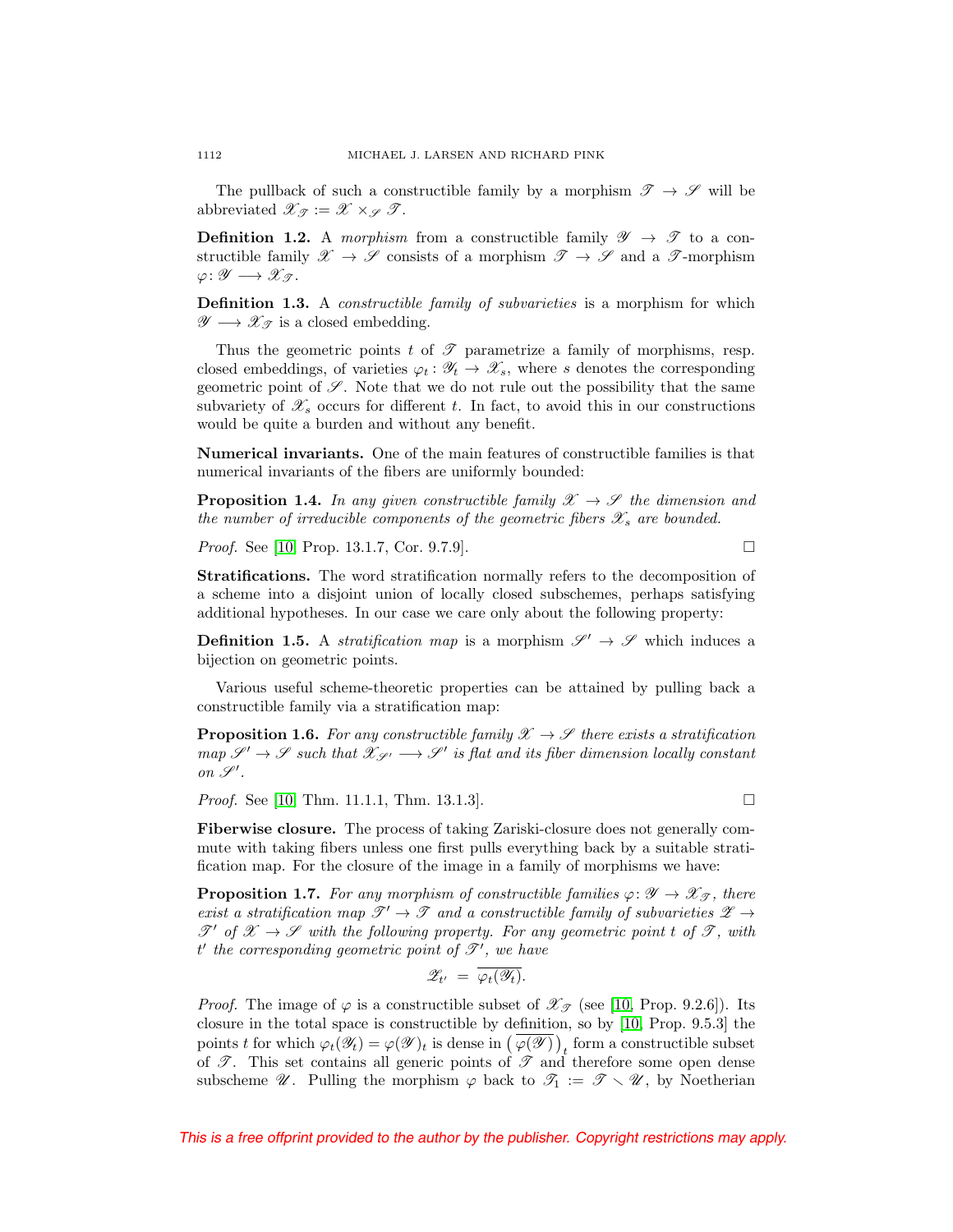The pullback of such a constructible family by a morphism  $\mathscr{T} \to \mathscr{S}$  will be abbreviated  $\mathscr{X}_{\mathscr{F}} := \mathscr{X} \times_{\mathscr{F}} \mathscr{T}$ .

**Definition 1.2.** A morphism from a constructible family  $\mathscr{Y} \rightarrow \mathscr{T}$  to a constructible family  $\mathscr{X} \to \mathscr{S}$  consists of a morphism  $\mathscr{T} \to \mathscr{S}$  and a  $\mathscr{T}$ -morphism  $\varphi \colon \mathscr{Y} \longrightarrow \mathscr{X}_{\mathscr{T}}$ .

**Definition 1.3.** A *constructible family of subvarieties* is a morphism for which  $\mathscr{Y} \longrightarrow \mathscr{X}_{\mathscr{T}}$  is a closed embedding.

Thus the geometric points t of  $\mathscr T$  parametrize a family of morphisms, resp. closed embeddings, of varieties  $\varphi_t : \mathscr{Y}_t \to \mathscr{X}_s$ , where s denotes the corresponding geometric point of  $\mathscr S$ . Note that we do not rule out the possibility that the same subvariety of  $\mathscr{X}_s$  occurs for different t. In fact, to avoid this in our constructions would be quite a burden and without any benefit.

**Numerical invariants.** One of the main features of constructible families is that numerical invariants of the fibers are uniformly bounded:

<span id="page-7-0"></span>**Proposition 1.4.** In any given constructible family  $\mathcal{X} \rightarrow \mathcal{S}$  the dimension and the number of irreducible components of the geometric fibers  $\mathscr{X}_s$  are bounded.

*Proof.* See [\[10,](#page-52-14) Prop. 13.1.7, Cor. 9.7.9].  $\Box$ 

**Stratifications.** The word stratification normally refers to the decomposition of a scheme into a disjoint union of locally closed subschemes, perhaps satisfying additional hypotheses. In our case we care only about the following property:

**Definition 1.5.** A *stratification map* is a morphism  $\mathscr{S}' \to \mathscr{S}$  which induces a bijection on geometric points.

Various useful scheme-theoretic properties can be attained by pulling back a constructible family via a stratification map:

<span id="page-7-2"></span>**Proposition 1.6.** For any constructible family  $\mathscr{X} \to \mathscr{S}$  there exists a stratification  $map \ \mathscr{S}' \to \mathscr{S}$  such that  $\mathscr{X}_{\mathscr{S}'} \longrightarrow \mathscr{S}'$  is flat and its fiber dimension locally constant on  $\mathscr{S}'$ .

*Proof.* See [\[10,](#page-52-14) Thm. 11.1.1, Thm. 13.1.3].

**Fiberwise closure.** The process of taking Zariski-closure does not generally commute with taking fibers unless one first pulls everything back by a suitable stratification map. For the closure of the image in a family of morphisms we have:

<span id="page-7-1"></span>**Proposition 1.7.** For any morphism of constructible families  $\varphi \colon \mathscr{Y} \to \mathscr{X}_{\mathscr{T}}$ , there exist a stratification map  $\mathscr{T}' \to \mathscr{T}$  and a constructible family of subvarieties  $\mathscr{Z} \to$  $\mathscr{T}'$  of  $\mathscr{X} \to \mathscr{S}$  with the following property. For any geometric point t of  $\mathscr{T}$ , with  $t'$  the corresponding geometric point of  $\mathscr{T}'$ , we have

$$
\mathscr{Z}_{t'} = \overline{\varphi_t(\mathscr{Y}_t)}.
$$

*Proof.* The image of  $\varphi$  is a constructible subset of  $\mathscr{X}_{\mathscr{T}}$  (see [\[10,](#page-52-14) Prop. 9.2.6]). Its closure in the total space is constructible by definition, so by [\[10,](#page-52-14) Prop. 9.5.3] the points t for which  $\varphi_t(\mathscr{Y}_t) = \varphi(\mathscr{Y})_t$  is dense in  $(\varphi(\mathscr{Y}))_t$  form a constructible subset of  $\mathscr{T}$ . This set contains all generic points of  $\mathscr{T}$  and therefore some open dense subscheme  $\mathscr{U}$ . Pulling the morphism  $\varphi$  back to  $\mathscr{T}_1 := \mathscr{T} \setminus \mathscr{U}$ , by Noetherian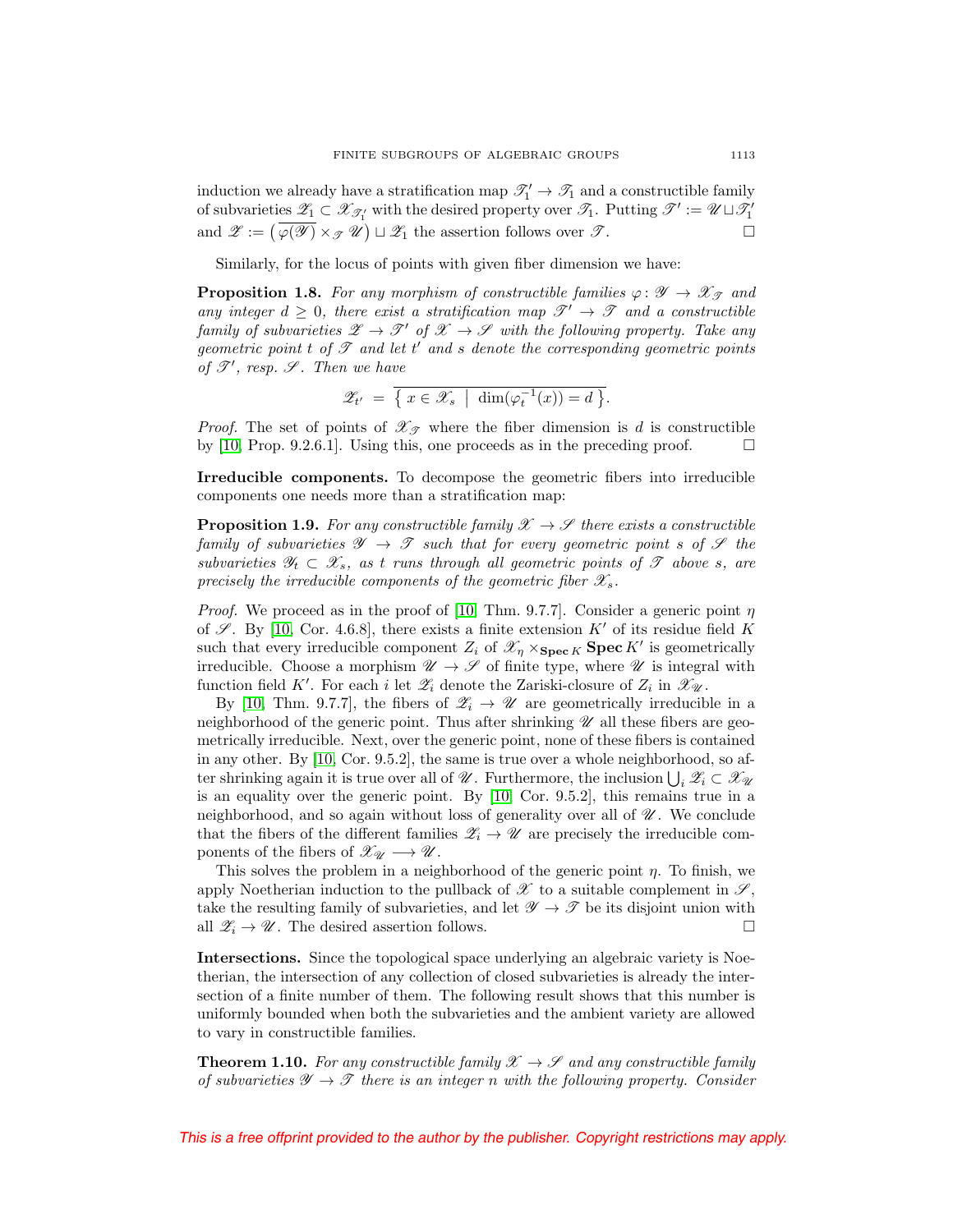induction we already have a stratification map  $\mathcal{T}'_1 \to \mathcal{T}_1$  and a constructible family of subvarieties  $\mathscr{Z}_1 \subset \mathscr{X}_{\mathscr{T}_1}$  with the desired property over  $\mathscr{T}_1$ . Putting  $\mathscr{T}' := \mathscr{U} \sqcup \mathscr{T}_1'$ and  $\mathscr{Z} := (\varphi(\mathscr{Y}) \times_{\mathscr{T}} \mathscr{U}) \sqcup \mathscr{Z}_1$  the assertion follows over  $\mathscr{T}$ .  $\Box$ 

Similarly, for the locus of points with given fiber dimension we have:

<span id="page-8-2"></span>**Proposition 1.8.** For any morphism of constructible families  $\varphi: \mathscr{Y} \to \mathscr{X}_{\mathscr{T}}$  and any integer  $d \geq 0$ , there exist a stratification map  $\mathscr{T}' \to \mathscr{T}$  and a constructible family of subvarieties  $\mathscr{Z} \to \mathscr{T}'$  of  $\mathscr{X} \to \mathscr{S}$  with the following property. Take any geometric point  $t$  of  $\mathscr T$  and let  $t'$  and  $s$  denote the corresponding geometric points of  $\mathscr{T}'$ , resp.  $\mathscr{S}$ . Then we have

$$
\mathscr{Z}_{t'} = \overline{\{x \in \mathscr{X}_s \mid \dim(\varphi_t^{-1}(x)) = d\}}.
$$

*Proof.* The set of points of  $\mathscr{X}_{\mathscr{T}}$  where the fiber dimension is d is constructible by [\[10,](#page-52-14) Prop. 9.2.6.1]. Using this, one proceeds as in the preceding proof.  $\Box$ 

**Irreducible components.** To decompose the geometric fibers into irreducible components one needs more than a stratification map:

<span id="page-8-1"></span>**Proposition 1.9.** For any constructible family  $\mathcal{X} \to \mathcal{S}$  there exists a constructible family of subvarieties  $\mathscr{Y} \to \mathscr{T}$  such that for every geometric point s of  $\mathscr{S}$  the subvarieties  $\mathscr{Y}_t \subset \mathscr{X}_s$ , as t runs through all geometric points of  $\mathscr{T}$  above s, are precisely the irreducible components of the geometric fiber  $\mathscr{X}_s$ .

*Proof.* We proceed as in the proof of [\[10,](#page-52-14) Thm. 9.7.7]. Consider a generic point  $\eta$ of  $\mathscr{S}$ . By [\[10,](#page-52-14) Cor. 4.6.8], there exists a finite extension  $K'$  of its residue field K such that every irreducible component  $Z_i$  of  $\mathscr{X}_\eta \times_{\mathbf{Spec} K} \mathbf{Spec} K'$  is geometrically irreducible. Choose a morphism  $\mathscr{U} \to \mathscr{S}$  of finite type, where  $\mathscr{U}$  is integral with function field K'. For each *i* let  $\mathscr{Z}_i$  denote the Zariski-closure of  $Z_i$  in  $\mathscr{X}_{\mathscr{U}}$ .

By [\[10,](#page-52-14) Thm. 9.7.7], the fibers of  $\mathscr{Z}_i \to \mathscr{U}$  are geometrically irreducible in a neighborhood of the generic point. Thus after shrinking  $\mathscr U$  all these fibers are geometrically irreducible. Next, over the generic point, none of these fibers is contained in any other. By [\[10,](#page-52-14) Cor. 9.5.2], the same is true over a whole neighborhood, so after shrinking again it is true over all of  $\mathscr{U}$ . Furthermore, the inclusion  $\bigcup_i \mathscr{Z}_i \subset \mathscr{X}_{\mathscr{U}}$ is an equality over the generic point. By [\[10,](#page-52-14) Cor. 9.5.2], this remains true in a neighborhood, and so again without loss of generality over all of  $\mathcal{U}$ . We conclude that the fibers of the different families  $\mathscr{Z}_i \to \mathscr{U}$  are precisely the irreducible components of the fibers of  $\mathscr{X}_{\mathscr{U}} \longrightarrow \mathscr{U}$ .

This solves the problem in a neighborhood of the generic point  $\eta$ . To finish, we apply Noetherian induction to the pullback of  $\mathscr X$  to a suitable complement in  $\mathscr S$ , take the resulting family of subvarieties, and let  $\mathscr{Y} \to \mathscr{T}$  be its disjoint union with all  $\mathscr{Z}_i \to \mathscr{U}$ . The desired assertion follows.  $\Box$ 

**Intersections.** Since the topological space underlying an algebraic variety is Noetherian, the intersection of any collection of closed subvarieties is already the intersection of a finite number of them. The following result shows that this number is uniformly bounded when both the subvarieties and the ambient variety are allowed to vary in constructible families.

<span id="page-8-0"></span>**Theorem 1.10.** For any constructible family  $\mathscr{X} \to \mathscr{S}$  and any constructible family of subvarieties  $\mathscr{Y} \to \mathscr{T}$  there is an integer n with the following property. Consider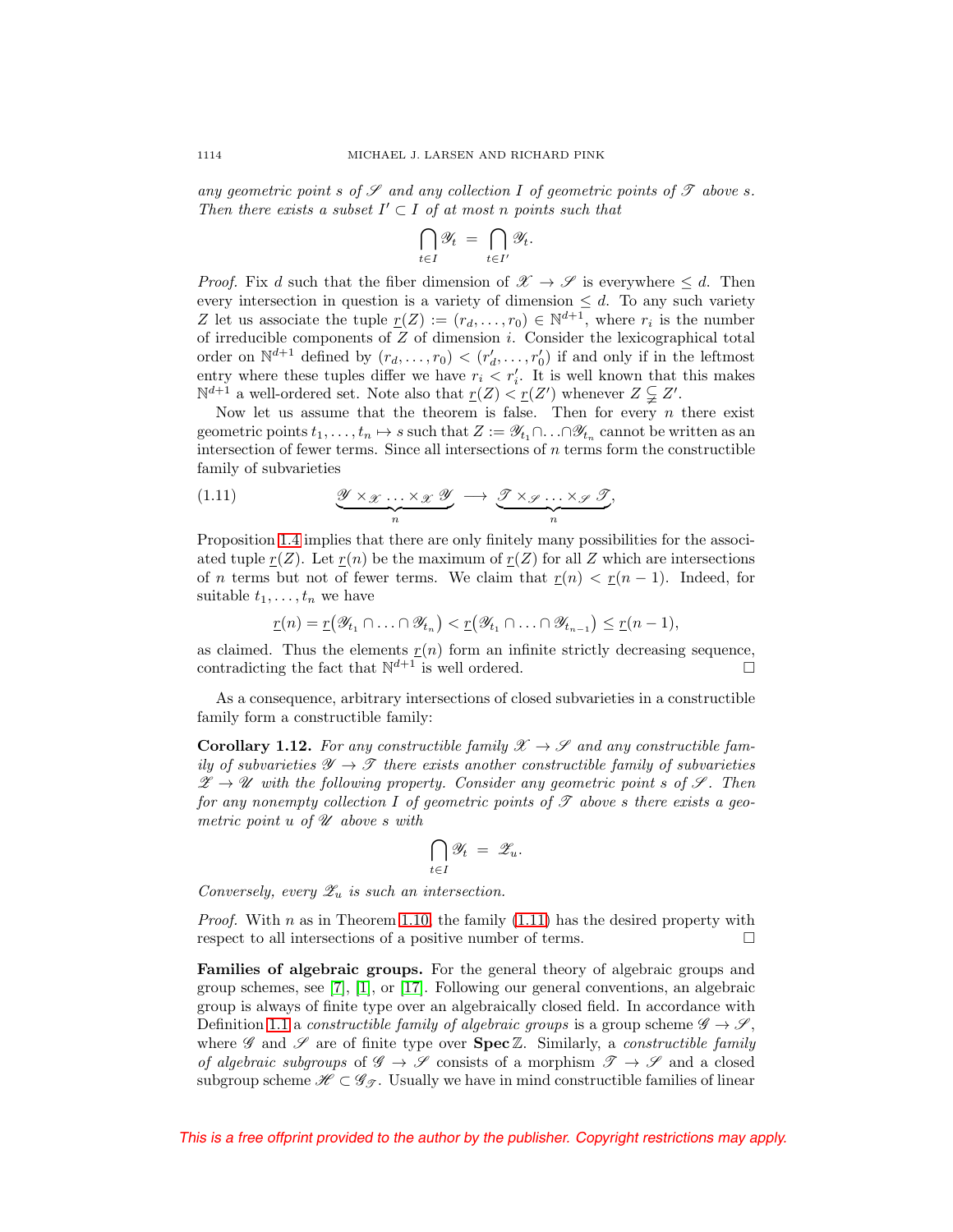any geometric point s of  $\mathscr S$  and any collection I of geometric points of  $\mathscr T$  above s. Then there exists a subset  $I' \subset I$  of at most n points such that

$$
\bigcap_{t\in I}\mathscr{Y}_t = \bigcap_{t\in I'}\mathscr{Y}_t.
$$

*Proof.* Fix d such that the fiber dimension of  $\mathscr{X} \to \mathscr{S}$  is everywhere  $\leq d$ . Then every intersection in question is a variety of dimension  $\leq d$ . To any such variety Z let us associate the tuple  $r(Z) := (r_d, \ldots, r_0) \in \mathbb{N}^{d+1}$ , where  $r_i$  is the number of irreducible components of  $Z$  of dimension  $i$ . Consider the lexicographical total order on  $\mathbb{N}^{d+1}$  defined by  $(r_d, \ldots, r_0) < (r'_d, \ldots, r'_0)$  if and only if in the leftmost entry where these tuples differ we have  $r_i \leq r'_i$ . It is well known that this makes  $\mathbb{N}^{d+1}$  a well-ordered set. Note also that  $\underline{r}(Z) < \underline{r}(Z')$  whenever  $Z \subsetneqq Z'$ .

Now let us assume that the theorem is false. Then for every  $n$  there exist geometric points  $t_1, \ldots, t_n \mapsto s$  such that  $Z := \mathscr{Y}_{t_1} \cap \ldots \cap \mathscr{Y}_{t_n}$  cannot be written as an intersection of fewer terms. Since all intersections of  $n$  terms form the constructible family of subvarieties

<span id="page-9-1"></span>(1.11) 
$$
\underbrace{\mathcal{Y} \times \mathcal{X} \dots \times \mathcal{X} \mathcal{Y}}_{n} \longrightarrow \underbrace{\mathcal{T} \times \mathcal{Y} \dots \times \mathcal{Y} \mathcal{T}}_{n},
$$

Proposition [1.4](#page-7-0) implies that there are only finitely many possibilities for the associated tuple  $r(Z)$ . Let  $r(n)$  be the maximum of  $r(Z)$  for all Z which are intersections of n terms but not of fewer terms. We claim that  $r(n) < r(n-1)$ . Indeed, for suitable  $t_1, \ldots, t_n$  we have

$$
\underline{r}(n) = \underline{r}(\mathscr{Y}_{t_1} \cap \ldots \cap \mathscr{Y}_{t_n}) < \underline{r}(\mathscr{Y}_{t_1} \cap \ldots \cap \mathscr{Y}_{t_{n-1}}) \leq \underline{r}(n-1),
$$

as claimed. Thus the elements  $r(n)$  form an infinite strictly decreasing sequence, contradicting the fact that  $\mathbb{N}^{d+1}$  is well ordered.

As a consequence, arbitrary intersections of closed subvarieties in a constructible family form a constructible family:

<span id="page-9-2"></span>**Corollary 1.12.** For any constructible family  $\mathcal{X} \rightarrow \mathcal{S}$  and any constructible family of subvarieties  $\mathscr{Y} \to \mathscr{T}$  there exists another constructible family of subvarieties  $\mathscr{Z} \to \mathscr{U}$  with the following property. Consider any geometric point s of  $\mathscr{S}$ . Then for any nonempty collection I of geometric points of  $\mathscr T$  above s there exists a geometric point  $u$  of  $\mathscr U$  above s with

$$
\bigcap_{t\in I}\mathscr{Y}_t = \mathscr{Z}_u.
$$

Conversely, every  $\mathscr{Z}_u$  is such an intersection.

*Proof.* With n as in Theorem [1.10,](#page-8-0) the family  $(1.11)$  has the desired property with respect to all intersections of a positive number of terms.  $\Box$ 

<span id="page-9-0"></span>**Families of algebraic groups.** For the general theory of algebraic groups and group schemes, see [\[7\]](#page-52-15), [\[1\]](#page-52-12), or [\[17\]](#page-52-13). Following our general conventions, an algebraic group is always of finite type over an algebraically closed field. In accordance with Definition [1.1](#page-6-1) a constructible family of algebraic groups is a group scheme  $\mathscr{G} \to \mathscr{S}$ , where  $\mathscr G$  and  $\mathscr S$  are of finite type over **Spec**  $\mathbb Z$ . Similarly, a *constructible family* of algebraic subgroups of  $\mathscr{G} \to \mathscr{S}$  consists of a morphism  $\mathscr{T} \to \mathscr{S}$  and a closed subgroup scheme  $\mathscr{H} \subset \mathscr{G}_{\mathscr{F}}$ . Usually we have in mind constructible families of linear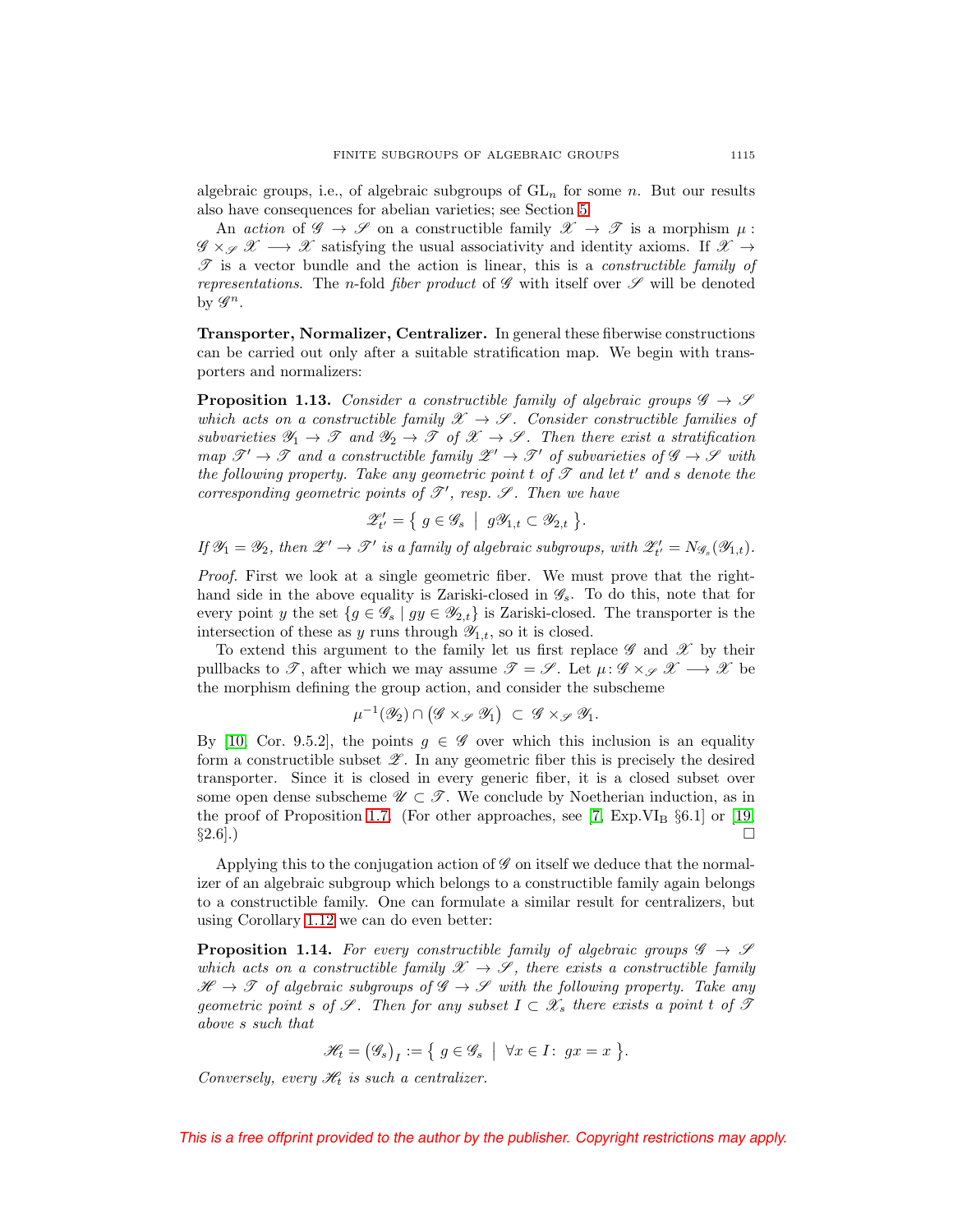algebraic groups, i.e., of algebraic subgroups of  $GL_n$  for some n. But our results also have consequences for abelian varieties; see Section [5.](#page-21-0)

An action of  $\mathscr{G} \to \mathscr{S}$  on a constructible family  $\mathscr{X} \to \mathscr{T}$  is a morphism  $\mu$ :  $\mathscr{G} \times_{\mathscr{S}} \mathscr{X} \longrightarrow \mathscr{X}$  satisfying the usual associativity and identity axioms. If  $\mathscr{X} \rightarrow$  $\mathscr T$  is a vector bundle and the action is linear, this is a *constructible family of* representations. The n-fold fiber product of  $\mathscr G$  with itself over  $\mathscr S$  will be denoted by  $\mathscr{G}^n$ .

**Transporter, Normalizer, Centralizer.** In general these fiberwise constructions can be carried out only after a suitable stratification map. We begin with transporters and normalizers:

<span id="page-10-0"></span>**Proposition 1.13.** Consider a constructible family of algebraic groups  $\mathscr{G} \to \mathscr{S}$ which acts on a constructible family  $\mathscr{X} \to \mathscr{S}$ . Consider constructible families of subvarieties  $\mathscr{Y}_1 \to \mathscr{T}$  and  $\mathscr{Y}_2 \to \mathscr{T}$  of  $\mathscr{X} \to \mathscr{S}$ . Then there exist a stratification map  $\mathscr{T}' \to \mathscr{T}$  and a constructible family  $\mathscr{Z}' \to \mathscr{T}'$  of subvarieties of  $\mathscr{G} \to \mathscr{S}$  with the following property. Take any geometric point  $t$  of  $\mathscr T$  and let  $t'$  and  $s$  denote the corresponding geometric points of  $\mathscr{T}'$ , resp.  $\mathscr{S}$ . Then we have

$$
\mathscr{Z}'_{t'} = \{ g \in \mathscr{G}_s \mid g\mathscr{Y}_{1,t} \subset \mathscr{Y}_{2,t} \}.
$$

If  $\mathscr{Y}_1 = \mathscr{Y}_2$ , then  $\mathscr{Z}' \to \mathscr{T}'$  is a family of algebraic subgroups, with  $\mathscr{Z}'_{t'} = N_{\mathscr{G}_s}(\mathscr{Y}_{1,t})$ .

Proof. First we look at a single geometric fiber. We must prove that the righthand side in the above equality is Zariski-closed in  $\mathscr{G}_s$ . To do this, note that for every point y the set  $\{g \in \mathscr{G}_s \mid gy \in \mathscr{Y}_{2,t}\}\$ is Zariski-closed. The transporter is the intersection of these as y runs through  $\mathscr{Y}_{1,t}$ , so it is closed.

To extend this argument to the family let us first replace  $\mathscr G$  and  $\mathscr X$  by their pullbacks to  $\mathscr{T}$ , after which we may assume  $\mathscr{T} = \mathscr{S}$ . Let  $\mu : \mathscr{G} \times_{\mathscr{S}} \mathscr{X} \longrightarrow \mathscr{X}$  be the morphism defining the group action, and consider the subscheme

$$
\mu^{-1}(\mathscr{Y}_2) \cap (\mathscr{G} \times_{\mathscr{S}} \mathscr{Y}_1) \subset \mathscr{G} \times_{\mathscr{S}} \mathscr{Y}_1.
$$

By [\[10,](#page-52-14) Cor. 9.5.2], the points  $g \in \mathscr{G}$  over which this inclusion is an equality form a constructible subset  $\mathscr{Z}$ . In any geometric fiber this is precisely the desired transporter. Since it is closed in every generic fiber, it is a closed subset over some open dense subscheme  $\mathscr{U} \subset \mathscr{T}$ . We conclude by Noetherian induction, as in the proof of Proposition [1.7.](#page-7-1) (For other approaches, see [\[7,](#page-52-15) Exp.VI<sub>B</sub>  $\S6.1$ ] or [\[19,](#page-52-16)  $\S 2.6$ ].)

Applying this to the conjugation action of  $\mathscr G$  on itself we deduce that the normalizer of an algebraic subgroup which belongs to a constructible family again belongs to a constructible family. One can formulate a similar result for centralizers, but using Corollary [1.12](#page-9-2) we can do even better:

<span id="page-10-1"></span>**Proposition 1.14.** For every constructible family of algebraic groups  $\mathscr{G} \to \mathscr{S}$ which acts on a constructible family  $\mathscr{X} \to \mathscr{S}$ , there exists a constructible family  $\mathscr{H} \to \mathscr{T}$  of algebraic subgroups of  $\mathscr{G} \to \mathscr{S}$  with the following property. Take any geometric point s of  $\mathscr S$ . Then for any subset  $I \subset \mathscr X_s$  there exists a point t of  $\mathscr T$ above s such that

$$
\mathscr{H}_t = (\mathscr{G}_s)_I := \{ g \in \mathscr{G}_s \mid \forall x \in I : gx = x \}.
$$

Conversely, every  $\mathcal{H}_t$  is such a centralizer.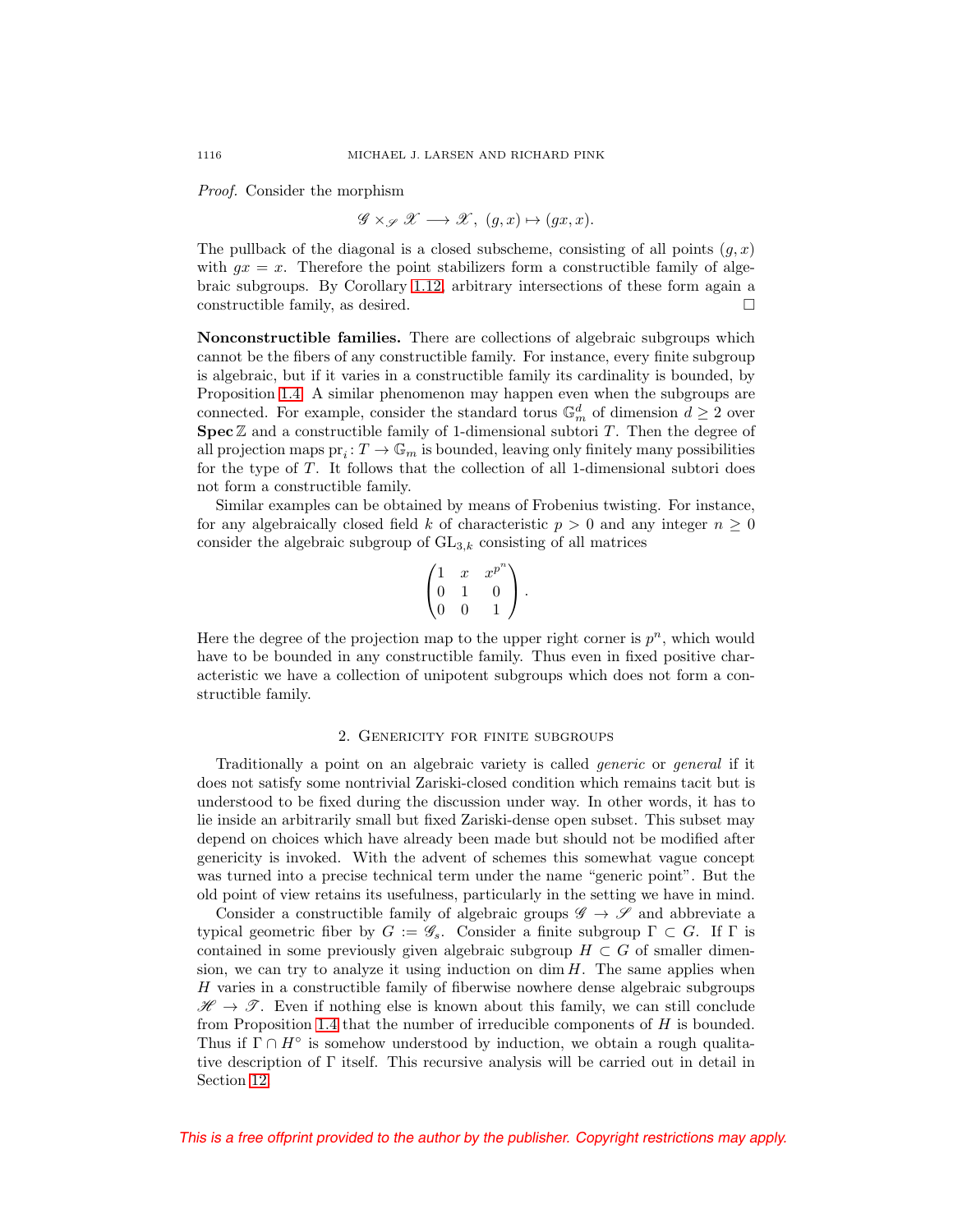Proof. Consider the morphism

$$
\mathscr{G} \times_{\mathscr{S}} \mathscr{X} \longrightarrow \mathscr{X}, \ (g, x) \mapsto (gx, x).
$$

The pullback of the diagonal is a closed subscheme, consisting of all points  $(g, x)$ with  $gx = x$ . Therefore the point stabilizers form a constructible family of algebraic subgroups. By Corollary [1.12,](#page-9-2) arbitrary intersections of these form again a constructible family, as desired.  $\Box$ 

**Nonconstructible families.** There are collections of algebraic subgroups which cannot be the fibers of any constructible family. For instance, every finite subgroup is algebraic, but if it varies in a constructible family its cardinality is bounded, by Proposition [1.4.](#page-7-0) A similar phenomenon may happen even when the subgroups are connected. For example, consider the standard torus  $\mathbb{G}_m^d$  of dimension  $d \geq 2$  over **Spec**  $\mathbb{Z}$  and a constructible family of 1-dimensional subtori  $T$ . Then the degree of all projection maps  $pr_i: T \to \mathbb{G}_m$  is bounded, leaving only finitely many possibilities for the type of T. It follows that the collection of all 1-dimensional subtori does not form a constructible family.

Similar examples can be obtained by means of Frobenius twisting. For instance, for any algebraically closed field k of characteristic  $p > 0$  and any integer  $n \geq 0$ consider the algebraic subgroup of  $GL_{3,k}$  consisting of all matrices

$$
\begin{pmatrix} 1 & x & x^{p^n} \\ 0 & 1 & 0 \\ 0 & 0 & 1 \end{pmatrix}.
$$

Here the degree of the projection map to the upper right corner is  $p^n$ , which would have to be bounded in any constructible family. Thus even in fixed positive characteristic we have a collection of unipotent subgroups which does not form a constructible family.

#### 2. Genericity for finite subgroups

<span id="page-11-0"></span>Traditionally a point on an algebraic variety is called generic or general if it does not satisfy some nontrivial Zariski-closed condition which remains tacit but is understood to be fixed during the discussion under way. In other words, it has to lie inside an arbitrarily small but fixed Zariski-dense open subset. This subset may depend on choices which have already been made but should not be modified after genericity is invoked. With the advent of schemes this somewhat vague concept was turned into a precise technical term under the name "generic point". But the old point of view retains its usefulness, particularly in the setting we have in mind.

Consider a constructible family of algebraic groups  $\mathscr{G} \to \mathscr{S}$  and abbreviate a typical geometric fiber by  $G := \mathscr{G}_s$ . Consider a finite subgroup  $\Gamma \subset G$ . If  $\Gamma$  is contained in some previously given algebraic subgroup  $H \subset G$  of smaller dimension, we can try to analyze it using induction on  $\dim H$ . The same applies when H varies in a constructible family of fiberwise nowhere dense algebraic subgroups  $\mathscr{H} \to \mathscr{T}$ . Even if nothing else is known about this family, we can still conclude from Proposition [1.4](#page-7-0) that the number of irreducible components of H is bounded. Thus if  $\Gamma \cap H^{\circ}$  is somehow understood by induction, we obtain a rough qualitative description of Γ itself. This recursive analysis will be carried out in detail in Section [12.](#page-49-0)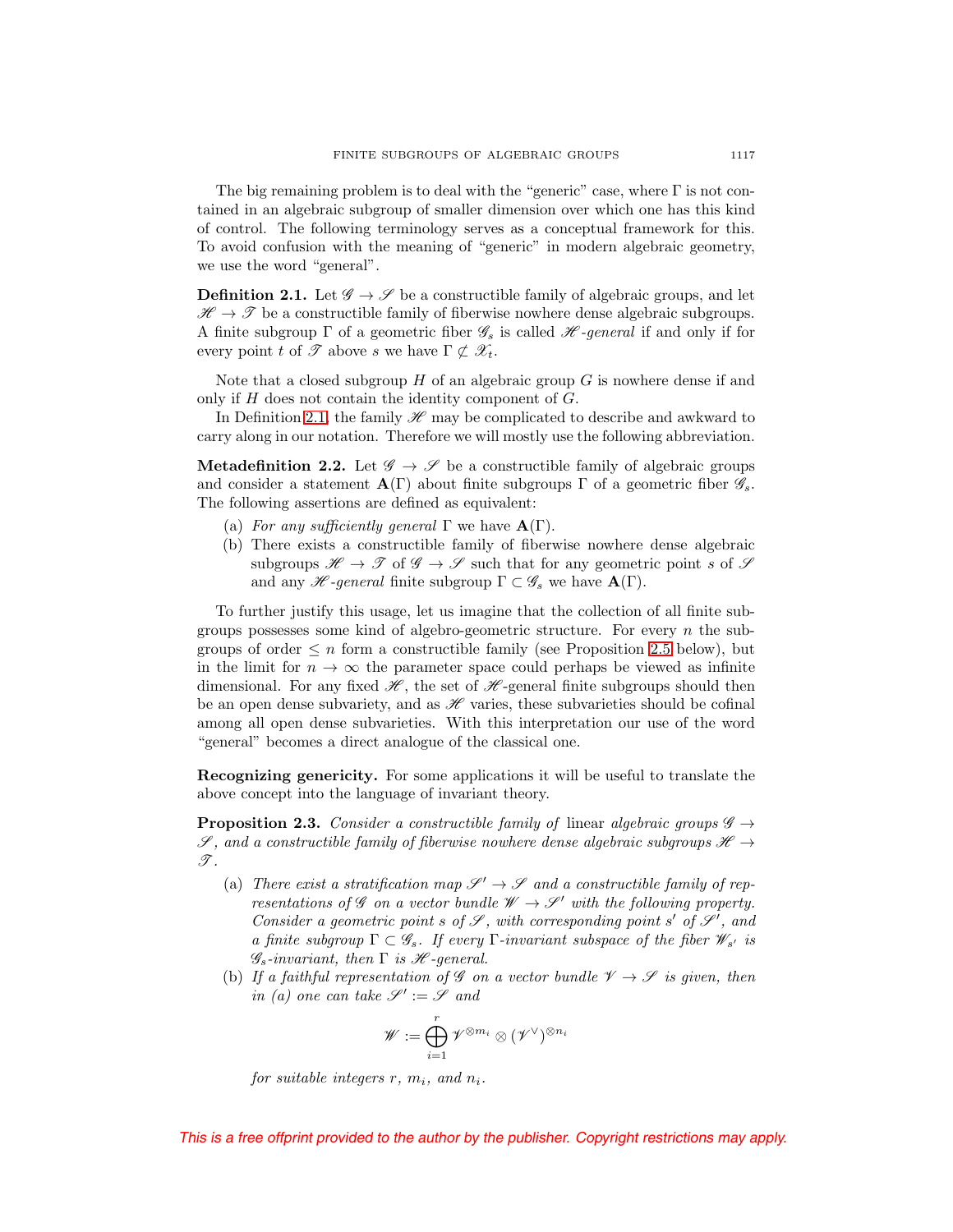The big remaining problem is to deal with the "generic" case, where  $\Gamma$  is not contained in an algebraic subgroup of smaller dimension over which one has this kind of control. The following terminology serves as a conceptual framework for this. To avoid confusion with the meaning of "generic" in modern algebraic geometry, we use the word "general".

<span id="page-12-0"></span>**Definition 2.1.** Let  $\mathscr{G} \to \mathscr{S}$  be a constructible family of algebraic groups, and let  $\mathscr{H} \to \mathscr{T}$  be a constructible family of fiberwise nowhere dense algebraic subgroups. A finite subgroup  $\Gamma$  of a geometric fiber  $\mathscr{G}_s$  is called  $\mathscr{H}\text{-}general$  if and only if for every point t of  $\mathscr T$  above s we have  $\Gamma \not\subset \mathscr X_t$ .

Note that a closed subgroup  $H$  of an algebraic group  $G$  is nowhere dense if and only if  $H$  does not contain the identity component of  $G$ .

In Definition [2.1,](#page-12-0) the family  $\mathcal{H}$  may be complicated to describe and awkward to carry along in our notation. Therefore we will mostly use the following abbreviation.

<span id="page-12-1"></span>**Metadefinition 2.2.** Let  $\mathscr{G} \to \mathscr{S}$  be a constructible family of algebraic groups and consider a statement  $\mathbf{A}(\Gamma)$  about finite subgroups  $\Gamma$  of a geometric fiber  $\mathscr{G}_{s}$ . The following assertions are defined as equivalent:

- (a) For any sufficiently general  $\Gamma$  we have  $\mathbf{A}(\Gamma)$ .
- (b) There exists a constructible family of fiberwise nowhere dense algebraic subgroups  $\mathscr{H} \to \mathscr{T}$  of  $\mathscr{G} \to \mathscr{S}$  such that for any geometric point s of  $\mathscr{S}$ and any *H*-general finite subgroup  $\Gamma \subset \mathscr{G}_s$  we have  $\mathbf{A}(\Gamma)$ .

To further justify this usage, let us imagine that the collection of all finite subgroups possesses some kind of algebro-geometric structure. For every  $n$  the subgroups of order  $\leq n$  form a constructible family (see Proposition [2.5](#page-14-2) below), but in the limit for  $n \to \infty$  the parameter space could perhaps be viewed as infinite dimensional. For any fixed  $\mathcal{H}$ , the set of  $\mathcal{H}$ -general finite subgroups should then be an open dense subvariety, and as  $\mathscr H$  varies, these subvarieties should be cofinal among all open dense subvarieties. With this interpretation our use of the word "general" becomes a direct analogue of the classical one.

**Recognizing genericity.** For some applications it will be useful to translate the above concept into the language of invariant theory.

<span id="page-12-2"></span>**Proposition 2.3.** Consider a constructible family of linear algebraic groups  $\mathscr{G} \rightarrow$  $\mathscr{S}$ , and a constructible family of fiberwise nowhere dense algebraic subgroups  $\mathscr{H} \rightarrow$  $\mathscr{T}.$ 

- (a) There exist a stratification map  $\mathscr{S}' \to \mathscr{S}$  and a constructible family of representations of  $\mathscr G$  on a vector bundle  $\mathscr W \to \mathscr S'$  with the following property. Consider a geometric point s of  $\mathscr S$ , with corresponding point s' of  $\mathscr S'$ , and a finite subgroup  $\Gamma \subset \mathscr{G}_s$ . If every  $\Gamma$ -invariant subspace of the fiber  $\mathscr{W}_{s'}$  is  $\mathscr{G}_s$ -invariant, then  $\Gamma$  is  $\mathscr{H}$ -general.
- (b) If a faithful representation of G on a vector bundle  $\mathcal{V} \rightarrow \mathcal{S}$  is given, then in (a) one can take  $\mathscr{S}' := \mathscr{S}$  and

$$
\mathscr{W}:=\bigoplus_{i=1}^r\mathscr{V}^{\otimes m_i}\otimes(\mathscr{V}^\vee)^{\otimes n_i}
$$

for suitable integers  $r, m_i$ , and  $n_i$ .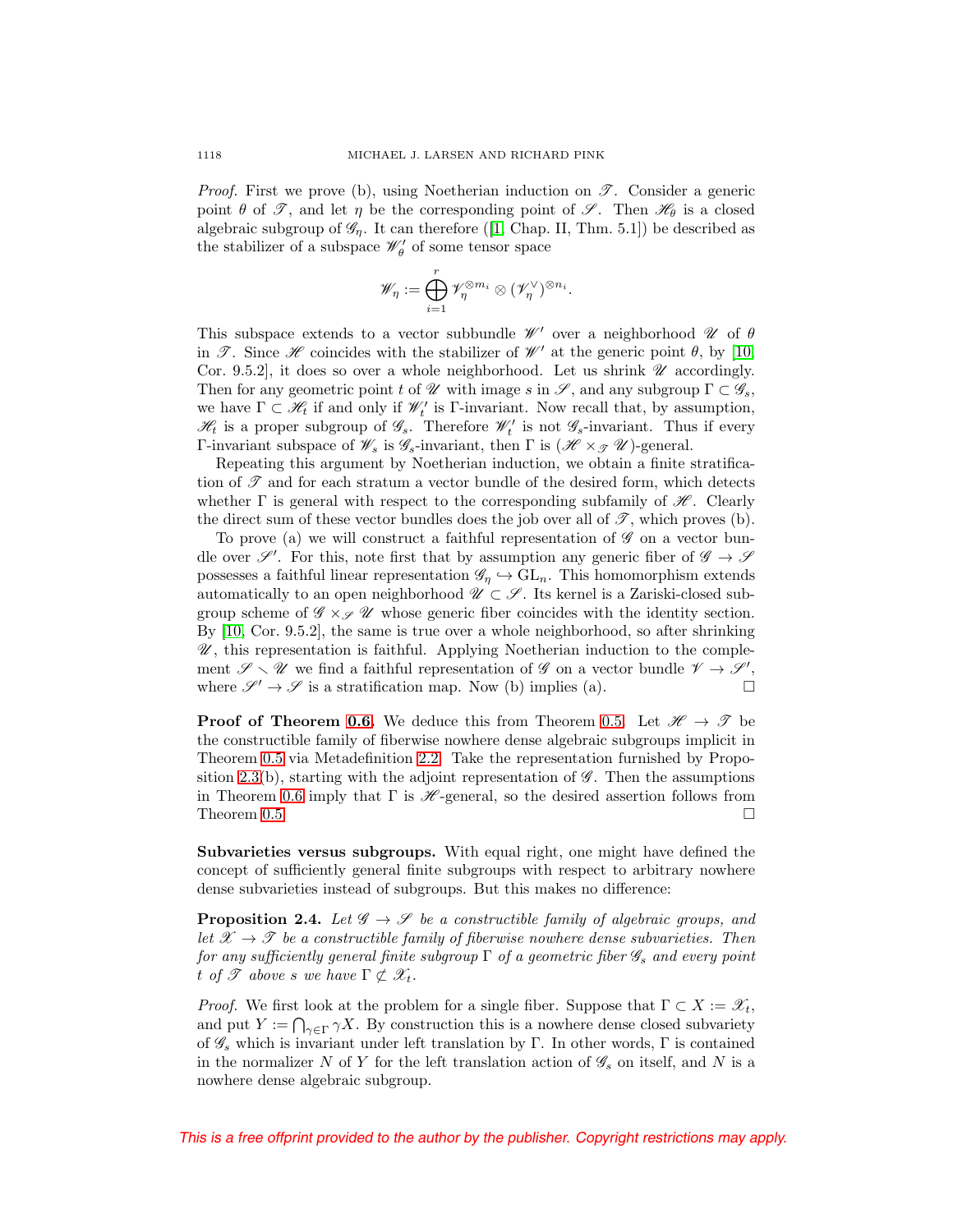*Proof.* First we prove (b), using Noetherian induction on  $\mathscr{T}$ . Consider a generic point  $\theta$  of  $\mathscr{T}$ , and let  $\eta$  be the corresponding point of  $\mathscr{S}$ . Then  $\mathscr{H}_{\theta}$  is a closed algebraic subgroup of  $\mathscr{G}_n$ . It can therefore ([\[1,](#page-52-12) Chap. II, Thm. 5.1]) be described as the stabilizer of a subspace  $\mathscr{W}^{\prime}_{\theta}$  of some tensor space

$$
\mathscr{W}_\eta := \bigoplus_{i=1}^r \mathscr{V}_\eta^{\otimes m_i} \otimes (\mathscr{V}_\eta^\vee)^{\otimes n_i}.
$$

This subspace extends to a vector subbundle  $\mathcal{W}'$  over a neighborhood  $\mathcal U$  of  $\theta$ in  $\mathscr{T}$ . Since  $\mathscr{H}$  coincides with the stabilizer of  $\mathscr{W}'$  at the generic point  $\theta$ , by [\[10,](#page-52-14) Cor. 9.5.2], it does so over a whole neighborhood. Let us shrink  $\mathscr U$  accordingly. Then for any geometric point t of  $\mathscr U$  with image s in  $\mathscr S$ , and any subgroup  $\Gamma \subset \mathscr G_s$ , we have  $\Gamma \subset \mathcal{H}_t$  if and only if  $\mathcal{W}'_t$  is  $\Gamma$ -invariant. Now recall that, by assumption,  $\mathcal{H}_t$  is a proper subgroup of  $\mathcal{G}_s$ . Therefore  $\mathcal{W}'_t$  is not  $\mathcal{G}_s$ -invariant. Thus if every Γ-invariant subspace of  $\mathscr{W}_s$  is  $\mathscr{G}_s$ -invariant, then Γ is  $(\mathscr{H} \times_{\mathscr{F}} \mathscr{U})$ -general.

Repeating this argument by Noetherian induction, we obtain a finite stratification of  $\mathscr T$  and for each stratum a vector bundle of the desired form, which detects whether  $\Gamma$  is general with respect to the corresponding subfamily of  $\mathcal{H}$ . Clearly the direct sum of these vector bundles does the job over all of  $\mathscr{T}$ , which proves (b).

To prove (a) we will construct a faithful representation of  $\mathscr G$  on a vector bundle over  $\mathscr{S}'$ . For this, note first that by assumption any generic fiber of  $\mathscr{G} \to \mathscr{S}$ possesses a faithful linear representation  $\mathscr{G}_\eta \hookrightarrow GL_n$ . This homomorphism extends automatically to an open neighborhood  $\mathscr{U} \subset \mathscr{S}$ . Its kernel is a Zariski-closed subgroup scheme of  $\mathscr{G} \times_{\mathscr{S}} \mathscr{U}$  whose generic fiber coincides with the identity section. By [\[10,](#page-52-14) Cor. 9.5.2], the same is true over a whole neighborhood, so after shrinking  $\mathscr U$ , this representation is faithful. Applying Noetherian induction to the complement  $\mathscr{S} \setminus \mathscr{U}$  we find a faithful representation of  $\mathscr{G}$  on a vector bundle  $\mathscr{V} \to \mathscr{S}'$ , where  $\mathscr{S}' \to \mathscr{S}$  is a stratification map. Now (b) implies (a).

**Proof of Theorem [0.6.](#page-2-1)** We deduce this from Theorem [0.5.](#page-2-0) Let  $\mathcal{H} \to \mathcal{T}$  be the constructible family of fiberwise nowhere dense algebraic subgroups implicit in Theorem [0.5](#page-2-0) via Metadefinition [2.2.](#page-12-1) Take the representation furnished by Propo-sition [2.3\(](#page-12-2)b), starting with the adjoint representation of  $\mathscr{G}$ . Then the assumptions in Theorem [0.6](#page-2-1) imply that  $\Gamma$  is  $\mathcal{H}$ -general, so the desired assertion follows from Theorem [0.5.](#page-2-0)  $\Box$ 

**Subvarieties versus subgroups.** With equal right, one might have defined the concept of sufficiently general finite subgroups with respect to arbitrary nowhere dense subvarieties instead of subgroups. But this makes no difference:

<span id="page-13-0"></span>**Proposition 2.4.** Let  $\mathscr{G} \to \mathscr{S}$  be a constructible family of algebraic groups, and let  $\mathscr{X} \to \mathscr{T}$  be a constructible family of fiberwise nowhere dense subvarieties. Then for any sufficiently general finite subgroup  $\Gamma$  of a geometric fiber  $\mathscr{G}_s$  and every point t of  $\mathscr T$  above s we have  $\Gamma \not\subset \mathscr X_t$ .

*Proof.* We first look at the problem for a single fiber. Suppose that  $\Gamma \subset X := \mathscr{X}_t$ , and put  $Y := \bigcap_{\gamma \in \Gamma} \gamma X$ . By construction this is a nowhere dense closed subvariety of  $\mathscr{G}_s$  which is invariant under left translation by Γ. In other words, Γ is contained in the normalizer N of Y for the left translation action of  $\mathscr{G}_s$  on itself, and N is a nowhere dense algebraic subgroup.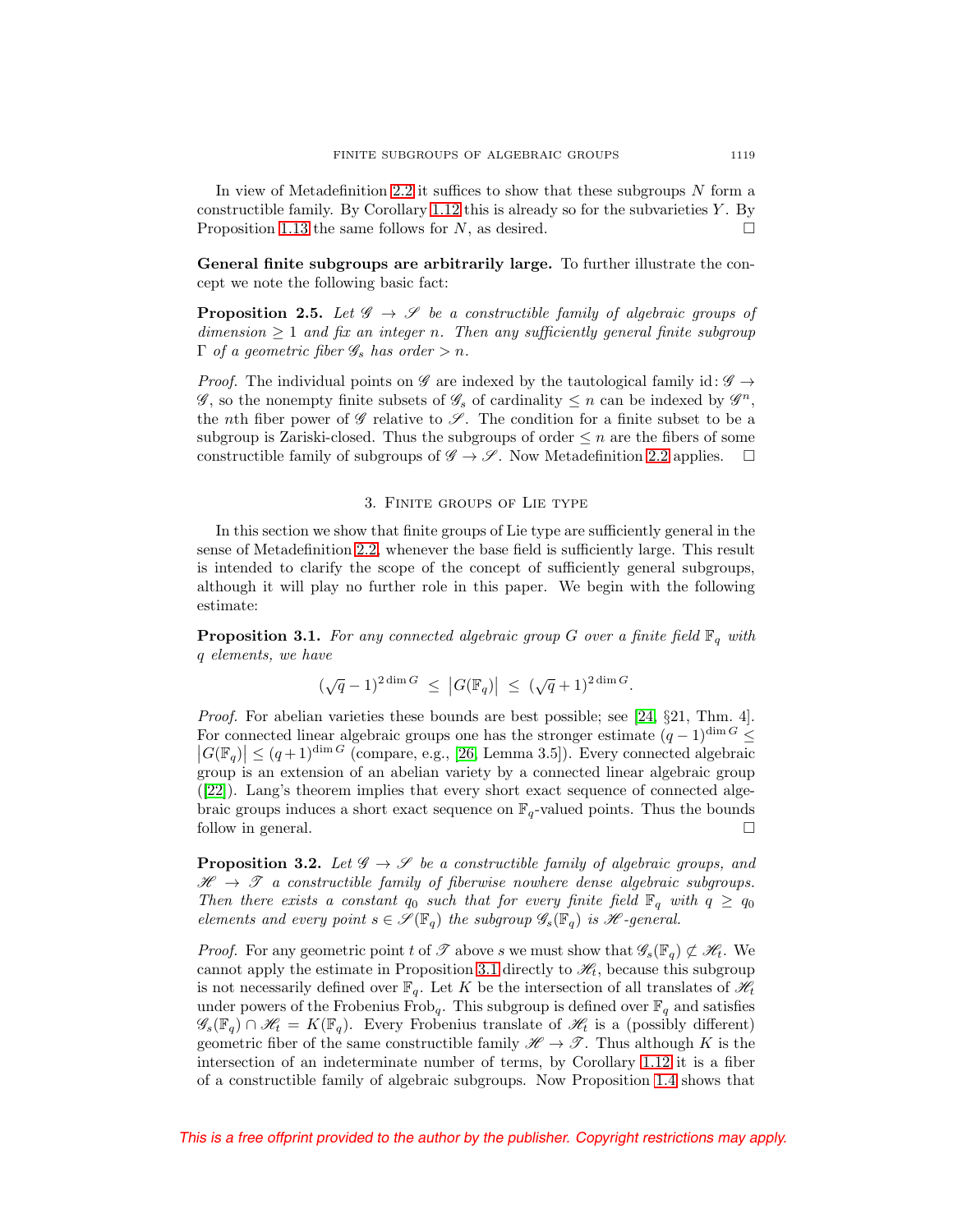In view of Metadefinition [2.2](#page-12-1) it suffices to show that these subgroups N form a constructible family. By Corollary [1.12](#page-9-2) this is already so for the subvarieties  $Y$ . By Proposition [1.13](#page-10-0) the same follows for N, as desired.  $\square$ 

**General finite subgroups are arbitrarily large.** To further illustrate the concept we note the following basic fact:

<span id="page-14-2"></span>**Proposition 2.5.** Let  $\mathscr{G} \to \mathscr{S}$  be a constructible family of algebraic groups of dimension  $\geq 1$  and fix an integer n. Then any sufficiently general finite subgroup  $\Gamma$  of a geometric fiber  $\mathscr{G}_s$  has order  $>n$ .

*Proof.* The individual points on  $\mathscr G$  are indexed by the tautological family id:  $\mathscr G \rightarrow$  $\mathscr{G}$ , so the nonempty finite subsets of  $\mathscr{G}_s$  of cardinality  $\leq n$  can be indexed by  $\mathscr{G}^n$ , the nth fiber power of  $\mathscr G$  relative to  $\mathscr S$ . The condition for a finite subset to be a subgroup is Zariski-closed. Thus the subgroups of order  $\leq n$  are the fibers of some constructible family of subgroups of  $\mathscr{G} \to \mathscr{S}$ . Now Metadefinition [2.2](#page-12-1) applies.  $\Box$ 

#### 3. Finite groups of Lie type

<span id="page-14-0"></span>In this section we show that finite groups of Lie type are sufficiently general in the sense of Metadefinition [2.2,](#page-12-1) whenever the base field is sufficiently large. This result is intended to clarify the scope of the concept of sufficiently general subgroups, although it will play no further role in this paper. We begin with the following estimate:

<span id="page-14-1"></span>**Proposition 3.1.** For any connected algebraic group G over a finite field  $\mathbb{F}_q$  with q elements, we have

$$
(\sqrt{q}-1)^{2\dim G} \leq |G(\mathbb{F}_q)| \leq (\sqrt{q}+1)^{2\dim G}.
$$

Proof. For abelian varieties these bounds are best possible; see [\[24,](#page-52-17) §21, Thm. 4]. For connected linear algebraic groups one has the stronger estimate  $(q-1)^{\dim G} \le$  $|G(\mathbb{F}_q)| \leq (q+1)^{\dim G}$  (compare, e.g., [\[26,](#page-52-3) Lemma 3.5]). Every connected algebraic group is an extension of an abelian variety by a connected linear algebraic group ([\[22\]](#page-52-18)). Lang's theorem implies that every short exact sequence of connected algebraic groups induces a short exact sequence on  $\mathbb{F}_q$ -valued points. Thus the bounds follow in general.  $\Box$ 

<span id="page-14-3"></span>**Proposition 3.2.** Let  $\mathscr{G} \to \mathscr{S}$  be a constructible family of algebraic groups, and  $\mathscr{H} \rightarrow \mathscr{T}$  a constructible family of fiberwise nowhere dense algebraic subgroups. Then there exists a constant  $q_0$  such that for every finite field  $\mathbb{F}_q$  with  $q \geq q_0$ elements and every point  $s \in \mathscr{S}(\mathbb{F}_q)$  the subgroup  $\mathscr{G}_s(\mathbb{F}_q)$  is  $\mathscr{H}$ -general.

*Proof.* For any geometric point t of  $\mathscr T$  above s we must show that  $\mathscr G_s(\mathbb F_q) \not\subset \mathscr H_t$ . We cannot apply the estimate in Proposition [3.1](#page-14-1) directly to  $\mathcal{H}_t$ , because this subgroup is not necessarily defined over  $\mathbb{F}_q$ . Let K be the intersection of all translates of  $\mathcal{H}_t$ under powers of the Frobenius  $\mathrm{Frob}_q.$  This subgroup is defined over  $\mathbb{F}_q$  and satisfies  $\mathscr{G}_{s}(\mathbb{F}_{q})\cap\mathscr{H}_{t} = K(\mathbb{F}_{q})$ . Every Frobenius translate of  $\mathscr{H}_{t}$  is a (possibly different) geometric fiber of the same constructible family  $\mathscr{H} \to \mathscr{T}$ . Thus although K is the intersection of an indeterminate number of terms, by Corollary [1.12](#page-9-2) it is a fiber of a constructible family of algebraic subgroups. Now Proposition [1.4](#page-7-0) shows that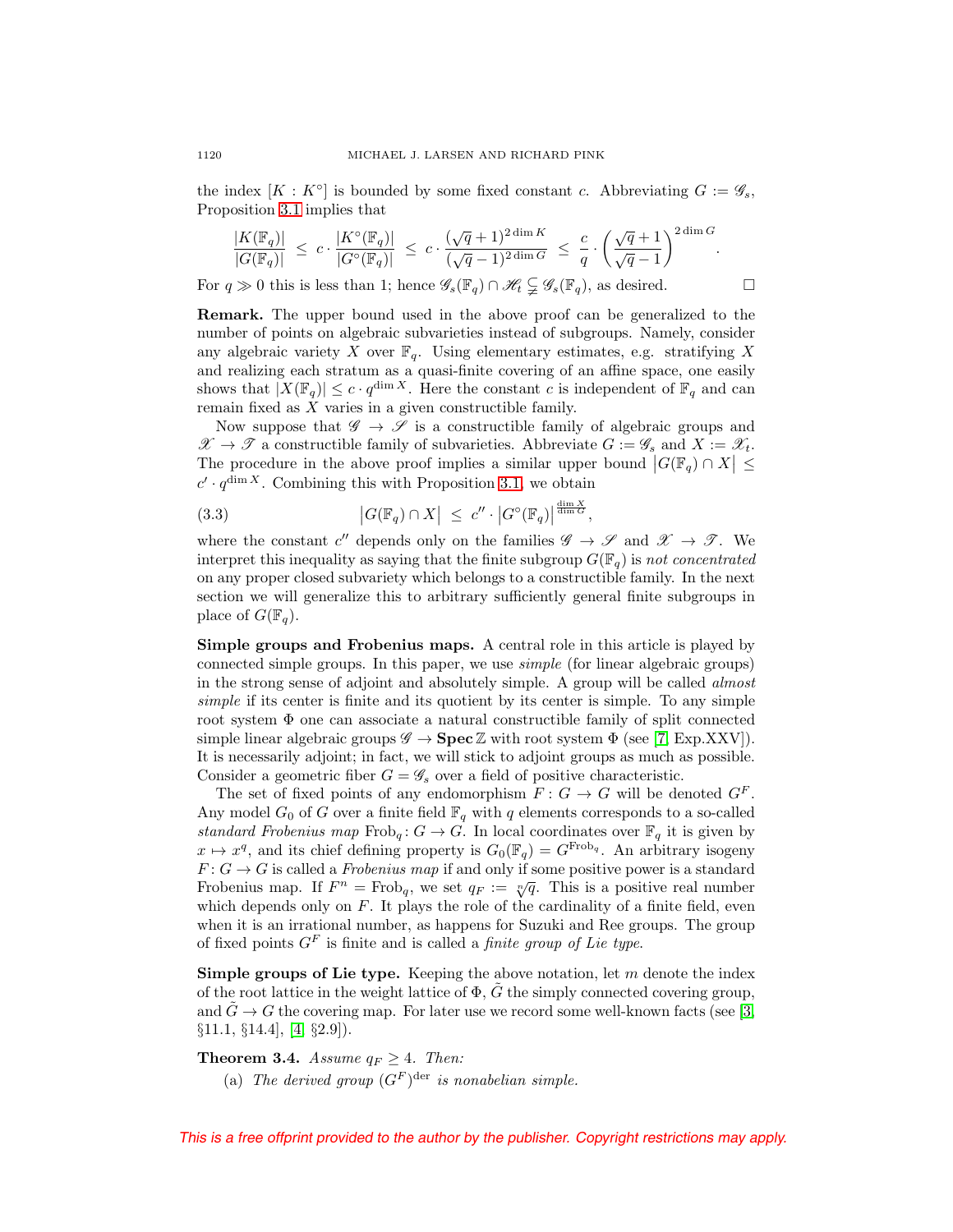the index  $[K: K^{\circ}]$  is bounded by some fixed constant c. Abbreviating  $G := \mathscr{G}_s$ , Proposition [3.1](#page-14-1) implies that

$$
\frac{|K(\mathbb{F}_q)|}{|G(\mathbb{F}_q)|} ~\leq ~ c \cdot \frac{|K^{\circ}(\mathbb{F}_q)|}{|G^{\circ}(\mathbb{F}_q)|} ~\leq ~ c \cdot \frac{(\sqrt{q}+1)^{2\dim K}}{(\sqrt{q}-1)^{2\dim G}} ~\leq ~ \frac{c}{q} \cdot \left(\frac{\sqrt{q}+1}{\sqrt{q}-1}\right)^{2\dim G}.
$$

For  $q \gg 0$  this is less than 1; hence  $\mathscr{G}_s(\mathbb{F}_q) \cap \mathscr{H}_t \subsetneq \mathscr{G}_s(\mathbb{F}_q)$ , as desired.  $\Box$ 

**Remark.** The upper bound used in the above proof can be generalized to the number of points on algebraic subvarieties instead of subgroups. Namely, consider any algebraic variety X over  $\mathbb{F}_q$ . Using elementary estimates, e.g. stratifying X and realizing each stratum as a quasi-finite covering of an affine space, one easily shows that  $|X(\mathbb{F}_q)| \leq c \cdot q^{\dim X}$ . Here the constant c is independent of  $\mathbb{F}_q$  and can remain fixed as  $X$  varies in a given constructible family.

Now suppose that  $\mathscr{G} \to \mathscr{S}$  is a constructible family of algebraic groups and  $\mathscr{X} \to \mathscr{T}$  a constructible family of subvarieties. Abbreviate  $G := \mathscr{G}_s$  and  $X := \mathscr{X}_t$ . The procedure in the above proof implies a similar upper bound  $|G(\mathbb{F}_q) \cap X| \leq$  $c' \cdot q^{\dim X}$ . Combining this with Proposition [3.1,](#page-14-1) we obtain

<span id="page-15-2"></span>(3.3) 
$$
|G(\mathbb{F}_q) \cap X| \leq c'' \cdot |G^{\circ}(\mathbb{F}_q)|^{\frac{\dim X}{\dim G}},
$$

where the constant c'' depends only on the families  $\mathscr{G} \to \mathscr{S}$  and  $\mathscr{X} \to \mathscr{T}$ . We interpret this inequality as saying that the finite subgroup  $G(\mathbb{F}_q)$  is not concentrated on any proper closed subvariety which belongs to a constructible family. In the next section we will generalize this to arbitrary sufficiently general finite subgroups in place of  $G(\mathbb{F}_q)$ .

<span id="page-15-0"></span>**Simple groups and Frobenius maps.** A central role in this article is played by connected simple groups. In this paper, we use simple (for linear algebraic groups) in the strong sense of adjoint and absolutely simple. A group will be called almost simple if its center is finite and its quotient by its center is simple. To any simple root system Φ one can associate a natural constructible family of split connected simple linear algebraic groups  $\mathscr{G} \to \mathbf{Spec} \mathbb{Z}$  with root system  $\Phi$  (see [\[7,](#page-52-15) Exp.XXV]). It is necessarily adjoint; in fact, we will stick to adjoint groups as much as possible. Consider a geometric fiber  $G = \mathscr{G}_s$  over a field of positive characteristic.

The set of fixed points of any endomorphism  $F: G \to G$  will be denoted  $G^F$ . Any model  $G_0$  of G over a finite field  $\mathbb{F}_q$  with q elements corresponds to a so-called standard Frobenius map  $Frob_q: G \to G$ . In local coordinates over  $\mathbb{F}_q$  it is given by  $x \mapsto x^q$ , and its chief defining property is  $G_0(\mathbb{F}_q) = G^{\text{Frob}_q}$ . An arbitrary isogeny  $F: G \to G$  is called a *Frobenius map* if and only if some positive power is a standard Frobenius map. If  $F^n = \text{Frob}_q$ , we set  $q_F := \sqrt[n]{q}$ . This is a positive real number which depends only on  $F$ . It plays the role of the cardinality of a finite field, even when it is an irrational number, as happens for Suzuki and Ree groups. The group of fixed points  $G<sup>F</sup>$  is finite and is called a *finite group of Lie type*.

**Simple groups of Lie type.** Keeping the above notation, let m denote the index of the root lattice in the weight lattice of  $\Phi$ , G the simply connected covering group, and  $G \rightarrow G$  the covering map. For later use we record some well-known facts (see [\[3,](#page-52-19)  $\S 11.1, \ \S 14.4, \ \S 2.9$ ).

# <span id="page-15-1"></span>**Theorem 3.4.** Assume  $q_F \geq 4$ . Then:

(a) The derived group  $(G^F)$ <sup>der</sup> is nonabelian simple.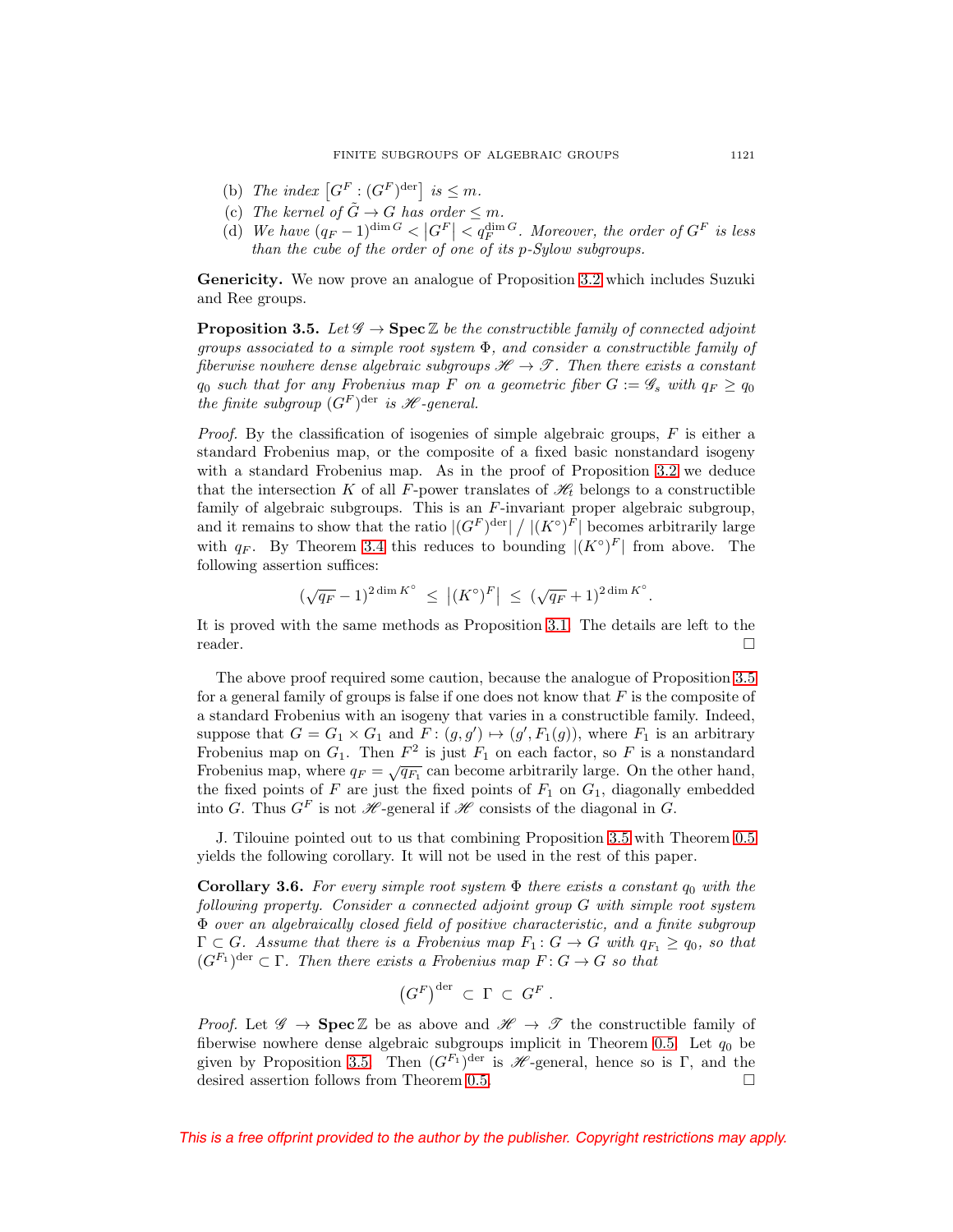- (b) The index  $[G^F : (G^F)^{\text{der}}]$  is  $\leq m$ .
- (c) The kernel of  $\tilde{G} \to G$  has order  $\leq m$ .
- (d) We have  $(q_F 1)^{\dim G} < |G^F| < q_F^{\dim G}$ . Moreover, the order of  $G^F$  is less than the cube of the order of one of its  $p-Sylow$  subgroups.

**Genericity.** We now prove an analogue of Proposition [3.2](#page-14-3) which includes Suzuki and Ree groups.

<span id="page-16-0"></span>**Proposition 3.5.** Let  $\mathscr{G} \to \mathbf{Spec} \mathbb{Z}$  be the constructible family of connected adjoint groups associated to a simple root system  $\Phi$ , and consider a constructible family of fiberwise nowhere dense algebraic subgroups  $\mathcal{H} \to \mathcal{T}$ . Then there exists a constant  $q_0$  such that for any Frobenius map F on a geometric fiber  $G := \mathscr{G}_s$  with  $q_F \ge q_0$ the finite subgroup  $(G^F)$ <sup>der</sup> is *H*-general.

*Proof.* By the classification of isogenies of simple algebraic groups,  $F$  is either a standard Frobenius map, or the composite of a fixed basic nonstandard isogeny with a standard Frobenius map. As in the proof of Proposition [3.2](#page-14-3) we deduce that the intersection K of all F-power translates of  $\mathcal{H}_t$  belongs to a constructible family of algebraic subgroups. This is an  $F$ -invariant proper algebraic subgroup, and it remains to show that the ratio  $|(G^F)^{\text{der}}| / |(K^{\circ})^F|$  becomes arbitrarily large with  $q_F$ . By Theorem [3.4](#page-15-1) this reduces to bounding  $|(K^\circ)^F|$  from above. The following assertion suffices:

$$
(\sqrt{q_F} - 1)^{2 \dim K^{\circ}} \le |(K^{\circ})^F| \le (\sqrt{q_F} + 1)^{2 \dim K^{\circ}}.
$$

It is proved with the same methods as Proposition [3.1.](#page-14-1) The details are left to the reader.  $\Box$ 

The above proof required some caution, because the analogue of Proposition [3.5](#page-16-0) for a general family of groups is false if one does not know that  $F$  is the composite of a standard Frobenius with an isogeny that varies in a constructible family. Indeed, suppose that  $G = G_1 \times G_1$  and  $F: (g, g') \mapsto (g', F_1(g))$ , where  $F_1$  is an arbitrary Frobenius map on  $G_1$ . Then  $F^2$  is just  $F_1$  on each factor, so F is a nonstandard Frobenius map, where  $q_F = \sqrt{q_{F_1}}$  can become arbitrarily large. On the other hand, the fixed points of F are just the fixed points of  $F_1$  on  $G_1$ , diagonally embedded into G. Thus  $G^F$  is not  $\mathscr{H}$ -general if  $\mathscr{H}$  consists of the diagonal in G.

J. Tilouine pointed out to us that combining Proposition [3.5](#page-16-0) with Theorem [0.5](#page-2-0) yields the following corollary. It will not be used in the rest of this paper.

**Corollary 3.6.** For every simple root system  $\Phi$  there exists a constant  $q_0$  with the following property. Consider a connected adjoint group G with simple root system Φ over an algebraically closed field of positive characteristic, and a finite subgroup  $\Gamma \subset G$ . Assume that there is a Frobenius map  $F_1: G \to G$  with  $q_{F_1} \geq q_0$ , so that  $(G^{F_1})^{\text{der}} \subset \Gamma$ . Then there exists a Frobenius map  $F: G \to G$  so that

$$
(G^F)^{\mathrm{der}} \subset \Gamma \subset G^F.
$$

*Proof.* Let  $\mathscr{G} \to \mathbf{Spec} \mathbb{Z}$  be as above and  $\mathscr{H} \to \mathscr{T}$  the constructible family of fiberwise nowhere dense algebraic subgroups implicit in Theorem [0.5.](#page-2-0) Let  $q_0$  be given by Proposition [3.5.](#page-16-0) Then  $(G<sup>F<sub>1</sub></sup>)<sup>der</sup>$  is  $\mathscr{H}$ -general, hence so is Γ, and the desired assertion follows from Theorem [0.5.](#page-2-0)  $\Box$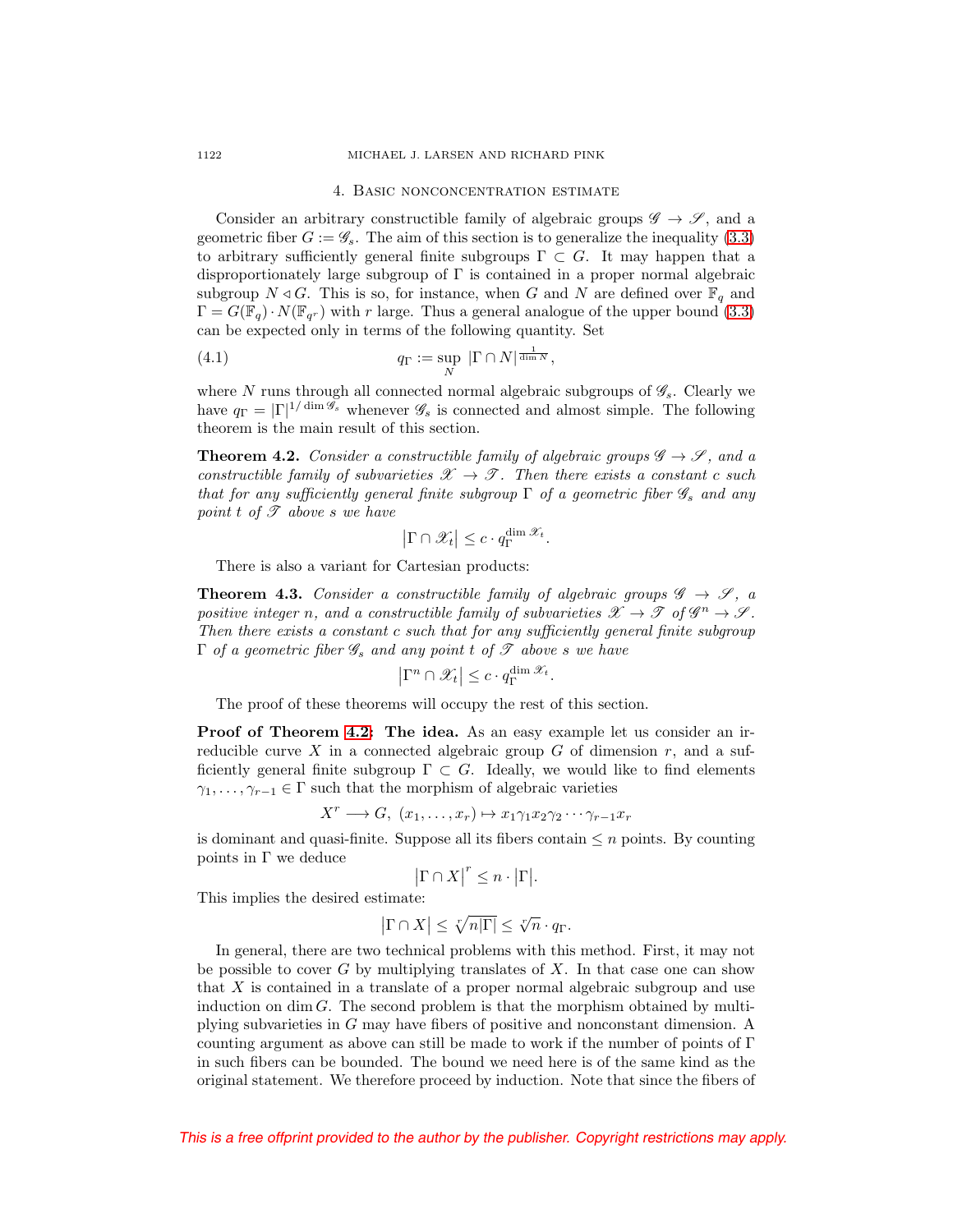#### <span id="page-17-0"></span>1122 MICHAEL J. LARSEN AND RICHARD PINK

#### 4. Basic nonconcentration estimate

Consider an arbitrary constructible family of algebraic groups  $\mathscr{G} \to \mathscr{S}$ , and a geometric fiber  $G := \mathscr{G}_s$ . The aim of this section is to generalize the inequality [\(3.3\)](#page-15-2) to arbitrary sufficiently general finite subgroups  $\Gamma \subset G$ . It may happen that a disproportionately large subgroup of  $\Gamma$  is contained in a proper normal algebraic subgroup  $N \triangleleft G$ . This is so, for instance, when G and N are defined over  $\mathbb{F}_q$  and  $\Gamma = G(\mathbb{F}_q) \cdot N(\mathbb{F}_{q^r})$  with r large. Thus a general analogue of the upper bound [\(3.3\)](#page-15-2) can be expected only in terms of the following quantity. Set

<span id="page-17-2"></span>(4.1) 
$$
q_{\Gamma} := \sup_{N} |\Gamma \cap N|^{\frac{1}{\dim N}},
$$

where N runs through all connected normal algebraic subgroups of  $\mathscr{G}_s$ . Clearly we have  $q_{\Gamma} = |\Gamma|^{1/\dim \mathscr{G}_s}$  whenever  $\mathscr{G}_s$  is connected and almost simple. The following theorem is the main result of this section.

<span id="page-17-1"></span>**Theorem 4.2.** Consider a constructible family of algebraic groups  $\mathscr{G} \to \mathscr{S}$ , and a constructible family of subvarieties  $\mathscr{X} \to \mathscr{T}$ . Then there exists a constant c such that for any sufficiently general finite subgroup  $\Gamma$  of a geometric fiber  $\mathscr{G}_s$  and any point t of  $\mathscr T$  above s we have

$$
\left|\Gamma \cap \mathscr{X}_t\right| \leq c \cdot q_{\Gamma}^{\dim \mathscr{X}_t}.
$$

There is also a variant for Cartesian products:

<span id="page-17-3"></span>**Theorem 4.3.** Consider a constructible family of algebraic groups  $\mathscr{G} \to \mathscr{S}$ , a positive integer n, and a constructible family of subvarieties  $\mathscr{X} \to \mathscr{T}$  of  $\mathscr{G}^n \to \mathscr{S}$ . Then there exists a constant c such that for any sufficiently general finite subgroup  $\Gamma$  of a geometric fiber  $\mathscr{G}_s$  and any point t of  $\mathscr{T}$  above s we have

$$
\left|\Gamma^n \cap \mathscr{X}_t\right| \leq c \cdot q_{\Gamma}^{\dim \mathscr{X}_t}.
$$

The proof of these theorems will occupy the rest of this section.

**Proof of Theorem [4.2:](#page-17-1) The idea.** As an easy example let us consider an irreducible curve X in a connected algebraic group  $G$  of dimension  $r$ , and a sufficiently general finite subgroup  $\Gamma \subset G$ . Ideally, we would like to find elements  $\gamma_1, \ldots, \gamma_{r-1} \in \Gamma$  such that the morphism of algebraic varieties

$$
X^r \longrightarrow G, \ (x_1, \ldots, x_r) \mapsto x_1 \gamma_1 x_2 \gamma_2 \cdots \gamma_{r-1} x_r
$$

is dominant and quasi-finite. Suppose all its fibers contain  $\leq n$  points. By counting points in  $\Gamma$  we deduce

$$
|\Gamma \cap X|^{r} \leq n \cdot |\Gamma|.
$$

This implies the desired estimate:

$$
|\Gamma \cap X| \le \sqrt[r]{n|\Gamma|} \le \sqrt[r]{n} \cdot q_{\Gamma}.
$$

In general, there are two technical problems with this method. First, it may not be possible to cover  $G$  by multiplying translates of  $X$ . In that case one can show that X is contained in a translate of a proper normal algebraic subgroup and use induction on dim  $G$ . The second problem is that the morphism obtained by multiplying subvarieties in G may have fibers of positive and nonconstant dimension. A counting argument as above can still be made to work if the number of points of  $\Gamma$ in such fibers can be bounded. The bound we need here is of the same kind as the original statement. We therefore proceed by induction. Note that since the fibers of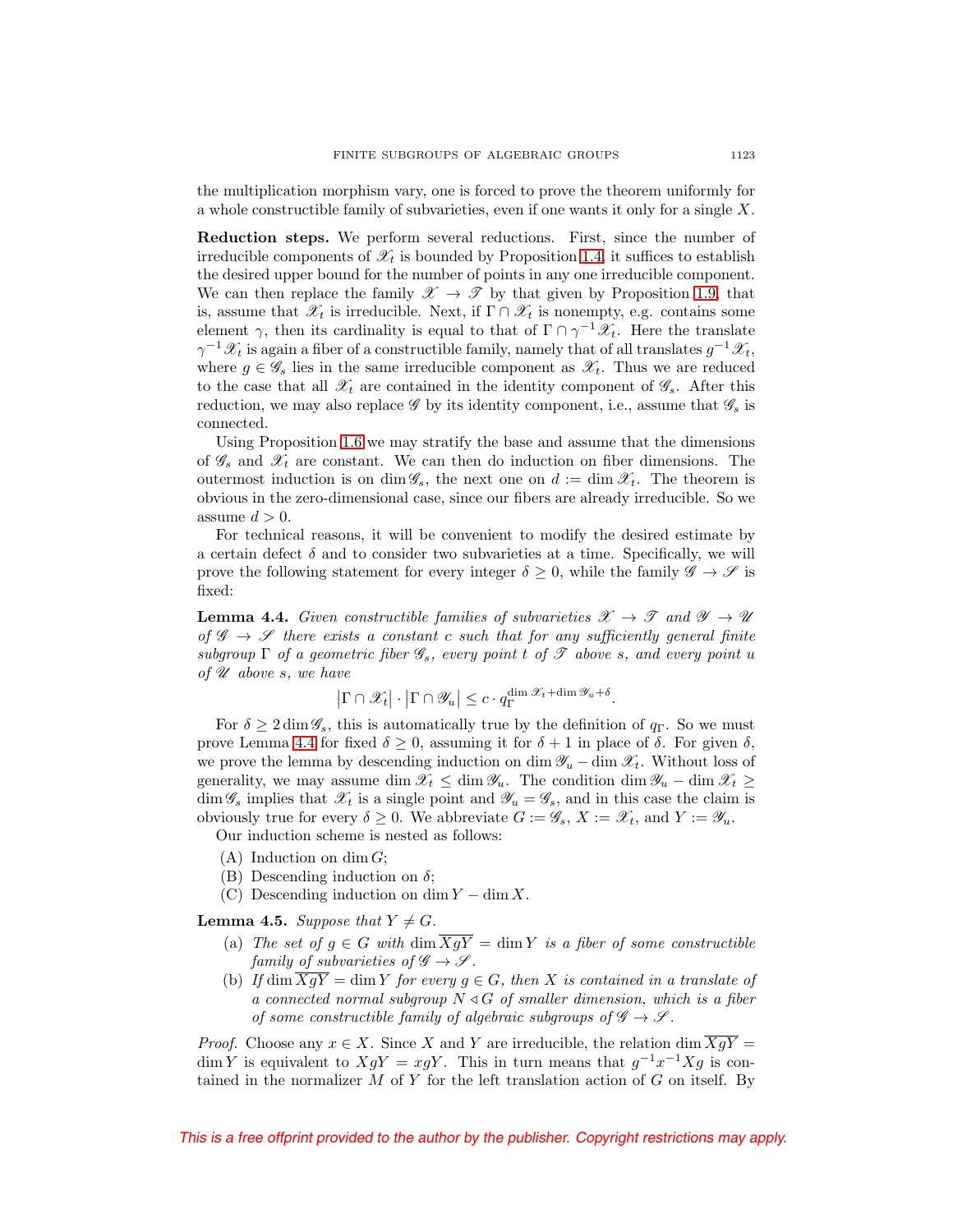the multiplication morphism vary, one is forced to prove the theorem uniformly for a whole constructible family of subvarieties, even if one wants it only for a single X.

**Reduction steps.** We perform several reductions. First, since the number of irreducible components of  $\mathcal{X}_t$  is bounded by Proposition [1.4,](#page-7-0) it suffices to establish the desired upper bound for the number of points in any one irreducible component. We can then replace the family  $\mathscr{X} \to \mathscr{T}$  by that given by Proposition [1.9,](#page-8-1) that is, assume that  $\mathscr{X}_t$  is irreducible. Next, if  $\Gamma \cap \mathscr{X}_t$  is nonempty, e.g. contains some element  $\gamma$ , then its cardinality is equal to that of  $\Gamma \cap \gamma^{-1} \mathscr{X}_t$ . Here the translate  $\gamma^{-1}\mathscr{X}_t$  is again a fiber of a constructible family, namely that of all translates  $g^{-1}\mathscr{X}_t$ , where  $g \in \mathscr{G}_s$  lies in the same irreducible component as  $\mathscr{X}_t$ . Thus we are reduced to the case that all  $\mathscr{X}_t$  are contained in the identity component of  $\mathscr{G}_s$ . After this reduction, we may also replace  $\mathscr G$  by its identity component, i.e., assume that  $\mathscr G_s$  is connected.

Using Proposition [1.6](#page-7-2) we may stratify the base and assume that the dimensions of  $\mathscr{G}_s$  and  $\mathscr{X}_t$  are constant. We can then do induction on fiber dimensions. The outermost induction is on dim  $\mathscr{G}_s$ , the next one on  $d := \dim \mathscr{X}_t$ . The theorem is obvious in the zero-dimensional case, since our fibers are already irreducible. So we assume  $d > 0$ .

For technical reasons, it will be convenient to modify the desired estimate by a certain defect  $\delta$  and to consider two subvarieties at a time. Specifically, we will prove the following statement for every integer  $\delta \geq 0$ , while the family  $\mathscr{G} \to \mathscr{S}$  is fixed:

<span id="page-18-0"></span>**Lemma 4.4.** Given constructible families of subvarieties  $\mathscr{X} \to \mathscr{T}$  and  $\mathscr{Y} \to \mathscr{U}$ of  $\mathscr{G} \to \mathscr{S}$  there exists a constant c such that for any sufficiently general finite subgroup  $\Gamma$  of a geometric fiber  $\mathscr{G}_s$ , every point t of  $\mathscr T$  above s, and every point u of  $\mathscr U$  above s, we have

$$
\left|\Gamma \cap \mathscr{X}_t\right| \cdot \left|\Gamma \cap \mathscr{Y}_u\right| \leq c \cdot q_{\Gamma}^{\dim \mathscr{X}_t + \dim \mathscr{Y}_u + \delta}.
$$

For  $\delta \geq 2 \dim \mathscr{G}_s$ , this is automatically true by the definition of  $q_\Gamma$ . So we must prove Lemma [4.4](#page-18-0) for fixed  $\delta \geq 0$ , assuming it for  $\delta + 1$  in place of  $\delta$ . For given  $\delta$ , we prove the lemma by descending induction on dim  $\mathscr{Y}_u$  – dim  $\mathscr{X}_t$ . Without loss of generality, we may assume dim  $\mathscr{X}_t \leq \dim \mathscr{Y}_u$ . The condition dim  $\mathscr{Y}_u$  – dim  $\mathscr{X}_t \geq$  $\dim \mathscr{G}_s$  implies that  $\mathscr{X}_t$  is a single point and  $\mathscr{Y}_u = \mathscr{G}_s$ , and in this case the claim is obviously true for every  $\delta \geq 0$ . We abbreviate  $G := \mathscr{G}_s$ ,  $X := \mathscr{X}_t$ , and  $Y := \mathscr{Y}_u$ .

Our induction scheme is nested as follows:

- $(A)$  Induction on dim  $G$ ;
- (B) Descending induction on  $\delta$ ;
- (C) Descending induction on dim  $Y \dim X$ .

<span id="page-18-1"></span>**Lemma 4.5.** Suppose that  $Y \neq G$ .

- (a) The set of  $g \in G$  with  $\dim \overline{XgY} = \dim Y$  is a fiber of some constructible family of subvarieties of  $\mathscr{G} \to \mathscr{S}$ .
- (b) If dim  $\overline{XgY}$  = dim Y for every  $g \in G$ , then X is contained in a translate of a connected normal subgroup  $N \triangleleft G$  of smaller dimension, which is a fiber of some constructible family of algebraic subgroups of  $\mathscr{G} \to \mathscr{S}$ .

*Proof.* Choose any  $x \in X$ . Since X and Y are irreducible, the relation dim  $\overline{XgY}$  = dim Y is equivalent to  $XgY = xgY$ . This in turn means that  $g^{-1}x^{-1}Xg$  is contained in the normalizer  $M$  of  $Y$  for the left translation action of  $G$  on itself. By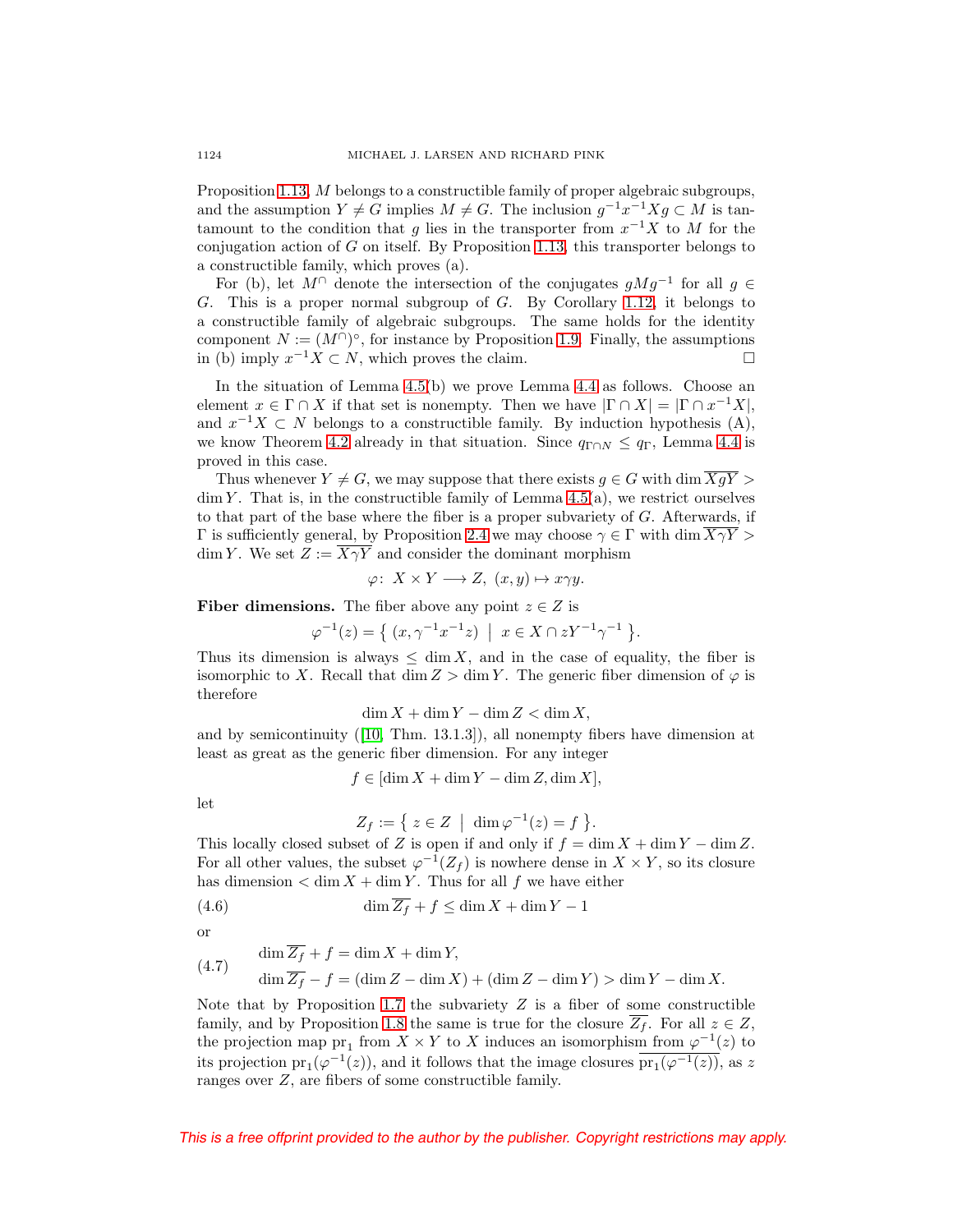Proposition [1.13,](#page-10-0) M belongs to a constructible family of proper algebraic subgroups, and the assumption  $Y \neq G$  implies  $M \neq G$ . The inclusion  $g^{-1}x^{-1}Xg \subset M$  is tantamount to the condition that q lies in the transporter from  $x^{-1}X$  to M for the conjugation action of  $G$  on itself. By Proposition [1.13,](#page-10-0) this transporter belongs to a constructible family, which proves (a).

For (b), let  $M^{\cap}$  denote the intersection of the conjugates  $qMq^{-1}$  for all  $q \in$ G. This is a proper normal subgroup of G. By Corollary [1.12,](#page-9-2) it belongs to a constructible family of algebraic subgroups. The same holds for the identity component  $N := (M \cap \)circ$ , for instance by Proposition [1.9.](#page-8-1) Finally, the assumptions in (b) imply  $x^{-1}X \subset N$ , which proves the claim.  $□$ 

In the situation of Lemma [4.5\(](#page-18-1)b) we prove Lemma [4.4](#page-18-0) as follows. Choose an element  $x \in \Gamma \cap X$  if that set is nonempty. Then we have  $|\Gamma \cap X| = |\Gamma \cap x^{-1}X|$ , and  $x^{-1}X \subset N$  belongs to a constructible family. By induction hypothesis (A), we know Theorem [4.2](#page-17-1) already in that situation. Since  $q_{\Gamma \cap N} \leq q_{\Gamma}$ , Lemma [4.4](#page-18-0) is proved in this case.

Thus whenever  $Y \neq G$ , we may suppose that there exists  $g \in G$  with dim  $\overline{XgY}$  $\dim Y$ . That is, in the constructible family of Lemma [4.5\(](#page-18-1)a), we restrict ourselves to that part of the base where the fiber is a proper subvariety of  $G$ . Afterwards, if  $Γ$  is sufficiently general, by Proposition [2.4](#page-13-0) we may choose  $γ ∈ Γ$  with dim  $\overline{XγY} >$ dim Y. We set  $Z := \overline{X \gamma Y}$  and consider the dominant morphism

$$
\varphi\colon\thinspace X\times Y\longrightarrow Z,\ (x,y)\mapsto x\gamma y.
$$

**Fiber dimensions.** The fiber above any point  $z \in Z$  is

$$
\varphi^{-1}(z) = \{ (x, \gamma^{-1} x^{-1} z) \mid x \in X \cap zY^{-1} \gamma^{-1} \}.
$$

Thus its dimension is always  $\leq \dim X$ , and in the case of equality, the fiber is isomorphic to X. Recall that dim  $Z > \dim Y$ . The generic fiber dimension of  $\varphi$  is therefore

$$
\dim X + \dim Y - \dim Z < \dim X,
$$

and by semicontinuity ([\[10,](#page-52-14) Thm. 13.1.3]), all nonempty fibers have dimension at least as great as the generic fiber dimension. For any integer

$$
f \in [\dim X + \dim Y - \dim Z, \dim X],
$$

let

$$
Z_f := \{ z \in Z \mid \dim \varphi^{-1}(z) = f \}.
$$

This locally closed subset of Z is open if and only if  $f = \dim X + \dim Y - \dim Z$ . For all other values, the subset  $\varphi^{-1}(Z_f)$  is nowhere dense in  $X \times Y$ , so its closure has dimension  $\langle \dim X + \dim Y$ . Thus for all f we have either

<span id="page-19-0"></span>
$$
(4.6) \qquad \dim \overline{Z_f} + f \le \dim X + \dim Y - 1
$$

or

<span id="page-19-1"></span>(4.7) 
$$
\dim \overline{Z_f} + f = \dim X + \dim Y,
$$

$$
\dim \overline{Z_f} - f = (\dim Z - \dim X) + (\dim Z - \dim Y) > \dim Y - \dim X.
$$

Note that by Proposition [1.7](#page-7-1) the subvariety  $Z$  is a fiber of some constructible family, and by Proposition [1.8](#page-8-2) the same is true for the closure  $\overline{Z_f}$ . For all  $z \in Z$ , the projection map  $pr_1$  from  $X \times Y$  to X induces an isomorphism from  $\varphi^{-1}(z)$  to its projection pr<sub>1</sub>( $\varphi^{-1}(z)$ ), and it follows that the image closures  $\overline{pr_1(\varphi^{-1}(z))}$ , as z ranges over Z, are fibers of some constructible family.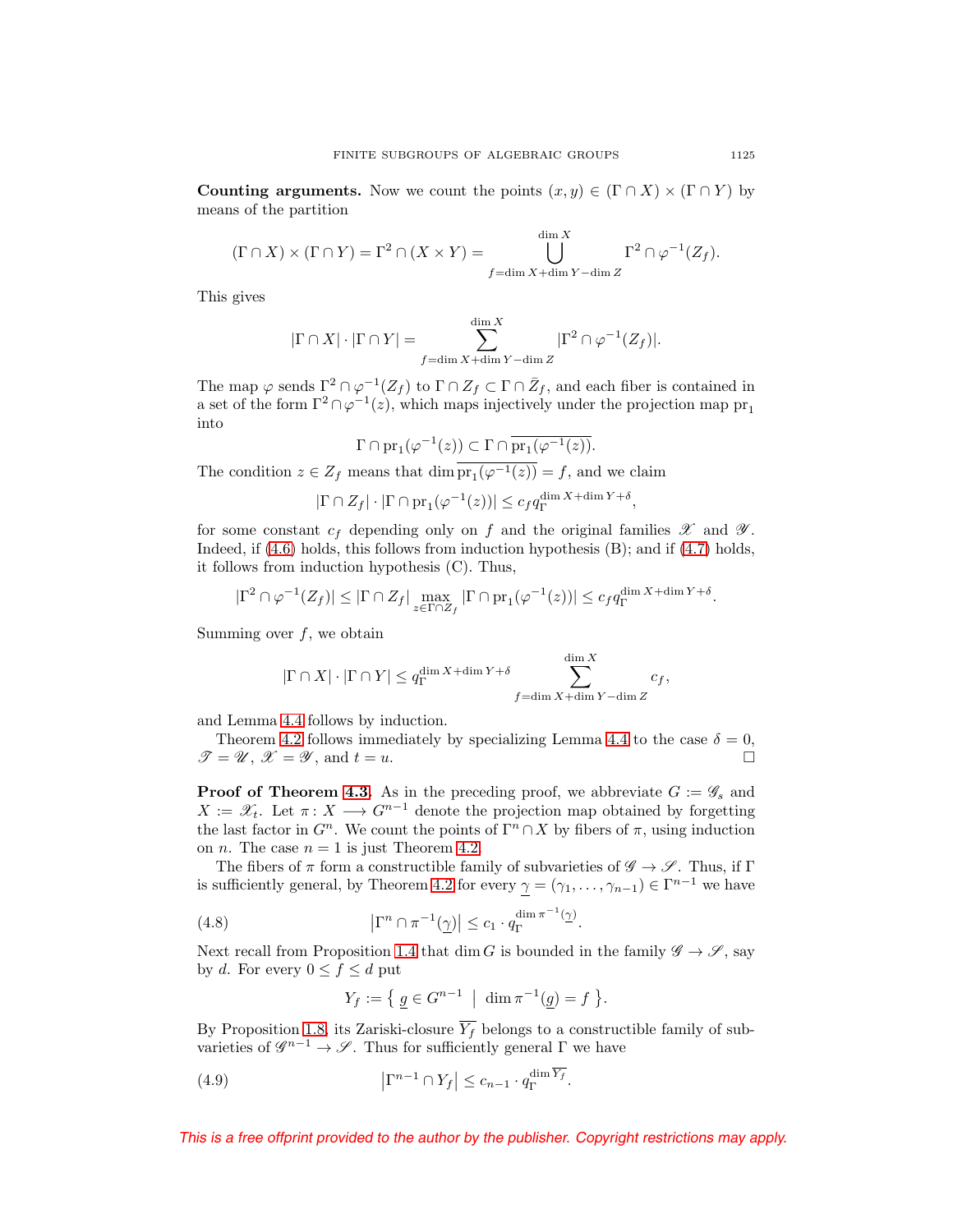**Counting arguments.** Now we count the points  $(x, y) \in (\Gamma \cap X) \times (\Gamma \cap Y)$  by means of the partition

$$
(\Gamma \cap X) \times (\Gamma \cap Y) = \Gamma^2 \cap (X \times Y) = \bigcup_{f = \dim X + \dim Y - \dim Z}^{\dim X} \Gamma^2 \cap \varphi^{-1}(Z_f).
$$

This gives

$$
|\Gamma \cap X| \cdot |\Gamma \cap Y| = \sum_{f = \dim X + \dim Y - \dim Z}^{\dim X} |\Gamma^2 \cap \varphi^{-1}(Z_f)|.
$$

The map  $\varphi$  sends  $\Gamma^2 \cap \varphi^{-1}(Z_f)$  to  $\Gamma \cap Z_f \subset \Gamma \cap \bar{Z}_f$ , and each fiber is contained in a set of the form  $\Gamma^2 \cap \varphi^{-1}(z)$ , which maps injectively under the projection map  $\text{pr}_1$ into

$$
\Gamma\cap\mathrm{pr}_1(\varphi^{-1}(z))\subset\Gamma\cap\overline{\mathrm{pr}_1(\varphi^{-1}(z))}.
$$

The condition  $z \in Z_f$  means that dim  $pr_1(\varphi^{-1}(z)) = f$ , and we claim

$$
|\Gamma \cap Z_f| \cdot |\Gamma \cap \mathrm{pr}_1(\varphi^{-1}(z))| \leq c_f q_{\Gamma}^{\dim X + \dim Y + \delta},
$$

for some constant  $c_f$  depending only on f and the original families  $\mathscr X$  and  $\mathscr Y$ . Indeed, if [\(4.6\)](#page-19-0) holds, this follows from induction hypothesis (B); and if [\(4.7\)](#page-19-1) holds, it follows from induction hypothesis (C). Thus,

$$
|\Gamma^2 \cap \varphi^{-1}(Z_f)| \leq |\Gamma \cap Z_f| \max_{z \in \Gamma \cap Z_f} |\Gamma \cap \mathrm{pr}_1(\varphi^{-1}(z))| \leq c_f q_{\Gamma}^{\dim X + \dim Y + \delta}.
$$

Summing over  $f$ , we obtain

$$
|\Gamma \cap X| \cdot |\Gamma \cap Y| \le q_{\Gamma}^{\dim X + \dim Y + \delta} \sum_{f = \dim X + \dim Y - \dim Z}^{\dim X} c_f,
$$

and Lemma [4.4](#page-18-0) follows by induction.

Theorem [4.2](#page-17-1) follows immediately by specializing Lemma [4.4](#page-18-0) to the case  $\delta = 0$ ,  $\mathscr{T} = \mathscr{U}, \mathscr{X} = \mathscr{Y}, \text{ and } t = u.$ 

**Proof of Theorem [4.3.](#page-17-3)** As in the preceding proof, we abbreviate  $G := \mathscr{G}_s$  and  $X := \mathscr{X}_t$ . Let  $\pi: X \longrightarrow G^{n-1}$  denote the projection map obtained by forgetting the last factor in  $G^n$ . We count the points of  $\Gamma^n \cap X$  by fibers of  $\pi$ , using induction on *n*. The case  $n = 1$  is just Theorem [4.2.](#page-17-1)

The fibers of  $\pi$  form a constructible family of subvarieties of  $\mathscr{G} \to \mathscr{S}$ . Thus, if  $\Gamma$ is sufficiently general, by Theorem [4.2](#page-17-1) for every  $\gamma = (\gamma_1, \ldots, \gamma_{n-1}) \in \Gamma^{n-1}$  we have

<span id="page-20-0"></span>(4.8) 
$$
\left|\Gamma^n \cap \pi^{-1}(\underline{\gamma})\right| \leq c_1 \cdot q_{\Gamma}^{\dim \pi^{-1}(\underline{\gamma})}.
$$

Next recall from Proposition [1.4](#page-7-0) that  $\dim G$  is bounded in the family  $\mathscr{G} \to \mathscr{S}$ , say by d. For every  $0 \le f \le d$  put

$$
Y_f := \left\{ \underline{g} \in G^{n-1} \mid \dim \pi^{-1}(\underline{g}) = f \right\}.
$$

By Proposition [1.8,](#page-8-2) its Zariski-closure  $\overline{Y_f}$  belongs to a constructible family of subvarieties of  $\mathscr{G}^{n-1} \to \mathscr{S}$ . Thus for sufficiently general  $\Gamma$  we have

<span id="page-20-1"></span>(4.9) 
$$
\left|\Gamma^{n-1}\cap Y_f\right| \leq c_{n-1}\cdot q_{\Gamma}^{\dim Y_f}.
$$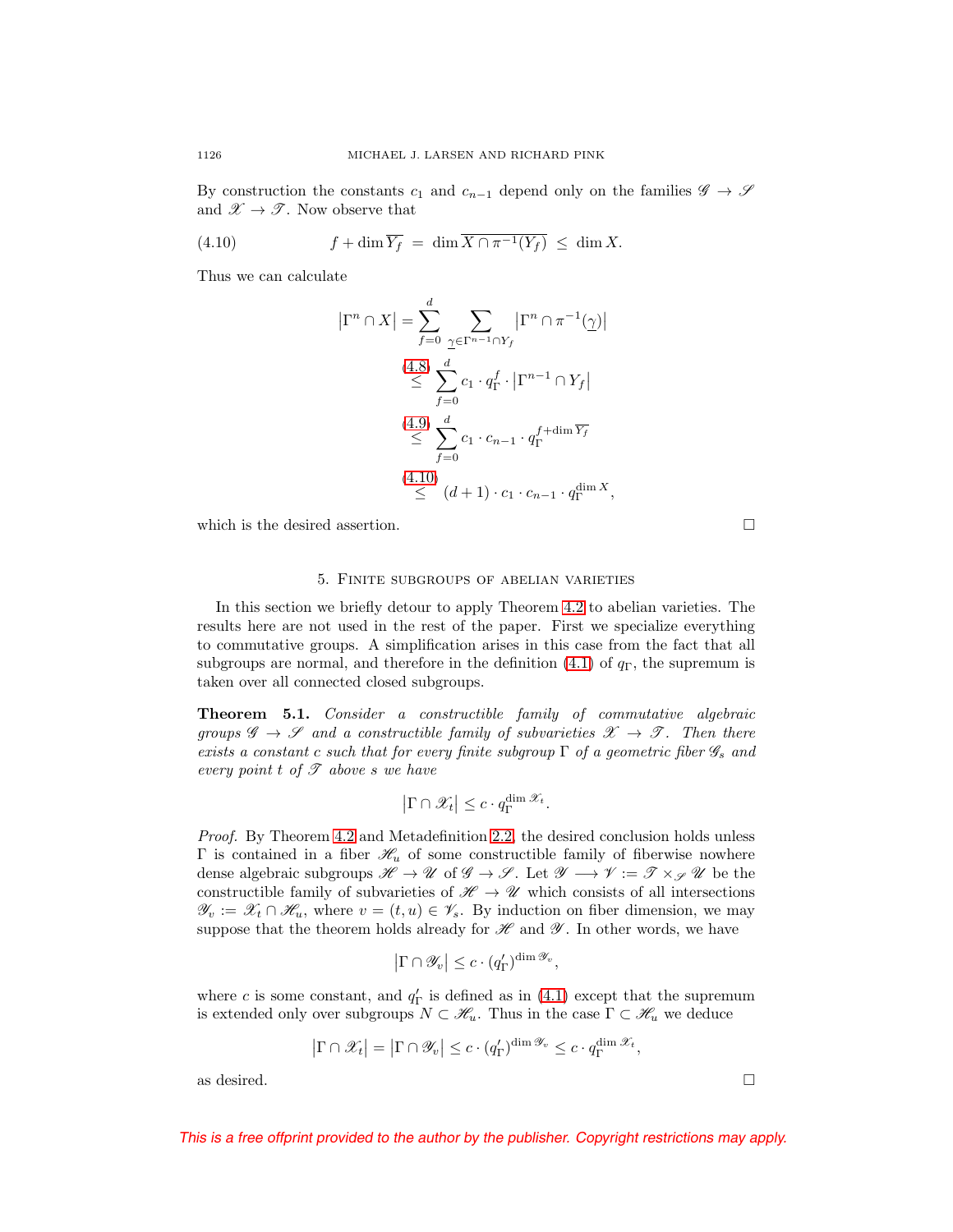By construction the constants  $c_1$  and  $c_{n-1}$  depend only on the families  $\mathscr{G} \to \mathscr{S}$ and  $\mathscr{X} \to \mathscr{T}$ . Now observe that

<span id="page-21-1"></span>(4.10) 
$$
f + \dim \overline{Y_f} = \dim \overline{X \cap \pi^{-1}(Y_f)} \leq \dim X.
$$

Thus we can calculate

$$
\left|\Gamma^n \cap X\right| = \sum_{f=0}^d \sum_{\substack{\gamma \in \Gamma^{n-1} \cap Y_f}} \left|\Gamma^n \cap \pi^{-1}(\gamma)\right|
$$
  
\n
$$
\stackrel{(4.8)}{\leq} \sum_{f=0}^d c_1 \cdot q_\Gamma^f \cdot \left|\Gamma^{n-1} \cap Y_f\right|
$$
  
\n
$$
\stackrel{(4.9)}{\leq} \sum_{f=0}^d c_1 \cdot c_{n-1} \cdot q_\Gamma^{f+\dim \overline{Y_f}}
$$
  
\n
$$
\stackrel{(4.10)}{\leq} (d+1) \cdot c_1 \cdot c_{n-1} \cdot q_\Gamma^{\dim X},
$$

<span id="page-21-0"></span>which is the desired assertion.  $\Box$ 

## 5. Finite subgroups of abelian varieties

In this section we briefly detour to apply Theorem [4.2](#page-17-1) to abelian varieties. The results here are not used in the rest of the paper. First we specialize everything to commutative groups. A simplification arises in this case from the fact that all subgroups are normal, and therefore in the definition  $(4.1)$  of  $q<sub>\Gamma</sub>$ , the supremum is taken over all connected closed subgroups.

<span id="page-21-2"></span>**Theorem 5.1.** Consider a constructible family of commutative algebraic groups  $\mathscr{G} \to \mathscr{S}$  and a constructible family of subvarieties  $\mathscr{X} \to \mathscr{T}$ . Then there exists a constant c such that for every finite subgroup  $\Gamma$  of a geometric fiber  $\mathscr{G}_s$  and every point t of  $\mathscr T$  above s we have

$$
\left|\Gamma \cap \mathscr{X}_t\right| \leq c \cdot q_{\Gamma}^{\dim \mathscr{X}_t}.
$$

Proof. By Theorem [4.2](#page-17-1) and Metadefinition [2.2,](#page-12-1) the desired conclusion holds unless Γ is contained in a fiber  $\mathcal{H}_u$  of some constructible family of fiberwise nowhere dense algebraic subgroups  $\mathscr{H} \to \mathscr{U}$  of  $\mathscr{G} \to \mathscr{S}$ . Let  $\mathscr{Y} \to \mathscr{V} := \mathscr{T} \times_{\mathscr{S}} \mathscr{U}$  be the constructible family of subvarieties of  $\mathscr{H} \to \mathscr{U}$  which consists of all intersections  $\mathscr{Y}_v := \mathscr{X}_t \cap \mathscr{H}_u$ , where  $v = (t, u) \in \mathscr{V}_s$ . By induction on fiber dimension, we may suppose that the theorem holds already for  $\mathscr H$  and  $\mathscr Y$ . In other words, we have

$$
\left|\Gamma\cap\mathscr{Y}_{v}\right|\leq c\cdot(q_{\Gamma}')^{\dim\mathscr{Y}_{v}},
$$

where c is some constant, and  $q_{\Gamma}'$  is defined as in [\(4.1\)](#page-17-2) except that the supremum is extended only over subgroups  $N \subset \mathcal{H}_u$ . Thus in the case  $\Gamma \subset \mathcal{H}_u$  we deduce

$$
|\Gamma \cap \mathscr{X}_t| = |\Gamma \cap \mathscr{Y}_v| \le c \cdot (q'_{\Gamma})^{\dim \mathscr{Y}_v} \le c \cdot q_{\Gamma}^{\dim \mathscr{X}_t},
$$

as desired.  $\Box$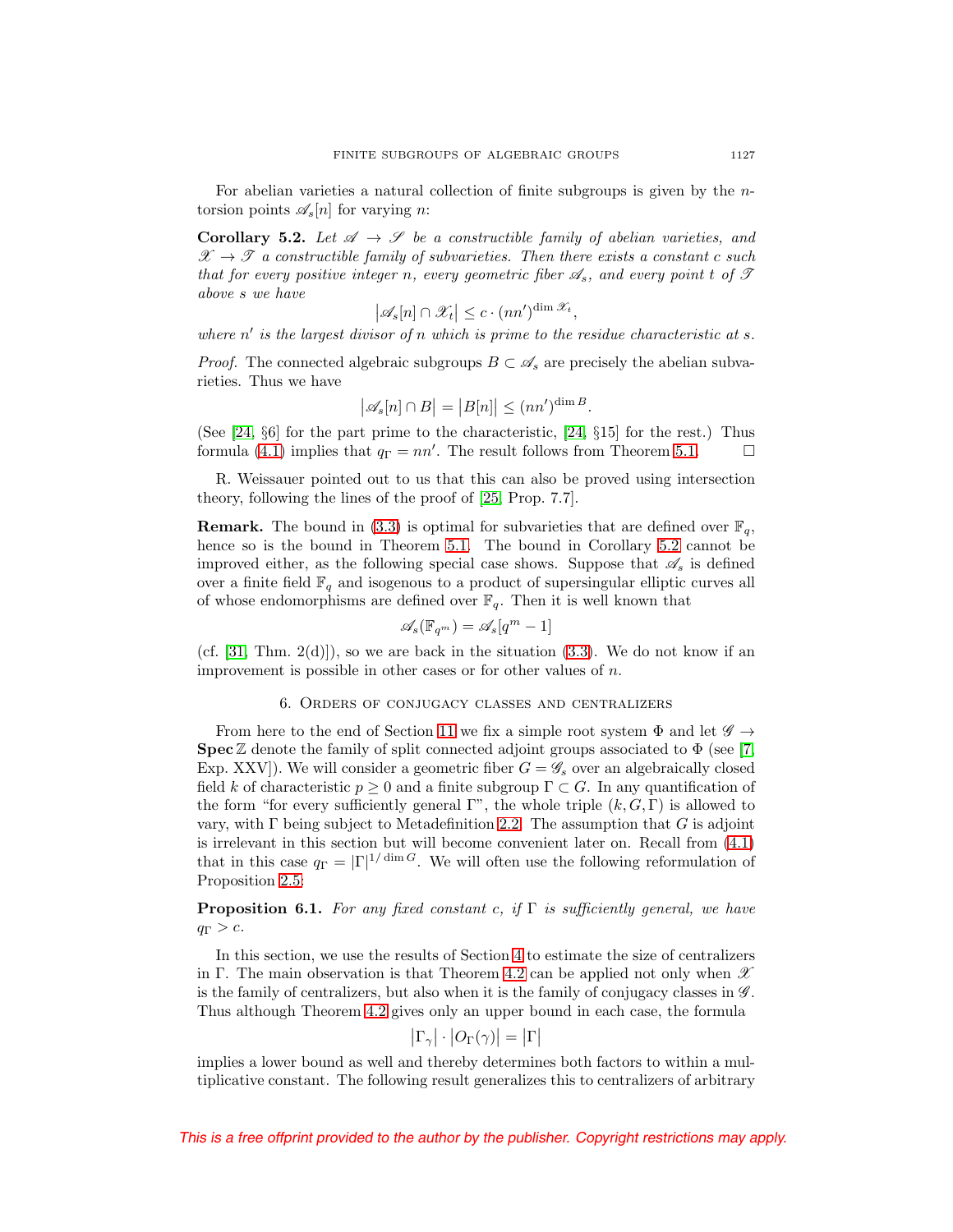For abelian varieties a natural collection of finite subgroups is given by the ntorsion points  $\mathscr{A}_{s}[n]$  for varying n:

<span id="page-22-1"></span>**Corollary 5.2.** Let  $\mathscr A \to \mathscr S$  be a constructible family of abelian varieties, and  $\mathscr{X} \to \mathscr{T}$  a constructible family of subvarieties. Then there exists a constant c such that for every positive integer n, every geometric fiber  $\mathscr{A}_s$ , and every point t of  $\mathscr{T}$ above s we have

$$
\left|\mathscr{A}_{s}[n]\cap\mathscr{X}_{t}\right|\leq c\cdot (nn')^{\dim\mathscr{X}_{t}},
$$

where  $n'$  is the largest divisor of n which is prime to the residue characteristic at s.

*Proof.* The connected algebraic subgroups  $B \subset \mathscr{A}_s$  are precisely the abelian subvarieties. Thus we have

$$
|\mathscr{A}_s[n] \cap B| = |B[n]| \le (nn')^{\dim B}.
$$

(See [\[24,](#page-52-17) §6] for the part prime to the characteristic, [\[24,](#page-52-17) §15] for the rest.) Thus formula [\(4.1\)](#page-17-2) implies that  $q_{\Gamma} = nn'$ . The result follows from Theorem [5.1.](#page-21-2)  $\Box$ 

R. Weissauer pointed out to us that this can also be proved using intersection theory, following the lines of the proof of [\[25,](#page-52-21) Prop. 7.7].

**Remark.** The bound in [\(3.3\)](#page-15-2) is optimal for subvarieties that are defined over  $\mathbb{F}_q$ , hence so is the bound in Theorem [5.1.](#page-21-2) The bound in Corollary [5.2](#page-22-1) cannot be improved either, as the following special case shows. Suppose that  $\mathscr{A}_s$  is defined over a finite field  $\mathbb{F}_q$  and isogenous to a product of supersingular elliptic curves all of whose endomorphisms are defined over  $\mathbb{F}_q$ . Then it is well known that

$$
\mathscr{A}_{s}(\mathbb{F}_{q^m}) = \mathscr{A}_{s}[q^m - 1]
$$

<span id="page-22-0"></span>(cf.  $[31, Thm. 2(d)]$  $[31, Thm. 2(d)]$ ), so we are back in the situation  $(3.3)$ . We do not know if an improvement is possible in other cases or for other values of  $n$ .

### 6. Orders of conjugacy classes and centralizers

From here to the end of Section [11](#page-44-0) we fix a simple root system  $\Phi$  and let  $\mathscr{G} \rightarrow$ **Spec**  $\mathbb{Z}$  denote the family of split connected adjoint groups associated to  $\Phi$  (see [\[7,](#page-52-15) Exp. XXV]). We will consider a geometric fiber  $G = \mathscr{G}_s$  over an algebraically closed field k of characteristic  $p \geq 0$  and a finite subgroup  $\Gamma \subset G$ . In any quantification of the form "for every sufficiently general  $\Gamma$ ", the whole triple  $(k, G, \Gamma)$  is allowed to vary, with  $\Gamma$  being subject to Metadefinition [2.2.](#page-12-1) The assumption that G is adjoint is irrelevant in this section but will become convenient later on. Recall from [\(4.1\)](#page-17-2) that in this case  $q_{\Gamma} = |\Gamma|^{1/\dim G}$ . We will often use the following reformulation of Proposition [2.5:](#page-14-2)

<span id="page-22-2"></span>**Proposition 6.1.** For any fixed constant c, if  $\Gamma$  is sufficiently general, we have  $q_{\Gamma} > c.$ 

In this section, we use the results of Section [4](#page-17-0) to estimate the size of centralizers in Γ. The main observation is that Theorem [4.2](#page-17-1) can be applied not only when  $\mathscr X$ is the family of centralizers, but also when it is the family of conjugacy classes in  $\mathscr G$ . Thus although Theorem [4.2](#page-17-1) gives only an upper bound in each case, the formula

$$
\left|\Gamma_{\gamma}\right|\cdot\left|O_{\Gamma}(\gamma)\right|=\left|\Gamma\right|
$$

implies a lower bound as well and thereby determines both factors to within a multiplicative constant. The following result generalizes this to centralizers of arbitrary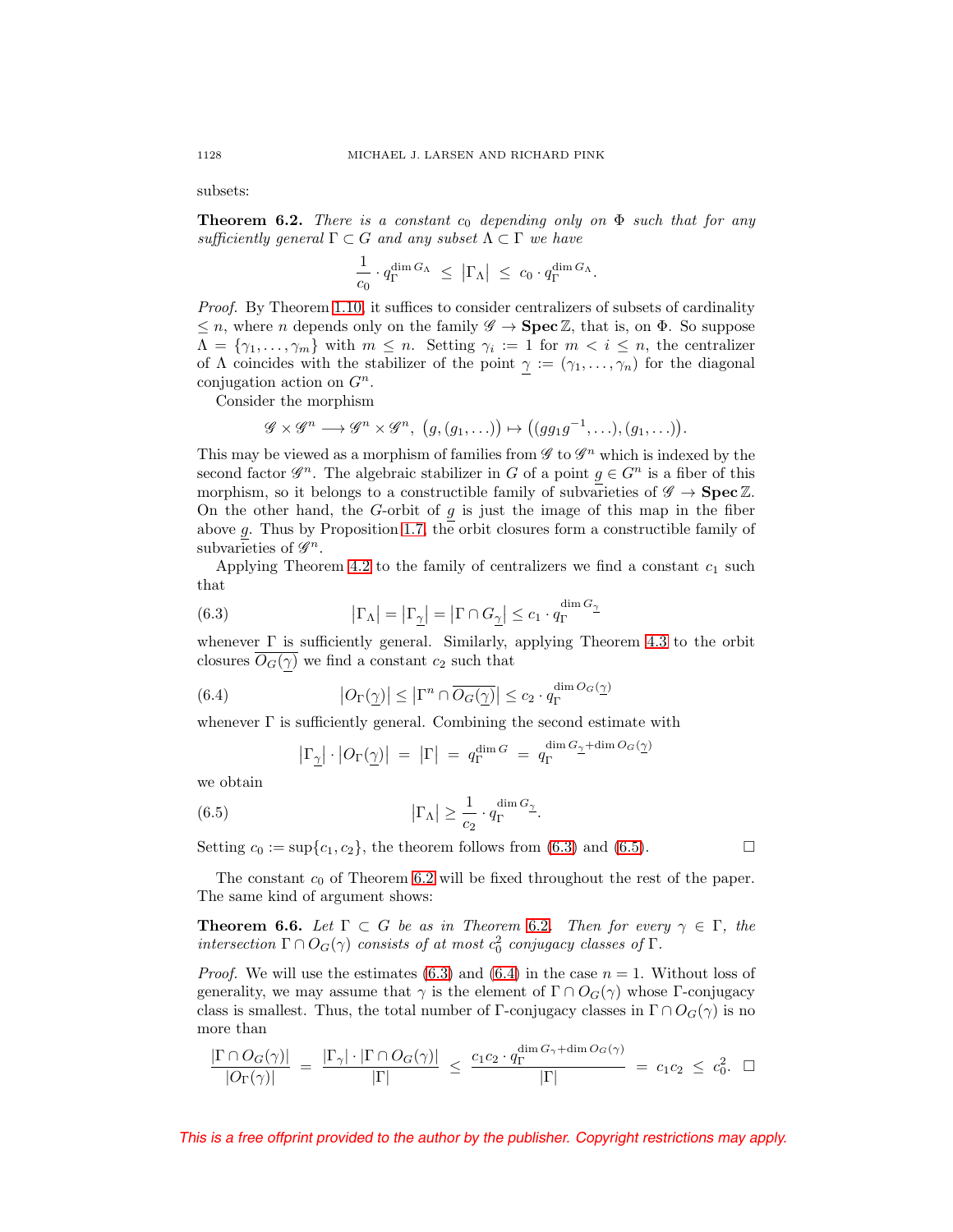subsets:

<span id="page-23-0"></span>**Theorem 6.2.** There is a constant  $c_0$  depending only on  $\Phi$  such that for any sufficiently general  $\Gamma \subset G$  and any subset  $\Lambda \subset \Gamma$  we have

$$
\frac{1}{c_0} \cdot q_{\Gamma}^{\dim G_{\Lambda}} \ \leq \ \left| \Gamma_{\Lambda} \right| \ \leq \ c_0 \cdot q_{\Gamma}^{\dim G_{\Lambda}}.
$$

Proof. By Theorem [1.10,](#page-8-0) it suffices to consider centralizers of subsets of cardinality  $\leq n$ , where *n* depends only on the family  $\mathscr{G} \to \mathbf{Spec}\mathbb{Z}$ , that is, on  $\Phi$ . So suppose  $\Lambda = \{\gamma_1, \ldots, \gamma_m\}$  with  $m \leq n$ . Setting  $\gamma_i := 1$  for  $m < i \leq n$ , the centralizer of  $\Lambda$  coincides with the stabilizer of the point  $\gamma := (\gamma_1, \ldots, \gamma_n)$  for the diagonal conjugation action on  $G<sup>n</sup>$ .

Consider the morphism

$$
\mathscr{G} \times \mathscr{G}^n \longrightarrow \mathscr{G}^n \times \mathscr{G}^n, \ (g,(g_1,\ldots)) \mapsto ((gg_1g^{-1},\ldots),(g_1,\ldots)).
$$

This may be viewed as a morphism of families from  $\mathscr G$  to  $\mathscr G^n$  which is indexed by the second factor  $\mathscr{G}^n$ . The algebraic stabilizer in G of a point  $g \in G^n$  is a fiber of this morphism, so it belongs to a constructible family of subvarieties of  $\mathscr{G} \to \mathbf{Spec} \mathbb{Z}$ . On the other hand, the G-orbit of  $g$  is just the image of this map in the fiber above g. Thus by Proposition [1.7,](#page-7-1) the orbit closures form a constructible family of subvarieties of  $\mathscr{G}^n$ .

Applying Theorem [4.2](#page-17-1) to the family of centralizers we find a constant  $c_1$  such that

<span id="page-23-1"></span>(6.3) 
$$
|\Gamma_{\Lambda}| = |\Gamma_{\underline{\gamma}}| = |\Gamma \cap G_{\underline{\gamma}}| \le c_1 \cdot q_{\Gamma}^{\dim G_{\underline{\gamma}}}
$$

whenever  $\Gamma$  is sufficiently general. Similarly, applying Theorem [4.3](#page-17-3) to the orbit closures  $O<sub>G</sub>(\gamma)$  we find a constant  $c_2$  such that

<span id="page-23-3"></span>(6.4) 
$$
|O_{\Gamma}(\underline{\gamma})| \leq |\Gamma^n \cap \overline{O_G(\underline{\gamma})}| \leq c_2 \cdot q_{\Gamma}^{\dim O_G(\underline{\gamma})}
$$

whenever  $\Gamma$  is sufficiently general. Combining the second estimate with

$$
\left|\Gamma_{\underline{\gamma}}\right|\cdot\left|O_{\Gamma}(\underline{\gamma})\right| \;=\; \left|\Gamma\right| \;=\; q_{\Gamma}^{\dim G} \;=\; q_{\Gamma}^{\dim G_{\underline{\gamma}} + \dim O_{G}(\underline{\gamma})}
$$

we obtain

<span id="page-23-2"></span>(6.5) 
$$
\left|\Gamma_{\Lambda}\right| \geq \frac{1}{c_2} \cdot q_{\Gamma}^{\dim G_{\underline{\gamma}}}
$$

Setting  $c_0 := \sup\{c_1, c_2\}$ , the theorem follows from [\(6.3\)](#page-23-1) and [\(6.5\)](#page-23-2).

The constant  $c_0$  of Theorem [6.2](#page-23-0) will be fixed throughout the rest of the paper. The same kind of argument shows:

<span id="page-23-4"></span>**Theorem 6.6.** Let  $\Gamma \subset G$  be as in Theorem [6.2](#page-23-0). Then for every  $\gamma \in \Gamma$ , the intersection  $\Gamma \cap O_G(\gamma)$  consists of at most  $c_0^2$  conjugacy classes of  $\Gamma$ .

*Proof.* We will use the estimates [\(6.3\)](#page-23-1) and [\(6.4\)](#page-23-3) in the case  $n = 1$ . Without loss of generality, we may assume that  $\gamma$  is the element of  $\Gamma \cap O_G(\gamma)$  whose  $\Gamma$ -conjugacy class is smallest. Thus, the total number of Γ-conjugacy classes in  $\Gamma \cap O_G(\gamma)$  is no more than

$$
\frac{|\Gamma \cap O_G(\gamma)|}{|O_{\Gamma}(\gamma)|} = \frac{|\Gamma_{\gamma}| \cdot |\Gamma \cap O_G(\gamma)|}{|\Gamma|} \le \frac{c_1 c_2 \cdot q_{\Gamma}^{\dim G_{\gamma} + \dim O_G(\gamma)}}{|\Gamma|} = c_1 c_2 \le c_0^2. \quad \Box
$$

This is a free offprint provided to the author by the publisher. Copyright restrictions may apply.

 $\Box$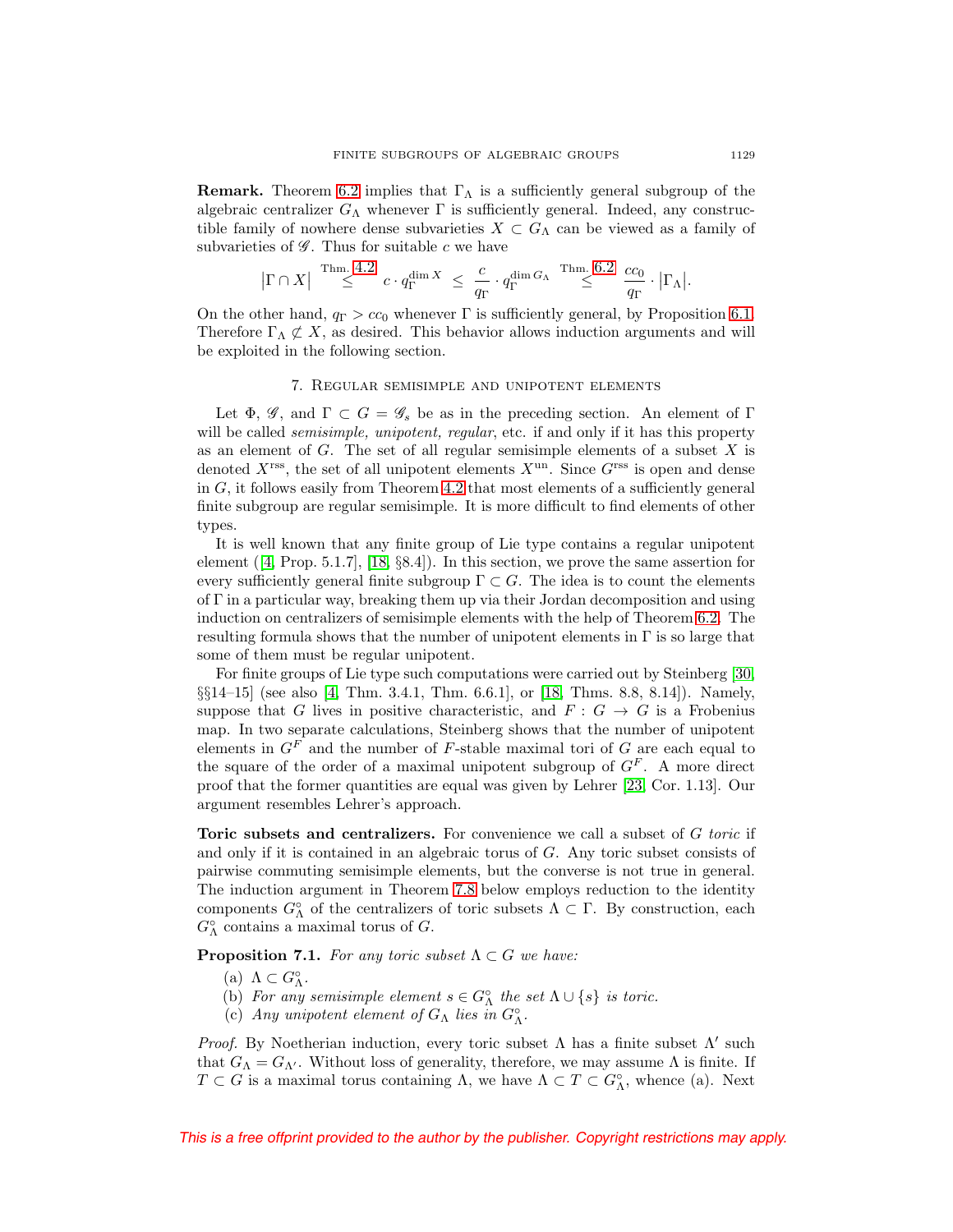**Remark.** Theorem [6.2](#page-23-0) implies that  $\Gamma_{\Lambda}$  is a sufficiently general subgroup of the algebraic centralizer  $G_{\Lambda}$  whenever  $\Gamma$  is sufficiently general. Indeed, any constructible family of nowhere dense subvarieties  $X \subset G_\Lambda$  can be viewed as a family of subvarieties of  $\mathscr G$ . Thus for suitable c we have

$$
\big|\Gamma\cap X\big|\overset{\mathrm{Thm.}}{\leq} 4.2\, \, c\cdot q_{\Gamma}^{\dim X}\ \leq\ \frac{c}{q_{\Gamma}}\cdot q_{\Gamma}^{\dim G_{\Lambda}}\overset{\mathrm{Thm.}}{\leq} 6.2\, \, \frac{cc_0}{q_{\Gamma}}\cdot \big|\Gamma_{\Lambda}\big|.
$$

On the other hand,  $q_{\Gamma} > cc_0$  whenever  $\Gamma$  is sufficiently general, by Proposition [6.1.](#page-22-2) Therefore  $\Gamma_{\Lambda} \not\subset X$ , as desired. This behavior allows induction arguments and will be exploited in the following section.

## 7. Regular semisimple and unipotent elements

<span id="page-24-0"></span>Let  $\Phi$ , G, and  $\Gamma \subset G = \mathscr{G}_s$  be as in the preceding section. An element of  $\Gamma$ will be called *semisimple, unipotent, regular*, etc. if and only if it has this property as an element of  $G$ . The set of all regular semisimple elements of a subset  $X$  is denoted  $X^{\text{rss}}$ , the set of all unipotent elements  $X^{\text{un}}$ . Since  $G^{\text{rss}}$  is open and dense in  $G$ , it follows easily from Theorem [4.2](#page-17-1) that most elements of a sufficiently general finite subgroup are regular semisimple. It is more difficult to find elements of other types.

It is well known that any finite group of Lie type contains a regular unipotent element  $(4, \text{Prop. } 5.1.7]$ ,  $[18, \{8.4\}]$  $[18, \{8.4\}]$ . In this section, we prove the same assertion for every sufficiently general finite subgroup  $\Gamma \subset G$ . The idea is to count the elements of Γ in a particular way, breaking them up via their Jordan decomposition and using induction on centralizers of semisimple elements with the help of Theorem [6.2.](#page-23-0) The resulting formula shows that the number of unipotent elements in  $\Gamma$  is so large that some of them must be regular unipotent.

For finite groups of Lie type such computations were carried out by Steinberg [\[30,](#page-53-2) §§14–15] (see also [\[4,](#page-52-20) Thm. 3.4.1, Thm. 6.6.1], or [\[18,](#page-52-22) Thms. 8.8, 8.14]). Namely, suppose that G lives in positive characteristic, and  $F: G \to G$  is a Frobenius map. In two separate calculations, Steinberg shows that the number of unipotent elements in  $G<sup>F</sup>$  and the number of F-stable maximal tori of G are each equal to the square of the order of a maximal unipotent subgroup of  $G<sup>F</sup>$ . A more direct proof that the former quantities are equal was given by Lehrer [\[23,](#page-52-23) Cor. 1.13]. Our argument resembles Lehrer's approach.

<span id="page-24-1"></span>**Toric subsets and centralizers.** For convenience we call a subset of G toric if and only if it is contained in an algebraic torus of G. Any toric subset consists of pairwise commuting semisimple elements, but the converse is not true in general. The induction argument in Theorem [7.8](#page-27-0) below employs reduction to the identity components  $G^{\circ}_{\Lambda}$  of the centralizers of toric subsets  $\Lambda \subset \Gamma$ . By construction, each  $G^{\circ}_{\Lambda}$  contains a maximal torus of  $G$ .

<span id="page-24-2"></span>**Proposition 7.1.** For any toric subset  $\Lambda \subset G$  we have:

- (a)  $\Lambda \subset G_{\Lambda}^{\circ}.$
- (b) For any semisimple element  $s \in G^{\circ}_{\Lambda}$  the set  $\Lambda \cup \{s\}$  is toric.
- (c) Any unipotent element of  $G_{\Lambda}$  lies in  $G_{\Lambda}^{\circ}$ .

Proof. By Noetherian induction, every toric subset  $\Lambda$  has a finite subset  $\Lambda'$  such that  $G_{\Lambda} = G_{\Lambda'}$ . Without loss of generality, therefore, we may assume  $\Lambda$  is finite. If  $T \subset G$  is a maximal torus containing  $\Lambda$ , we have  $\Lambda \subset T \subset G_{\Lambda}^{\circ}$ , whence (a). Next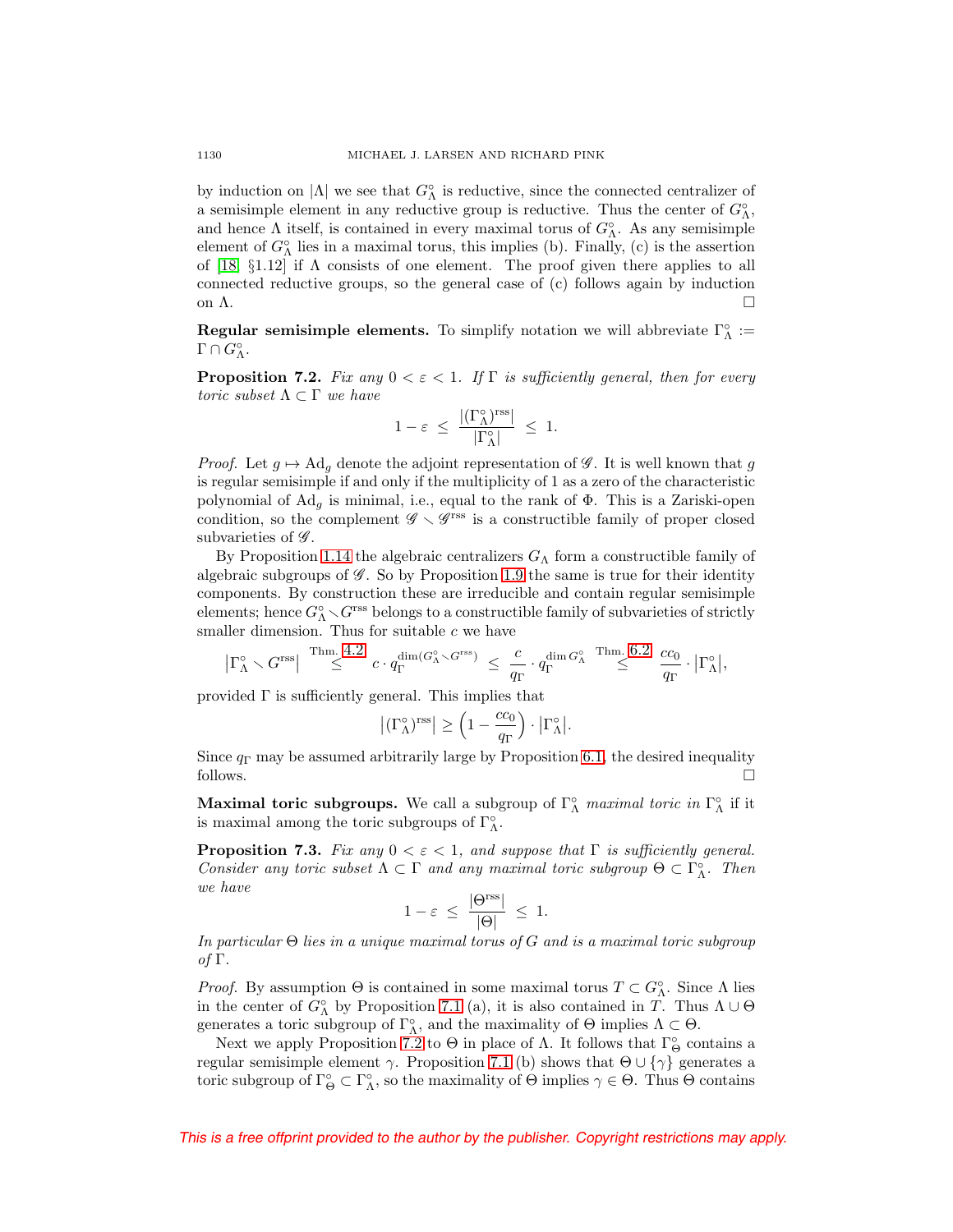by induction on  $|\Lambda|$  we see that  $G^{\circ}_{\Lambda}$  is reductive, since the connected centralizer of a semisimple element in any reductive group is reductive. Thus the center of  $G^{\circ}_{\Lambda}$ , and hence  $\Lambda$  itself, is contained in every maximal torus of  $G^{\circ}_{\Lambda}$ . As any semisimple element of  $G^{\circ}_{\Lambda}$  lies in a maximal torus, this implies (b). Finally, (c) is the assertion of [\[18,](#page-52-22) §1.12] if  $\Lambda$  consists of one element. The proof given there applies to all connected reductive groups, so the general case of (c) follows again by induction on  $\Lambda$ .

**Regular semisimple elements.** To simplify notation we will abbreviate  $\Gamma^{\circ}_{\Lambda}$  :=  $\Gamma \cap G_\Lambda^\circ$ .

<span id="page-25-1"></span>**Proposition 7.2.** Fix any  $0 < \varepsilon < 1$ . If  $\Gamma$  is sufficiently general, then for every toric subset  $\Lambda \subset \Gamma$  we have

$$
1-\varepsilon \ \leq \ \frac{|(\Gamma_{\Lambda}^{\circ})^{\mathrm{rss}}|}{|\Gamma_{\Lambda}^{\circ}|} \ \leq \ 1.
$$

*Proof.* Let  $g \mapsto \text{Ad}_g$  denote the adjoint representation of  $\mathscr{G}$ . It is well known that g is regular semisimple if and only if the multiplicity of 1 as a zero of the characteristic polynomial of  $Ad<sub>q</sub>$  is minimal, i.e., equal to the rank of  $\Phi$ . This is a Zariski-open condition, so the complement  $\mathscr{G} \setminus \mathscr{G}^{\text{rss}}$  is a constructible family of proper closed subvarieties of  $\mathscr{G}$ .

By Proposition [1.14](#page-10-1) the algebraic centralizers  $G_{\Lambda}$  form a constructible family of algebraic subgroups of  $\mathscr G$ . So by Proposition [1.9](#page-8-1) the same is true for their identity components. By construction these are irreducible and contain regular semisimple elements; hence  $G^{\circ}_{\Lambda} \setminus G^{\text{rss}}$  belongs to a constructible family of subvarieties of strictly smaller dimension. Thus for suitable  $c$  we have

$$
\left|\Gamma_\Lambda^{\circ} \smallsetminus G^{\mathrm{rss}}\right| \overset{\mathrm{Thm.}}{\leq} \overset{4.2}{\leq} c \cdot q_{\Gamma}^{\dim(G^\circ_{\Lambda} \smallsetminus G^{\mathrm{rss}})} \;\leq\; \frac{c}{q_{\Gamma}} \cdot q_{\Gamma}^{\dim G^\circ_{\Lambda}} \overset{\mathrm{Thm.}}{\leq} \frac{6.2}{q_{\Gamma}} \cdot \left|\Gamma_\Lambda^{\circ}\right|,
$$

provided  $\Gamma$  is sufficiently general. This implies that

$$
\left| (\Gamma_{\Lambda}^{\circ})^{\mathrm{rss}} \right| \geq \left(1-\frac{cc_0}{q_{\Gamma}}\right) \cdot \left| \Gamma_{\Lambda}^{\circ} \right|.
$$

Since  $q_{\Gamma}$  may be assumed arbitrarily large by Proposition [6.1,](#page-22-2) the desired inequality follows.  $\Box$ 

**Maximal toric subgroups.** We call a subgroup of  $\Gamma^{\circ}_{\Lambda}$  maximal toric in  $\Gamma^{\circ}_{\Lambda}$  if it is maximal among the toric subgroups of  $\Gamma_\Lambda^\circ.$ 

<span id="page-25-0"></span>**Proposition 7.3.** Fix any  $0 < \varepsilon < 1$ , and suppose that  $\Gamma$  is sufficiently general. Consider any toric subset  $\Lambda \subset \Gamma$  and any maximal toric subgroup  $\Theta \subset \Gamma_{\Lambda}^{\circ}$ . Then we have

$$
1 - \varepsilon \ \leq \ \frac{|\Theta^{\text{rss}}|}{|\Theta|} \ \leq \ 1.
$$

In particular  $\Theta$  lies in a unique maximal torus of G and is a maximal toric subgroup of Γ.

*Proof.* By assumption  $\Theta$  is contained in some maximal torus  $T \subset G^{\circ}_{\Lambda}$ . Since  $\Lambda$  lies in the center of  $G^{\circ}_{\Lambda}$  by Proposition [7.1](#page-24-2) (a), it is also contained in T. Thus  $\Lambda \cup \Theta$ generates a toric subgroup of  $\Gamma^{\circ}_{\Lambda}$ , and the maximality of  $\Theta$  implies  $\Lambda \subset \Theta$ .

Next we apply Proposition [7.2](#page-25-1) to  $\Theta$  in place of  $\Lambda$ . It follows that  $\Gamma_{\Theta}^{\circ}$  contains a regular semisimple element  $\gamma$ . Proposition [7.1](#page-24-2) (b) shows that  $\Theta \cup {\gamma}$  generates a toric subgroup of  $\Gamma^{\circ}_{\Theta} \subset \Gamma^{\circ}_{\Lambda}$ , so the maximality of  $\Theta$  implies  $\gamma \in \Theta$ . Thus  $\Theta$  contains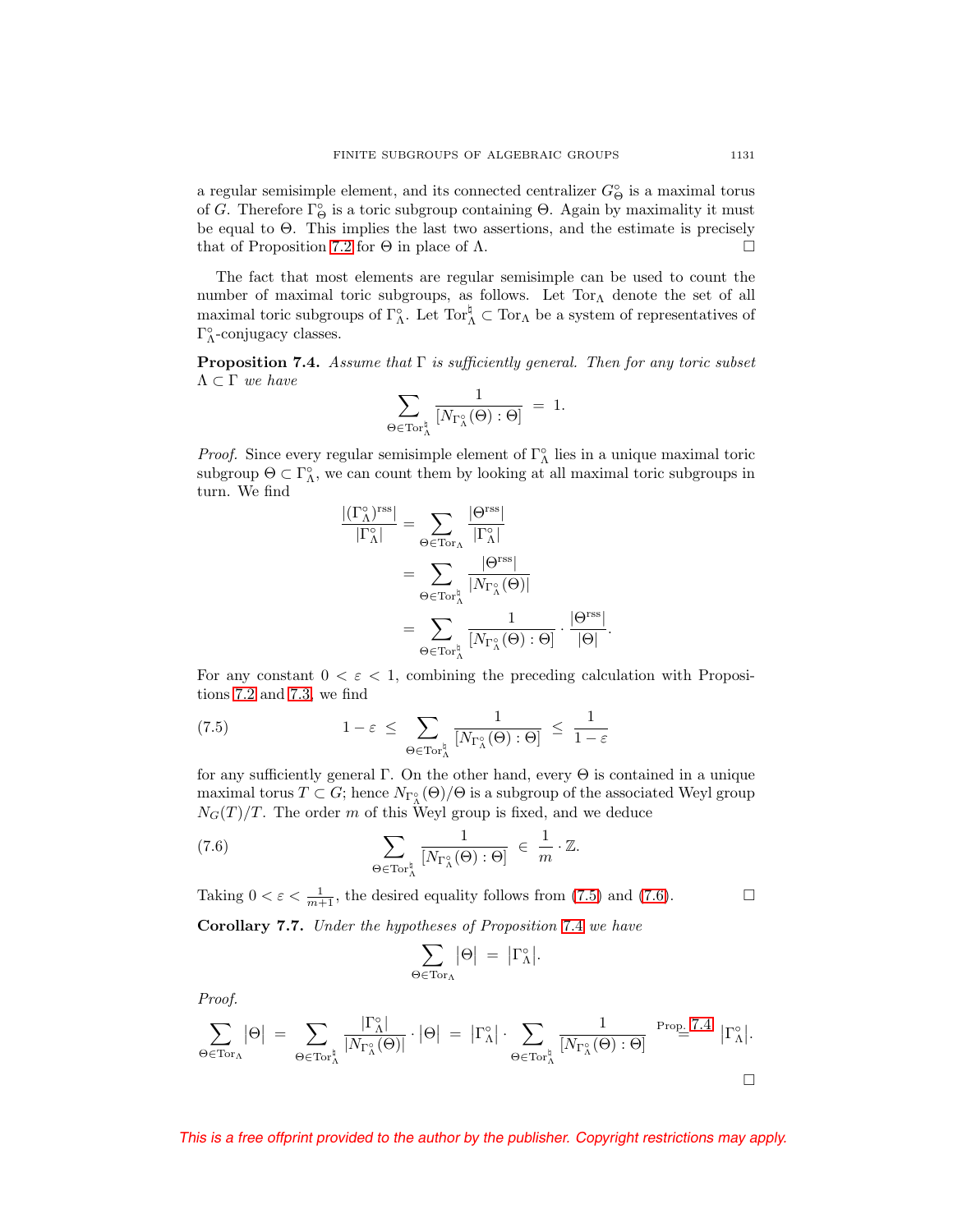a regular semisimple element, and its connected centralizer  $G^{\circ}_{\Theta}$  is a maximal torus of G. Therefore  $\Gamma_{\Theta}^{\circ}$  is a toric subgroup containing  $\Theta$ . Again by maximality it must be equal to Θ. This implies the last two assertions, and the estimate is precisely that of Proposition [7.2](#page-25-1) for  $\Theta$  in place of  $\Lambda$ .

The fact that most elements are regular semisimple can be used to count the number of maximal toric subgroups, as follows. Let  $Tor_{\Lambda}$  denote the set of all maximal toric subgroups of  $\Gamma^{\circ}_{\Lambda}$ . Let  $\text{Tor}_{\Lambda}^{\sharp} \subset \text{Tor}_{\Lambda}$  be a system of representatives of  $\Gamma_\Lambda^\circ\text{-conjugacy classes.}$ 

<span id="page-26-2"></span>**Proposition 7.4.** Assume that Γ is sufficiently general. Then for any toric subset  $Λ ⊂ Γ$  we have

$$
\sum_{\Theta\in {\rm Tor}^{\natural}_{\Lambda}}\frac{1}{[N_{\Gamma^{\circ}_{\Lambda}}(\Theta):\Theta]}\;=\;1.
$$

*Proof.* Since every regular semisimple element of  $\Gamma^{\circ}_{\Lambda}$  lies in a unique maximal toric subgroup  $\Theta \subset \Gamma_{\Lambda}^{\circ}$ , we can count them by looking at all maximal toric subgroups in turn. We find

$$
\begin{split} \frac{|(\Gamma_{\Lambda}^{\circ})^{\text{rss}}|}{|\Gamma_{\Lambda}^{\circ}|} &= \sum_{\Theta \in \text{Tor}_{\Lambda}^{\natural}} \frac{|\Theta^{\text{rss}}|}{|\Gamma_{\Lambda}^{\circ}|} \\ &= \sum_{\Theta \in \text{Tor}_{\Lambda}^{\natural}} \frac{|\Theta^{\text{rss}}|}{|N_{\Gamma_{\Lambda}^{\circ}}(\Theta)|} \\ &= \sum_{\Theta \in \text{Tor}_{\Lambda}^{\natural}} \frac{1}{|N_{\Gamma_{\Lambda}^{\circ}}(\Theta) : \Theta|} \cdot \frac{|\Theta^{\text{rss}}|}{|\Theta|}. \end{split}
$$

For any constant  $0 < \varepsilon < 1$ , combining the preceding calculation with Propositions [7.2](#page-25-1) and [7.3,](#page-25-0) we find

<span id="page-26-0"></span>(7.5) 
$$
1 - \varepsilon \leq \sum_{\Theta \in \operatorname{Tor}^{\natural}_{\Lambda}} \frac{1}{[N_{\Gamma_{\Lambda}^{\circ}}(\Theta) : \Theta]} \leq \frac{1}{1 - \varepsilon}
$$

for any sufficiently general Γ. On the other hand, every  $\Theta$  is contained in a unique maximal torus  $T \subset G$ ; hence  $N_{\Gamma_{\Lambda}^{\circ}}(\Theta)/\Theta$  is a subgroup of the associated Weyl group  $N_G(T)/T$ . The order m of this Weyl group is fixed, and we deduce

<span id="page-26-1"></span>(7.6) 
$$
\sum_{\Theta \in \text{Tor}_{\Lambda}^{\natural}} \frac{1}{[N_{\Gamma_{\Lambda}^{\circ}}(\Theta) : \Theta]} \in \frac{1}{m} \cdot \mathbb{Z}.
$$

<span id="page-26-3"></span>Taking  $0 < \varepsilon < \frac{1}{m+1}$ , the desired equality follows from [\(7.5\)](#page-26-0) and [\(7.6\)](#page-26-1).  $\Box$ **Corollary 7.7.** Under the hypotheses of Proposition [7.4](#page-26-2) we have

$$
\sum_{\Theta \in \mathrm{Tor}_\Lambda} \bigl|\Theta\bigr| \;=\; \bigl|\Gamma_\Lambda^\circ\bigr|.
$$

Proof.

$$
\sum_{\Theta \in \mathrm{Tor}_\Lambda} |\Theta| \ = \ \sum_{\Theta \in \mathrm{Tor}_\Lambda^\natural} \frac{|\Gamma_\Lambda^\circ|}{|N_{\Gamma_\Lambda^\circ}(\Theta)|} \cdot |\Theta| \ = \ |\Gamma_\Lambda^\circ| \cdot \sum_{\Theta \in \mathrm{Tor}_\Lambda^\natural} \frac{1}{[N_{\Gamma_\Lambda^\circ}(\Theta) : \Theta]} \overset{\mathrm{Prop.}\ 7.4}{=} |\Gamma_\Lambda^\circ|.
$$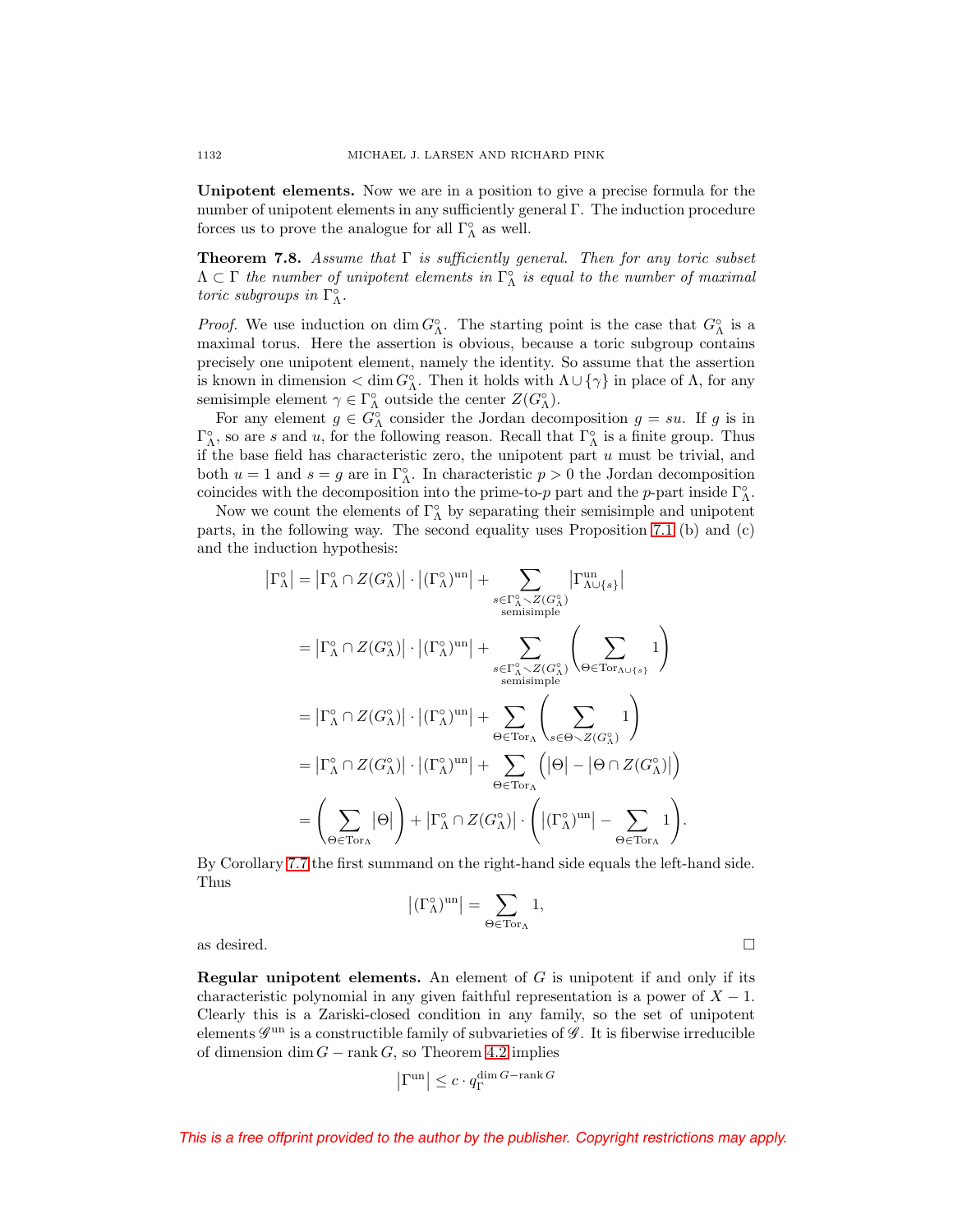**Unipotent elements.** Now we are in a position to give a precise formula for the number of unipotent elements in any sufficiently general Γ. The induction procedure forces us to prove the analogue for all  $\Gamma_\Lambda^\circ$  as well.

<span id="page-27-0"></span>**Theorem 7.8.** Assume that Γ is sufficiently general. Then for any toric subset  $\Lambda \subset \Gamma$  the number of unipotent elements in  $\Gamma_{\Lambda}^{\circ}$  is equal to the number of maximal toric subgroups in  $\Gamma_{\Lambda}^{\circ}$ .

*Proof.* We use induction on  $\dim G^{\circ}_{\Lambda}$ . The starting point is the case that  $G^{\circ}_{\Lambda}$  is a maximal torus. Here the assertion is obvious, because a toric subgroup contains precisely one unipotent element, namely the identity. So assume that the assertion is known in dimension  $\langle \dim G_{\Lambda}^{\circ}$ . Then it holds with  $\Lambda \cup {\gamma}$  in place of  $\Lambda$ , for any semisimple element  $\gamma \in \Gamma^{\circ}_{\Lambda}$  outside the center  $Z(G^{\circ}_{\Lambda})$ .

For any element  $g \in G^{\circ}_{\Lambda}$  consider the Jordan decomposition  $g = su$ . If g is in  $\Gamma_{\Lambda}^{\circ}$ , so are s and u, for the following reason. Recall that  $\Gamma_{\Lambda}^{\circ}$  is a finite group. Thus if the base field has characteristic zero, the unipotent part  $u$  must be trivial, and both  $u = 1$  and  $s = g$  are in  $\Gamma^{\circ}_{\Lambda}$ . In characteristic  $p > 0$  the Jordan decomposition coincides with the decomposition into the prime-to-p part and the p-part inside  $\Gamma^{\circ}_{\Lambda}$ .

Now we count the elements of  $\Gamma^{\circ}_{\Lambda}$  by separating their semisimple and unipotent parts, in the following way. The second equality uses Proposition [7.1](#page-24-2) (b) and (c) and the induction hypothesis:

$$
\begin{split}\n\left|\Gamma_{\Lambda}^{\circ}\right| &= \left|\Gamma_{\Lambda}^{\circ} \cap Z(G_{\Lambda}^{\circ})\right| \cdot \left|\left(\Gamma_{\Lambda}^{\circ}\right)^{\operatorname{un}}\right| + \sum_{\substack{s \in \Gamma_{\Lambda}^{\circ} \smallsetminus Z(G_{\Lambda}^{\circ}) \\ \text{semisimple} \\ \text{semisimple}}}\n\right| \\
&= \left|\Gamma_{\Lambda}^{\circ} \cap Z(G_{\Lambda}^{\circ})\right| \cdot \left|\left(\Gamma_{\Lambda}^{\circ}\right)^{\operatorname{un}}\right| + \sum_{\substack{s \in \Gamma_{\Lambda}^{\circ} \smallsetminus Z(G_{\Lambda}^{\circ}) \\ \text{semisimple}}}\n\right| \\
&= \left|\Gamma_{\Lambda}^{\circ} \cap Z(G_{\Lambda}^{\circ})\right| \cdot \left|\left(\Gamma_{\Lambda}^{\circ}\right)^{\operatorname{un}}\right| + \sum_{\Theta \in \operatorname{Tor}_{\Lambda}}\n\left(\sum_{s \in \Theta \smallsetminus Z(G_{\Lambda}^{\circ})} 1\right) \\
&= \left|\Gamma_{\Lambda}^{\circ} \cap Z(G_{\Lambda}^{\circ})\right| \cdot \left|\left(\Gamma_{\Lambda}^{\circ}\right)^{\operatorname{un}}\right| + \sum_{\Theta \in \operatorname{Tor}_{\Lambda}}\n\left(\left|\Theta\right| - \left|\Theta \cap Z(G_{\Lambda}^{\circ})\right|\right) \\
&= \left(\sum_{\Theta \in \operatorname{Tor}_{\Lambda}} \left|\Theta\right|\right) + \left|\Gamma_{\Lambda}^{\circ} \cap Z(G_{\Lambda}^{\circ})\right| \cdot \left(\left|\left(\Gamma_{\Lambda}^{\circ}\right)^{\operatorname{un}}\right| - \sum_{\Theta \in \operatorname{Tor}_{\Lambda}} 1\right).\n\end{split}
$$

By Corollary [7.7](#page-26-3) the first summand on the right-hand side equals the left-hand side. Thus

$$
\left|(\Gamma^\circ_\Lambda)^{\operatorname{un}}\right|=\sum_{\Theta\in \operatorname{Tor}_\Lambda} 1,
$$
 as desired.  $\hfill \Box$ 

**Regular unipotent elements.** An element of G is unipotent if and only if its characteristic polynomial in any given faithful representation is a power of  $X - 1$ . Clearly this is a Zariski-closed condition in any family, so the set of unipotent elements  $\mathscr G^{\mathrm{un}}$  is a constructible family of subvarieties of  $\mathscr G$ . It is fiberwise irreducible of dimension dim  $G$  – rank G, so Theorem [4.2](#page-17-1) implies

$$
\left|\Gamma^{\mathrm{un}}\right| \leq c \cdot q_{\Gamma}^{\dim G - \mathrm{rank}\, G}
$$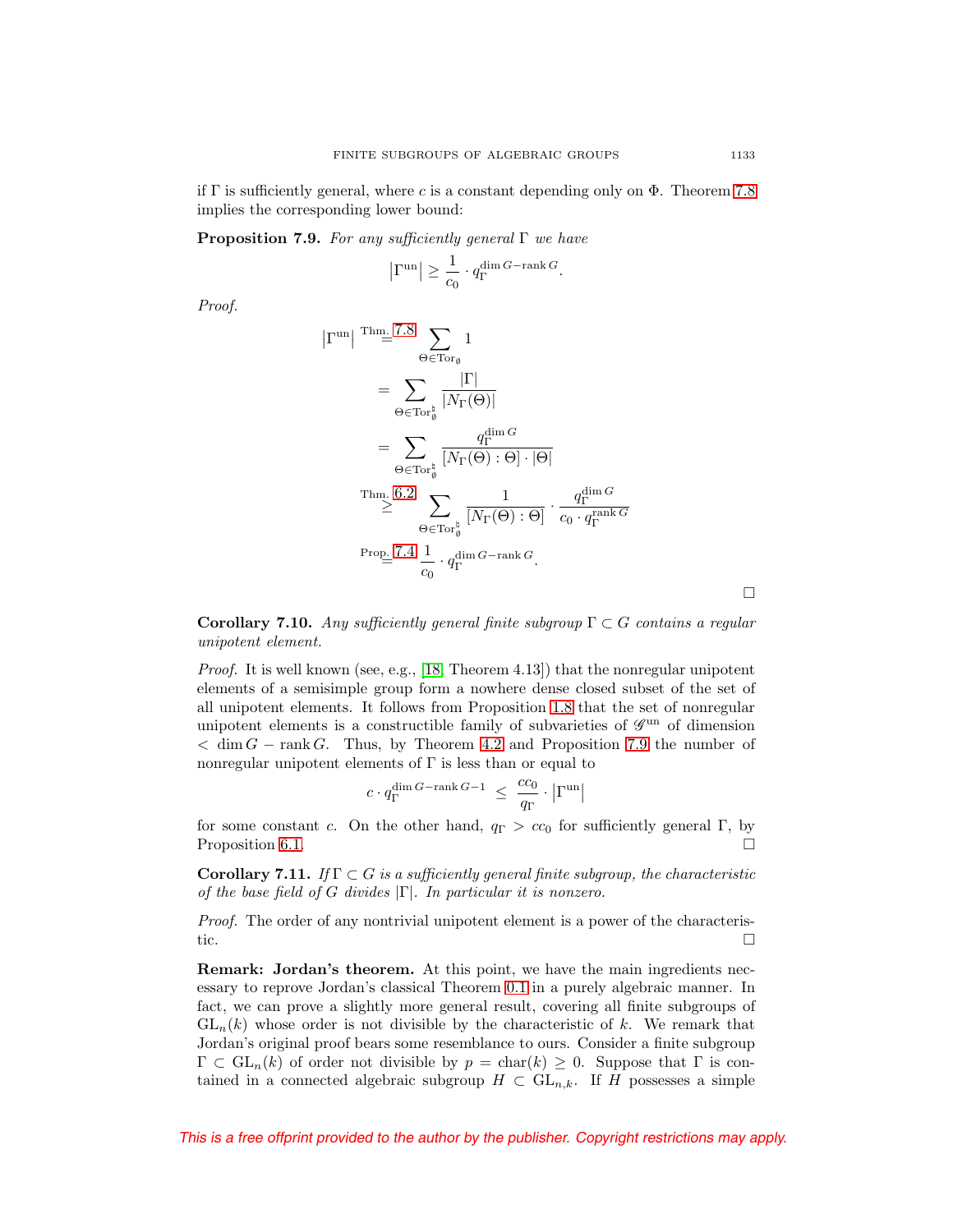if  $\Gamma$  is sufficiently general, where c is a constant depending only on  $\Phi$ . Theorem [7.8](#page-27-0) implies the corresponding lower bound:

<span id="page-28-0"></span>**Proposition 7.9.** For any sufficiently general Γ we have

$$
\left| \Gamma^{\mathrm{un}} \right| \geq \frac{1}{c_0} \cdot q_{\Gamma}^{\dim G - \mathrm{rank}\, G}.
$$

Proof.

$$
\begin{split} \left|\Gamma^{\mathrm{un}}\right| &\stackrel{\mathrm{Thm.}}{=} 7.8 \sum_{\Theta \in \mathrm{Tor}_{\emptyset}^*} 1 \\ & = \sum_{\Theta \in \mathrm{Tor}_{\emptyset}^*} \frac{|\Gamma|}{|N_{\Gamma}(\Theta)|} \\ & = \sum_{\Theta \in \mathrm{Tor}_{\emptyset}^*} \frac{q_{\Gamma}^{\dim G}}{[N_{\Gamma}(\Theta) : \Theta] \cdot |\Theta|} \\ & \stackrel{\mathrm{Thm. 6.2}}{\geq} \sum_{\Theta \in \mathrm{Tor}_{\emptyset}^*} \frac{1}{[N_{\Gamma}(\Theta) : \Theta]} \cdot \frac{q_{\Gamma}^{\dim G}}{c_0 \cdot q_{\Gamma}^{\mathrm{rank }G}} \\ & \stackrel{\mathrm{Prop. 7.4}}{=} 7.4 \frac{1}{c_0} \cdot q_{\Gamma}^{\dim G - \mathrm{rank }G}. \end{split}
$$

<span id="page-28-2"></span>**Corollary 7.10.** Any sufficiently general finite subgroup  $\Gamma \subset G$  contains a regular unipotent element.

Proof. It is well known (see, e.g., [\[18,](#page-52-22) Theorem 4.13]) that the nonregular unipotent elements of a semisimple group form a nowhere dense closed subset of the set of all unipotent elements. It follows from Proposition [1.8](#page-8-2) that the set of nonregular unipotent elements is a constructible family of subvarieties of  $\mathscr{G}^{\text{un}}$  of dimension  $< dim G - rank G$ . Thus, by Theorem [4.2](#page-17-1) and Proposition [7.9](#page-28-0) the number of nonregular unipotent elements of  $\Gamma$  is less than or equal to

$$
c\cdot q_{\Gamma}^{\dim G - \operatorname{rank} G -1} ~\leq~ \frac{cc_0}{q_{\Gamma}}\cdot \left|\Gamma^{\mathrm{un}}\right|
$$

for some constant c. On the other hand,  $q_{\Gamma} > cc_0$  for sufficiently general Γ, by Proposition [6.1.](#page-22-2)  $\Box$ 

<span id="page-28-1"></span>**Corollary 7.11.** If  $\Gamma \subset G$  is a sufficiently general finite subgroup, the characteristic of the base field of G divides  $|\Gamma|$ . In particular it is nonzero.

Proof. The order of any nontrivial unipotent element is a power of the characteristic.  $\Box$ 

**Remark: Jordan's theorem.** At this point, we have the main ingredients necessary to reprove Jordan's classical Theorem [0.1](#page-0-1) in a purely algebraic manner. In fact, we can prove a slightly more general result, covering all finite subgroups of  $GL_n(k)$  whose order is not divisible by the characteristic of k. We remark that Jordan's original proof bears some resemblance to ours. Consider a finite subgroup  $\Gamma \subset GL_n(k)$  of order not divisible by  $p = \text{char}(k) \geq 0$ . Suppose that  $\Gamma$  is contained in a connected algebraic subgroup  $H \subset GL_{n,k}$ . If H possesses a simple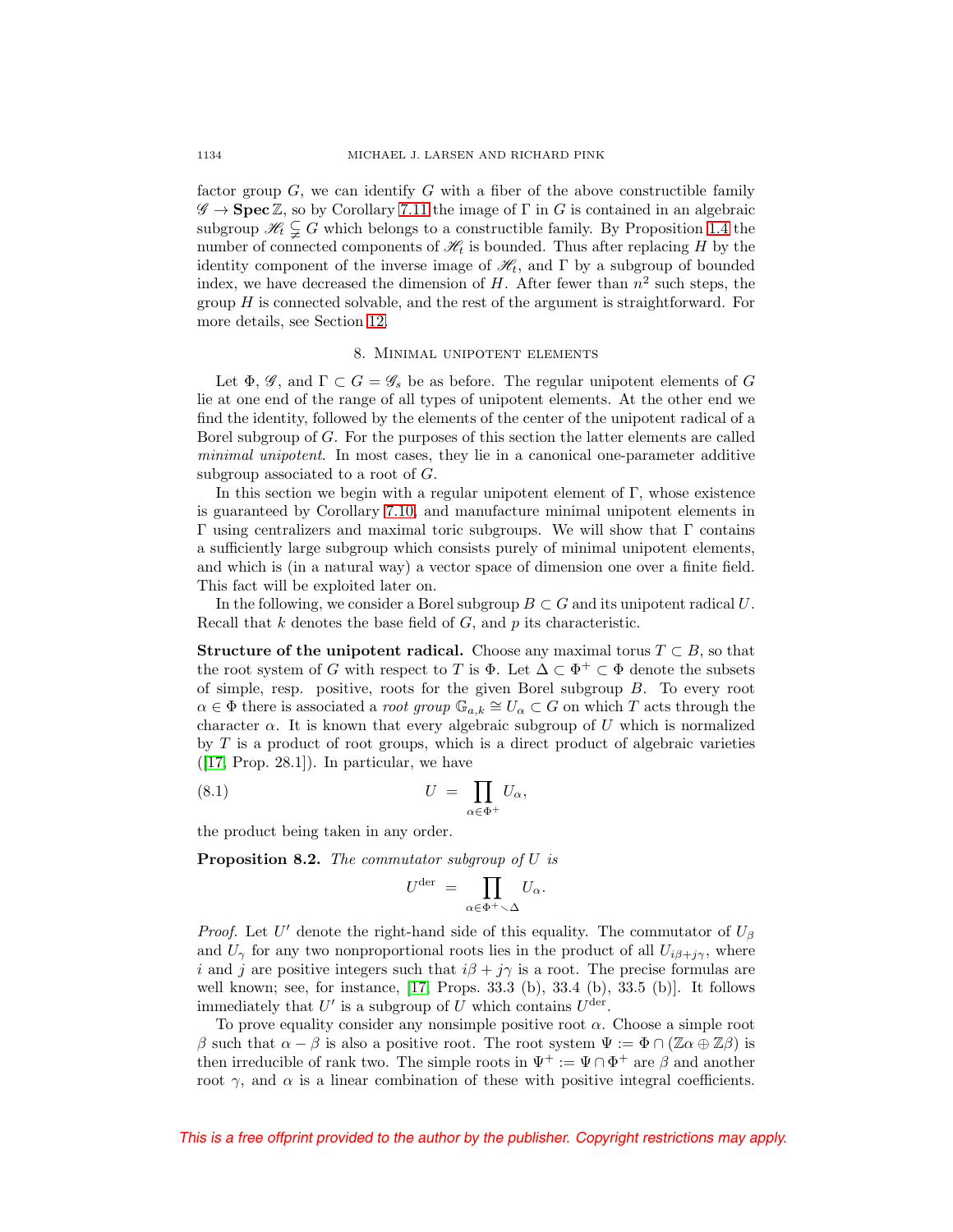factor group  $G$ , we can identify  $G$  with a fiber of the above constructible family  $\mathscr{G} \to \mathbf{Spec} \mathbb{Z}$ , so by Corollary [7.11](#page-28-1) the image of  $\Gamma$  in G is contained in an algebraic subgroup  $\mathcal{H}_t \subsetneq G$  which belongs to a constructible family. By Proposition [1.4](#page-7-0) the number of connected components of  $\mathcal{H}_t$  is bounded. Thus after replacing H by the identity component of the inverse image of  $\mathcal{H}_t$ , and  $\Gamma$  by a subgroup of bounded index, we have decreased the dimension of H. After fewer than  $n^2$  such steps, the group  $H$  is connected solvable, and the rest of the argument is straightforward. For more details, see Section [12.](#page-49-0)

## 8. Minimal unipotent elements

<span id="page-29-0"></span>Let  $\Phi$ ,  $\mathscr{G}$ , and  $\Gamma \subset G = \mathscr{G}_s$  be as before. The regular unipotent elements of G lie at one end of the range of all types of unipotent elements. At the other end we find the identity, followed by the elements of the center of the unipotent radical of a Borel subgroup of G. For the purposes of this section the latter elements are called minimal unipotent. In most cases, they lie in a canonical one-parameter additive subgroup associated to a root of G.

In this section we begin with a regular unipotent element of  $\Gamma$ , whose existence is guaranteed by Corollary [7.10,](#page-28-2) and manufacture minimal unipotent elements in Γ using centralizers and maximal toric subgroups. We will show that Γ contains a sufficiently large subgroup which consists purely of minimal unipotent elements, and which is (in a natural way) a vector space of dimension one over a finite field. This fact will be exploited later on.

In the following, we consider a Borel subgroup  $B \subset G$  and its unipotent radical U. Recall that  $k$  denotes the base field of  $G$ , and  $p$  its characteristic.

<span id="page-29-1"></span>**Structure of the unipotent radical.** Choose any maximal torus  $T \subset B$ , so that the root system of G with respect to T is  $\Phi$ . Let  $\Delta \subset \Phi^+ \subset \Phi$  denote the subsets of simple, resp. positive, roots for the given Borel subgroup B. To every root  $\alpha \in \Phi$  there is associated a root group  $\mathbb{G}_{a,k} \cong U_\alpha \subset G$  on which T acts through the character  $\alpha$ . It is known that every algebraic subgroup of U which is normalized by  $T$  is a product of root groups, which is a direct product of algebraic varieties  $([17, Prop. 28.1])$  $([17, Prop. 28.1])$  $([17, Prop. 28.1])$ . In particular, we have

<span id="page-29-2"></span>(8.1) 
$$
U = \prod_{\alpha \in \Phi^+} U_\alpha,
$$

the product being taken in any order.

<span id="page-29-3"></span>**Proposition 8.2.** The commutator subgroup of U is

$$
U^{\mathrm{der}} \ = \ \prod_{\alpha \in \Phi^+ \smallsetminus \Delta} U_\alpha.
$$

*Proof.* Let U' denote the right-hand side of this equality. The commutator of  $U_{\beta}$ and  $U_{\gamma}$  for any two nonproportional roots lies in the product of all  $U_{i\beta+j\gamma}$ , where i and j are positive integers such that  $i\beta + j\gamma$  is a root. The precise formulas are well known; see, for instance, [\[17,](#page-52-13) Props. 33.3 (b), 33.4 (b), 33.5 (b)]. It follows immediately that  $U'$  is a subgroup of U which contains  $U^{\text{der}}$ .

To prove equality consider any nonsimple positive root  $\alpha$ . Choose a simple root β such that  $\alpha - \beta$  is also a positive root. The root system  $\Psi := \Phi ∩ (\mathbb{Z} \alpha \oplus \mathbb{Z} \beta)$  is then irreducible of rank two. The simple roots in  $\Psi^+ := \Psi \cap \Phi^+$  are  $\beta$  and another root  $\gamma$ , and  $\alpha$  is a linear combination of these with positive integral coefficients.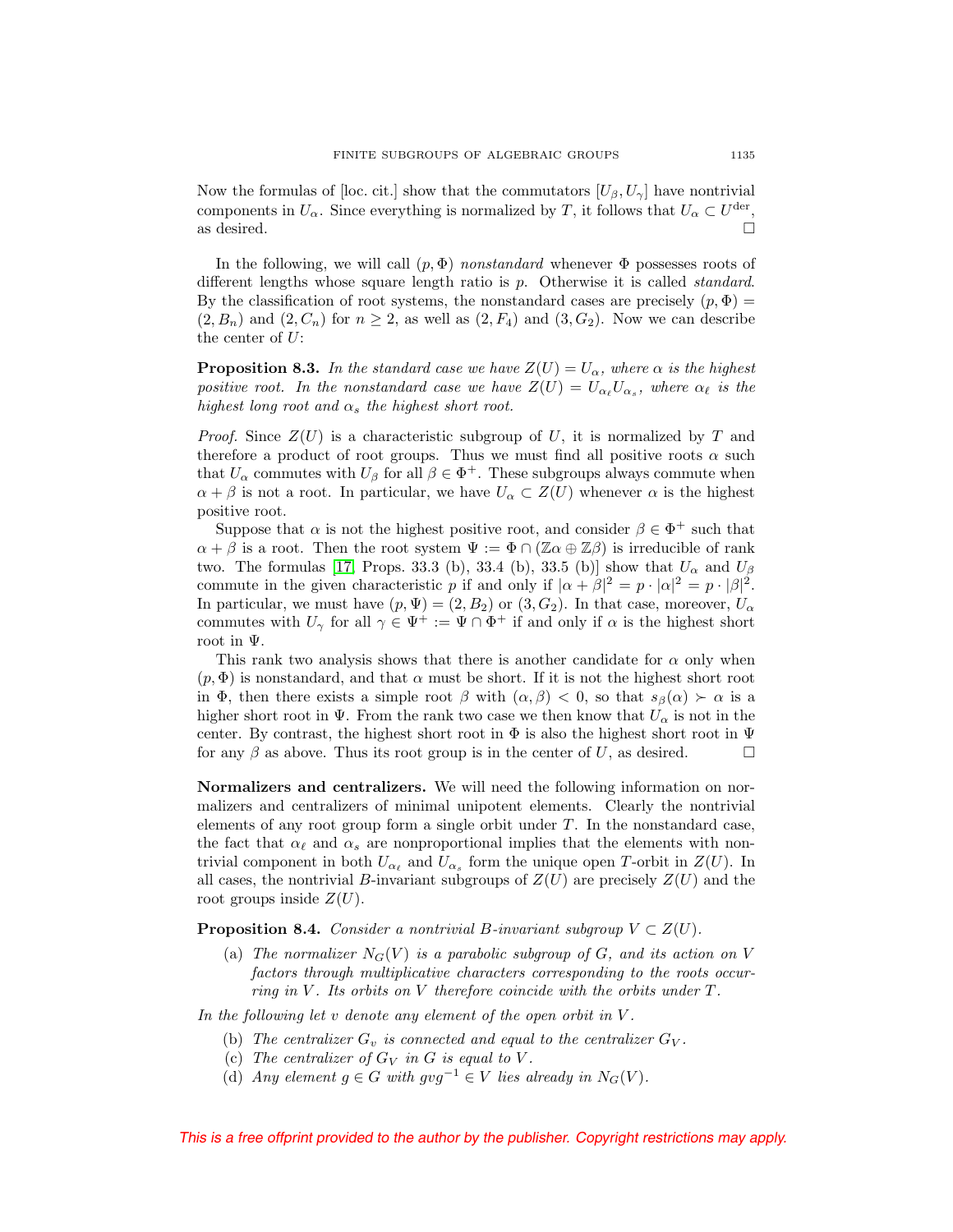Now the formulas of [loc. cit.] show that the commutators  $[U_\beta, U_\gamma]$  have nontrivial components in  $U_{\alpha}$ . Since everything is normalized by T, it follows that  $U_{\alpha} \subset U^{\text{der}},$ as desired.  $\Box$ 

In the following, we will call  $(p, \Phi)$  nonstandard whenever  $\Phi$  possesses roots of different lengths whose square length ratio is p. Otherwise it is called *standard*. By the classification of root systems, the nonstandard cases are precisely  $(p, \Phi)$  =  $(2, B_n)$  and  $(2, C_n)$  for  $n \geq 2$ , as well as  $(2, F_4)$  and  $(3, G_2)$ . Now we can describe the center of  $U$ :

<span id="page-30-0"></span>**Proposition 8.3.** In the standard case we have  $Z(U) = U_\alpha$ , where  $\alpha$  is the highest positive root. In the nonstandard case we have  $Z(U) = U_{\alpha} U_{\alpha_s}$ , where  $\alpha_{\ell}$  is the highest long root and  $\alpha_s$  the highest short root.

*Proof.* Since  $Z(U)$  is a characteristic subgroup of U, it is normalized by T and therefore a product of root groups. Thus we must find all positive roots  $\alpha$  such that  $U_{\alpha}$  commutes with  $U_{\beta}$  for all  $\beta \in \Phi^+$ . These subgroups always commute when  $\alpha + \beta$  is not a root. In particular, we have  $U_{\alpha} \subset Z(U)$  whenever  $\alpha$  is the highest positive root.

Suppose that  $\alpha$  is not the highest positive root, and consider  $\beta \in \Phi^+$  such that  $\alpha + \beta$  is a root. Then the root system  $\Psi := \Phi \cap (\mathbb{Z} \alpha \oplus \mathbb{Z} \beta)$  is irreducible of rank two. The formulas [\[17,](#page-52-13) Props. 33.3 (b), 33.4 (b), 33.5 (b)] show that  $U_{\alpha}$  and  $U_{\beta}$ commute in the given characteristic p if and only if  $|\alpha + \beta|^2 = p \cdot |\alpha|^2 = p \cdot |\beta|^2$ . In particular, we must have  $(p, \Psi) = (2, B_2)$  or  $(3, G_2)$ . In that case, moreover,  $U_{\alpha}$ commutes with  $U_{\gamma}$  for all  $\gamma \in \Psi^+ := \Psi \cap \Phi^+$  if and only if  $\alpha$  is the highest short root in Ψ.

This rank two analysis shows that there is another candidate for  $\alpha$  only when  $(p, \Phi)$  is nonstandard, and that  $\alpha$  must be short. If it is not the highest short root in Φ, then there exists a simple root  $\beta$  with  $(\alpha, \beta) < 0$ , so that  $s_{\beta}(\alpha) > \alpha$  is a higher short root in Ψ. From the rank two case we then know that  $U_{\alpha}$  is not in the center. By contrast, the highest short root in  $\Phi$  is also the highest short root in  $\Psi$ for any  $\beta$  as above. Thus its root group is in the center of U, as desired.  $\Box$ 

**Normalizers and centralizers.** We will need the following information on normalizers and centralizers of minimal unipotent elements. Clearly the nontrivial elements of any root group form a single orbit under  $T$ . In the nonstandard case, the fact that  $\alpha_{\ell}$  and  $\alpha_s$  are nonproportional implies that the elements with nontrivial component in both  $U_{\alpha_{\ell}}$  and  $U_{\alpha_s}$  form the unique open T-orbit in  $Z(U)$ . In all cases, the nontrivial B-invariant subgroups of  $Z(U)$  are precisely  $Z(U)$  and the root groups inside  $Z(U)$ .

<span id="page-30-1"></span>**Proposition 8.4.** Consider a nontrivial B-invariant subgroup  $V \subset Z(U)$ .

(a) The normalizer  $N_G(V)$  is a parabolic subgroup of G, and its action on V factors through multiplicative characters corresponding to the roots occurring in V. Its orbits on V therefore coincide with the orbits under  $T$ .

In the following let  $v$  denote any element of the open orbit in  $V$ .

- (b) The centralizer  $G_v$  is connected and equal to the centralizer  $G_V$ .
- (c) The centralizer of  $G_V$  in G is equal to V.
- (d) Any element  $g \in G$  with  $gvg^{-1} \in V$  lies already in  $N_G(V)$ .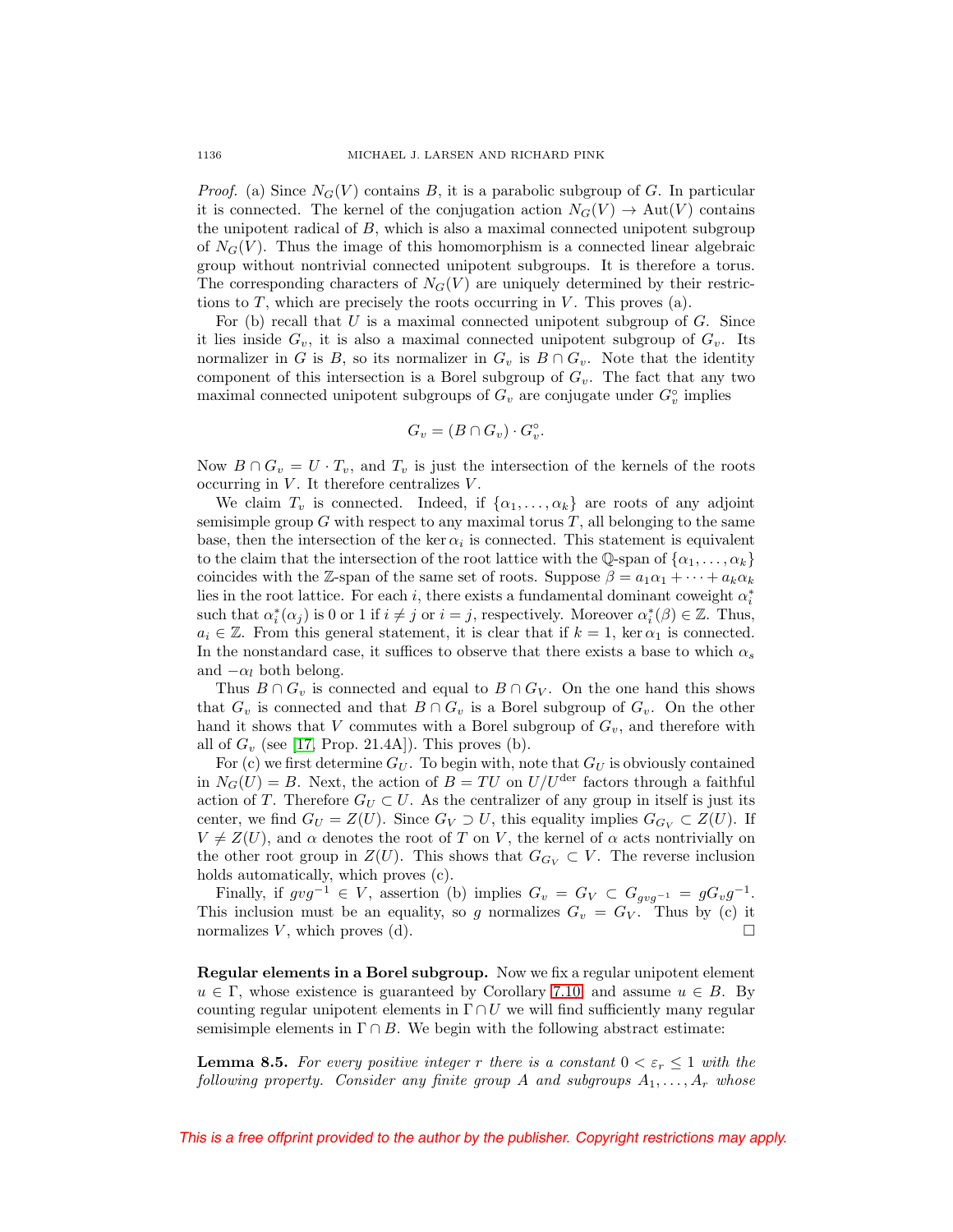*Proof.* (a) Since  $N_G(V)$  contains B, it is a parabolic subgroup of G. In particular it is connected. The kernel of the conjugation action  $N_G(V) \to Aut(V)$  contains the unipotent radical of  $B$ , which is also a maximal connected unipotent subgroup of  $N_G(V)$ . Thus the image of this homomorphism is a connected linear algebraic group without nontrivial connected unipotent subgroups. It is therefore a torus. The corresponding characters of  $N_G(V)$  are uniquely determined by their restrictions to T, which are precisely the roots occurring in V. This proves (a).

For (b) recall that  $U$  is a maximal connected unipotent subgroup of  $G$ . Since it lies inside  $G_v$ , it is also a maximal connected unipotent subgroup of  $G_v$ . Its normalizer in G is B, so its normalizer in  $G_v$  is  $B \cap G_v$ . Note that the identity component of this intersection is a Borel subgroup of  $G_v$ . The fact that any two maximal connected unipotent subgroups of  $G_v$  are conjugate under  $G_v^{\circ}$  implies

$$
G_v = (B \cap G_v) \cdot G_v^{\circ}.
$$

Now  $B \cap G_v = U \cdot T_v$ , and  $T_v$  is just the intersection of the kernels of the roots occurring in  $V$ . It therefore centralizes  $V$ .

We claim  $T_v$  is connected. Indeed, if  $\{\alpha_1,\ldots,\alpha_k\}$  are roots of any adjoint semisimple group  $G$  with respect to any maximal torus  $T$ , all belonging to the same base, then the intersection of the ker  $\alpha_i$  is connected. This statement is equivalent to the claim that the intersection of the root lattice with the Q-span of  $\{\alpha_1,\ldots,\alpha_k\}$ coincides with the Z-span of the same set of roots. Suppose  $\beta = a_1 \alpha_1 + \cdots + a_k \alpha_k$ lies in the root lattice. For each  $i$ , there exists a fundamental dominant coweight  $\alpha_i^*$ such that  $\alpha_i^*(\alpha_j)$  is 0 or 1 if  $i \neq j$  or  $i = j$ , respectively. Moreover  $\alpha_i^*(\beta) \in \mathbb{Z}$ . Thus,  $a_i \in \mathbb{Z}$ . From this general statement, it is clear that if  $k = 1$ , ker  $\alpha_1$  is connected. In the nonstandard case, it suffices to observe that there exists a base to which  $\alpha_s$ and  $-\alpha_l$  both belong.

Thus  $B \cap G_v$  is connected and equal to  $B \cap G_V$ . On the one hand this shows that  $G_v$  is connected and that  $B \cap G_v$  is a Borel subgroup of  $G_v$ . On the other hand it shows that V commutes with a Borel subgroup of  $G_v$ , and therefore with all of  $G_v$  (see [\[17,](#page-52-13) Prop. 21.4A]). This proves (b).

For (c) we first determine  $G_U$ . To begin with, note that  $G_U$  is obviously contained in  $N_G(U) = B$ . Next, the action of  $B = TU$  on  $U/U^{\text{der}}$  factors through a faithful action of T. Therefore  $G_U \subset U$ . As the centralizer of any group in itself is just its center, we find  $G_U = Z(U)$ . Since  $G_V \supset U$ , this equality implies  $G_{G_V} \subset Z(U)$ . If  $V \neq Z(U)$ , and  $\alpha$  denotes the root of T on V, the kernel of  $\alpha$  acts nontrivially on the other root group in  $Z(U)$ . This shows that  $G_{G_V} \subset V$ . The reverse inclusion holds automatically, which proves (c).

Finally, if  $gvg^{-1} \in V$ , assertion (b) implies  $G_v = G_V \subset G_{gvg^{-1}} = gG_vg^{-1}$ . This inclusion must be an equality, so g normalizes  $G_v = G_V$ . Thus by (c) it normalizes V, which proves (d).  $\square$ 

**Regular elements in a Borel subgroup.** Now we fix a regular unipotent element  $u \in \Gamma$ , whose existence is guaranteed by Corollary [7.10,](#page-28-2) and assume  $u \in B$ . By counting regular unipotent elements in  $\Gamma \cap U$  we will find sufficiently many regular semisimple elements in  $\Gamma \cap B$ . We begin with the following abstract estimate:

<span id="page-31-0"></span>**Lemma 8.5.** For every positive integer r there is a constant  $0 < \varepsilon_r \leq 1$  with the following property. Consider any finite group A and subgroups  $A_1, \ldots, A_r$  whose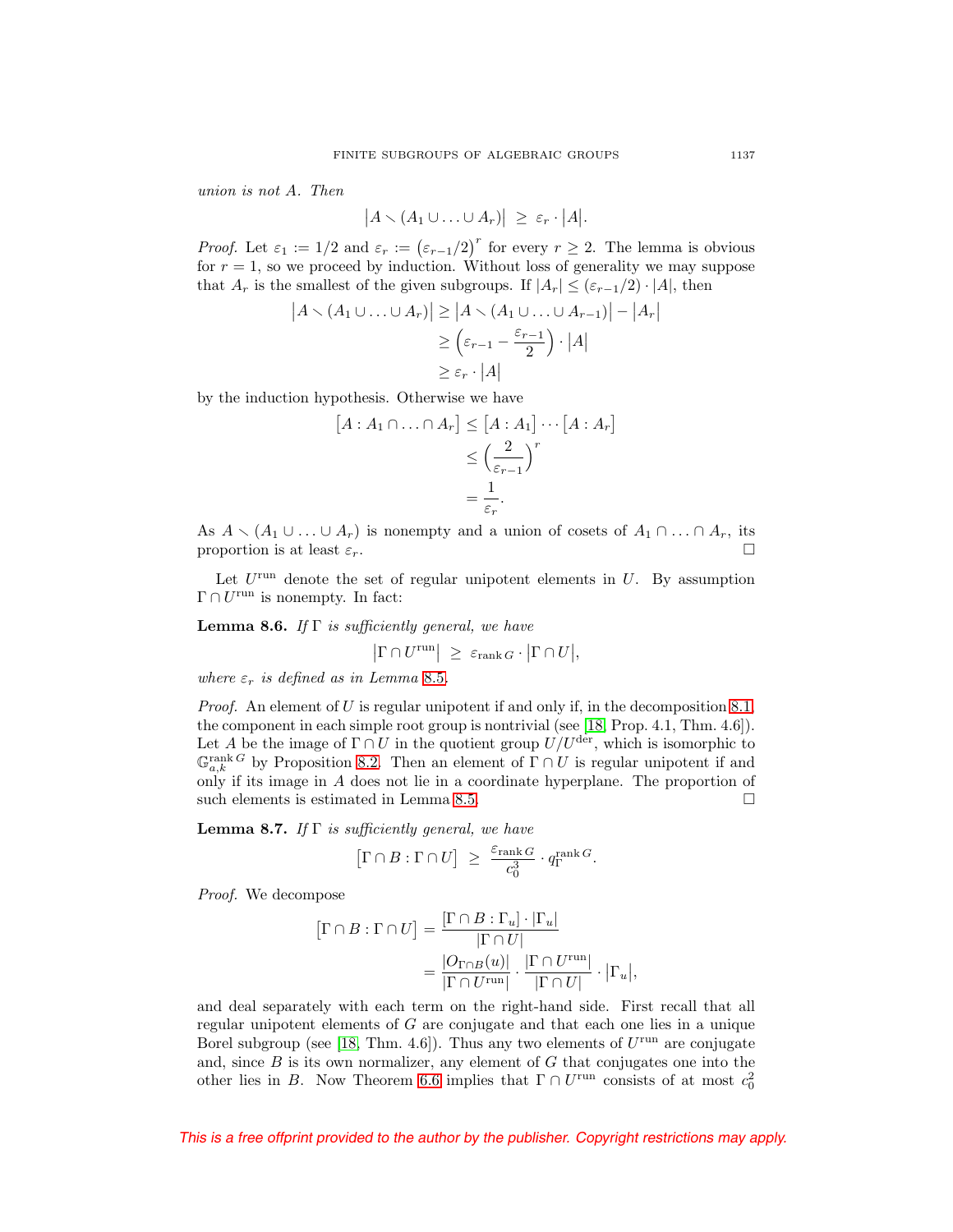union is not A. Then

$$
|A\setminus (A_1\cup\ldots\cup A_r)|\geq \varepsilon_r\cdot |A|.
$$

*Proof.* Let  $\varepsilon_1 := 1/2$  and  $\varepsilon_r := (\varepsilon_{r-1}/2)^r$  for every  $r \geq 2$ . The lemma is obvious for  $r = 1$ , so we proceed by induction. Without loss of generality we may suppose that  $A_r$  is the smallest of the given subgroups. If  $|A_r| \leq (\varepsilon_{r-1}/2) \cdot |A|$ , then

$$
|A \setminus (A_1 \cup \ldots \cup A_r)| \ge |A \setminus (A_1 \cup \ldots \cup A_{r-1})| - |A_r|
$$
  
\n
$$
\ge (\varepsilon_{r-1} - \frac{\varepsilon_{r-1}}{2}) \cdot |A|
$$
  
\n
$$
\ge \varepsilon_r \cdot |A|
$$

by the induction hypothesis. Otherwise we have

$$
[A : A_1 \cap \ldots \cap A_r] \leq [A : A_1] \cdots [A : A_r]
$$
  

$$
\leq \left(\frac{2}{\varepsilon_{r-1}}\right)^r
$$
  

$$
= \frac{1}{\varepsilon_r}.
$$

As  $A \setminus (A_1 \cup \ldots \cup A_r)$  is nonempty and a union of cosets of  $A_1 \cap \ldots \cap A_r$ , its proportion is at least  $\varepsilon_r$ .

Let  $U^{\text{run}}$  denote the set of regular unipotent elements in  $U$ . By assumption  $\Gamma \cap U^{\text{run}}$  is nonempty. In fact:

<span id="page-32-1"></span>**Lemma 8.6.** If  $\Gamma$  is sufficiently general, we have

$$
\left|\Gamma \cap U^{\text{run}}\right| \geq \varepsilon_{\text{rank }G} \cdot \left|\Gamma \cap U\right|,
$$

where  $\varepsilon_r$  is defined as in Lemma [8.5](#page-31-0).

*Proof.* An element of U is regular unipotent if and only if, in the decomposition [8.1,](#page-29-2) the component in each simple root group is nontrivial (see [\[18,](#page-52-22) Prop. 4.1, Thm. 4.6]). Let A be the image of  $\Gamma \cap U$  in the quotient group  $U/U^{\text{der}}$ , which is isomorphic to  $\mathbb{G}_{a,k}^{\text{rank }G}$  by Proposition [8.2.](#page-29-3) Then an element of  $\Gamma \cap U$  is regular unipotent if and only if its image in A does not lie in a coordinate hyperplane. The proportion of such elements is estimated in Lemma [8.5.](#page-31-0)  $\Box$ 

<span id="page-32-0"></span>**Lemma 8.7.** If  $\Gamma$  is sufficiently general, we have

$$
\big[ \Gamma \cap B : \Gamma \cap U \big] \; \ge \; \frac{\varepsilon_{\text{rank}\, G}}{c_0^3} \cdot q^{\text{rank}\, G}_{\Gamma}.
$$

Proof. We decompose

$$
\begin{aligned} \left[\Gamma \cap B : \Gamma \cap U\right] &= \frac{\left[\Gamma \cap B : \Gamma_u\right] \cdot \left|\Gamma_u\right|}{\left|\Gamma \cap U\right|} \\ &= \frac{\left|O_{\Gamma \cap B}(u)\right|}{\left|\Gamma \cap U^{\text{run}}\right|} \cdot \frac{\left|\Gamma \cap U^{\text{run}}\right|}{\left|\Gamma \cap U\right|} \cdot \left|\Gamma_u\right|, \end{aligned}
$$

and deal separately with each term on the right-hand side. First recall that all regular unipotent elements of G are conjugate and that each one lies in a unique Borel subgroup (see [\[18,](#page-52-22) Thm. 4.6]). Thus any two elements of  $U^{\text{run}}$  are conjugate and, since  $B$  is its own normalizer, any element of  $G$  that conjugates one into the other lies in B. Now Theorem [6.6](#page-23-4) implies that  $\Gamma \cap U^{\text{run}}$  consists of at most  $c_0^2$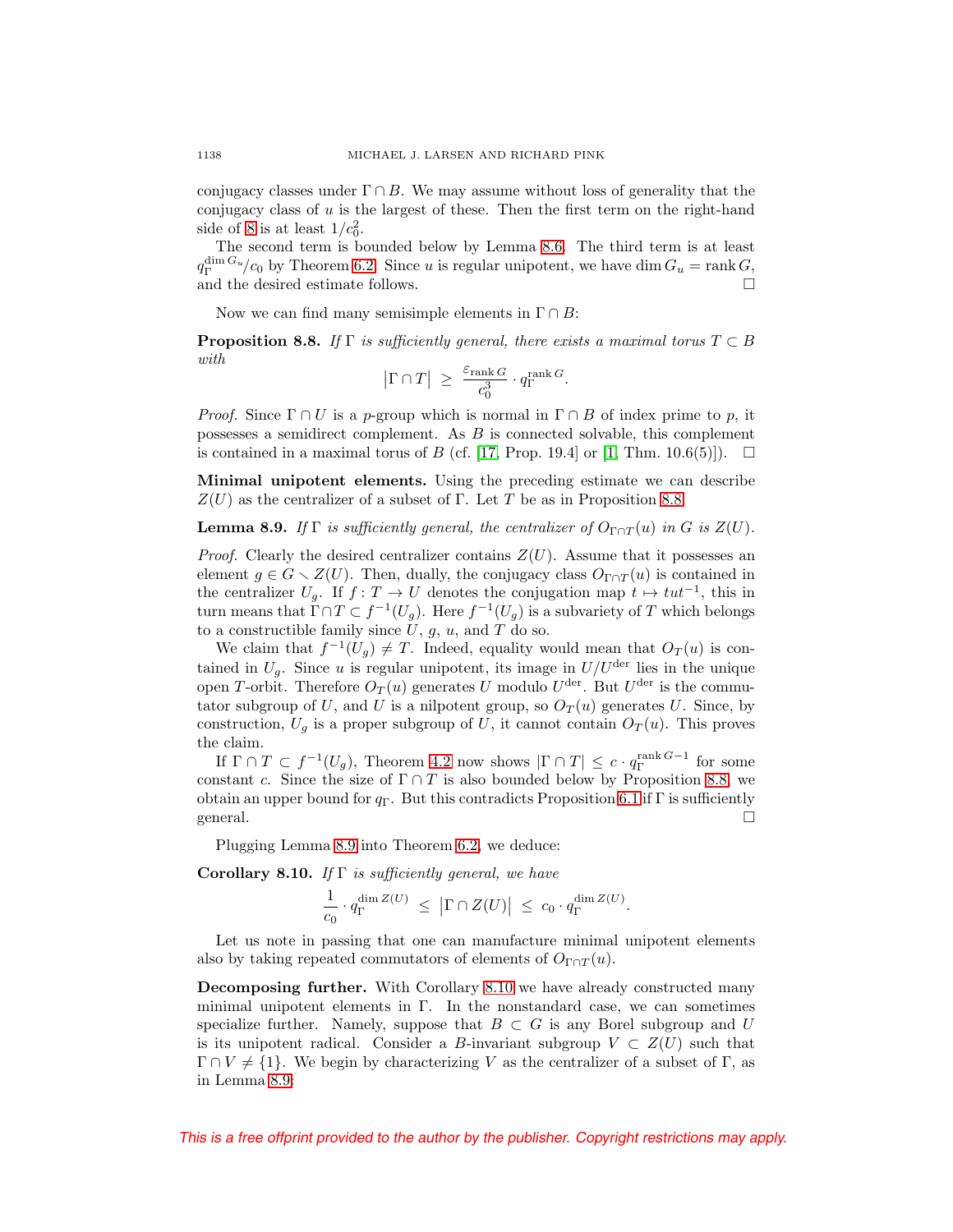conjugacy classes under  $\Gamma \cap B$ . We may assume without loss of generality that the conjugacy class of u is the largest of these. Then the first term on the right-hand side of [8](#page-32-0) is at least  $1/c_0^2$ .

The second term is bounded below by Lemma [8.6.](#page-32-1) The third term is at least  $q_{\Gamma}^{\dim G_u}/c_0$  by Theorem [6.2.](#page-23-0) Since u is regular unipotent, we have dim  $G_u = \text{rank } G$ , and the desired estimate follows.  $\Box$ 

Now we can find many semisimple elements in  $\Gamma \cap B$ :

<span id="page-33-1"></span>**Proposition 8.8.** If  $\Gamma$  is sufficiently general, there exists a maximal torus  $T \subset B$ with

$$
\big|\Gamma\cap T\big| \ \geq \ \frac{\varepsilon_{\mathrm{rank}\, G}}{c_0^3} \cdot q^{\mathrm{rank}\, G}_\Gamma.
$$

*Proof.* Since  $\Gamma \cap U$  is a p-group which is normal in  $\Gamma \cap B$  of index prime to p, it possesses a semidirect complement. As B is connected solvable, this complement is contained in a maximal torus of B (cf. [\[17,](#page-52-13) Prop. 19.4] or [\[1,](#page-52-12) Thm. 10.6(5)]).  $\Box$ 

**Minimal unipotent elements.** Using the preceding estimate we can describe  $Z(U)$  as the centralizer of a subset of Γ. Let T be as in Proposition [8.8.](#page-33-1)

<span id="page-33-2"></span>**Lemma 8.9.** If  $\Gamma$  is sufficiently general, the centralizer of  $O_{\Gamma \cap T}(u)$  in G is  $Z(U)$ .

*Proof.* Clearly the desired centralizer contains  $Z(U)$ . Assume that it possesses an element  $g \in G \setminus Z(U)$ . Then, dually, the conjugacy class  $O_{\Gamma \cap T}(u)$  is contained in the centralizer  $U_g$ . If  $f: T \to U$  denotes the conjugation map  $t \mapsto tut^{-1}$ , this in turn means that  $\Gamma \cap T \subset f^{-1}(U_q)$ . Here  $f^{-1}(U_q)$  is a subvariety of T which belongs to a constructible family since  $U, g, u$ , and  $T$  do so.

We claim that  $f^{-1}(U_g) \neq T$ . Indeed, equality would mean that  $O_T(u)$  is contained in  $U_q$ . Since u is regular unipotent, its image in  $U/U^{\text{der}}$  lies in the unique open T-orbit. Therefore  $O_T(u)$  generates U modulo  $U^{\text{der}}$ . But  $U^{\text{der}}$  is the commutator subgroup of U, and U is a nilpotent group, so  $O_T(u)$  generates U. Since, by construction,  $U<sub>g</sub>$  is a proper subgroup of U, it cannot contain  $O<sub>T</sub>(u)$ . This proves the claim.

If  $\Gamma \cap T \subset f^{-1}(U_g)$ , Theorem [4.2](#page-17-1) now shows  $|\Gamma \cap T| \leq c \cdot q_T^{\text{rank }G-1}$  for some constant c. Since the size of  $\Gamma \cap T$  is also bounded below by Proposition [8.8,](#page-33-1) we obtain an upper bound for  $q_{\Gamma}$ . But this contradicts Proposition [6.1](#page-22-2) if  $\Gamma$  is sufficiently general.  $\Box$  $\Box$ 

Plugging Lemma [8.9](#page-33-2) into Theorem [6.2,](#page-23-0) we deduce:

<span id="page-33-3"></span>**Corollary 8.10.** If  $\Gamma$  is sufficiently general, we have

$$
\frac{1}{c_0} \cdot q_{\Gamma}^{\dim Z(U)} \ \leq \ \left| \Gamma \cap Z(U) \right| \ \leq \ c_0 \cdot q_{\Gamma}^{\dim Z(U)}.
$$

Let us note in passing that one can manufacture minimal unipotent elements also by taking repeated commutators of elements of  $O_{\Gamma \cap T}(u)$ .

<span id="page-33-0"></span>**Decomposing further.** With Corollary [8.10](#page-33-3) we have already constructed many minimal unipotent elements in  $\Gamma$ . In the nonstandard case, we can sometimes specialize further. Namely, suppose that  $B \subset G$  is any Borel subgroup and U is its unipotent radical. Consider a B-invariant subgroup  $V \subset Z(U)$  such that  $\Gamma \cap V \neq \{1\}$ . We begin by characterizing V as the centralizer of a subset of Γ, as in Lemma [8.9:](#page-33-2)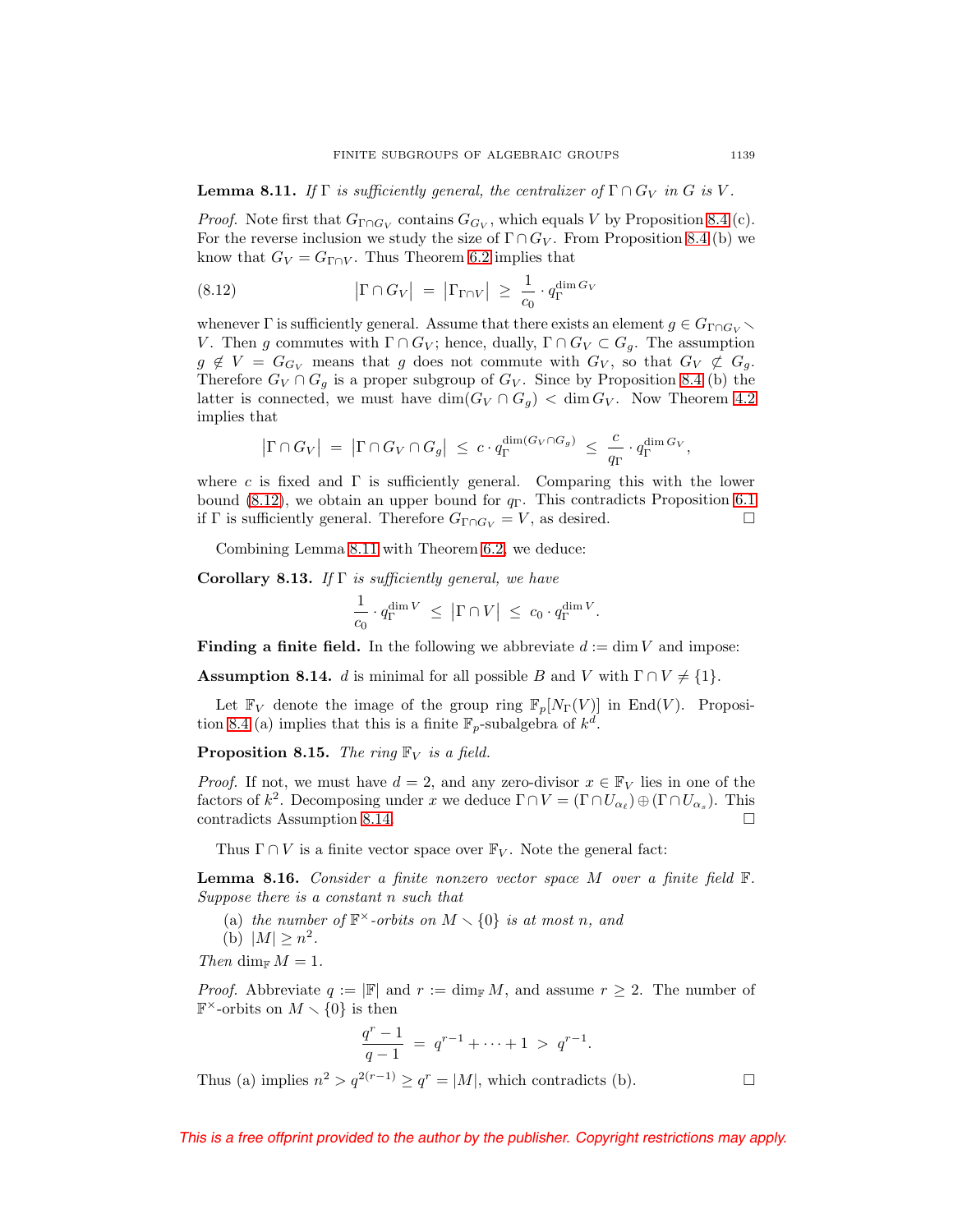<span id="page-34-3"></span>**Lemma 8.11.** If  $\Gamma$  is sufficiently general, the centralizer of  $\Gamma \cap G_V$  in G is V.

*Proof.* Note first that  $G_{\Gamma \cap G_V}$  contains  $G_{G_V}$ , which equals V by Proposition [8.4](#page-30-1) (c). For the reverse inclusion we study the size of  $\Gamma \cap G_V$ . From Proposition [8.4](#page-30-1) (b) we know that  $G_V = G_{\Gamma \cap V}$ . Thus Theorem [6.2](#page-23-0) implies that

<span id="page-34-2"></span>(8.12) 
$$
\left|\Gamma \cap G_V\right| = \left|\Gamma_{\Gamma \cap V}\right| \ge \frac{1}{c_0} \cdot q_{\Gamma}^{\dim G_V}
$$

whenever  $\Gamma$  is sufficiently general. Assume that there exists an element  $g \in G_{\Gamma \cap G_V} \setminus$ V. Then g commutes with  $\Gamma \cap G_V$ ; hence, dually,  $\Gamma \cap G_V \subset G_g$ . The assumption  $g \notin V = G_{G_V}$  means that g does not commute with  $G_V$ , so that  $G_V \not\subset G_g$ . Therefore  $G_V \cap G_g$  is a proper subgroup of  $G_V$ . Since by Proposition [8.4](#page-30-1) (b) the latter is connected, we must have  $\dim(G_V \cap G_g) < \dim G_V$ . Now Theorem [4.2](#page-17-1) implies that

$$
\left|\Gamma \cap G_V\right| \;=\; \left|\Gamma \cap G_V \cap G_g\right| \;\leq\; c\cdot q_{\Gamma}^{\dim(G_V \cap G_g)} \;\leq\; \frac{c}{q_{\Gamma}}\cdot q_{\Gamma}^{\dim G_V},
$$

where c is fixed and  $\Gamma$  is sufficiently general. Comparing this with the lower bound [\(8.12\)](#page-34-2), we obtain an upper bound for  $q_{\Gamma}$ . This contradicts Proposition [6.1](#page-22-2) if  $\Gamma$  is sufficiently general. Therefore  $G_{\Gamma \cap G_V} = V$ , as desired.  $\Box$ 

Combining Lemma [8.11](#page-34-3) with Theorem [6.2,](#page-23-0) we deduce:

<span id="page-34-4"></span>**Corollary 8.13.** If  $\Gamma$  is sufficiently general, we have

$$
\frac{1}{c_0} \cdot q_{\Gamma}^{\dim V} \leq |\Gamma \cap V| \leq c_0 \cdot q_{\Gamma}^{\dim V}.
$$

<span id="page-34-0"></span>**Finding a finite field.** In the following we abbreviate  $d := \dim V$  and impose:

<span id="page-34-1"></span>**Assumption 8.14.** d is minimal for all possible B and V with  $\Gamma \cap V \neq \{1\}$ .

Let  $\mathbb{F}_V$  denote the image of the group ring  $\mathbb{F}_p[N_\Gamma(V)]$  in End(V). Proposi-tion [8.4](#page-30-1) (a) implies that this is a finite  $\mathbb{F}_p$ -subalgebra of  $k^d$ .

<span id="page-34-6"></span>**Proposition 8.15.** The ring  $\mathbb{F}_V$  is a field.

*Proof.* If not, we must have  $d = 2$ , and any zero-divisor  $x \in \mathbb{F}_V$  lies in one of the factors of  $k^2$ . Decomposing under x we deduce  $\Gamma \cap V = (\Gamma \cap U_{\alpha_{\ell}}) \oplus (\Gamma \cap U_{\alpha_s})$ . This contradicts Assumption 8.14. contradicts Assumption [8.14.](#page-34-1)

Thus  $\Gamma \cap V$  is a finite vector space over  $\mathbb{F}_V$ . Note the general fact:

<span id="page-34-5"></span>**Lemma 8.16.** Consider a finite nonzero vector space M over a finite field F. Suppose there is a constant n such that

(a) the number of  $\mathbb{F}^{\times}$ -orbits on  $M \setminus \{0\}$  is at most n, and

(b)  $|M| \geq n^2$ .

Then dim $M = 1$ .

*Proof.* Abbreviate  $q := |\mathbb{F}|$  and  $r := \dim_{\mathbb{F}} M$ , and assume  $r \geq 2$ . The number of  $\mathbb{F}^{\times}$ -orbits on  $M \setminus \{0\}$  is then

$$
\frac{q^r - 1}{q - 1} = q^{r - 1} + \dots + 1 > q^{r - 1}.
$$

Thus (a) implies  $n^2 > q^{2(r-1)} \ge q^r = |M|$ , which contradicts (b).  $\Box$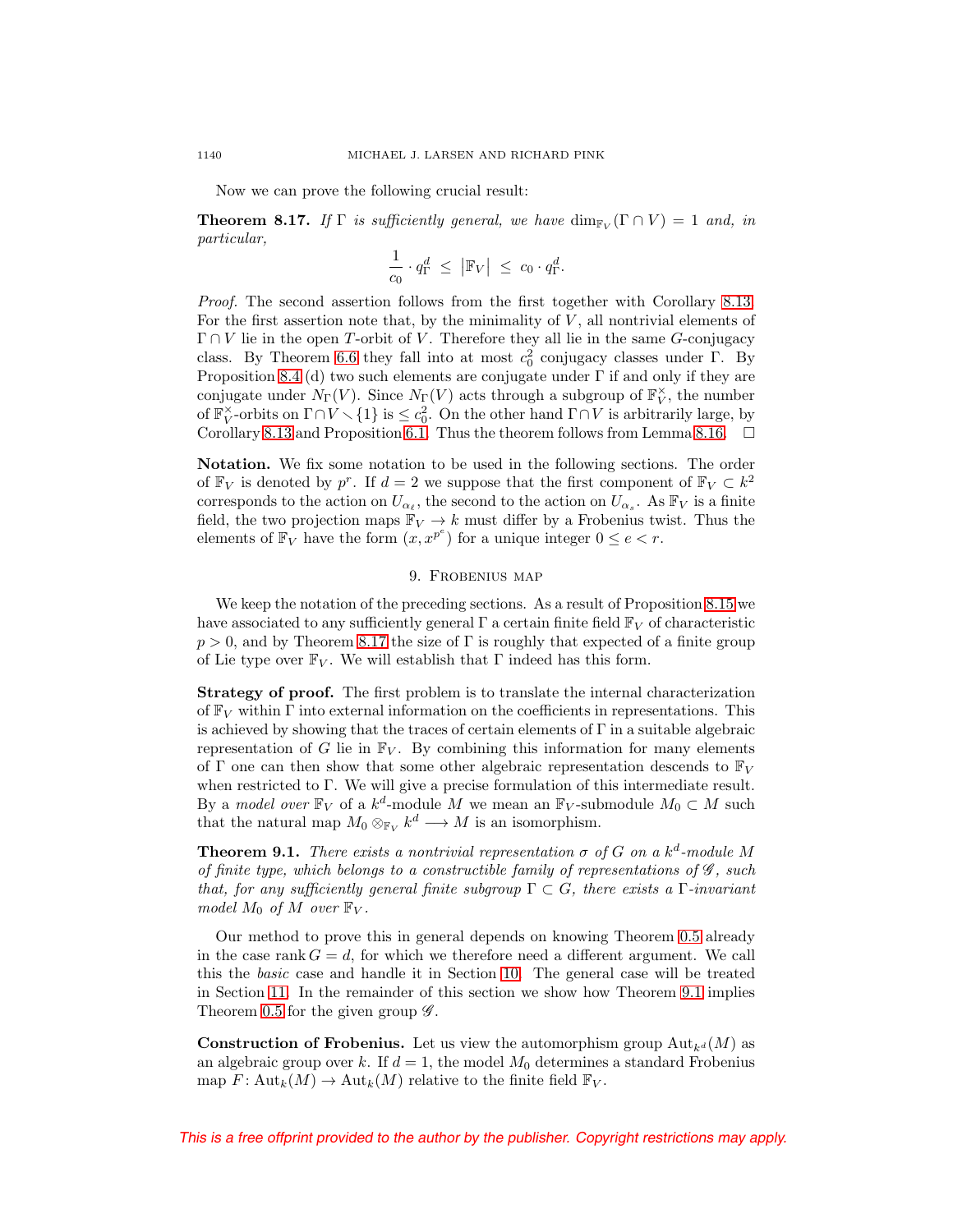Now we can prove the following crucial result:

<span id="page-35-2"></span>**Theorem 8.17.** If  $\Gamma$  is sufficiently general, we have  $\dim_{\mathbb{F}_V}(\Gamma \cap V) = 1$  and, in particular,

$$
\frac{1}{c_0} \cdot q_{\Gamma}^d \leq |\mathbb{F}_V| \leq c_0 \cdot q_{\Gamma}^d.
$$

Proof. The second assertion follows from the first together with Corollary [8.13.](#page-34-4) For the first assertion note that, by the minimality of  $V$ , all nontrivial elements of  $\Gamma \cap V$  lie in the open T-orbit of V. Therefore they all lie in the same G-conjugacy class. By Theorem [6.6](#page-23-4) they fall into at most  $c_0^2$  conjugacy classes under Γ. By Proposition [8.4](#page-30-1) (d) two such elements are conjugate under  $\Gamma$  if and only if they are conjugate under  $N_{\Gamma}(V)$ . Since  $N_{\Gamma}(V)$  acts through a subgroup of  $\mathbb{F}_V^{\times}$ , the number of  $\mathbb{F}_V^{\times}$ -orbits on  $\Gamma \cap V \setminus \{1\}$  is  $\leq c_0^2$ . On the other hand  $\Gamma \cap V$  is arbitrarily large, by Corollary [8.13](#page-34-4) and Proposition [6.1.](#page-22-2) Thus the theorem follows from Lemma [8.16.](#page-34-5)  $\Box$ 

<span id="page-35-1"></span>**Notation.** We fix some notation to be used in the following sections. The order of  $\mathbb{F}_V$  is denoted by p<sup>r</sup>. If  $d = 2$  we suppose that the first component of  $\mathbb{F}_V \subset k^2$ corresponds to the action on  $U_{\alpha_{\ell}}$ , the second to the action on  $U_{\alpha_s}$ . As  $\mathbb{F}_V$  is a finite field, the two projection maps  $\mathbb{F}_V \to k$  must differ by a Frobenius twist. Thus the elements of  $\mathbb{F}_V$  have the form  $(x, x^{p^e})$  for a unique integer  $0 \le e < r$ .

## 9. FROBENIUS MAP

<span id="page-35-0"></span>We keep the notation of the preceding sections. As a result of Proposition [8.15](#page-34-6) we have associated to any sufficiently general  $\Gamma$  a certain finite field  $\mathbb{F}_V$  of characteristic  $p > 0$ , and by Theorem [8.17](#page-35-2) the size of Γ is roughly that expected of a finite group of Lie type over  $\mathbb{F}_V$ . We will establish that  $\Gamma$  indeed has this form.

**Strategy of proof.** The first problem is to translate the internal characterization of  $\mathbb{F}_V$  within  $\Gamma$  into external information on the coefficients in representations. This is achieved by showing that the traces of certain elements of Γ in a suitable algebraic representation of G lie in  $\mathbb{F}_V$ . By combining this information for many elements of Γ one can then show that some other algebraic representation descends to  $\mathbb{F}_V$ when restricted to Γ. We will give a precise formulation of this intermediate result. By a model over  $\mathbb{F}_V$  of a  $k^d$ -module M we mean an  $\mathbb{F}_V$ -submodule  $M_0 \subset M$  such that the natural map  $M_0 \otimes_{\mathbb{F}_V} k^d \longrightarrow M$  is an isomorphism.

<span id="page-35-3"></span>**Theorem 9.1.** There exists a nontrivial representation  $\sigma$  of G on a  $k^d$ -module M of finite type, which belongs to a constructible family of representations of  $\mathscr{G}$ , such that, for any sufficiently general finite subgroup  $\Gamma \subset G$ , there exists a  $\Gamma$ -invariant model  $M_0$  of M over  $\mathbb{F}_V$ .

Our method to prove this in general depends on knowing Theorem [0.5](#page-2-0) already in the case rank  $G = d$ , for which we therefore need a different argument. We call this the basic case and handle it in Section [10.](#page-37-0) The general case will be treated in Section [11.](#page-44-0) In the remainder of this section we show how Theorem [9.1](#page-35-3) implies Theorem [0.5](#page-2-0) for the given group  $\mathscr{G}$ .

**Construction of Frobenius.** Let us view the automorphism group  $\text{Aut}_{k^d}(M)$  as an algebraic group over k. If  $d = 1$ , the model  $M_0$  determines a standard Frobenius map  $F: \text{Aut}_k(M) \to \text{Aut}_k(M)$  relative to the finite field  $\mathbb{F}_V$ .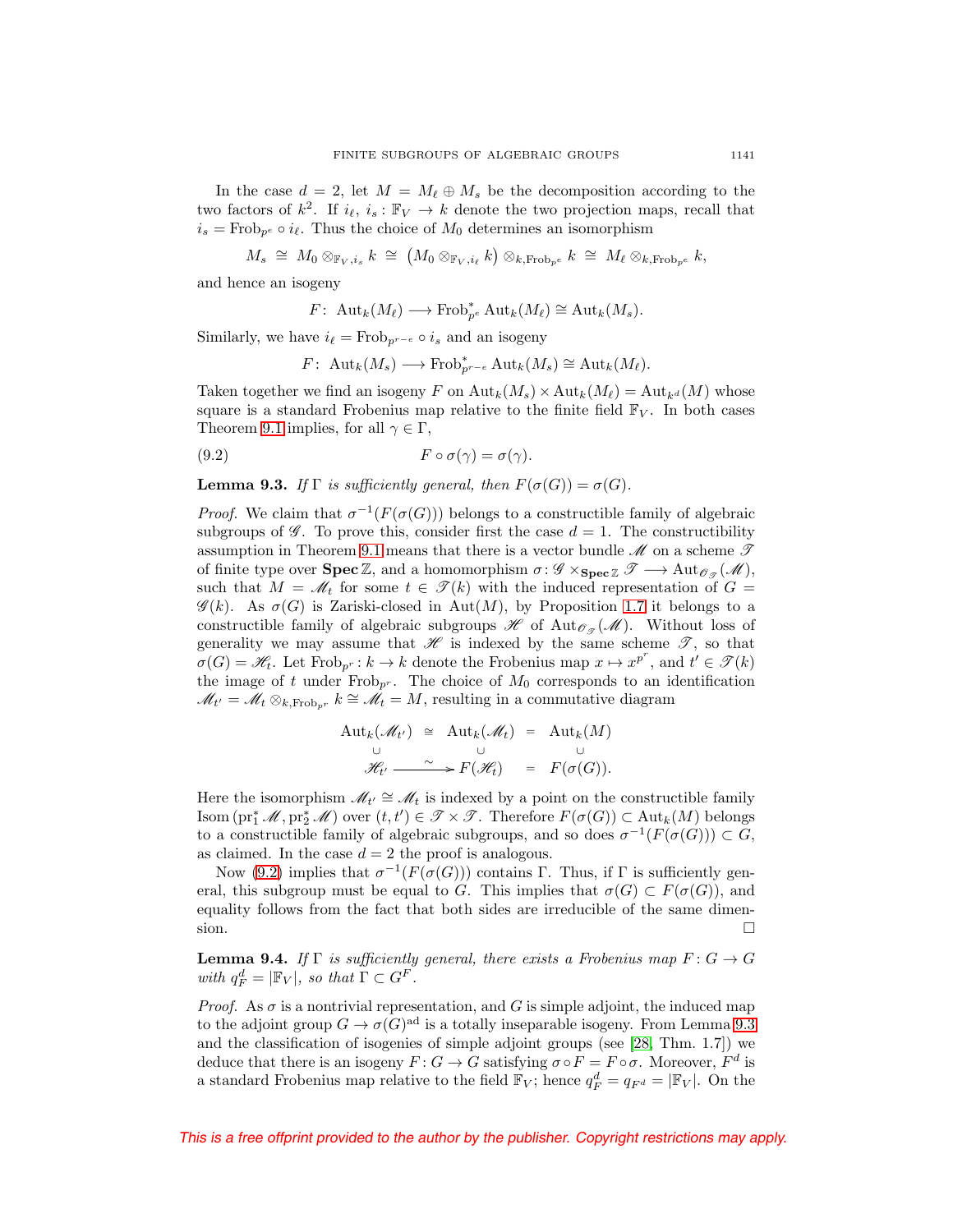In the case  $d = 2$ , let  $M = M_{\ell} \oplus M_{s}$  be the decomposition according to the two factors of  $k^2$ . If  $i_{\ell}, i_s : \mathbb{F}_V \to k$  denote the two projection maps, recall that  $i_s = \text{Frob}_{p^e} \circ i_{\ell}$ . Thus the choice of  $M_0$  determines an isomorphism

$$
M_s \; \cong \; M_0 \otimes_{\mathbb{F}_V, i_s} k \; \cong \; \big( M_0 \otimes_{\mathbb{F}_V, i_\ell} k \big) \otimes_{k, \text{Frob}_{p^e}} k \; \cong \; M_\ell \otimes_{k, \text{Frob}_{p^e}} k,
$$

and hence an isogeny

$$
F\colon \operatorname{Aut}_k(M_{\ell})\longrightarrow \operatorname{Frob}_{p^e}^* \operatorname{Aut}_k(M_{\ell})\cong \operatorname{Aut}_k(M_s).
$$

Similarly, we have  $i_{\ell} = \text{Frob}_{p^{r-\epsilon}} \circ i_{s}$  and an isogeny

$$
F\colon \operatorname{Aut}_k(M_s)\longrightarrow \operatorname{Frob}_{p^{r-e}}^*\operatorname{Aut}_k(M_s)\cong \operatorname{Aut}_k(M_\ell).
$$

Taken together we find an isogeny F on  ${\rm Aut}_k(M_s) \times {\rm Aut}_k(M_\ell) = {\rm Aut}_{k^d}(M)$  whose square is a standard Frobenius map relative to the finite field  $\mathbb{F}_V$ . In both cases Theorem [9.1](#page-35-3) implies, for all  $\gamma \in \Gamma$ ,

<span id="page-36-0"></span>(9.2) 
$$
F \circ \sigma(\gamma) = \sigma(\gamma).
$$

<span id="page-36-1"></span>**Lemma 9.3.** If  $\Gamma$  is sufficiently general, then  $F(\sigma(G)) = \sigma(G)$ .

*Proof.* We claim that  $\sigma^{-1}(F(\sigma(G)))$  belongs to a constructible family of algebraic subgroups of  $\mathscr G$ . To prove this, consider first the case  $d = 1$ . The constructibility assumption in Theorem [9.1](#page-35-3) means that there is a vector bundle  $\mathcal M$  on a scheme  $\mathcal T$ of finite type over **Spec**  $\mathbb{Z}$ , and a homomorphism  $\sigma : \mathscr{G} \times_{\textbf{Spec} \mathbb{Z}} \mathscr{T} \longrightarrow \text{Aut}_{\mathscr{O}_{\mathscr{P}}}(\mathscr{M})$ , such that  $M = \mathcal{M}_t$  for some  $t \in \mathcal{T}(k)$  with the induced representation of  $G =$  $\mathscr{G}(k)$ . As  $\sigma(G)$  is Zariski-closed in Aut $(M)$ , by Proposition [1.7](#page-7-1) it belongs to a constructible family of algebraic subgroups  $\mathscr{H}$  of  $\mathrm{Aut}_{\mathscr{O}_{\mathscr{F}}}(\mathscr{M})$ . Without loss of generality we may assume that  $\mathscr H$  is indexed by the same scheme  $\mathscr T$ , so that  $\sigma(G) = \mathscr{H}_t$ . Let  $\text{Frob}_{p^r}: k \to k$  denote the Frobenius map  $x \mapsto x^{p^r}$ , and  $t' \in \mathscr{T}(k)$ the image of t under  $Frob_{p^r}$ . The choice of  $M_0$  corresponds to an identification  $\mathcal{M}_{t'} = \mathcal{M}_t \otimes_{k, \text{Frob}_{p^r}} k \cong \mathcal{M}_t = M$ , resulting in a commutative diagram

$$
\begin{array}{rcl}\n\mathrm{Aut}_{k}(\mathscr{M}_{t'}) & \cong & \mathrm{Aut}_{k}(\mathscr{M}_{t}) & = & \mathrm{Aut}_{k}(M) \\
\cup & & \cup & \cup \\
\mathscr{H}_{t'} & \xrightarrow{\sim} & F(\mathscr{H}_{t}) & = & F(\sigma(G)).\n\end{array}
$$

Here the isomorphism  $\mathcal{M}_{t'} \cong \mathcal{M}_t$  is indexed by a point on the constructible family Isom  $(\text{pr}_1^*\mathscr{M}, \text{pr}_2^*\mathscr{M})$  over  $(t, t') \in \mathscr{T} \times \mathscr{T}$ . Therefore  $F(\sigma(G)) \subset \text{Aut}_k(M)$  belongs to a constructible family of algebraic subgroups, and so does  $\sigma^{-1}(F(\sigma(G))) \subset G$ , as claimed. In the case  $d = 2$  the proof is analogous.

Now [\(9.2\)](#page-36-0) implies that  $\sigma^{-1}(F(\sigma(G)))$  contains Γ. Thus, if Γ is sufficiently general, this subgroup must be equal to G. This implies that  $\sigma(G) \subset F(\sigma(G))$ , and equality follows from the fact that both sides are irreducible of the same dimension.  $\Box$  $\Box$ 

<span id="page-36-2"></span>**Lemma 9.4.** If  $\Gamma$  is sufficiently general, there exists a Frobenius map  $F: G \to G$ with  $q_F^d = |\mathbb{F}_V|$ , so that  $\Gamma \subset G^F$ .

*Proof.* As  $\sigma$  is a nontrivial representation, and G is simple adjoint, the induced map to the adjoint group  $G \to \sigma(G)$ <sup>ad</sup> is a totally inseparable isogeny. From Lemma [9.3](#page-36-1) and the classification of isogenies of simple adjoint groups (see [\[28,](#page-53-3) Thm. 1.7]) we deduce that there is an isogeny  $F: G \to G$  satisfying  $\sigma \circ F = F \circ \sigma$ . Moreover,  $F^d$  is a standard Frobenius map relative to the field  $\mathbb{F}_V$ ; hence  $q_F^d = q_{F^d} = |\mathbb{F}_V|$ . On the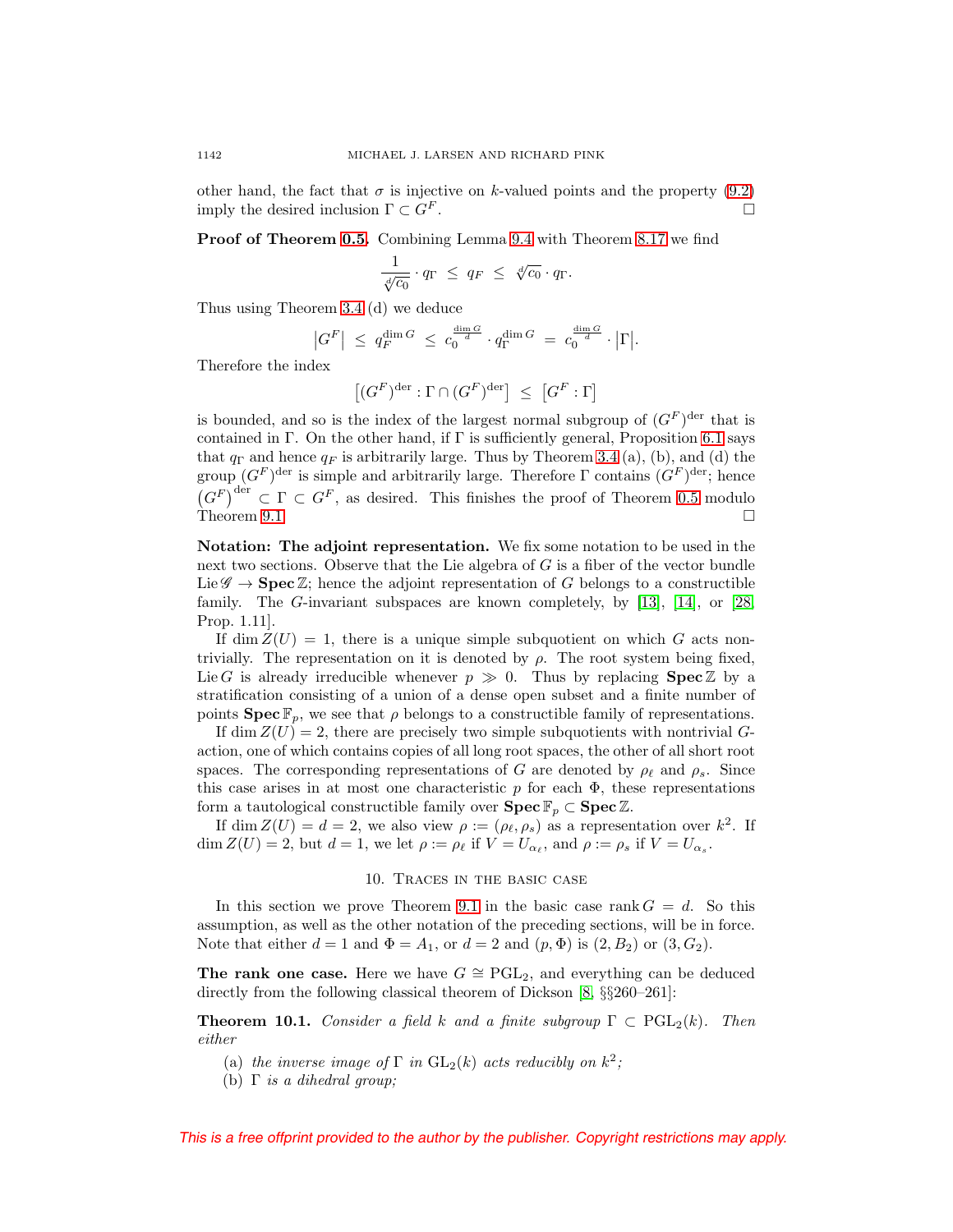other hand, the fact that  $\sigma$  is injective on k-valued points and the property [\(9.2\)](#page-36-0) imply the desired inclusion  $\Gamma \subset G^F$ .

**Proof of Theorem [0.5.](#page-2-0)** Combining Lemma [9.4](#page-36-2) with Theorem [8.17](#page-35-2) we find

$$
\frac{1}{\sqrt[d]{c_0}} \cdot q_{\Gamma} \leq q_F \leq \sqrt[d]{c_0} \cdot q_{\Gamma}.
$$

Thus using Theorem [3.4](#page-15-1) (d) we deduce

$$
\left|G^F\right| \ \leq \ q_F^{\dim G} \ \leq \ c_0^{\frac{\dim G}{d}} \cdot q_\Gamma^{\dim G} \ = \ c_0^{\frac{\dim G}{d}} \cdot \left|\Gamma\right|.
$$

Therefore the index

$$
\left[ (G^F)^{\mathrm{der}} : \Gamma \cap (G^F)^{\mathrm{der}} \right] \; \le \; \left[ G^F : \Gamma \right]
$$

is bounded, and so is the index of the largest normal subgroup of  $(G^F)$ <sup>der</sup> that is contained in Γ. On the other hand, if  $\Gamma$  is sufficiently general, Proposition [6.1](#page-22-2) says that  $q_{\Gamma}$  and hence  $q_F$  is arbitrarily large. Thus by Theorem [3.4](#page-15-1) (a), (b), and (d) the group  $(G<sup>F</sup>)<sup>der</sup>$  is simple and arbitrarily large. Therefore Γ contains  $(G<sup>F</sup>)<sup>der</sup>$ ; hence  $(G^F)^{\text{der}} \subset \Gamma \subset G^F$ , as desired. This finishes the proof of Theorem [0.5](#page-2-0) modulo Theorem [9.1.](#page-35-3)  $\Box$ 

<span id="page-37-1"></span>**Notation: The adjoint representation.** We fix some notation to be used in the next two sections. Observe that the Lie algebra of G is a fiber of the vector bundle Lie  $\mathscr{G} \to \mathbf{Spec} \mathbb{Z}$ ; hence the adjoint representation of G belongs to a constructible family. The G-invariant subspaces are known completely, by [\[13\]](#page-52-24), [\[14\]](#page-52-25), or [\[28,](#page-53-3) Prop. 1.11].

If dim  $Z(U) = 1$ , there is a unique simple subquotient on which G acts nontrivially. The representation on it is denoted by  $\rho$ . The root system being fixed, Lie G is already irreducible whenever  $p \gg 0$ . Thus by replacing **Spec**  $\mathbb{Z}$  by a stratification consisting of a union of a dense open subset and a finite number of points  $\text{Spec } \mathbb{F}_p$ , we see that  $\rho$  belongs to a constructible family of representations.

If dim  $Z(U) = 2$ , there are precisely two simple subquotients with nontrivial Gaction, one of which contains copies of all long root spaces, the other of all short root spaces. The corresponding representations of G are denoted by  $\rho_{\ell}$  and  $\rho_s$ . Since this case arises in at most one characteristic  $p$  for each  $\Phi$ , these representations form a tautological constructible family over **Spec**  $\mathbb{F}_p \subset \mathbf{Spec} \, \mathbb{Z}$ .

<span id="page-37-0"></span>If dim  $Z(U) = d = 2$ , we also view  $\rho := (\rho_{\ell}, \rho_s)$  as a representation over  $k^2$ . If  $\dim Z(U) = 2$ , but  $d = 1$ , we let  $\rho := \rho_{\ell}$  if  $V = U_{\alpha_{\ell}}$ , and  $\rho := \rho_{s}$  if  $V = U_{\alpha_{s}}$ .

### 10. Traces in the basic case

In this section we prove Theorem [9.1](#page-35-3) in the basic case rank  $G = d$ . So this assumption, as well as the other notation of the preceding sections, will be in force. Note that either  $d = 1$  and  $\Phi = A_1$ , or  $d = 2$  and  $(p, \Phi)$  is  $(2, B_2)$  or  $(3, G_2)$ .

**The rank one case.** Here we have  $G \cong \text{PGL}_2$ , and everything can be deduced directly from the following classical theorem of Dickson [\[8,](#page-52-26) §§260–261]:

**Theorem 10.1.** Consider a field k and a finite subgroup  $\Gamma \subset \text{PGL}_2(k)$ . Then either

- (a) the inverse image of  $\Gamma$  in  $GL_2(k)$  acts reducibly on  $k^2$ ;
- (b)  $\Gamma$  is a dihedral group;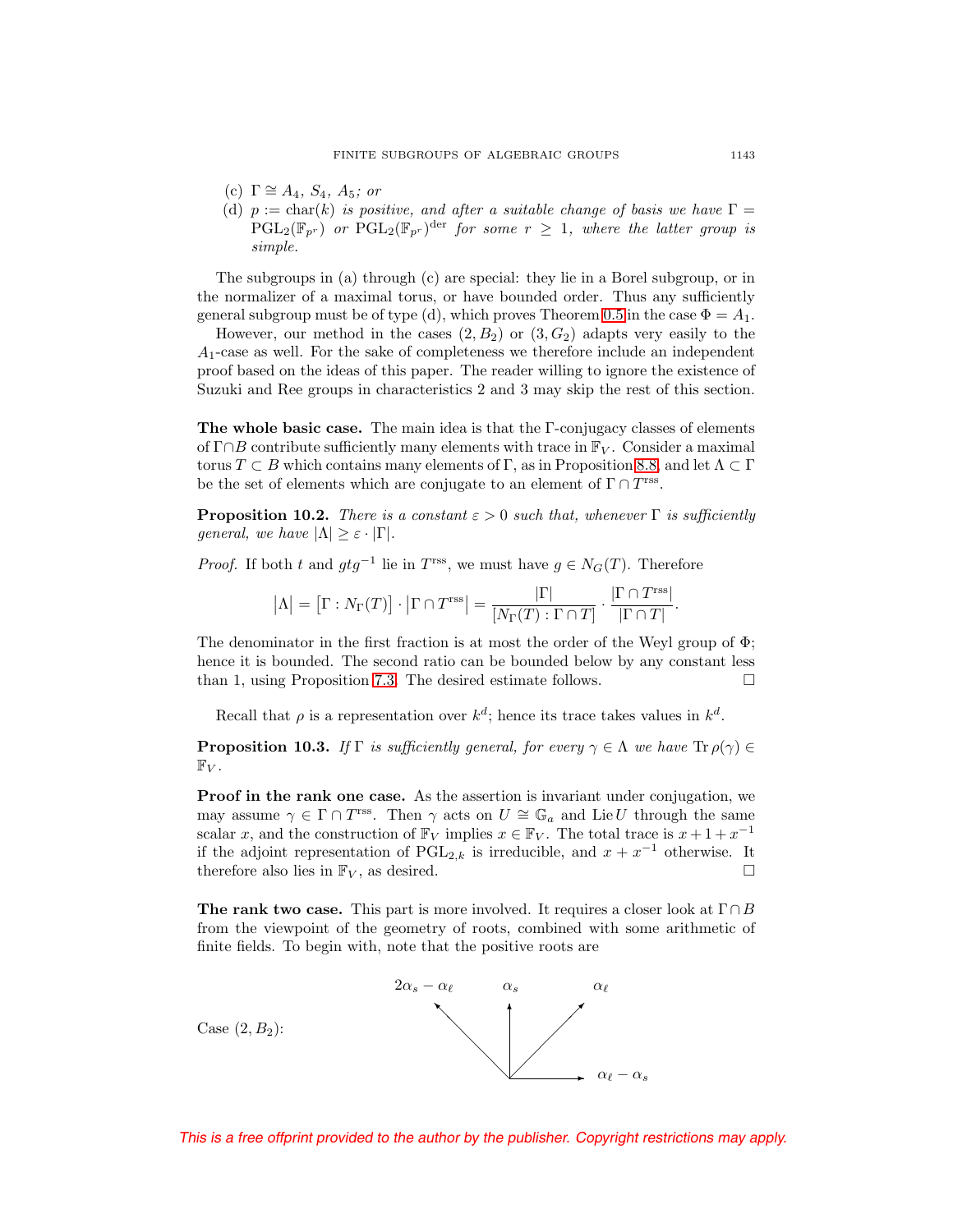- (c)  $\Gamma \cong A_4$ ,  $S_4$ ,  $A_5$ ; or
- (d)  $p := char(k)$  is positive, and after a suitable change of basis we have  $\Gamma =$  $PGL_2(\mathbb{F}_{p^r})$  or  $PGL_2(\mathbb{F}_{p^r})^{\text{der}}$  for some  $r \geq 1$ , where the latter group is simple.

The subgroups in (a) through (c) are special: they lie in a Borel subgroup, or in the normalizer of a maximal torus, or have bounded order. Thus any sufficiently general subgroup must be of type (d), which proves Theorem [0.5](#page-2-0) in the case  $\Phi = A_1$ .

However, our method in the cases  $(2, B_2)$  or  $(3, G_2)$  adapts very easily to the A1-case as well. For the sake of completeness we therefore include an independent proof based on the ideas of this paper. The reader willing to ignore the existence of Suzuki and Ree groups in characteristics 2 and 3 may skip the rest of this section.

<span id="page-38-0"></span>**The whole basic case.** The main idea is that the Γ-conjugacy classes of elements of  $\Gamma \cap B$  contribute sufficiently many elements with trace in  $\mathbb{F}_{V}$ . Consider a maximal torus  $T \subset B$  which contains many elements of Γ, as in Proposition [8.8,](#page-33-1) and let  $\Lambda \subset \Gamma$ be the set of elements which are conjugate to an element of  $\Gamma \cap T^{\text{rss}}$ .

<span id="page-38-2"></span>**Proposition 10.2.** There is a constant  $\varepsilon > 0$  such that, whenever  $\Gamma$  is sufficiently general, we have  $|\Lambda| \geq \varepsilon \cdot |\Gamma|$ .

*Proof.* If both t and  $gtg^{-1}$  lie in T<sup>rss</sup>, we must have  $g \in N_G(T)$ . Therefore

$$
|\Lambda| = \left[\Gamma : N_{\Gamma}(T)\right] \cdot \left|\Gamma \cap T^{\text{rss}}\right| = \frac{|\Gamma|}{\left[N_{\Gamma}(T) : \Gamma \cap T\right]} \cdot \frac{\left|\Gamma \cap T^{\text{rss}}\right|}{\left|\Gamma \cap T\right|}.
$$

The denominator in the first fraction is at most the order of the Weyl group of  $\Phi$ ; hence it is bounded. The second ratio can be bounded below by any constant less than 1, using Proposition [7.3.](#page-25-0) The desired estimate follows.  $\Box$ 

Recall that  $\rho$  is a representation over  $k^d$ ; hence its trace takes values in  $k^d$ .

<span id="page-38-1"></span>**Proposition 10.3.** If Γ is sufficiently general, for every  $\gamma \in \Lambda$  we have  $\text{Tr } \rho(\gamma) \in$  $\mathbb{F}_V$ .

**Proof in the rank one case.** As the assertion is invariant under conjugation, we may assume  $\gamma \in \Gamma \cap T^{\text{rss}}$ . Then  $\gamma$  acts on  $U \cong \mathbb{G}_a$  and Lie U through the same scalar x, and the construction of  $\mathbb{F}_V$  implies  $x \in \mathbb{F}_V$ . The total trace is  $x + 1 + x^{-1}$ if the adjoint representation of  $PGL_{2,k}$  is irreducible, and  $x + x^{-1}$  otherwise. It therefore also lies in  $\mathbb{F}_V$ , as desired.  $\square$ 

**The rank two case.** This part is more involved. It requires a closer look at  $\Gamma \cap B$ from the viewpoint of the geometry of roots, combined with some arithmetic of finite fields. To begin with, note that the positive roots are

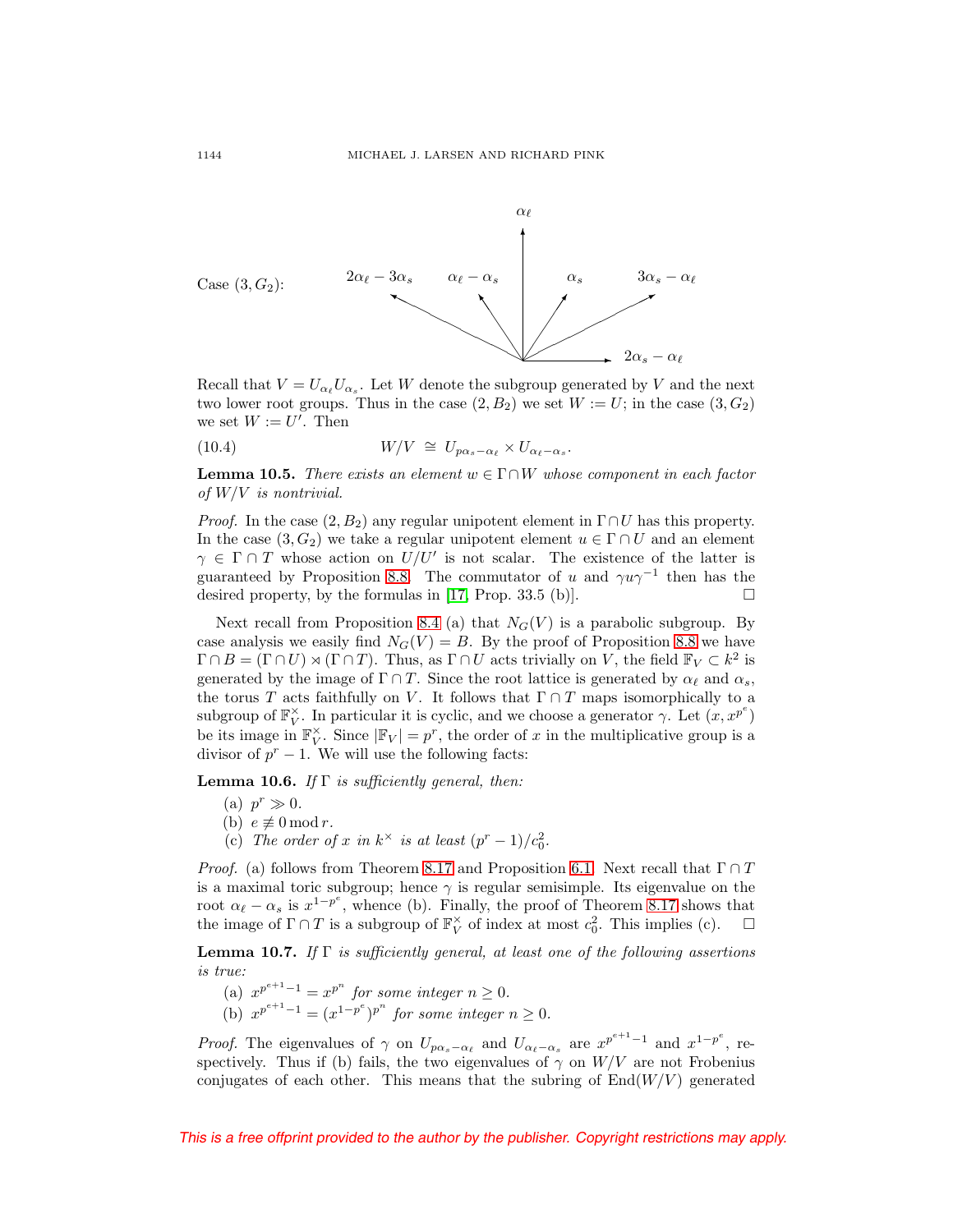

Recall that  $V = U_{\alpha_{\ell}} U_{\alpha_{s}}$ . Let W denote the subgroup generated by V and the next two lower root groups. Thus in the case  $(2, B_2)$  we set  $W := U$ ; in the case  $(3, G_2)$ we set  $W := U'$ . Then

<span id="page-39-0"></span>(10.4) 
$$
W/V \cong U_{p\alpha_s - \alpha_\ell} \times U_{\alpha_\ell - \alpha_s}.
$$

<span id="page-39-1"></span>**Lemma 10.5.** There exists an element  $w \in \Gamma \cap W$  whose component in each factor of  $W/V$  is nontrivial.

*Proof.* In the case  $(2, B_2)$  any regular unipotent element in  $\Gamma \cap U$  has this property. In the case  $(3, G_2)$  we take a regular unipotent element  $u \in \Gamma \cap U$  and an element  $\gamma \in \Gamma \cap T$  whose action on  $U/U'$  is not scalar. The existence of the latter is guaranteed by Proposition [8.8.](#page-33-1) The commutator of u and  $\gamma u \gamma^{-1}$  then has the desired property, by the formulas in [\[17,](#page-52-13) Prop. 33.5 (b)].

Next recall from Proposition [8.4](#page-30-1) (a) that  $N_G(V)$  is a parabolic subgroup. By case analysis we easily find  $N_G(V) = B$ . By the proof of Proposition [8.8](#page-33-1) we have  $\Gamma \cap B = (\Gamma \cap U) \rtimes (\Gamma \cap T)$ . Thus, as  $\Gamma \cap U$  acts trivially on V, the field  $\mathbb{F}_V \subset k^2$  is generated by the image of  $\Gamma \cap T$ . Since the root lattice is generated by  $\alpha_{\ell}$  and  $\alpha_s$ , the torus T acts faithfully on V. It follows that  $\Gamma \cap T$  maps isomorphically to a subgroup of  $\mathbb{F}_V^{\times}$ . In particular it is cyclic, and we choose a generator  $\gamma$ . Let  $(x, x^{p^e})$ be its image in  $\mathbb{F}_V^{\times}$ . Since  $|\mathbb{F}_V| = p^r$ , the order of x in the multiplicative group is a divisor of  $p^r - 1$ . We will use the following facts:

<span id="page-39-3"></span>**Lemma 10.6.** If  $\Gamma$  is sufficiently general, then:

- (a)  $p^r \gg 0$ .
- (b)  $e \not\equiv 0 \mod r$ .
- (c) The order of x in  $k^{\times}$  is at least  $(p^r-1)/c_0^2$ .

*Proof.* (a) follows from Theorem [8.17](#page-35-2) and Proposition [6.1.](#page-22-2) Next recall that  $\Gamma \cap T$ is a maximal toric subgroup; hence  $\gamma$  is regular semisimple. Its eigenvalue on the root  $\alpha_{\ell} - \alpha_s$  is  $x^{1-p^e}$ , whence (b). Finally, the proof of Theorem [8.17](#page-35-2) shows that the image of  $\Gamma \cap T$  is a subgroup of  $\mathbb{F}_V^{\times}$  of index at most  $c_0^2$ . This implies (c).  $\Box$  $\Box$ 

<span id="page-39-2"></span>**Lemma 10.7.** If  $\Gamma$  is sufficiently general, at least one of the following assertions is true:

- (a)  $x^{p^{e+1}-1} = x^{p^n}$  for some integer  $n \geq 0$ .
- (b)  $x^{p^{e+1}-1} = (x^{1-p^e})^{p^n}$  for some integer  $n \ge 0$ .

*Proof.* The eigenvalues of  $\gamma$  on  $U_{p\alpha_s-\alpha_\ell}$  and  $U_{\alpha_\ell-\alpha_s}$  are  $x^{p^{e+1}-1}$  and  $x^{1-p^e}$ , respectively. Thus if (b) fails, the two eigenvalues of  $\gamma$  on  $W/V$  are not Frobenius conjugates of each other. This means that the subring of  $End(W/V)$  generated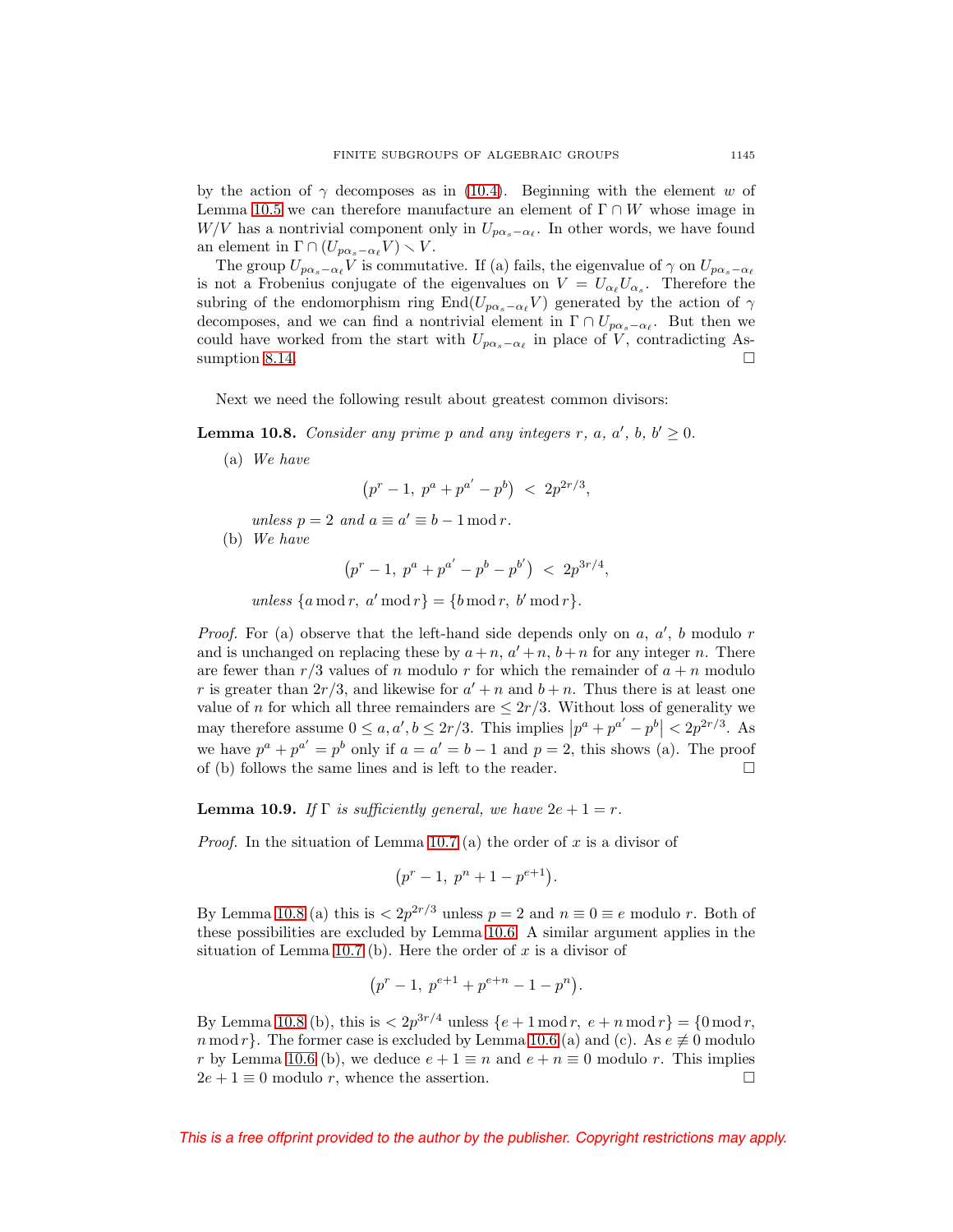by the action of  $\gamma$  decomposes as in [\(10.4\)](#page-39-0). Beginning with the element w of Lemma [10.5](#page-39-1) we can therefore manufacture an element of  $\Gamma \cap W$  whose image in W/V has a nontrivial component only in  $U_{p\alpha_s-\alpha_{\ell}}$ . In other words, we have found an element in  $\Gamma \cap (U_{p\alpha_s - \alpha_\ell} V) \setminus V$ .

The group  $U_{p\alpha_s-\alpha_\ell}V$  is commutative. If (a) fails, the eigenvalue of  $\gamma$  on  $U_{p\alpha_s-\alpha_\ell}$ is not a Frobenius conjugate of the eigenvalues on  $V = U_{\alpha_{\ell}} U_{\alpha_{s}}$ . Therefore the subring of the endomorphism ring  $\mathrm{End}(U_{p\alpha_s-\alpha_\ell} V)$  generated by the action of  $\gamma$ decomposes, and we can find a nontrivial element in  $\Gamma \cap U_{p\alpha_s-\alpha_\ell}$ . But then we could have worked from the start with  $U_{p\alpha_s-\alpha_\ell}$  in place of V, contradicting As-sumption [8.14.](#page-34-1)  $\Box$ 

Next we need the following result about greatest common divisors:

<span id="page-40-0"></span>**Lemma 10.8.** Consider any prime p and any integers r, a,  $a'$ ,  $b, b' \ge 0$ .

(a) We have

$$
(p^r-1, p^a + p^{a'} - p^b) < 2p^{2r/3},
$$

unless  $p = 2$  and  $a \equiv a' \equiv b - 1 \mod r$ .

(b) We have

 $(p^r-1, p^a+p^{a'}-p^b-p^{b'}) < 2p^{3r/4},$ 

unless  $\{a \mod r, a' \mod r\} = \{b \mod r, b' \mod r\}.$ 

*Proof.* For (a) observe that the left-hand side depends only on  $a, a', b$  modulo  $r$ and is unchanged on replacing these by  $a + n$ ,  $a' + n$ ,  $b + n$  for any integer n. There are fewer than  $r/3$  values of n modulo r for which the remainder of  $a + n$  modulo r is greater than  $2r/3$ , and likewise for  $a'+n$  and  $b+n$ . Thus there is at least one value of n for which all three remainders are  $\leq 2r/3$ . Without loss of generality we may therefore assume  $0 \le a, a', b \le 2r/3$ . This implies  $|p^a + p^{a'} - p^b| < 2p^{2r/3}$ . As we have  $p^a + p^{a'} = p^b$  only if  $a = a' = b - 1$  and  $p = 2$ , this shows (a). The proof of (b) follows the same lines and is left to the reader.

<span id="page-40-1"></span>**Lemma 10.9.** If  $\Gamma$  is sufficiently general, we have  $2e + 1 = r$ .

*Proof.* In the situation of Lemma [10.7](#page-39-2) (a) the order of x is a divisor of

$$
(p^r-1, p^n+1-p^{e+1}).
$$

By Lemma [10.8](#page-40-0) (a) this is  $\langle 2p^{2r/3}$  unless  $p = 2$  and  $n \equiv 0 \equiv e$  modulo r. Both of these possibilities are excluded by Lemma [10.6.](#page-39-3) A similar argument applies in the situation of Lemma [10.7](#page-39-2) (b). Here the order of  $x$  is a divisor of

$$
(p^r-1, p^{e+1}+p^{e+n}-1-p^n).
$$

By Lemma [10.8](#page-40-0) (b), this is  $\langle 2p^{3r/4} \text{ unless } \{e+1 \bmod r, e+n \bmod r\} = \{0 \bmod r, e+n \}$ n mod r}. The former case is excluded by Lemma [10.6](#page-39-3) (a) and (c). As  $e \not\equiv 0$  modulo r by Lemma [10.6](#page-39-3) (b), we deduce  $e + 1 \equiv n$  and  $e + n \equiv 0$  modulo r. This implies  $2e + 1 \equiv 0$  modulo r, whence the assertion.  $\Box$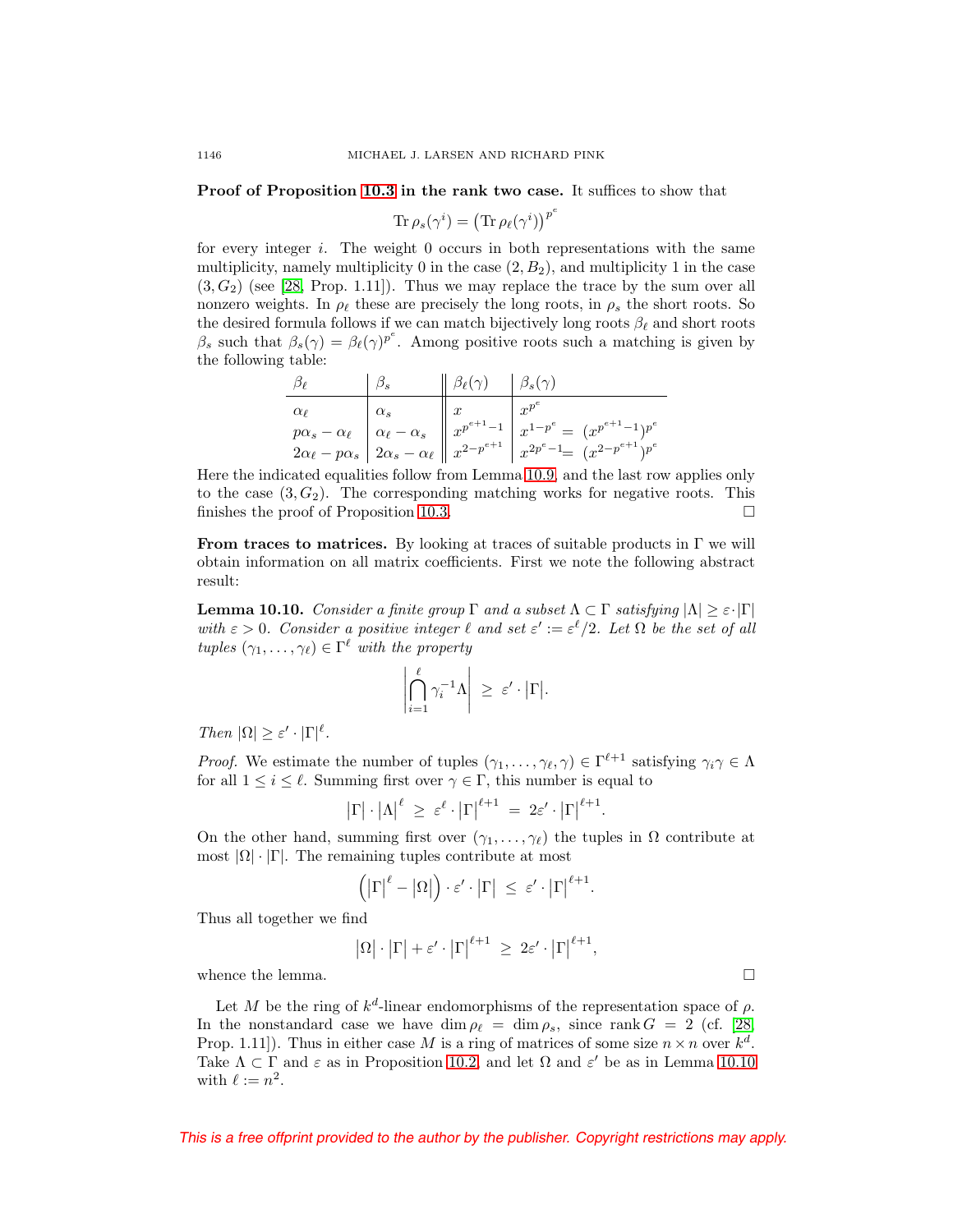**Proof of Proposition [10.3](#page-38-1) in the rank two case.** It suffices to show that

$$
\text{Tr}\,\rho_s(\gamma^i) = \left(\text{Tr}\,\rho_\ell(\gamma^i)\right)^{p^e}
$$

for every integer  $i$ . The weight 0 occurs in both representations with the same multiplicity, namely multiplicity 0 in the case  $(2, B_2)$ , and multiplicity 1 in the case  $(3, G<sub>2</sub>)$  (see [\[28,](#page-53-3) Prop. 1.11]). Thus we may replace the trace by the sum over all nonzero weights. In  $\rho_{\ell}$  these are precisely the long roots, in  $\rho_s$  the short roots. So the desired formula follows if we can match bijectively long roots  $\beta_{\ell}$  and short roots  $\beta_s$  such that  $\beta_s(\gamma) = \beta_\ell(\gamma)^{p^e}$ . Among positive roots such a matching is given by the following table:

$$
\begin{array}{c|c|c|c|c} \hline \beta_{\ell} & \beta_{s} & \beta_{\ell}(\gamma) & \beta_{s}(\gamma) \\ \hline \alpha_{\ell} & \alpha_{s} & x & x^{p^{e}} \\ p\alpha_{s} - \alpha_{\ell} & \alpha_{\ell} - \alpha_{s} & x^{p^{e+1}-1} & x^{1-p^{e}} = (x^{p^{e+1}-1})^{p^{e}} \\ 2\alpha_{\ell} - p\alpha_{s} & 2\alpha_{s} - \alpha_{\ell} & x^{2-p^{e+1}} & x^{2p^{e}-1} = (x^{2-p^{e+1}})^{p^{e}} \end{array}
$$

Here the indicated equalities follow from Lemma [10.9,](#page-40-1) and the last row applies only to the case  $(3, G_2)$ . The corresponding matching works for negative roots. This finishes the proof of Proposition [10.3.](#page-38-1)  $\Box$ 

**From traces to matrices.** By looking at traces of suitable products in  $\Gamma$  we will obtain information on all matrix coefficients. First we note the following abstract result:

<span id="page-41-0"></span>**Lemma 10.10.** Consider a finite group  $\Gamma$  and a subset  $\Lambda \subset \Gamma$  satisfying  $|\Lambda| \geq \varepsilon \cdot |\Gamma|$ with  $\varepsilon > 0$ . Consider a positive integer  $\ell$  and set  $\varepsilon' := \varepsilon^{\ell}/2$ . Let  $\Omega$  be the set of all tuples  $(\gamma_1,\ldots,\gamma_\ell)\in\Gamma^\ell$  with the property

$$
\left|\bigcap_{i=1}^{\ell} \gamma_i^{-1} \Lambda\right| \geq \varepsilon' \cdot |\Gamma|.
$$

Then  $|\Omega| \geq \varepsilon' \cdot |\Gamma|^{\ell}$ .

*Proof.* We estimate the number of tuples  $(\gamma_1,\ldots,\gamma_\ell,\gamma) \in \Gamma^{\ell+1}$  satisfying  $\gamma_i \gamma \in \Lambda$ for all  $1 \leq i \leq \ell$ . Summing first over  $\gamma \in \Gamma$ , this number is equal to

$$
\left|\Gamma\right|\cdot\left|\Lambda\right|^{\ell} \geq \varepsilon^{\ell}\cdot\left|\Gamma\right|^{\ell+1} = 2\varepsilon'\cdot\left|\Gamma\right|^{\ell+1}.
$$

On the other hand, summing first over  $(\gamma_1,\ldots,\gamma_\ell)$  the tuples in  $\Omega$  contribute at most  $|\Omega| \cdot |\Gamma|$ . The remaining tuples contribute at most

$$
\left( \left| \Gamma \right| ^{\ell}-\left| \Omega \right| \right) \cdot \varepsilon^{\prime}\cdot \left| \Gamma \right| \ \leq \ \varepsilon^{\prime}\cdot \left| \Gamma \right| ^{\ell+1}.
$$

Thus all together we find

$$
|\Omega| \cdot |\Gamma| + \varepsilon' \cdot |\Gamma|^{\ell+1} \ge 2\varepsilon' \cdot |\Gamma|^{\ell+1},
$$

whence the lemma.  $\Box$ 

Let M be the ring of  $k^d$ -linear endomorphisms of the representation space of  $\rho$ . In the nonstandard case we have dim  $\rho_{\ell} = \dim \rho_s$ , since rank  $G = 2$  (cf. [\[28,](#page-53-3) Prop. 1.11]). Thus in either case M is a ring of matrices of some size  $n \times n$  over  $k^d$ . Take  $\Lambda \subset \Gamma$  and  $\varepsilon$  as in Proposition [10.2,](#page-38-2) and let  $\Omega$  and  $\varepsilon'$  be as in Lemma [10.10](#page-41-0) with  $\ell := n^2$ .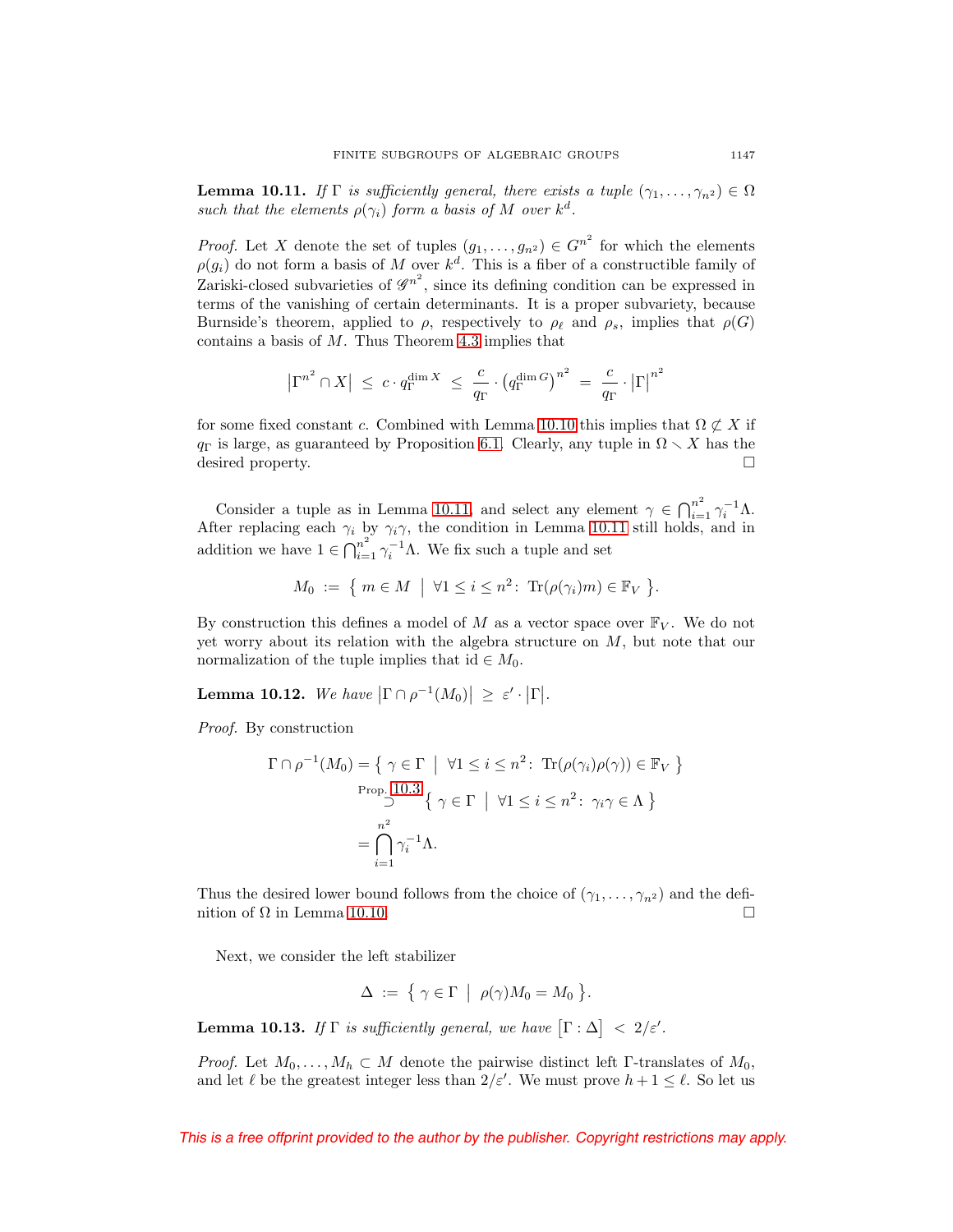<span id="page-42-0"></span>**Lemma 10.11.** If  $\Gamma$  is sufficiently general, there exists a tuple  $(\gamma_1, \ldots, \gamma_{n^2}) \in \Omega$ such that the elements  $\rho(\gamma_i)$  form a basis of M over  $k^d$ .

*Proof.* Let X denote the set of tuples  $(g_1, \ldots, g_n^2) \in G^{n^2}$  for which the elements  $\rho(g_i)$  do not form a basis of M over  $k^d$ . This is a fiber of a constructible family of Zariski-closed subvarieties of  $\mathscr{G}^{n^2}$ , since its defining condition can be expressed in terms of the vanishing of certain determinants. It is a proper subvariety, because Burnside's theorem, applied to  $\rho$ , respectively to  $\rho_{\ell}$  and  $\rho_s$ , implies that  $\rho(G)$ contains a basis of  $M$ . Thus Theorem [4.3](#page-17-3) implies that

$$
\left|\Gamma^{n^2}\cap X\right| \;\leq\; c\cdot q_{\Gamma}^{\dim X} \;\leq\; \frac{c}{q_{\Gamma}}\cdot \left(q_{\Gamma}^{\dim G}\right)^{n^2} \;=\; \frac{c}{q_{\Gamma}}\cdot \left|\Gamma\right|^{n^2}
$$

for some fixed constant c. Combined with Lemma [10.10](#page-41-0) this implies that  $\Omega \not\subset X$  if  $q_{\Gamma}$  is large, as guaranteed by Proposition [6.1.](#page-22-2) Clearly, any tuple in  $\Omega \setminus X$  has the desired property.

Consider a tuple as in Lemma [10.11,](#page-42-0) and select any element  $\gamma \in \bigcap_{i=1}^{n^2} \gamma_i^{-1} \Lambda$ . After replacing each  $\gamma_i$  by  $\gamma_i \gamma$ , the condition in Lemma [10.11](#page-42-0) still holds, and in addition we have  $1 \in \bigcap_{i=1}^{n^2} \gamma_i^{-1} \Lambda$ . We fix such a tuple and set

$$
M_0 := \{ m \in M \mid \forall 1 \leq i \leq n^2 \colon \operatorname{Tr}(\rho(\gamma_i)m) \in \mathbb{F}_V \}.
$$

By construction this defines a model of M as a vector space over  $\mathbb{F}_V$ . We do not yet worry about its relation with the algebra structure on  $M$ , but note that our normalization of the tuple implies that id  $\in M_0$ .

<span id="page-42-1"></span>**Lemma 10.12.** We have  $|\Gamma \cap \rho^{-1}(M_0)| \geq \varepsilon' \cdot |\Gamma|$ .

Proof. By construction

$$
\Gamma \cap \rho^{-1}(M_0) = \{ \gamma \in \Gamma \mid \forall 1 \le i \le n^2 \colon \operatorname{Tr}(\rho(\gamma_i)\rho(\gamma)) \in \mathbb{F}_V \}
$$
  
Prop. 10.3  

$$
\{ \gamma \in \Gamma \mid \forall 1 \le i \le n^2 \colon \gamma_i \gamma \in \Lambda \}
$$

$$
= \bigcap_{i=1}^{n^2} \gamma_i^{-1} \Lambda.
$$

Thus the desired lower bound follows from the choice of  $(\gamma_1,\ldots,\gamma_{n^2})$  and the definition of  $\Omega$  in Lemma [10.10.](#page-41-0)  $\Box$ 

Next, we consider the left stabilizer

$$
\Delta := \{ \gamma \in \Gamma \mid \rho(\gamma)M_0 = M_0 \}.
$$

<span id="page-42-2"></span>**Lemma 10.13.** If  $\Gamma$  is sufficiently general, we have  $[\Gamma : \Delta] < 2/\varepsilon'$ .

*Proof.* Let  $M_0, \ldots, M_h \subset M$  denote the pairwise distinct left Γ-translates of  $M_0$ , and let  $\ell$  be the greatest integer less than  $2/\varepsilon'$ . We must prove  $h + 1 \leq \ell$ . So let us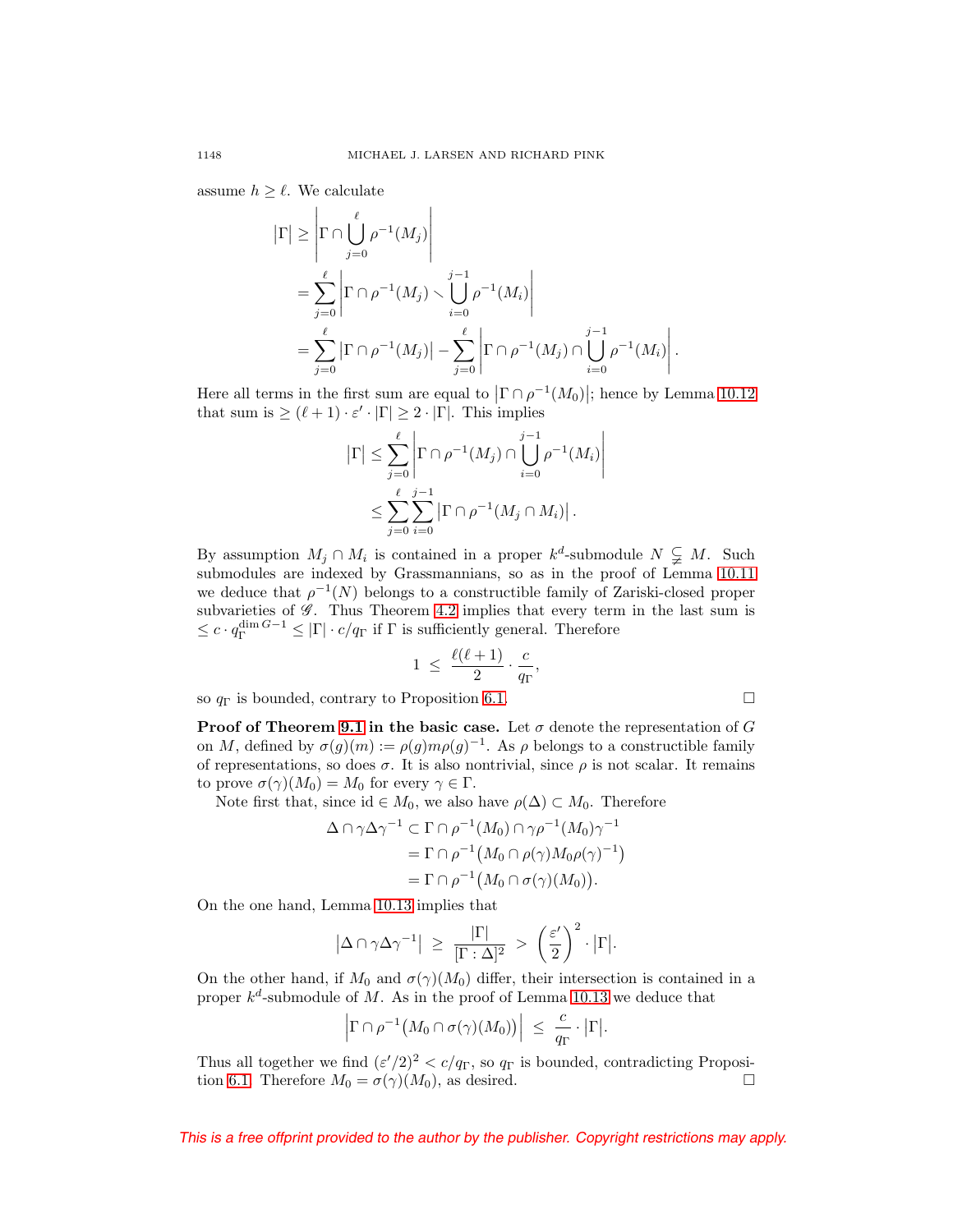assume  $h \geq \ell$ . We calculate

$$
\begin{split} \left| \Gamma \right| &\geq \left| \Gamma \cap \bigcup_{j=0}^{\ell} \rho^{-1}(M_j) \right| \\ &= \sum_{j=0}^{\ell} \left| \Gamma \cap \rho^{-1}(M_j) \right| \bigcup_{i=0}^{j-1} \rho^{-1}(M_i) \right| \\ &= \sum_{j=0}^{\ell} \left| \Gamma \cap \rho^{-1}(M_j) \right| - \sum_{j=0}^{\ell} \left| \Gamma \cap \rho^{-1}(M_j) \cap \bigcup_{i=0}^{j-1} \rho^{-1}(M_i) \right| . \end{split}
$$

Here all terms in the first sum are equal to  $|\Gamma \cap \rho^{-1}(M_0)|$ ; hence by Lemma [10.12](#page-42-1) that sum is  $\geq (\ell + 1) \cdot \varepsilon' \cdot |\Gamma| \geq 2 \cdot |\Gamma|$ . This implies

> $\overline{\phantom{a}}$  $\overline{\phantom{a}}$  $\overline{\phantom{a}}$  $\overline{\phantom{a}}$  $\overline{\phantom{a}}$

> > $\Box$

$$
|\Gamma| \leq \sum_{j=0}^{\ell} \left| \Gamma \cap \rho^{-1}(M_j) \cap \bigcup_{i=0}^{j-1} \rho^{-1}(M_i) \right|
$$
  

$$
\leq \sum_{j=0}^{\ell} \sum_{i=0}^{j-1} |\Gamma \cap \rho^{-1}(M_j \cap M_i)|.
$$

By assumption  $M_j \cap M_i$  is contained in a proper  $k^d$ -submodule  $N \subsetneq M$ . Such submodules are indexed by Grassmannians, so as in the proof of Lemma [10.11](#page-42-0) we deduce that  $\rho^{-1}(N)$  belongs to a constructible family of Zariski-closed proper subvarieties of  $\mathscr G$ . Thus Theorem [4.2](#page-17-1) implies that every term in the last sum is  $\leq c \cdot q_{\Gamma}^{\dim G - 1} \leq |\Gamma| \cdot c/q_{\Gamma}$  if  $\Gamma$  is sufficiently general. Therefore

$$
1 \ \leq \ \frac{\ell(\ell+1)}{2} \cdot \frac{c}{q_{\Gamma}},
$$

so  $q_{\Gamma}$  is bounded, contrary to Proposition [6.1.](#page-22-2)

**Proof of Theorem [9.1](#page-35-3) in the basic case.** Let  $\sigma$  denote the representation of G on M, defined by  $\sigma(g)(m) := \rho(g)m\rho(g)^{-1}$ . As  $\rho$  belongs to a constructible family of representations, so does  $\sigma$ . It is also nontrivial, since  $\rho$  is not scalar. It remains to prove  $\sigma(\gamma)(M_0) = M_0$  for every  $\gamma \in \Gamma$ .

Note first that, since id  $\in M_0$ , we also have  $\rho(\Delta) \subset M_0$ . Therefore

$$
\Delta \cap \gamma \Delta \gamma^{-1} \subset \Gamma \cap \rho^{-1}(M_0) \cap \gamma \rho^{-1}(M_0) \gamma^{-1}
$$
  
=  $\Gamma \cap \rho^{-1}(M_0 \cap \rho(\gamma)M_0\rho(\gamma)^{-1})$   
=  $\Gamma \cap \rho^{-1}(M_0 \cap \sigma(\gamma)(M_0)).$ 

On the one hand, Lemma [10.13](#page-42-2) implies that

$$
|\Delta \cap \gamma \Delta \gamma^{-1}| \ge \frac{|\Gamma|}{[\Gamma : \Delta]^2} > \left(\frac{\varepsilon'}{2}\right)^2 \cdot |\Gamma|.
$$

On the other hand, if  $M_0$  and  $\sigma(\gamma)(M_0)$  differ, their intersection is contained in a proper  $k^d$ -submodule of M. As in the proof of Lemma [10.13](#page-42-2) we deduce that

$$
\left|\Gamma\cap\rho^{-1}\big(M_0\cap\sigma(\gamma)(M_0)\big)\right| ~\leq ~ \frac{c}{q_\Gamma}\cdot\big|\Gamma\big|.
$$

Thus all together we find  $(\varepsilon'/2)^2 < c/q_{\Gamma}$ , so  $q_{\Gamma}$  is bounded, contradicting Proposi-tion [6.1.](#page-22-2) Therefore  $M_0 = \sigma(\gamma)(M_0)$ , as desired.  $\Box$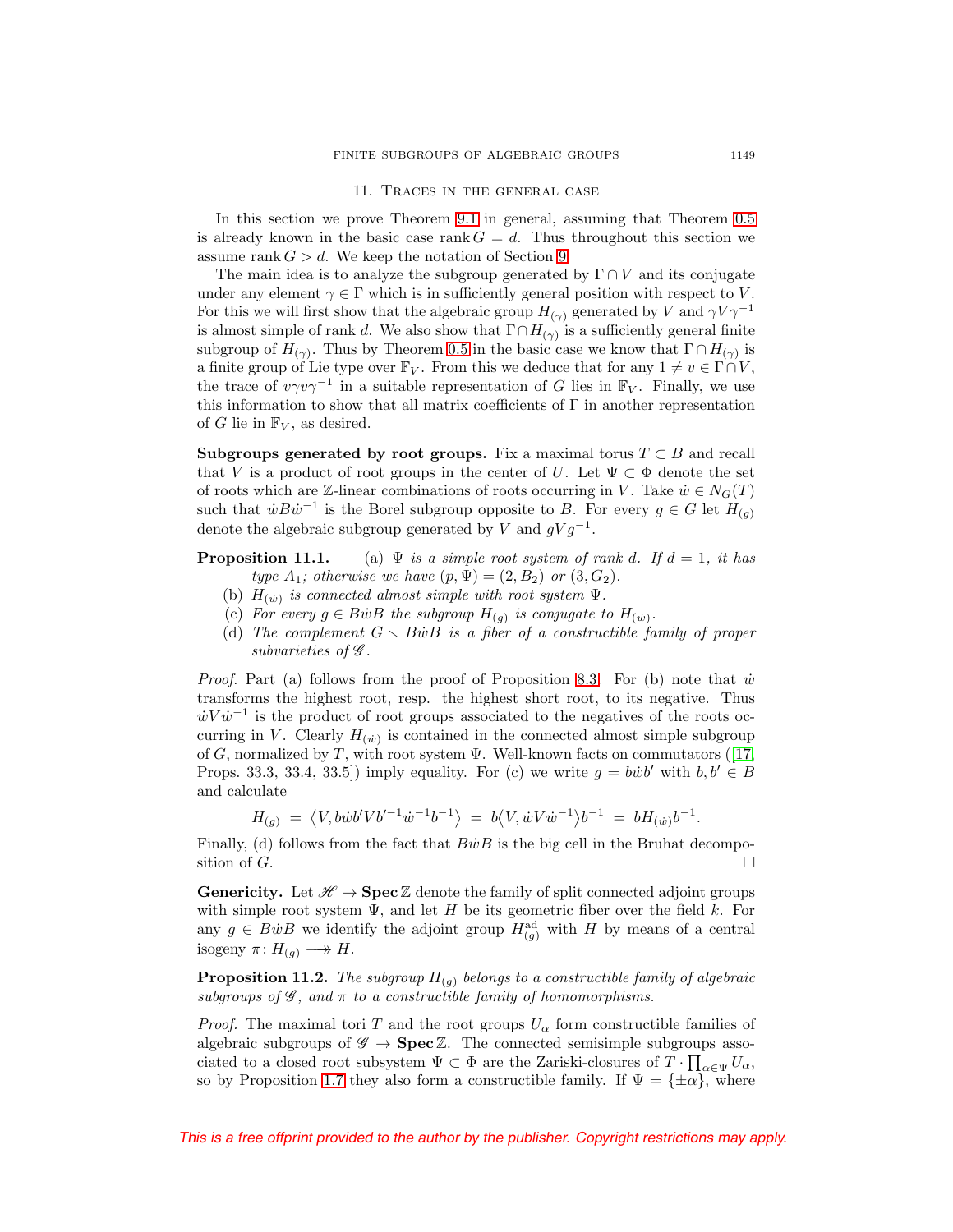#### 11. Traces in the general case

<span id="page-44-0"></span>In this section we prove Theorem [9.1](#page-35-3) in general, assuming that Theorem [0.5](#page-2-0) is already known in the basic case rank  $G = d$ . Thus throughout this section we assume rank  $G > d$ . We keep the notation of Section [9.](#page-35-0)

The main idea is to analyze the subgroup generated by  $\Gamma \cap V$  and its conjugate under any element  $\gamma \in \Gamma$  which is in sufficiently general position with respect to V. For this we will first show that the algebraic group  $H_{(\gamma)}$  generated by V and  $\gamma V \gamma^{-1}$ is almost simple of rank d. We also show that  $\Gamma \cap H_{(\gamma)}$  is a sufficiently general finite subgroup of  $H_{(\gamma)}$ . Thus by Theorem [0.5](#page-2-0) in the basic case we know that  $\Gamma \cap H_{(\gamma)}$  is a finite group of Lie type over  $\mathbb{F}_V$ . From this we deduce that for any  $1 \neq v \in \Gamma \cap V$ , the trace of  $v\gamma v\gamma^{-1}$  in a suitable representation of G lies in  $\mathbb{F}_V$ . Finally, we use this information to show that all matrix coefficients of  $\Gamma$  in another representation of G lie in  $\mathbb{F}_V$ , as desired.

<span id="page-44-1"></span>**Subgroups generated by root groups.** Fix a maximal torus  $T \subset B$  and recall that V is a product of root groups in the center of U. Let  $\Psi \subset \Phi$  denote the set of roots which are Z-linear combinations of roots occurring in V. Take  $\dot{w} \in N_G(T)$ such that  $\dot{w}B\dot{w}^{-1}$  is the Borel subgroup opposite to B. For every  $g \in G$  let  $H_{(g)}$ denote the algebraic subgroup generated by V and  $qVq^{-1}$ .

**Proposition 11.1.** (a)  $\Psi$  is a simple root system of rank d. If  $d = 1$ , it has type  $A_1$ ; otherwise we have  $(p, \Psi) = (2, B_2)$  or  $(3, G_2)$ .

- (b)  $H_{(\dot{w})}$  is connected almost simple with root system  $\Psi$ .
- (c) For every  $g \in B\dot{w}B$  the subgroup  $H_{(g)}$  is conjugate to  $H_{(\dot{w})}$ .
- (d) The complement  $G \setminus B\dot{w}B$  is a fiber of a constructible family of proper subvarieties of  $\mathscr G$ .

*Proof.* Part (a) follows from the proof of Proposition [8.3.](#page-30-0) For (b) note that  $\dot{w}$ transforms the highest root, resp. the highest short root, to its negative. Thus  $\dot{w}V\dot{w}^{-1}$  is the product of root groups associated to the negatives of the roots occurring in V. Clearly  $H_{(\dot{w})}$  is contained in the connected almost simple subgroup of G, normalized by T, with root system  $\Psi$ . Well-known facts on commutators ([\[17,](#page-52-13) Props. 33.3, 33.4, 33.5]) imply equality. For (c) we write  $g = b\dot{w}b'$  with  $b, b' \in B$ and calculate

$$
H_{(g)} = \langle V, b\dot{w}b'Vb'^{-1}\dot{w}^{-1}b^{-1} \rangle = b \langle V, \dot{w}V\dot{w}^{-1} \rangle b^{-1} = bH_{(\dot{w})}b^{-1}.
$$

Finally, (d) follows from the fact that  $B\dot{w}B$  is the big cell in the Bruhat decomposition of  $G$ .  $\Box$ 

**Genericity.** Let  $\mathscr{H} \to \mathbf{Spec} \mathbb{Z}$  denote the family of split connected adjoint groups with simple root system  $\Psi$ , and let H be its geometric fiber over the field k. For any  $g \in B\dot{w}B$  we identify the adjoint group  $H_{(g)}^{\text{ad}}$  with H by means of a central isogeny  $\pi: H_{(q)} \longrightarrow H$ .

<span id="page-44-2"></span>**Proposition 11.2.** The subgroup  $H_{(g)}$  belongs to a constructible family of algebraic subgroups of  $\mathscr G$ , and  $\pi$  to a constructible family of homomorphisms.

*Proof.* The maximal tori T and the root groups  $U_{\alpha}$  form constructible families of algebraic subgroups of  $\mathscr{G} \to \textbf{Spec} \, \mathbb{Z}$ . The connected semisimple subgroups associated to a closed root subsystem  $\Psi \subset \Phi$  are the Zariski-closures of  $T \cdot \prod_{\alpha \in \Psi} U_{\alpha}$ , so by Proposition [1.7](#page-7-1) they also form a constructible family. If  $\Psi = {\pm \alpha}$ , where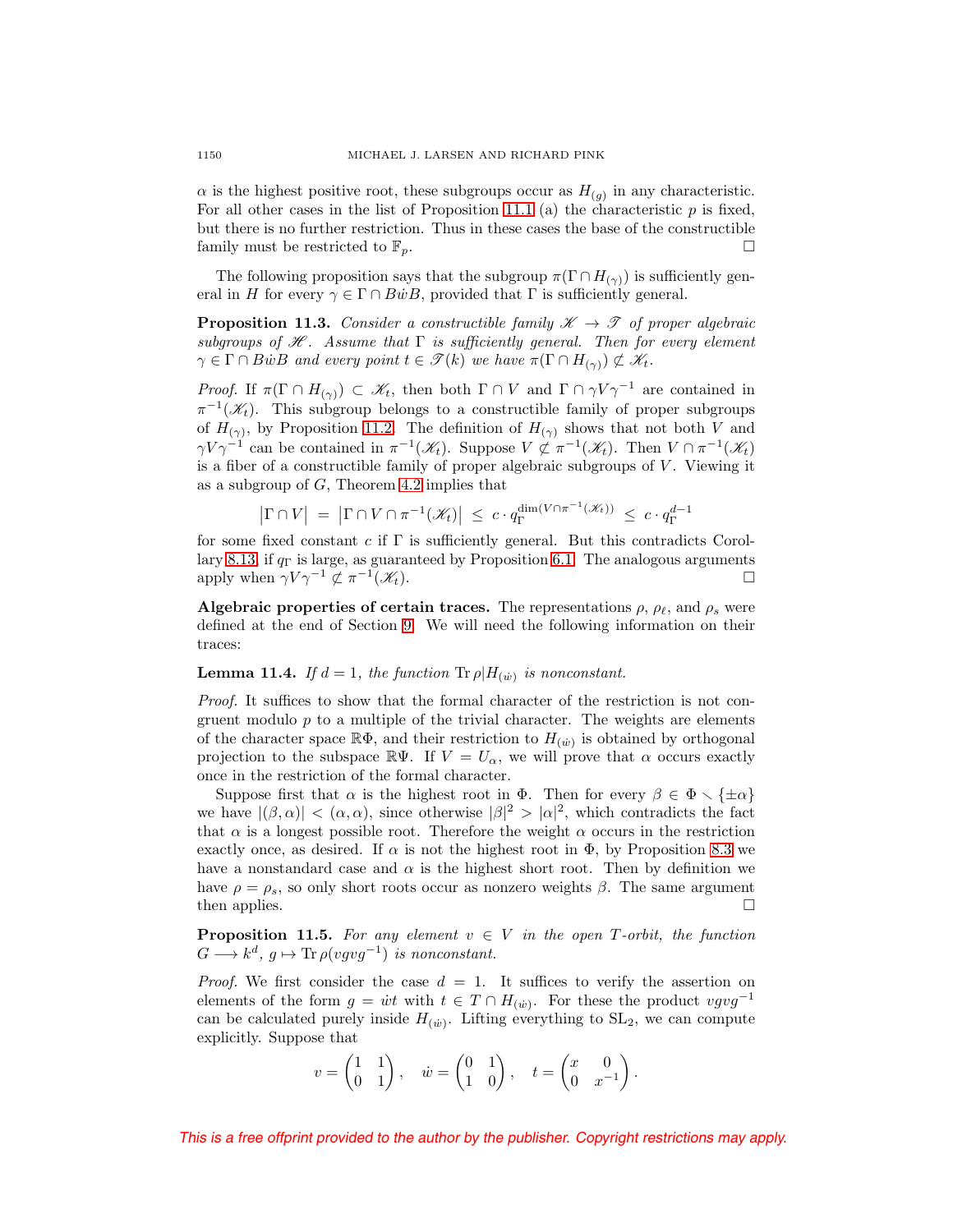$\alpha$  is the highest positive root, these subgroups occur as  $H_{(q)}$  in any characteristic. For all other cases in the list of Proposition 11.1 (a) the characteristic  $p$  is fixed, but there is no further restriction. Thus in these cases the base of the constructible family must be restricted to  $\mathbb{F}_p$ .

The following proposition says that the subgroup  $\pi(\Gamma \cap H_{(\gamma)})$  is sufficiently general in H for every  $\gamma \in \Gamma \cap B\dot{w}B$ , provided that  $\Gamma$  is sufficiently general.

<span id="page-45-1"></span>**Proposition 11.3.** Consider a constructible family  $\mathcal{K} \rightarrow \mathcal{T}$  of proper algebraic subgroups of  $H$ . Assume that  $\Gamma$  is sufficiently general. Then for every element  $\gamma \in \Gamma \cap B\dot{w}B$  and every point  $t \in \mathscr{T}(k)$  we have  $\pi(\Gamma \cap H_{(\gamma)}) \not\subset \mathscr{K}_t$ .

*Proof.* If  $\pi(\Gamma \cap H_{(\gamma)}) \subset \mathscr{K}_t$ , then both  $\Gamma \cap V$  and  $\Gamma \cap \gamma V \gamma^{-1}$  are contained in  $\pi^{-1}(\mathscr{K}_t)$ . This subgroup belongs to a constructible family of proper subgroups of  $H_{(\gamma)}$ , by Proposition [11.2.](#page-44-2) The definition of  $H_{(\gamma)}$  shows that not both V and  $\gamma V \gamma^{-1}$  can be contained in  $\pi^{-1}(\mathscr{K}_t)$ . Suppose  $V \not\subset \pi^{-1}(\mathscr{K}_t)$ . Then  $V \cap \pi^{-1}(\mathscr{K}_t)$ is a fiber of a constructible family of proper algebraic subgroups of  $V$ . Viewing it as a subgroup of  $G$ , Theorem [4.2](#page-17-1) implies that

$$
\left|\Gamma \cap V\right| \;=\; \left|\Gamma \cap V \cap \pi^{-1}(\mathscr{K}_t)\right| \;\leq\; c \cdot q_{\Gamma}^{\dim(V \cap \pi^{-1}(\mathscr{K}_t))} \;\leq\; c \cdot q_{\Gamma}^{d-1}
$$

for some fixed constant c if  $\Gamma$  is sufficiently general. But this contradicts Corol-lary [8.13,](#page-34-4) if  $q_{\Gamma}$  is large, as guaranteed by Proposition [6.1.](#page-22-2) The analogous arguments apply when  $\gamma V \gamma^{-1} \not\subset \pi^{-1}(\mathscr{K}_t)$ .

**Algebraic properties of certain traces.** The representations  $\rho$ ,  $\rho_{\ell}$ , and  $\rho_s$  were defined at the end of Section [9.](#page-35-0) We will need the following information on their traces:

## <span id="page-45-0"></span>**Lemma 11.4.** If  $d = 1$ , the function  $\text{Tr } \rho | H_{(\dot{w})}$  is nonconstant.

Proof. It suffices to show that the formal character of the restriction is not congruent modulo  $p$  to a multiple of the trivial character. The weights are elements of the character space  $\mathbb{R}\Phi$ , and their restriction to  $H_{(\dot{w})}$  is obtained by orthogonal projection to the subspace  $\mathbb{R}\Psi$ . If  $V = U_\alpha$ , we will prove that  $\alpha$  occurs exactly once in the restriction of the formal character.

Suppose first that  $\alpha$  is the highest root in  $\Phi$ . Then for every  $\beta \in \Phi \setminus {\pm \alpha}$ we have  $|(\beta,\alpha)| < (\alpha,\alpha)$ , since otherwise  $|\beta|^2 > |\alpha|^2$ , which contradicts the fact that  $\alpha$  is a longest possible root. Therefore the weight  $\alpha$  occurs in the restriction exactly once, as desired. If  $\alpha$  is not the highest root in  $\Phi$ , by Proposition [8.3](#page-30-0) we have a nonstandard case and  $\alpha$  is the highest short root. Then by definition we have  $\rho = \rho_s$ , so only short roots occur as nonzero weights  $\beta$ . The same argument then applies.  $\Box$ 

<span id="page-45-2"></span>**Proposition 11.5.** For any element  $v \in V$  in the open T-orbit, the function  $G \longrightarrow k^d$ ,  $g \mapsto \text{Tr}\, \rho(vgvg^{-1})$  is nonconstant.

*Proof.* We first consider the case  $d = 1$ . It suffices to verify the assertion on elements of the form  $g = \dot{w}t$  with  $t \in T \cap H_{(\dot{w})}$ . For these the product  $vgvg^{-1}$ can be calculated purely inside  $H_{(\dot{w})}$ . Lifting everything to  $SL_2$ , we can compute explicitly. Suppose that

$$
v = \begin{pmatrix} 1 & 1 \\ 0 & 1 \end{pmatrix}, \quad \dot{w} = \begin{pmatrix} 0 & 1 \\ 1 & 0 \end{pmatrix}, \quad t = \begin{pmatrix} x & 0 \\ 0 & x^{-1} \end{pmatrix}.
$$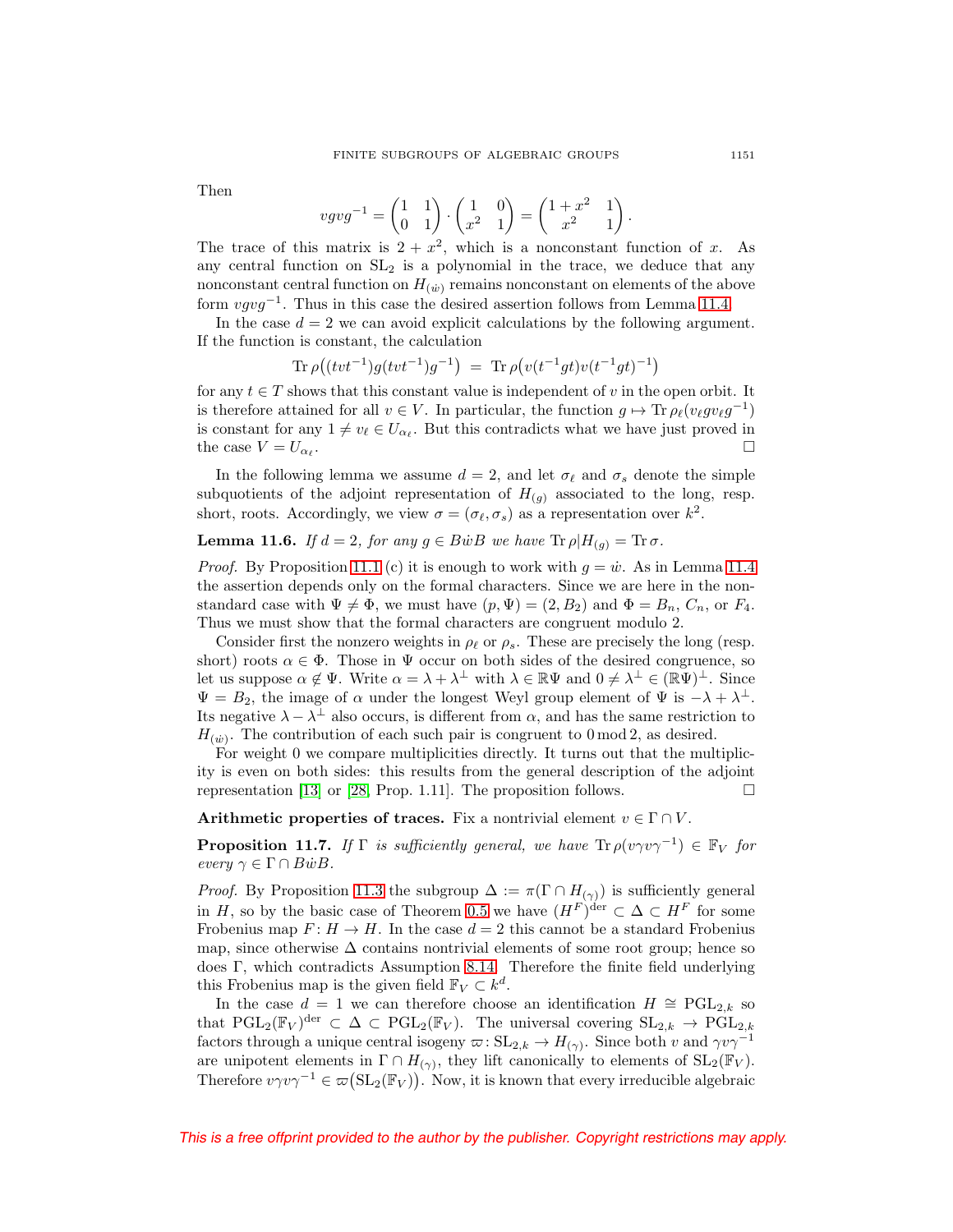Then

$$
vgvg^{-1} = \begin{pmatrix} 1 & 1 \\ 0 & 1 \end{pmatrix} \cdot \begin{pmatrix} 1 & 0 \\ x^2 & 1 \end{pmatrix} = \begin{pmatrix} 1+x^2 & 1 \\ x^2 & 1 \end{pmatrix}.
$$

The trace of this matrix is  $2 + x^2$ , which is a nonconstant function of x. As any central function on  $SL<sub>2</sub>$  is a polynomial in the trace, we deduce that any nonconstant central function on  $H_{(w)}$  remains nonconstant on elements of the above form  $vgvg^{-1}$ . Thus in this case the desired assertion follows from Lemma [11.4.](#page-45-0)

In the case  $d = 2$  we can avoid explicit calculations by the following argument. If the function is constant, the calculation

$$
\mathrm{Tr}\,\rho\big((tvt^{-1})g(tvt^{-1})g^{-1}\big) \;=\; \mathrm{Tr}\,\rho\big(v(t^{-1}gt)v(t^{-1}gt)^{-1}\big)
$$

for any  $t \in T$  shows that this constant value is independent of v in the open orbit. It is therefore attained for all  $v \in V$ . In particular, the function  $g \mapsto \text{Tr}\,\rho_{\ell}(v_{\ell}gv_{\ell}g^{-1})$ is constant for any  $1 \neq v_{\ell} \in U_{\alpha_{\ell}}$ . But this contradicts what we have just proved in the case  $V = U_{\alpha}$ .

In the following lemma we assume  $d = 2$ , and let  $\sigma_{\ell}$  and  $\sigma_{s}$  denote the simple subquotients of the adjoint representation of  $H_{(q)}$  associated to the long, resp. short, roots. Accordingly, we view  $\sigma = (\sigma_{\ell}, \sigma_s)$  as a representation over  $k^2$ .

# <span id="page-46-0"></span>**Lemma 11.6.** If  $d = 2$ , for any  $g \in B\dot{w}B$  we have  $\text{Tr } \rho |H_{(g)} = \text{Tr }\sigma$ .

*Proof.* By Proposition 11.1 (c) it is enough to work with  $g = \dot{w}$ . As in Lemma [11.4](#page-45-0) the assertion depends only on the formal characters. Since we are here in the nonstandard case with  $\Psi \neq \Phi$ , we must have  $(p, \Psi) = (2, B_2)$  and  $\Phi = B_n$ ,  $C_n$ , or  $F_4$ . Thus we must show that the formal characters are congruent modulo 2.

Consider first the nonzero weights in  $\rho_{\ell}$  or  $\rho_s$ . These are precisely the long (resp. short) roots  $\alpha \in \Phi$ . Those in  $\Psi$  occur on both sides of the desired congruence, so let us suppose  $\alpha \notin \Psi$ . Write  $\alpha = \lambda + \lambda^{\perp}$  with  $\lambda \in \mathbb{R}\Psi$  and  $0 \neq \lambda^{\perp} \in (\mathbb{R}\Psi)^{\perp}$ . Since  $\Psi = B_2$ , the image of  $\alpha$  under the longest Weyl group element of  $\Psi$  is  $-\lambda + \lambda^{\perp}$ . Its negative  $\lambda - \lambda^{\perp}$  also occurs, is different from  $\alpha$ , and has the same restriction to  $H_{(\dot{w})}$ . The contribution of each such pair is congruent to 0 mod 2, as desired.

For weight 0 we compare multiplicities directly. It turns out that the multiplicity is even on both sides: this results from the general description of the adjoint representation [\[13\]](#page-52-24) or [\[28,](#page-53-3) Prop. 1.11]. The proposition follows.  $\Box$ 

**Arithmetic properties of traces.** Fix a nontrivial element  $v \in \Gamma \cap V$ .

<span id="page-46-1"></span>**Proposition 11.7.** If  $\Gamma$  is sufficiently general, we have  $\text{Tr } \rho(v \gamma v \gamma^{-1}) \in \mathbb{F}_V$  for every  $\gamma \in \Gamma \cap B\dot{w}B$ .

*Proof.* By Proposition [11.3](#page-45-1) the subgroup  $\Delta := \pi(\Gamma \cap H_{(\gamma)})$  is sufficiently general in H, so by the basic case of Theorem [0.5](#page-2-0) we have  $(H^F)^{\text{der}} \subset \Delta \subset H^F$  for some Frobenius map  $F: H \to H$ . In the case  $d = 2$  this cannot be a standard Frobenius map, since otherwise  $\Delta$  contains nontrivial elements of some root group; hence so does Γ, which contradicts Assumption [8.14.](#page-34-1) Therefore the finite field underlying this Frobenius map is the given field  $\mathbb{F}_V \subset k^d$ .

In the case  $d = 1$  we can therefore choose an identification  $H \cong \text{PGL}_{2,k}$  so that  $PGL_2(\mathbb{F}_V)^{\text{der}} \subset \Delta \subset PGL_2(\mathbb{F}_V)$ . The universal covering  $SL_{2,k} \to PGL_{2,k}$ factors through a unique central isogeny  $\varpi$ : SL<sub>2,k</sub> →  $H_{(\gamma)}$ . Since both v and  $\gamma v \gamma^{-1}$ are unipotent elements in  $\Gamma \cap H_{(\gamma)}$ , they lift canonically to elements of  $SL_2(\mathbb{F}_V)$ . Therefore  $v\gamma v\gamma^{-1} \in \varpi(\mathrm{SL}_2(\mathbb{F}_V))$ . Now, it is known that every irreducible algebraic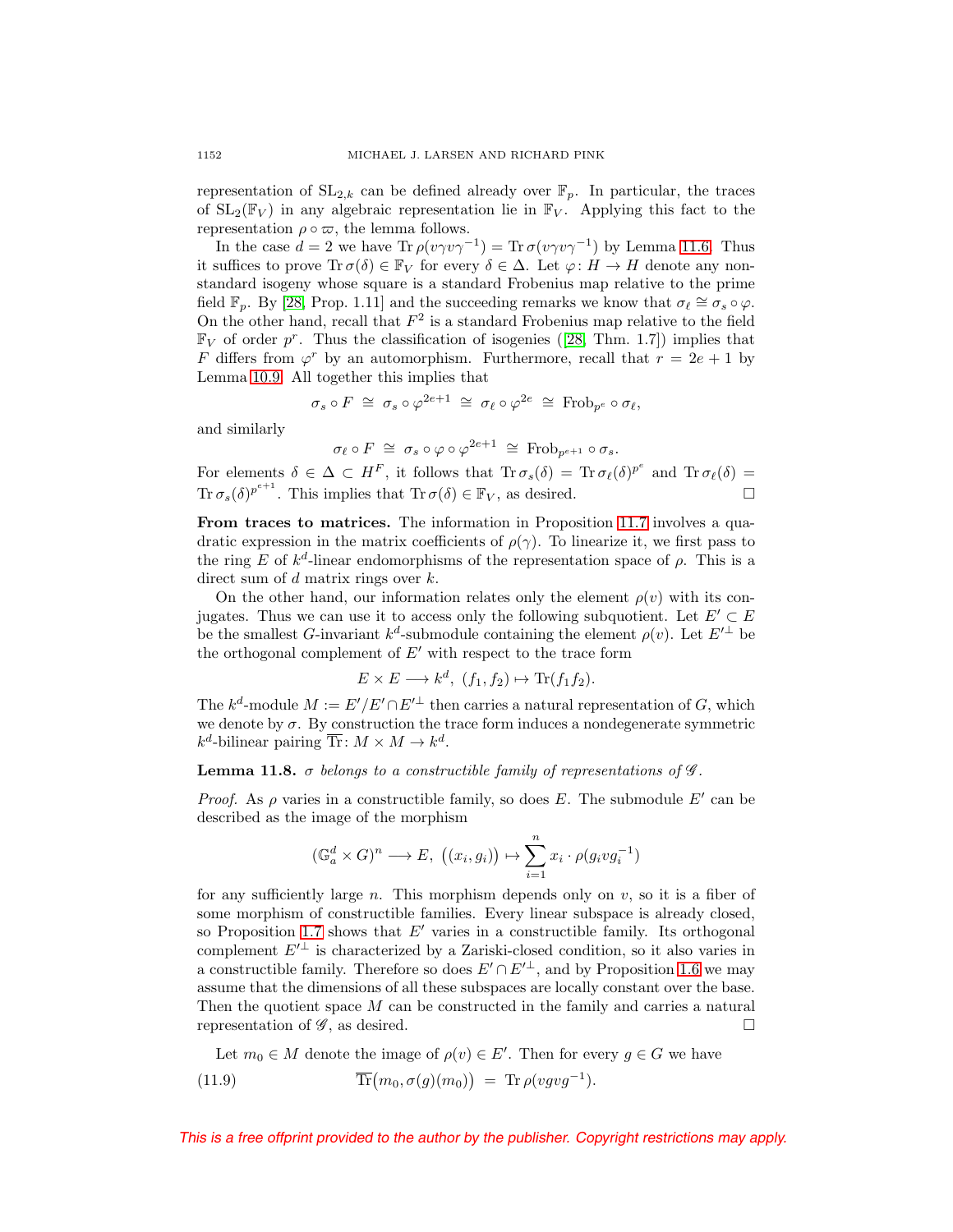representation of  $SL_{2,k}$  can be defined already over  $\mathbb{F}_p$ . In particular, the traces of  $SL_2(\mathbb{F}_V)$  in any algebraic representation lie in  $\mathbb{F}_V$ . Applying this fact to the representation  $\rho \circ \varpi$ , the lemma follows.

In the case  $d = 2$  we have Tr  $\rho(v\gamma v\gamma^{-1}) = \text{Tr} \sigma(v\gamma v\gamma^{-1})$  by Lemma [11.6.](#page-46-0) Thus it suffices to prove  $\text{Tr }\sigma(\delta) \in \mathbb{F}_V$  for every  $\delta \in \Delta$ . Let  $\varphi \colon H \to H$  denote any nonstandard isogeny whose square is a standard Frobenius map relative to the prime field  $\mathbb{F}_p$ . By [\[28,](#page-53-3) Prop. 1.11] and the succeeding remarks we know that  $\sigma_\ell \cong \sigma_s \circ \varphi$ . On the other hand, recall that  $F^2$  is a standard Frobenius map relative to the field  $\mathbb{F}_V$  of order p<sup>r</sup>. Thus the classification of isogenies ([\[28,](#page-53-3) Thm. 1.7]) implies that F differs from  $\varphi^r$  by an automorphism. Furthermore, recall that  $r = 2e + 1$  by Lemma [10.9.](#page-40-1) All together this implies that

$$
\sigma_s \circ F \;\cong\; \sigma_s \circ \varphi^{2e+1} \;\cong\; \sigma_\ell \circ \varphi^{2e} \;\cong\; \mathrm{Frob}_{p^e} \circ \sigma_\ell,
$$

and similarly

$$
\sigma_{\ell} \circ F \,\cong\, \sigma_s \circ \varphi \circ \varphi^{2e+1} \,\cong\, \text{Frob}_{p^{e+1}} \circ \sigma_s.
$$

For elements  $\delta \in \Delta \subset H^F$ , it follows that  $\text{Tr}\,\sigma_s(\delta) = \text{Tr}\,\sigma_\ell(\delta)^{p^e}$  and  $\text{Tr}\,\sigma_\ell(\delta) =$  $\text{Tr}\,\sigma_s(\delta)^{p^{e+1}}$ . This implies that  $\text{Tr}\,\sigma(\delta) \in \mathbb{F}_V$ , as desired.  $\square$ 

**From traces to matrices.** The information in Proposition [11.7](#page-46-1) involves a quadratic expression in the matrix coefficients of  $\rho(\gamma)$ . To linearize it, we first pass to the ring E of  $k^d$ -linear endomorphisms of the representation space of  $\rho$ . This is a direct sum of d matrix rings over k.

On the other hand, our information relates only the element  $\rho(v)$  with its conjugates. Thus we can use it to access only the following subquotient. Let  $E' \subset E$ be the smallest G-invariant  $k^d$ -submodule containing the element  $\rho(v)$ . Let  $E'^{\perp}$  be the orthogonal complement of  $E'$  with respect to the trace form

$$
E \times E \longrightarrow k^d, \ (f_1, f_2) \mapsto \text{Tr}(f_1 f_2).
$$

The  $k^d$ -module  $M := E'/E' \cap E'^{\perp}$  then carries a natural representation of G, which we denote by  $\sigma$ . By construction the trace form induces a nondegenerate symmetric  $k^d$ -bilinear pairing  $\overline{\text{Tr}}: M \times M \to k^d$ .

<span id="page-47-1"></span>**Lemma 11.8.**  $\sigma$  belongs to a constructible family of representations of  $\mathscr{G}$ .

*Proof.* As  $\rho$  varies in a constructible family, so does E. The submodule E' can be described as the image of the morphism

$$
(\mathbb{G}_a^d \times G)^n \longrightarrow E, \ \big((x_i, g_i)\big) \mapsto \sum_{i=1}^n x_i \cdot \rho(g_i v g_i^{-1})
$$

for any sufficiently large n. This morphism depends only on  $v$ , so it is a fiber of some morphism of constructible families. Every linear subspace is already closed, so Proposition [1.7](#page-7-1) shows that  $E'$  varies in a constructible family. Its orthogonal complement  $E'^{\perp}$  is characterized by a Zariski-closed condition, so it also varies in a constructible family. Therefore so does  $E' \cap E'^{\perp}$ , and by Proposition [1.6](#page-7-2) we may assume that the dimensions of all these subspaces are locally constant over the base. Then the quotient space M can be constructed in the family and carries a natural representation of  $\mathscr{G}$ , as desired.  $\Box$ 

<span id="page-47-0"></span>Let  $m_0 \in M$  denote the image of  $\rho(v) \in E'$ . Then for every  $g \in G$  we have  $(11.9)$  $(m_0, \sigma(g)(m_0)) = \text{Tr}\,\rho(vgyg^{-1}).$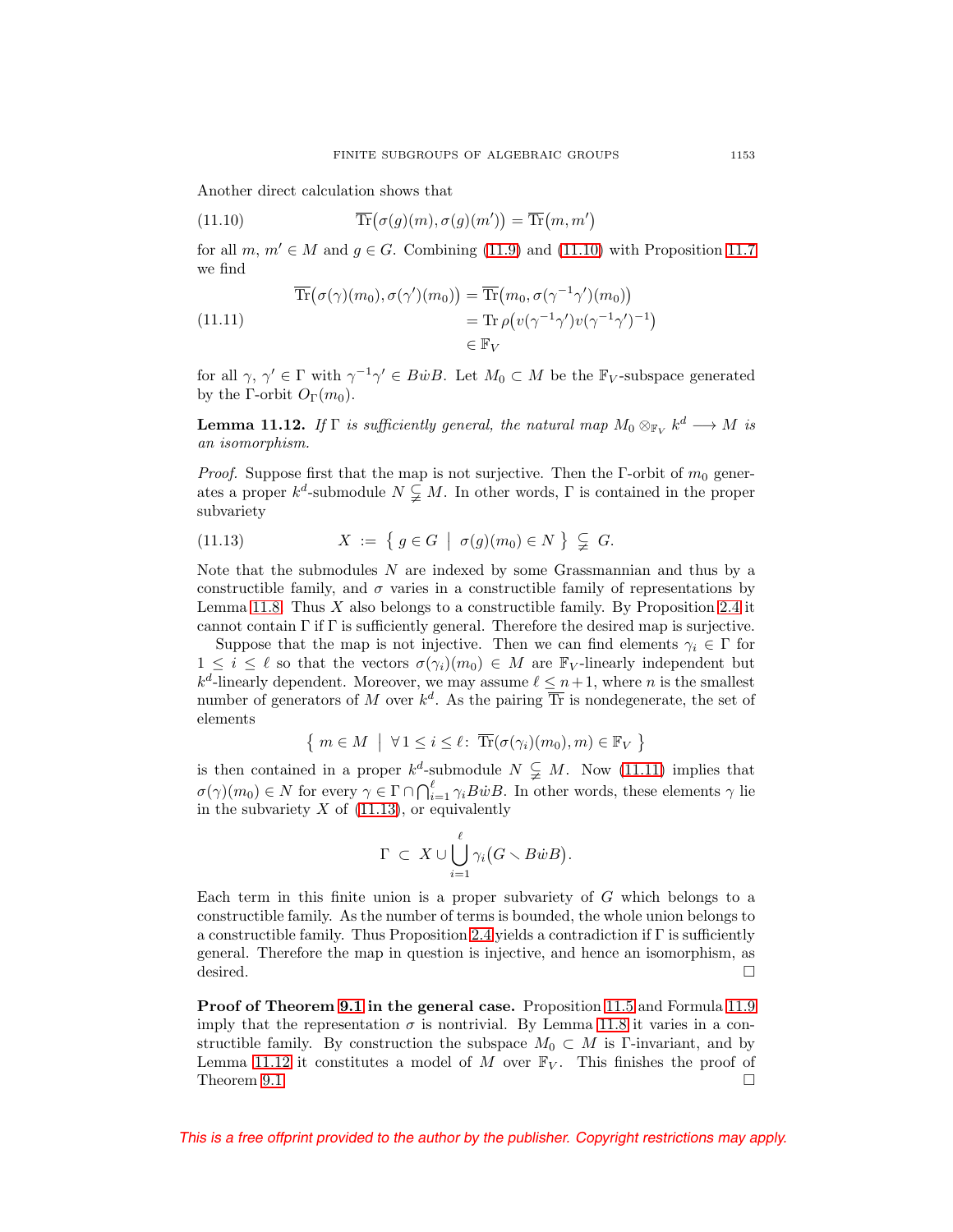Another direct calculation shows that

<span id="page-48-0"></span>(11.10) 
$$
\overline{\text{Tr}}(\sigma(g)(m), \sigma(g)(m')) = \overline{\text{Tr}}(m, m')
$$

for all  $m, m' \in M$  and  $g \in G$ . Combining [\(11.9\)](#page-47-0) and [\(11.10\)](#page-48-0) with Proposition [11.7](#page-46-1) we find

<span id="page-48-1"></span>
$$
\operatorname{Tr}(\sigma(\gamma)(m_0), \sigma(\gamma')(m_0)) = \operatorname{Tr}(m_0, \sigma(\gamma^{-1}\gamma')(m_0))
$$
\n
$$
= \operatorname{Tr} \rho(v(\gamma^{-1}\gamma')v(\gamma^{-1}\gamma')^{-1})
$$
\n
$$
\in \mathbb{F}_V
$$

for all  $\gamma, \gamma' \in \Gamma$  with  $\gamma^{-1}\gamma' \in B\dot{w}B$ . Let  $M_0 \subset M$  be the  $\mathbb{F}_V$ -subspace generated by the Γ-orbit  $O_{\Gamma}(m_0)$ .

<span id="page-48-3"></span>**Lemma 11.12.** If  $\Gamma$  is sufficiently general, the natural map  $M_0 \otimes_{\mathbb{F}_V} k^d \longrightarrow M$  is an isomorphism.

*Proof.* Suppose first that the map is not surjective. Then the  $\Gamma$ -orbit of  $m_0$  generates a proper  $k^d$ -submodule  $N \subsetneq M$ . In other words, Γ is contained in the proper subvariety

<span id="page-48-2"></span>(11.13) 
$$
X := \{ g \in G \mid \sigma(g)(m_0) \in N \} \subsetneq G.
$$

Note that the submodules N are indexed by some Grassmannian and thus by a constructible family, and  $\sigma$  varies in a constructible family of representations by Lemma [11.8.](#page-47-1) Thus  $X$  also belongs to a constructible family. By Proposition [2.4](#page-13-0) it cannot contain  $\Gamma$  if  $\Gamma$  is sufficiently general. Therefore the desired map is surjective.

Suppose that the map is not injective. Then we can find elements  $\gamma_i \in \Gamma$  for  $1 \leq i \leq \ell$  so that the vectors  $\sigma(\gamma_i)(m_0) \in M$  are  $\mathbb{F}_V$ -linearly independent but  $k^d$ -linearly dependent. Moreover, we may assume  $\ell \leq n+1$ , where n is the smallest number of generators of M over  $k^d$ . As the pairing  $\overline{\text{Tr}}$  is nondegenerate, the set of elements

$$
\{ m \in M \mid \forall 1 \leq i \leq \ell \colon \overline{\text{Tr}}(\sigma(\gamma_i)(m_0), m) \in \mathbb{F}_V \}
$$

is then contained in a proper  $k^d$ -submodule  $N \subsetneq M$ . Now [\(11.11\)](#page-48-1) implies that  $\sigma(\gamma)(m_0) \in N$  for every  $\gamma \in \Gamma \cap \bigcap_{i=1}^{\ell} \gamma_i B \dot{w} B$ . In other words, these elements  $\gamma$  lie in the subvariety  $X$  of [\(11.13\)](#page-48-2), or equivalently

$$
\Gamma \ \subset \ X \cup \bigcup_{i=1}^\ell \gamma_i (G \smallsetminus B \dot{w} B).
$$

Each term in this finite union is a proper subvariety of G which belongs to a constructible family. As the number of terms is bounded, the whole union belongs to a constructible family. Thus Proposition [2.4](#page-13-0) yields a contradiction if  $\Gamma$  is sufficiently general. Therefore the map in question is injective, and hence an isomorphism, as desired.  $\Box$ 

**Proof of Theorem [9.1](#page-35-3) in the general case.** Proposition [11.5](#page-45-2) and Formula [11.9](#page-47-0) imply that the representation  $\sigma$  is nontrivial. By Lemma [11.8](#page-47-1) it varies in a constructible family. By construction the subspace  $M_0 \subset M$  is Γ-invariant, and by Lemma [11.12](#page-48-3) it constitutes a model of M over  $\mathbb{F}_V$ . This finishes the proof of Theorem [9.1.](#page-35-3)  $\Box$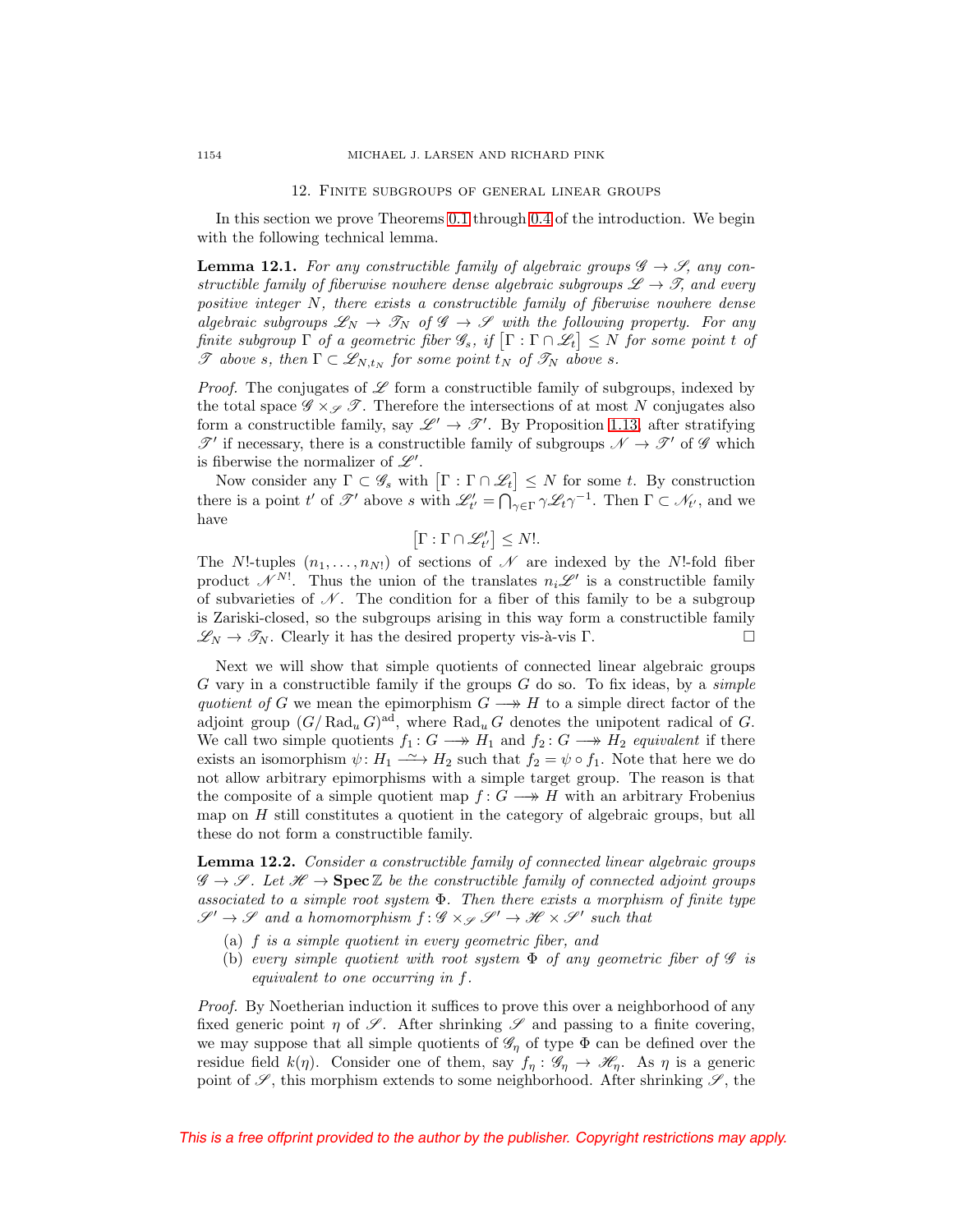#### 12. Finite subgroups of general linear groups

<span id="page-49-0"></span>In this section we prove Theorems [0.1](#page-0-1) through [0.4](#page-1-2) of the introduction. We begin with the following technical lemma.

<span id="page-49-1"></span>**Lemma 12.1.** For any constructible family of algebraic groups  $\mathscr{G} \to \mathscr{S}$ , any constructible family of fiberwise nowhere dense algebraic subgroups  $\mathscr{L} \to \mathscr{T}$ , and every positive integer N, there exists a constructible family of fiberwise nowhere dense algebraic subgroups  $\mathscr{L}_N \to \mathscr{T}_N$  of  $\mathscr{G} \to \mathscr{S}$  with the following property. For any finite subgroup  $\Gamma$  of a geometric fiber  $\mathscr{G}_s$ , if  $[\Gamma:\Gamma\cap \mathscr{L}_t]\leq N$  for some point  $t$  of  $\mathscr T$  above s, then  $\Gamma \subset \mathscr{L}_{N,t_N}$  for some point  $\overline{t}_N$  of  $\mathscr T_N$  above s.

*Proof.* The conjugates of  $\mathscr L$  form a constructible family of subgroups, indexed by the total space  $\mathscr{G} \times_{\mathscr{S}} \mathscr{T}$ . Therefore the intersections of at most N conjugates also form a constructible family, say  $\mathscr{L}' \to \mathscr{T}'$ . By Proposition [1.13,](#page-10-0) after stratifying  $\mathscr{T}'$  if necessary, there is a constructible family of subgroups  $\mathscr{N} \to \mathscr{T}'$  of  $\mathscr{G}$  which is fiberwise the normalizer of  $\mathscr{L}'$ .

Now consider any  $\Gamma \subset \mathscr{G}_s$  with  $[\Gamma : \Gamma \cap \mathscr{L}_t] \leq N$  for some t. By construction there is a point t' of  $\mathscr{T}'$  above s with  $\mathscr{L}'_{t'} = \bigcap_{\gamma \in \Gamma} \gamma \mathscr{L}_t \gamma^{-1}$ . Then  $\Gamma \subset \mathscr{N}_{t'}$ , and we have

$$
\left[\Gamma:\Gamma\cap\mathscr{L}_{t'}'\right]\leq N!.
$$

The N!-tuples  $(n_1,...,n_N!)$  of sections of  $\mathscr N$  are indexed by the N!-fold fiber product  $\mathcal{N}^{N!}$ . Thus the union of the translates  $n_i\mathscr{L}'$  is a constructible family of subvarieties of  $\mathcal N$ . The condition for a fiber of this family to be a subgroup is Zariski-closed, so the subgroups arising in this way form a constructible family  $\mathscr{L}_N \to \mathscr{T}_N$ . Clearly it has the desired property vis-à-vis Γ.

Next we will show that simple quotients of connected linear algebraic groups  $G$  vary in a constructible family if the groups  $G$  do so. To fix ideas, by a *simple* quotient of G we mean the epimorphism  $G \longrightarrow H$  to a simple direct factor of the adjoint group  $(G/Rad_u G)^{ad}$ , where  $Rad_u G$  denotes the unipotent radical of G. We call two simple quotients  $f_1 : G \longrightarrow H_1$  and  $f_2 : G \longrightarrow H_2$  equivalent if there exists an isomorphism  $\psi: H_1 \longrightarrow H_2$  such that  $f_2 = \psi \circ f_1$ . Note that here we do not allow arbitrary epimorphisms with a simple target group. The reason is that the composite of a simple quotient map  $f: G \longrightarrow H$  with an arbitrary Frobenius map on  $H$  still constitutes a quotient in the category of algebraic groups, but all these do not form a constructible family.

<span id="page-49-2"></span>**Lemma 12.2.** Consider a constructible family of connected linear algebraic groups  $\mathscr{G} \to \mathscr{S}$ . Let  $\mathscr{H} \to \mathbf{Spec} \mathbb{Z}$  be the constructible family of connected adjoint groups associated to a simple root system  $\Phi$ . Then there exists a morphism of finite type  $\mathscr{S}' \to \mathscr{S}$  and a homomorphism  $f : \mathscr{G} \times_{\mathscr{S}} \mathscr{S}' \to \mathscr{H} \times \mathscr{S}'$  such that

- (a) f is a simple quotient in every geometric fiber, and
- (b) every simple quotient with root system  $\Phi$  of any geometric fiber of  $\mathscr G$  is equivalent to one occurring in f.

Proof. By Noetherian induction it suffices to prove this over a neighborhood of any fixed generic point  $\eta$  of  $\mathscr{S}$ . After shrinking  $\mathscr{S}$  and passing to a finite covering, we may suppose that all simple quotients of  $\mathscr{G}_{\eta}$  of type  $\Phi$  can be defined over the residue field  $k(\eta)$ . Consider one of them, say  $f_{\eta}: \mathscr{G}_{\eta} \to \mathscr{H}_{\eta}$ . As  $\eta$  is a generic point of  $\mathscr{S}$ , this morphism extends to some neighborhood. After shrinking  $\mathscr{S}$ , the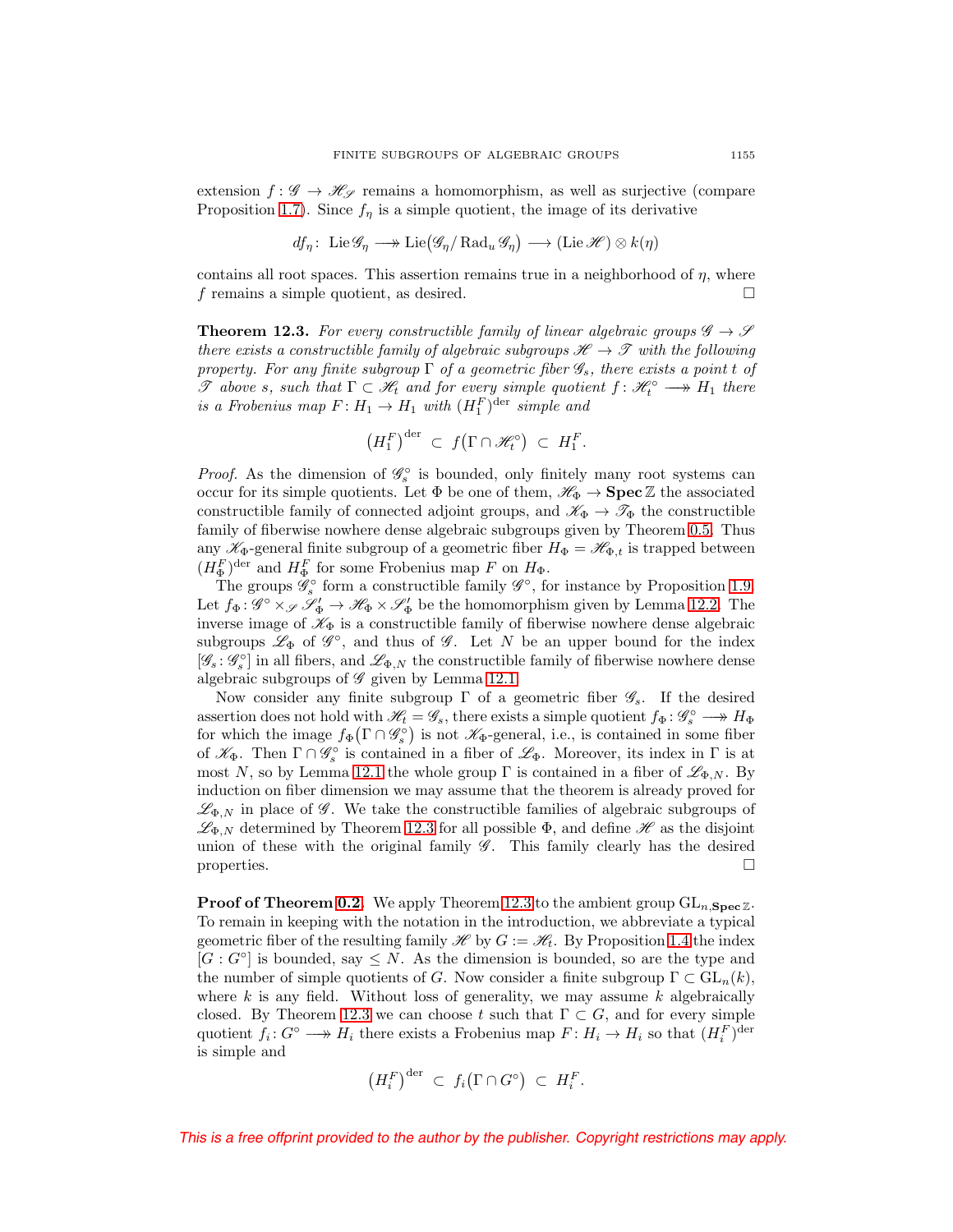extension  $f: \mathscr{G} \to \mathscr{H}_{\mathscr{S}}$  remains a homomorphism, as well as surjective (compare Proposition [1.7\)](#page-7-1). Since  $f_{\eta}$  is a simple quotient, the image of its derivative

$$
df_{\eta}
$$
: Lie  $\mathscr{G}_{\eta} \longrightarrow$  Lie $(\mathscr{G}_{\eta}/\text{Rad}_{u} \mathscr{G}_{\eta}) \longrightarrow$  (Lie  $\mathscr{H}$ )  $\otimes k(\eta)$ 

contains all root spaces. This assertion remains true in a neighborhood of  $\eta$ , where f remains a simple quotient, as desired.  $\Box$ 

<span id="page-50-0"></span>**Theorem 12.3.** For every constructible family of linear algebraic groups  $\mathscr{G} \to \mathscr{S}$ there exists a constructible family of algebraic subgroups  $\mathscr{H} \to \mathscr{T}$  with the following property. For any finite subgroup  $\Gamma$  of a geometric fiber  $\mathscr{G}_s$ , there exists a point t of  $\mathscr T$  above s, such that  $\Gamma \subset \mathscr H_t$  and for every simple quotient  $f: \mathscr H_t^\circ \longrightarrow H_1$  there is a Frobenius map  $F: H_1 \to H_1$  with  $(H_1^F)^{\text{der}}$  simple and

$$
\left(H_1^F\right)^{\mathrm{der}} \ \subset \ f\big(\Gamma \cap \mathscr{H}_t^\circ\big) \ \subset \ H_1^F.
$$

*Proof.* As the dimension of  $\mathscr{G}_s^{\circ}$  is bounded, only finitely many root systems can occur for its simple quotients. Let  $\Phi$  be one of them,  $\mathscr{H}_{\Phi} \to \mathbf{Spec} \mathbb{Z}$  the associated constructible family of connected adjoint groups, and  $\mathscr{K}_{\Phi} \to \mathscr{T}_{\Phi}$  the constructible family of fiberwise nowhere dense algebraic subgroups given by Theorem [0.5.](#page-2-0) Thus any  $\mathscr{K}_{\Phi}$ -general finite subgroup of a geometric fiber  $H_{\Phi} = \mathscr{H}_{\Phi,t}$  is trapped between  $(H_{\Phi}^F)^{\text{der}}$  and  $H_{\Phi}^F$  for some Frobenius map F on  $H_{\Phi}$ .

The groups  $\mathscr{G}_s^{\circ}$  form a constructible family  $\mathscr{G}^{\circ}$ , for instance by Proposition [1.9.](#page-8-1) Let  $f_{\Phi}$ :  $\mathscr{G}^{\circ} \times_{\mathscr{S}} \mathscr{S}_{\Phi}' \to \mathscr{H}_{\Phi} \times \mathscr{S}_{\Phi}'$  be the homomorphism given by Lemma [12.2.](#page-49-2) The inverse image of  $\mathcal{K}_{\Phi}$  is a constructible family of fiberwise nowhere dense algebraic subgroups  $\mathscr{L}_{\Phi}$  of  $\mathscr{G}^{\circ}$ , and thus of  $\mathscr{G}$ . Let N be an upper bound for the index  $[\mathscr{G}_s: \mathscr{G}_s^\circ]$  in all fibers, and  $\mathscr{L}_{\Phi,N}$  the constructible family of fiberwise nowhere dense algebraic subgroups of  $\mathscr G$  given by Lemma [12.1.](#page-49-1)

Now consider any finite subgroup  $\Gamma$  of a geometric fiber  $\mathscr{G}_{s}$ . If the desired assertion does not hold with  $\mathcal{H}_t = \mathcal{G}_s$ , there exists a simple quotient  $f_{\Phi}: \mathcal{G}_s^{\circ} \longrightarrow H_{\Phi}$ for which the image  $f_{\Phi}(\Gamma \cap \mathscr{G}_{s}^{\circ})$  is not  $\mathscr{K}_{\Phi}$ -general, i.e., is contained in some fiber of  $\mathscr{K}_{\Phi}$ . Then  $\Gamma \cap \mathscr{G}_{s}^{\circ}$  is contained in a fiber of  $\mathscr{L}_{\Phi}$ . Moreover, its index in  $\Gamma$  is at most N, so by Lemma [12.1](#page-49-1) the whole group  $\Gamma$  is contained in a fiber of  $\mathscr{L}_{\Phi,N}$ . By induction on fiber dimension we may assume that the theorem is already proved for  $\mathscr{L}_{\Phi,N}$  in place of  $\mathscr{G}$ . We take the constructible families of algebraic subgroups of  $\mathscr{L}_{\Phi,N}$  determined by Theorem [12.3](#page-50-0) for all possible  $\Phi$ , and define  $\mathscr{H}$  as the disjoint union of these with the original family  $\mathscr{G}$ . This family clearly has the desired properties.  $\Box$ 

**Proof of Theorem [0.2.](#page-1-0)** We apply Theorem [12.3](#page-50-0) to the ambient group  $GL_{n, \text{Spec } \mathbb{Z}}$ . To remain in keeping with the notation in the introduction, we abbreviate a typical geometric fiber of the resulting family  $\mathscr{H}$  by  $G := \mathscr{H}_t$ . By Proposition [1.4](#page-7-0) the index  $[G: G^{\circ}]$  is bounded, say  $\leq N$ . As the dimension is bounded, so are the type and the number of simple quotients of G. Now consider a finite subgroup  $\Gamma \subset GL_n(k)$ , where  $k$  is any field. Without loss of generality, we may assume  $k$  algebraically closed. By Theorem [12.3](#page-50-0) we can choose t such that  $\Gamma \subset G$ , and for every simple quotient  $f_i: G^{\circ} \longrightarrow H_i$  there exists a Frobenius map  $F: H_i \to H_i$  so that  $(H_i^F)^{\text{der}}$ is simple and

$$
\left(H_i^F\right)^{\mathrm{der}} \ \subset \ f_i\big(\Gamma \cap G^\circ\big) \ \subset \ H_i^F.
$$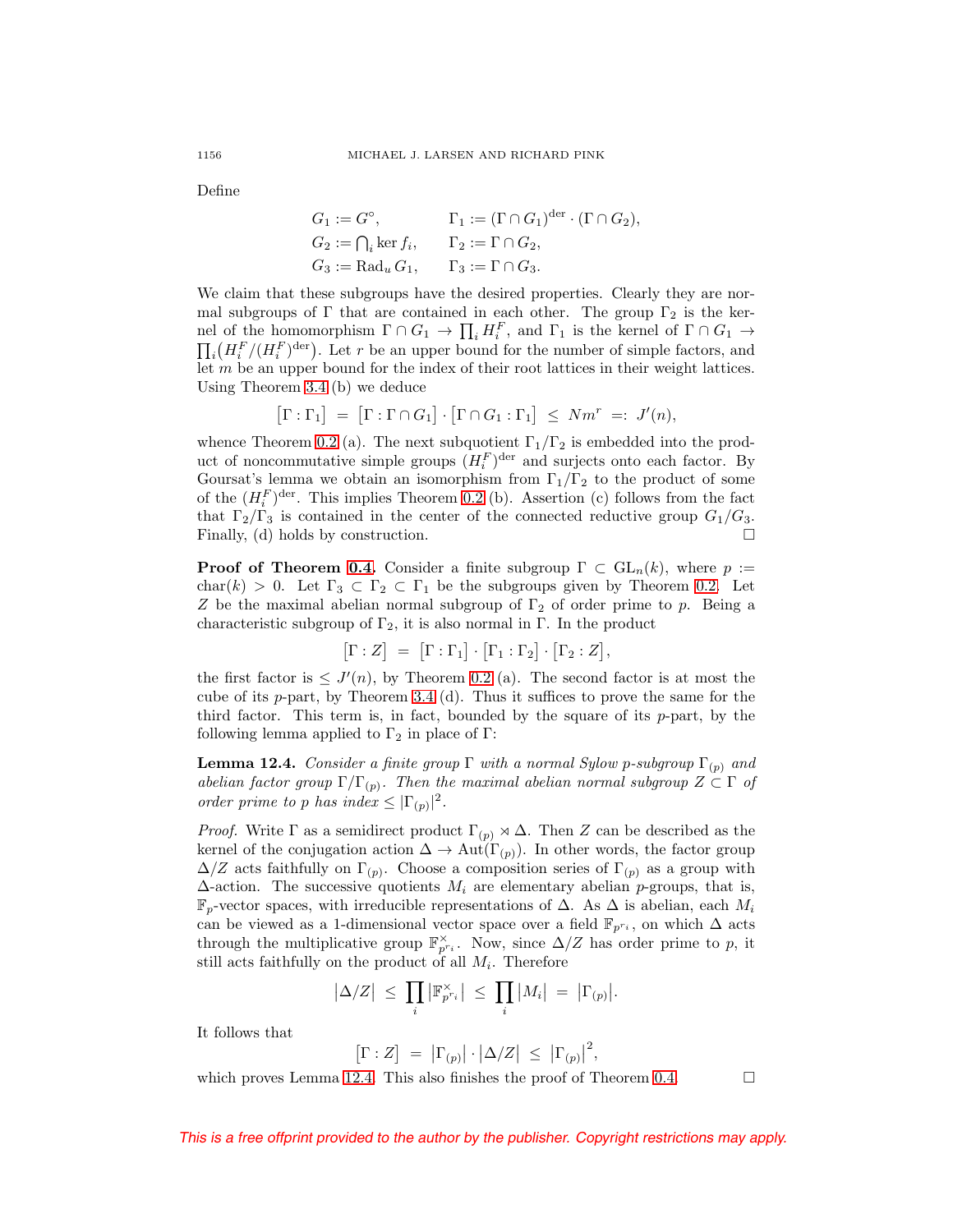Define

$$
G_1 := G^{\circ}, \qquad \Gamma_1 := (\Gamma \cap G_1)^{\text{der}} \cdot (\Gamma \cap G_2),
$$
  
\n
$$
G_2 := \bigcap_i \ker f_i, \qquad \Gamma_2 := \Gamma \cap G_2,
$$
  
\n
$$
G_3 := \text{Rad}_u G_1, \qquad \Gamma_3 := \Gamma \cap G_3.
$$

We claim that these subgroups have the desired properties. Clearly they are normal subgroups of  $\Gamma$  that are contained in each other. The group  $\Gamma_2$  is the kernel of the homomorphism  $\Gamma \cap G_1 \to \prod_i H_i^F$ , and  $\Gamma_1$  is the kernel of  $\Gamma \cap G_1 \to$  $\prod_i \left(H_i^F/(H_i^F)^{\text{der}}\right)$ . Let r be an upper bound for the number of simple factors, and let  $m$  be an upper bound for the index of their root lattices in their weight lattices. Using Theorem [3.4](#page-15-1) (b) we deduce

$$
\big[\Gamma:\Gamma_1\big] \;=\; \big[\Gamma:\Gamma\cap G_1\big]\cdot \big[\Gamma\cap G_1:\Gamma_1\big] \;\leq\; Nm^r \;=\; J'(n),
$$

whence Theorem [0.2](#page-1-0) (a). The next subquotient  $\Gamma_1/\Gamma_2$  is embedded into the product of noncommutative simple groups  $(H_i^F)$ <sup>der</sup> and surjects onto each factor. By Goursat's lemma we obtain an isomorphism from  $\Gamma_1/\Gamma_2$  to the product of some of the  $(H_i^F)^{\text{der}}$ . This implies Theorem [0.2](#page-1-0) (b). Assertion (c) follows from the fact that  $\Gamma_2/\Gamma_3$  is contained in the center of the connected reductive group  $G_1/G_3$ . Finally, (d) holds by construction.  $\square$ 

**Proof of Theorem [0.4.](#page-1-2)** Consider a finite subgroup  $\Gamma \subset GL_n(k)$ , where  $p :=$ char(k) > 0. Let  $\Gamma_3 \subset \Gamma_2 \subset \Gamma_1$  be the subgroups given by Theorem [0.2.](#page-1-0) Let Z be the maximal abelian normal subgroup of  $\Gamma_2$  of order prime to p. Being a characteristic subgroup of  $\Gamma_2$ , it is also normal in  $\Gamma$ . In the product

$$
\big[\Gamma : Z\big] \ = \ \big[\Gamma : \Gamma_1\big]\cdot \big[\Gamma_1 : \Gamma_2\big]\cdot \big[\Gamma_2 : Z\big],
$$

the first factor is  $\leq J'(n)$ , by Theorem [0.2](#page-1-0) (a). The second factor is at most the cube of its  $p$ -part, by Theorem [3.4](#page-15-1) (d). Thus it suffices to prove the same for the third factor. This term is, in fact, bounded by the square of its  $p$ -part, by the following lemma applied to  $\Gamma_2$  in place of  $\Gamma$ :

<span id="page-51-0"></span>**Lemma 12.4.** Consider a finite group  $\Gamma$  with a normal Sylow p-subgroup  $\Gamma_{(p)}$  and abelian factor group  $\Gamma/\Gamma_{(p)}$ . Then the maximal abelian normal subgroup  $Z \subset \Gamma$  of order prime to p has index  $\leq |\Gamma_{(p)}|^2$ .

*Proof.* Write  $\Gamma$  as a semidirect product  $\Gamma_{(p)} \rtimes \Delta$ . Then Z can be described as the kernel of the conjugation action  $\Delta \to Aut(\Gamma_{(p)})$ . In other words, the factor group  $\Delta/Z$  acts faithfully on  $\Gamma_{(p)}$ . Choose a composition series of  $\Gamma_{(p)}$  as a group with  $\Delta$ -action. The successive quotients  $M_i$  are elementary abelian p-groups, that is,  $\mathbb{F}_p$ -vector spaces, with irreducible representations of  $\Delta$ . As  $\Delta$  is abelian, each  $M_i$ can be viewed as a 1-dimensional vector space over a field  $\mathbb{F}_{p^{r_i}}$ , on which  $\Delta$  acts through the multiplicative group  $\mathbb{F}_{p^{r_i}}^{\times}$ . Now, since  $\Delta/Z$  has order prime to p, it still acts faithfully on the product of all  $M_i$ . Therefore

$$
|\Delta/Z| \leq \prod_i |\mathbb{F}_{p^{r_i}}^{\times}| \leq \prod_i |M_i| = |\Gamma_{(p)}|.
$$

It follows that

$$
[\Gamma : Z] = |\Gamma_{(p)}| \cdot |\Delta/Z| \leq |\Gamma_{(p)}|^2,
$$

which proves Lemma [12.4.](#page-51-0) This also finishes the proof of Theorem [0.4.](#page-1-2)  $\Box$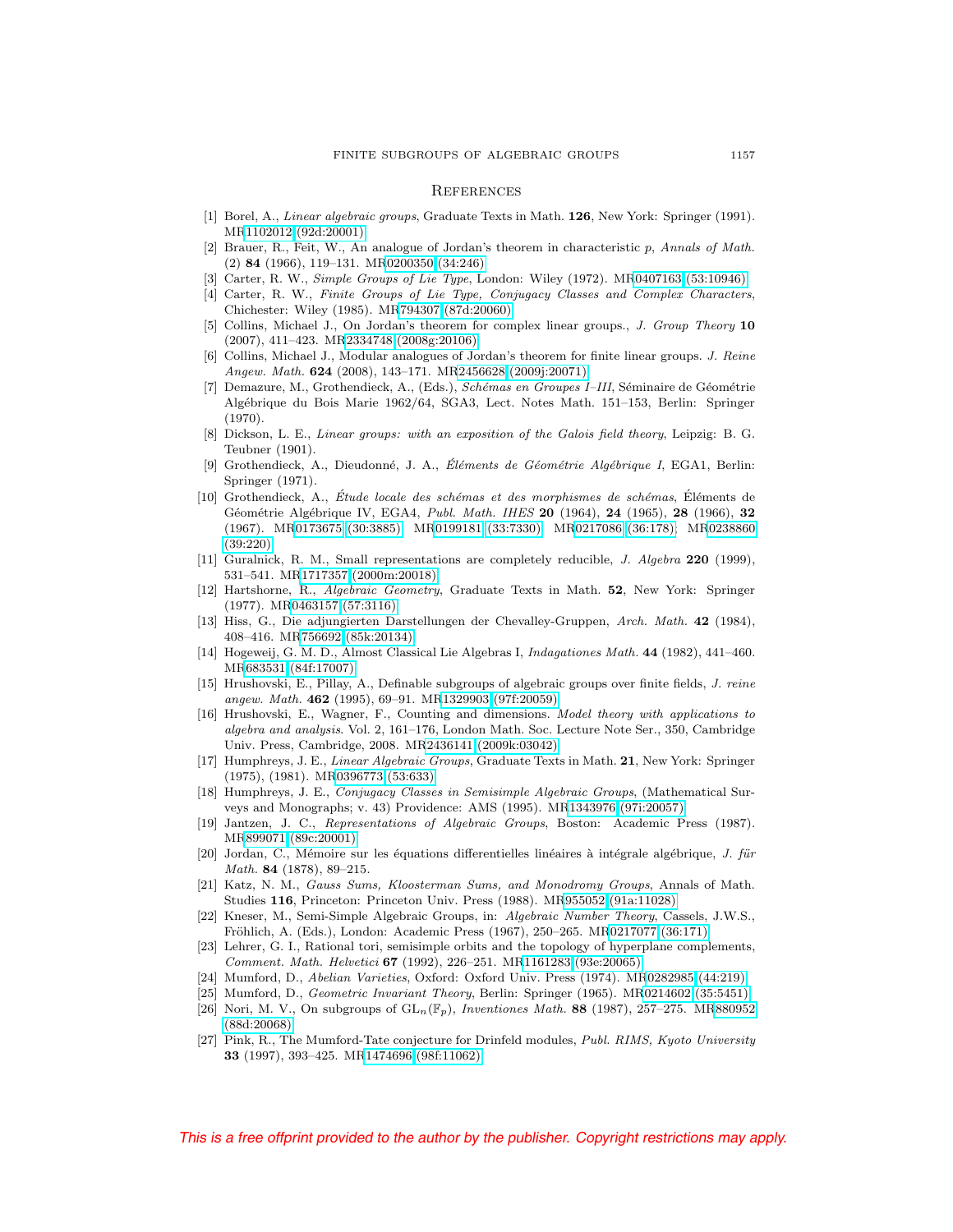#### <span id="page-52-0"></span>**REFERENCES**

- <span id="page-52-12"></span>[1] Borel, A., Linear algebraic groups, Graduate Texts in Math. **126**, New York: Springer (1991). M[R1102012 \(92d:20001\)](http://www.ams.org/mathscinet-getitem?mr=1102012)
- <span id="page-52-2"></span>[2] Brauer, R., Feit, W., An analogue of Jordan's theorem in characteristic p, Annals of Math. (2) **84** (1966), 119–131. M[R0200350 \(34:246\)](http://www.ams.org/mathscinet-getitem?mr=0200350)
- <span id="page-52-20"></span><span id="page-52-19"></span>[3] Carter, R. W., Simple Groups of Lie Type, London: Wiley (1972). M[R0407163 \(53:10946\)](http://www.ams.org/mathscinet-getitem?mr=0407163)
- [4] Carter, R. W., Finite Groups of Lie Type, Conjugacy Classes and Complex Characters, Chichester: Wiley (1985). M[R794307 \(87d:20060\)](http://www.ams.org/mathscinet-getitem?mr=794307)
- <span id="page-52-7"></span>[5] Collins, Michael J., On Jordan's theorem for complex linear groups., J. Group Theory **10** (2007), 411–423. M[R2334748 \(2008g:20106\)](http://www.ams.org/mathscinet-getitem?mr=2334748)
- <span id="page-52-8"></span>[6] Collins, Michael J., Modular analogues of Jordan's theorem for finite linear groups. J. Reine Angew. Math. **624** (2008), 143–171. M[R2456628 \(2009j:20071\)](http://www.ams.org/mathscinet-getitem?mr=2456628)
- <span id="page-52-15"></span>[7] Demazure, M., Grothendieck, A., (Eds.), Schémas en Groupes I-III, Séminaire de Géométrie Alg´ebrique du Bois Marie 1962/64, SGA3, Lect. Notes Math. 151–153, Berlin: Springer (1970).
- <span id="page-52-26"></span>[8] Dickson, L. E., Linear groups: with an exposition of the Galois field theory, Leipzig: B. G. Teubner (1901).
- <span id="page-52-10"></span>[9] Grothendieck, A., Dieudonné, J. A., Eléments de Géométrie Algébrique I, EGA1, Berlin: Springer (1971).
- <span id="page-52-14"></span>[10] Grothendieck, A., Étude locale des schémas et des morphismes de schémas, Éléments de G´eom´etrie Alg´ebrique IV, EGA4, Publ. Math. IHES **20** (1964), **24** (1965), **28** (1966), **32** (1967). M[R0173675 \(30:3885\);](http://www.ams.org/mathscinet-getitem?mr=0173675) M[R0199181 \(33:7330\);](http://www.ams.org/mathscinet-getitem?mr=0199181) M[R0217086 \(36:178\);](http://www.ams.org/mathscinet-getitem?mr=0217086) M[R0238860](http://www.ams.org/mathscinet-getitem?mr=0238860) [\(39:220\)](http://www.ams.org/mathscinet-getitem?mr=0238860)
- <span id="page-52-6"></span>[11] Guralnick, R. M., Small representations are completely reducible, J. Algebra **220** (1999), 531–541. M[R1717357 \(2000m:20018\)](http://www.ams.org/mathscinet-getitem?mr=1717357)
- <span id="page-52-11"></span>[12] Hartshorne, R., Algebraic Geometry, Graduate Texts in Math. **52**, New York: Springer (1977). M[R0463157 \(57:3116\)](http://www.ams.org/mathscinet-getitem?mr=0463157)
- <span id="page-52-24"></span>[13] Hiss, G., Die adjungierten Darstellungen der Chevalley-Gruppen, Arch. Math. **42** (1984), 408–416. M[R756692 \(85k:20134\)](http://www.ams.org/mathscinet-getitem?mr=756692)
- <span id="page-52-25"></span>[14] Hogeweij, G. M. D., Almost Classical Lie Algebras I, Indagationes Math. **44** (1982), 441–460. M[R683531 \(84f:17007\)](http://www.ams.org/mathscinet-getitem?mr=683531)
- <span id="page-52-9"></span>[15] Hrushovski, E., Pillay, A., Definable subgroups of algebraic groups over finite fields, J. reine angew. Math. **462** (1995), 69–91. M[R1329903 \(97f:20059\)](http://www.ams.org/mathscinet-getitem?mr=1329903)
- <span id="page-52-5"></span>[16] Hrushovski, E., Wagner, F., Counting and dimensions. Model theory with applications to algebra and analysis. Vol. 2, 161–176, London Math. Soc. Lecture Note Ser., 350, Cambridge Univ. Press, Cambridge, 2008. M[R2436141 \(2009k:03042\)](http://www.ams.org/mathscinet-getitem?mr=2436141)
- <span id="page-52-13"></span>[17] Humphreys, J. E., Linear Algebraic Groups, Graduate Texts in Math. **21**, New York: Springer (1975), (1981). M[R0396773 \(53:633\)](http://www.ams.org/mathscinet-getitem?mr=0396773)
- <span id="page-52-22"></span>[18] Humphreys, J. E., Conjugacy Classes in Semisimple Algebraic Groups, (Mathematical Surveys and Monographs; v. 43) Providence: AMS (1995). M[R1343976 \(97i:20057\)](http://www.ams.org/mathscinet-getitem?mr=1343976)
- <span id="page-52-16"></span>[19] Jantzen, J. C., Representations of Algebraic Groups, Boston: Academic Press (1987). M[R899071 \(89c:20001\)](http://www.ams.org/mathscinet-getitem?mr=899071)
- <span id="page-52-1"></span>[20] Jordan, C., Mémoire sur les équations differentielles linéaires à intégrale algébrique, J. für Math. **84** (1878), 89–215.
- <span id="page-52-4"></span>[21] Katz, N. M., Gauss Sums, Kloosterman Sums, and Monodromy Groups, Annals of Math. Studies **116**, Princeton: Princeton Univ. Press (1988). M[R955052 \(91a:11028\)](http://www.ams.org/mathscinet-getitem?mr=955052)
- <span id="page-52-18"></span>[22] Kneser, M., Semi-Simple Algebraic Groups, in: Algebraic Number Theory, Cassels, J.W.S., Fröhlich, A. (Eds.), London: Academic Press (1967), 250-265. M[R0217077 \(36:171\)](http://www.ams.org/mathscinet-getitem?mr=0217077)
- <span id="page-52-23"></span>[23] Lehrer, G. I., Rational tori, semisimple orbits and the topology of hyperplane complements, Comment. Math. Helvetici **67** (1992), 226–251. M[R1161283 \(93e:20065\)](http://www.ams.org/mathscinet-getitem?mr=1161283)
- <span id="page-52-21"></span><span id="page-52-17"></span>[24] Mumford, D., Abelian Varieties, Oxford: Oxford Univ. Press (1974). M[R0282985 \(44:219\)](http://www.ams.org/mathscinet-getitem?mr=0282985)
- <span id="page-52-3"></span>[25] Mumford, D., Geometric Invariant Theory, Berlin: Springer (1965). M[R0214602 \(35:5451\)](http://www.ams.org/mathscinet-getitem?mr=0214602)
- [26] Nori, M. V., On subgroups of GLn(Fp), Inventiones Math. **88** (1987), 257–275. M[R880952](http://www.ams.org/mathscinet-getitem?mr=880952) [\(88d:20068\)](http://www.ams.org/mathscinet-getitem?mr=880952)
- [27] Pink, R., The Mumford-Tate conjecture for Drinfeld modules, Publ. RIMS, Kyoto University **33** (1997), 393–425. M[R1474696 \(98f:11062\)](http://www.ams.org/mathscinet-getitem?mr=1474696)